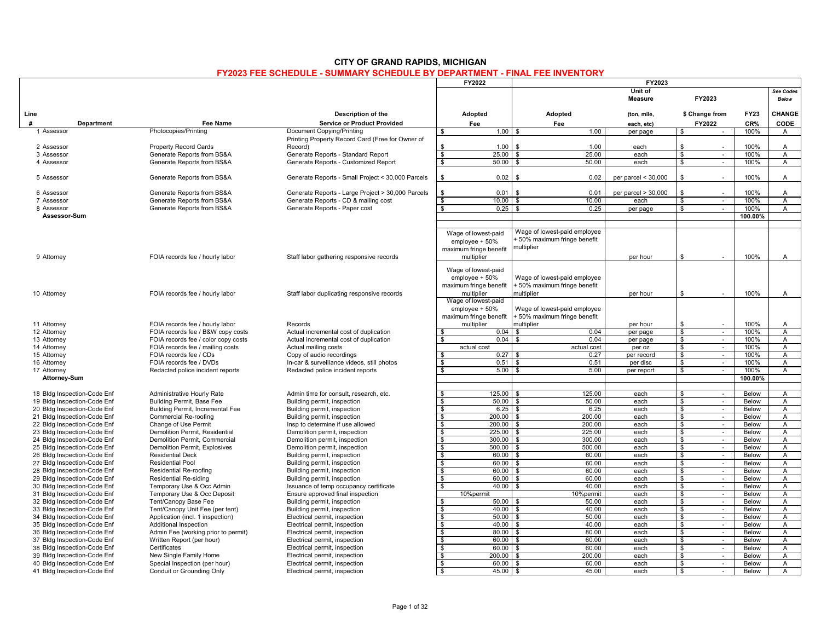### **CITY OF GRAND RAPIDS, MICHIGAN**

#### **FY2023 FEE SCHEDULE - SUMMARY SCHEDULE BY DEPARTMENT - FINAL FEE INVENTORY**

|                                                            |                                               |                                                                 | FY2022                                                    |                                                            | FY2023                    |                                        |                |                     |
|------------------------------------------------------------|-----------------------------------------------|-----------------------------------------------------------------|-----------------------------------------------------------|------------------------------------------------------------|---------------------------|----------------------------------------|----------------|---------------------|
|                                                            |                                               |                                                                 |                                                           |                                                            | Unit of<br><b>Measure</b> | FY2023                                 |                | See Codes<br>Below  |
| Line                                                       |                                               | Description of the                                              | Adopted                                                   | Adopted                                                    | (ton, mile,               | \$ Change from                         | <b>FY23</b>    | CHANGE              |
| #<br>Department                                            | <b>Fee Name</b>                               | <b>Service or Product Provided</b>                              | Fee                                                       | Fee                                                        | each, etc)                | FY2022                                 | CR%            | CODE                |
| 1 Assessor                                                 | Photocopies/Printing                          | Document Copying/Printing                                       | 1.00<br>$\mathfrak{L}$                                    | 1.00<br>l \$                                               | per page                  | $\mathbb{S}$<br>$\sim$                 | 100%           | $\mathsf{A}$        |
|                                                            |                                               | Printing Property Record Card (Free for Owner of                |                                                           |                                                            |                           |                                        |                |                     |
| 2 Assessor                                                 | <b>Property Record Cards</b>                  | Record)                                                         | \$<br>1.00                                                | 1.00<br>$\mathbf{\hat{z}}$                                 | each                      | \$                                     | 100%           | $\overline{A}$      |
| 3 Assessor                                                 | Generate Reports from BS&A                    | Generate Reports - Standard Report                              | 25.00<br>\$                                               | 25.00<br>l \$                                              | each                      | \$<br>$\sim$                           | 100%           | A                   |
| 4 Assessor                                                 | Generate Reports from BS&A                    | Generate Reports - Customized Report                            | $\overline{\mathbf{s}}$<br>50.00                          | 50.00<br>l \$                                              | each                      | $\mathbf{s}$<br>$\sim$                 | 100%           | $\overline{A}$      |
|                                                            |                                               |                                                                 |                                                           |                                                            |                           |                                        |                |                     |
| 5 Assessor                                                 | Generate Reports from BS&A                    | Generate Reports - Small Project < 30,000 Parcels               | \$<br>0.02                                                | 0.02                                                       | per parcel $<$ 30,000     | \$<br>÷,                               | 100%           | A                   |
| 6 Assessor                                                 | Generate Reports from BS&A                    | Generate Reports - Large Project > 30,000 Parcels               | \$<br>0.01                                                | 0.01<br>\$.                                                | per parcel $> 30,000$     | \$                                     | 100%           | A                   |
| 7 Assessor                                                 | Generate Reports from BS&A                    | Generate Reports - CD & mailing cost                            | $\mathbf{\hat{s}}$<br>10.00                               | 10.00<br>$\mathbf{\hat{z}}$                                | each                      | $\mathbf{\hat{s}}$<br>$\sim$           | 100%           | $\overline{A}$      |
| 8 Assessor                                                 | Generate Reports from BS&A                    | Generate Reports - Paper cost                                   | - \$<br>0.25                                              | 0.25<br><b>S</b>                                           | per page                  | \$<br>$\sim$                           | 100%           | A                   |
| Assessor-Sum                                               |                                               |                                                                 |                                                           |                                                            |                           |                                        | 100.00%        |                     |
|                                                            |                                               |                                                                 |                                                           |                                                            |                           |                                        |                |                     |
|                                                            |                                               |                                                                 | Wage of lowest-paid                                       | Wage of lowest-paid employee                               |                           |                                        |                |                     |
|                                                            |                                               |                                                                 | $emplovee + 50%$                                          | 50% maximum fringe benefit                                 |                           |                                        |                |                     |
|                                                            |                                               |                                                                 | maximum fringe benefit                                    | nultiplier                                                 |                           |                                        |                |                     |
| 9 Attorney                                                 | FOIA records fee / hourly labor               | Staff labor gathering responsive records                        | multiplier                                                |                                                            | per hour                  | \$                                     | 100%           | A                   |
|                                                            |                                               |                                                                 |                                                           |                                                            |                           |                                        |                |                     |
|                                                            |                                               |                                                                 | Wage of lowest-paid                                       |                                                            |                           |                                        |                |                     |
|                                                            |                                               |                                                                 | employee + 50%                                            | Wage of lowest-paid employee                               |                           |                                        |                |                     |
|                                                            |                                               |                                                                 | maximum fringe benefit                                    | 50% maximum fringe benefit                                 |                           |                                        |                |                     |
| 10 Attorney                                                | FOIA records fee / hourly labor               | Staff labor duplicating responsive records                      | multiplier<br>Wage of lowest-paid                         | nultiplier                                                 | per hour                  | \$                                     | 100%           | A                   |
|                                                            |                                               |                                                                 |                                                           |                                                            |                           |                                        |                |                     |
|                                                            |                                               |                                                                 | employee + 50%<br>maximum fringe benefit                  | Wage of lowest-paid employee<br>50% maximum fringe benefit |                           |                                        |                |                     |
| 11 Attorney                                                | FOIA records fee / hourly labor               | Records                                                         | multiplier                                                | nultiplier                                                 | per hour                  | \$                                     | 100%           | A                   |
| 12 Attorney                                                | FOIA records fee / B&W copy costs             | Actual incremental cost of duplication                          | 0.04<br>\$.                                               | 0.04                                                       | per page                  | \$<br>$\sim$                           | 100%           | $\mathsf{A}$        |
| 13 Attorney                                                | FOIA records fee / color copy costs           | Actual incremental cost of duplication                          | 0.04<br>\$                                                | 0.04<br><b>S</b>                                           | per page                  | \$<br>$\sim$                           | 100%           | Α                   |
| 14 Attorney                                                | FOIA records fee / mailing costs              | Actual mailing costs                                            | actual cost                                               | actual cost                                                | per oz                    | $\mathbf{\hat{s}}$<br>$\sim$           | 100%           | A                   |
| 15 Attorney                                                | FOIA records fee / CDs                        | Copy of audio recordings                                        | 0.27<br>\$                                                | 0.27<br>-8                                                 | per record                | $\mathbf{\hat{s}}$<br>$\sim$           | 100%           | $\overline{A}$      |
| 16 Attorney                                                | FOIA records fee / DVDs                       | In-car & surveillance videos, still photos                      | \$<br>$0.51$ \$                                           | 0.51                                                       | per disc                  | \$<br>$\sim$                           | 100%           | $\mathsf{A}$        |
| 17 Attorney                                                | Redacted police incident reports              | Redacted police incident reports                                | \$<br>5.00                                                | $\mathcal{S}$<br>5.00                                      | per report                | \$<br>$\sim$                           | 100%           | $\mathsf{A}$        |
| <b>Attorney-Sum</b>                                        |                                               |                                                                 |                                                           |                                                            |                           |                                        | 100.00%        |                     |
|                                                            |                                               |                                                                 |                                                           |                                                            |                           |                                        |                |                     |
| 18 Bldg Inspection-Code Enf                                | Administrative Hourly Rate                    | Admin time for consult, research, etc.                          | \$<br>$125.00$ \ \$                                       | 125.00                                                     | each                      | \$<br>$\sim$                           | Below          | $\overline{A}$      |
| 19 Bldg Inspection-Code Enf                                | Building Permit, Base Fee                     | Building permit, inspection                                     | $\overline{\mathbf{s}}$<br>$50.00$ \ \$                   | 50.00                                                      | each                      | \$<br>$\sim$                           | Below          | $\mathsf{A}$        |
| 20 Bldg Inspection-Code Enf                                | Building Permit, Incremental Fee              | Building permit, inspection                                     | \$<br>6.25                                                | 6.25<br>\$                                                 | each                      | \$<br>$\sim$                           | Below          | A                   |
| 21 Bldg Inspection-Code Enf<br>22 Bldg Inspection-Code Enf | Commercial Re-roofing<br>Change of Use Permit | Building permit, inspection<br>Insp to determine if use allowed | 200.00<br>\$<br>$\overline{\mathbf{s}}$<br>$200.00$ \$    | 200.00<br><b>S</b><br>200.00                               | each<br>each              | \$<br>$\sim$<br>$\mathbf{s}$<br>$\sim$ | Below<br>Below | Α<br>A              |
| 23 Bldg Inspection-Code Enf                                | Demolition Permit, Residential                | Demolition permit, inspection                                   | \$<br>225.00                                              | 225.00<br>l \$                                             | each                      | \$<br>$\sim$                           | Below          | Α                   |
| 24 Bldg Inspection-Code Enf                                | Demolition Permit, Commercial                 | Demolition permit, inspection                                   | \$<br>$300.00$ \ \$                                       | 300.00                                                     | each                      | \$<br>$\sim$                           | Below          | $\overline{A}$      |
| 25 Bldg Inspection-Code Enf                                | Demolition Permit, Explosives                 | Demolition permit, inspection                                   | $\sqrt{3}$<br>$500.00$ \ \$                               | 500.00                                                     | each                      | $\sqrt[6]{\frac{2}{5}}$<br>$\sim$      | Below          | $\overline{A}$      |
| 26 Bldg Inspection-Code Enf                                | <b>Residential Deck</b>                       | Building permit, inspection                                     | $\overline{\mathbf{s}}$<br>60.00                          | <b>\$</b><br>60.00                                         | each                      | \$<br>$\sim$                           | Below          | A                   |
| 27 Bldg Inspection-Code Enf                                | <b>Residential Pool</b>                       | Building permit, inspection                                     | \$<br>60.00                                               | 60.00<br>. ድ                                               | each                      | \$<br>$\sim$                           | Below          | $\overline{A}$      |
| 28 Bldg Inspection-Code Enf                                | Residential Re-roofing                        | Building permit, inspection                                     | \$<br>60.00                                               | l \$<br>60.00                                              | each                      | \$<br>$\sim$                           | Below          | A                   |
| 29 Bldg Inspection-Code Enf                                | <b>Residential Re-siding</b>                  | Building permit, inspection                                     | \$<br>60.00 \$                                            | 60.00                                                      | each                      | \$<br>$\sim$                           | Below          | A                   |
| 30 Bldg Inspection-Code Enf                                | Temporary Use & Occ Admin                     | Issuance of temp occupancy certificate                          | \$<br>40.00                                               | 40.00<br>l \$                                              | each                      | \$<br>$\sim$                           | Below          | A                   |
| 31 Bldg Inspection-Code Enf                                | Temporary Use & Occ Deposit                   | Ensure approved final inspection                                | 10%permit                                                 | 10%permit                                                  | each                      | \$<br>$\sim$                           | Below          | $\overline{A}$      |
| 32 Bldg Inspection-Code Enf                                | Tent/Canopy Base Fee                          | Building permit, inspection                                     | $50.00$ \$<br>\$                                          | 50.00                                                      | each                      | \$<br>$\omega$                         | Below          | A                   |
| 33 Bldg Inspection-Code Enf                                | Tent/Canopy Unit Fee (per tent)               | Building permit, inspection                                     | \$<br>40.00                                               | 40.00<br><b>\$</b>                                         | each                      | \$<br>$\sim$                           | Below          | A                   |
| 34 Bldg Inspection-Code Enf                                | Application (incl. 1 inspection)              | Electrical permit, inspection                                   | \$<br>$50.00$ \$                                          | 50.00                                                      | each                      | \$<br>$\sim$                           | Below          | $\overline{A}$      |
| 35 Bldg Inspection-Code Enf                                | Additional Inspection                         | Electrical permit, inspection                                   | $\overline{\mathbf{s}}$<br>40.00                          | $\mathbf{s}$<br>40.00                                      | each                      | $\mathbf{\hat{s}}$<br>$\sim$           | Below          | A                   |
| 36 Bldg Inspection-Code Enf                                | Admin Fee (working prior to permit)           | Electrical permit, inspection                                   | $\overline{\mathbf{s}}$<br>$80.00$ \$                     | 80.00                                                      | each                      | \$<br>$\sim$                           | Below          | $\mathsf{A}$        |
| 37 Bldg Inspection-Code Enf<br>38 Bldg Inspection-Code Enf | Written Report (per hour)<br>Certificates     | Electrical permit, inspection<br>Electrical permit, inspection  | \$<br>$60.00$ \$<br>$\overline{\mathbf{s}}$<br>$60.00$ \$ | 60.00<br>60.00                                             | each<br>each              | \$<br>$\sim$<br>\$.<br>$\sim$          | Below<br>Below | A<br>$\overline{A}$ |
| 39 Bldg Inspection-Code Enf                                | New Single Family Home                        | Electrical permit, inspection                                   | $\overline{\mathbf{s}}$<br>$200.00$ \$                    | 200.00                                                     | each                      | \$<br>$\sim$                           | Below          | A                   |
| 40 Bldg Inspection-Code Enf                                | Special Inspection (per hour)                 | Electrical permit, inspection                                   | \$<br>60.00                                               | 60.00<br><b>S</b>                                          | each                      | \$<br>$\sim$                           | Below          | $\mathsf{A}$        |
| 41 Bldg Inspection-Code Enf                                | Conduit or Grounding Only                     | Electrical permit, inspection                                   | \$<br>45.00                                               | l \$<br>45.00                                              | each                      | \$<br>$\sim$                           | Below          | $\mathsf{A}$        |
|                                                            |                                               |                                                                 |                                                           |                                                            |                           |                                        |                |                     |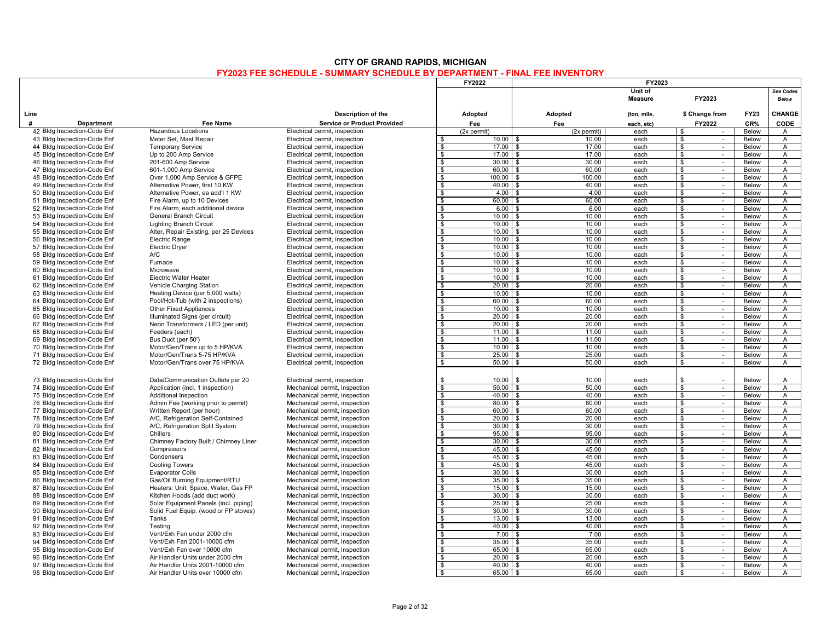|                                                            |                                                                                |                                                                | <b>FY2022</b>            |                             |                | FY2023       |                                                        |                |                                |
|------------------------------------------------------------|--------------------------------------------------------------------------------|----------------------------------------------------------------|--------------------------|-----------------------------|----------------|--------------|--------------------------------------------------------|----------------|--------------------------------|
|                                                            |                                                                                |                                                                |                          |                             |                | Unit of      |                                                        |                | <b>See Codes</b>               |
|                                                            |                                                                                |                                                                |                          |                             |                | Measure      | FY2023                                                 |                | <b>Below</b>                   |
|                                                            |                                                                                |                                                                |                          |                             |                |              |                                                        |                |                                |
| Line                                                       |                                                                                | Description of the                                             | Adopted                  |                             | Adopted        | (ton, mile,  | \$ Change from                                         | <b>FY23</b>    | CHANGE                         |
| $\boldsymbol{\mu}$<br>Department                           | Fee Name                                                                       | <b>Service or Product Provided</b>                             | Fee                      |                             | Fee            | each, etc)   | FY2022                                                 | CR%            | CODE                           |
| 42 Bldg Inspection-Code Enf                                | <b>Hazardous Locations</b>                                                     | Electrical permit, inspection                                  | (2x permit)              |                             | (2x permit)    | each         | \$                                                     | Below          | $\overline{A}$                 |
| 43 Bldg Inspection-Code Enf                                | Meter Set, Mast Repair                                                         | Electrical permit, inspection                                  | Ŝ.                       | 10.00<br>\$                 | 10.00          | each         | \$<br>$\mathcal{L}_{\mathcal{A}}$                      | Below          | A                              |
| 44 Bldg Inspection-Code Enf                                | <b>Temporary Service</b>                                                       | Electrical permit, inspection                                  | $\mathbf{s}$             | $17.00$ \ \$                | 17.00          | each         | \$<br>$\sim$                                           | Below          | A                              |
| 45 Bldg Inspection-Code Enf                                | Up to 200 Amp Service                                                          | Electrical permit, inspection                                  | \$                       | $17.00$ \ \$                | 17.00          | each         | \$<br>$\sim$                                           | Below          | A                              |
| 46 Bldg Inspection-Code Enf                                | 201-600 Amp Service                                                            | Electrical permit, inspection                                  | S.                       | $30.00$ \$                  | 30.00          | each         | $\frac{1}{2}$<br>$\sim$                                | <b>Below</b>   | $\overline{A}$                 |
| 47 Bldg Inspection-Code Enf                                | 601-1,000 Amp Service                                                          | Electrical permit, inspection                                  | \$                       | $60.00$ \ \$                | 60.00          | each         | \$<br>$\sim$                                           | Below          | A                              |
| 48 Bldg Inspection-Code Enf                                | Over 1,000 Amp Service & GFPE                                                  | Electrical permit, inspection                                  | s.                       | 100.00<br>. ድ<br>-8         | 100.00         | each         | \$<br>$\sim$<br>$\sim$                                 | Below          | A                              |
| 49 Bldg Inspection-Code Enf<br>50 Bldg Inspection-Code Enf | Alternative Power, first 10 KW<br>Alternative Power, ea add'l 1 KW             | Electrical permit, inspection<br>Electrical permit, inspection | <b>S</b><br>\$           | 40.00<br>$4.00 \, \text{S}$ | 40.00<br>4.00  | each<br>each | \$<br>$\frac{1}{2}$<br>$\sim$                          | Below<br>Below | $\mathsf{A}$<br>$\overline{A}$ |
| 51 Bldg Inspection-Code Enf                                | Fire Alarm, up to 10 Devices                                                   | Electrical permit, inspection                                  | \$                       | $60.00$   \$                | 60.00          | each         | \$<br>$\sim$                                           | Below          | A                              |
| 52 Bldg Inspection-Code Enf                                | Fire Alarm, each additional device                                             | Electrical permit, inspection                                  | <b>S</b>                 | $6.00$ \$                   | 6.00           | each         | \$<br>$\sim$                                           | Below          | $\overline{A}$                 |
| 53 Bldg Inspection-Code Enf                                | General Branch Circuit                                                         | Electrical permit, inspection                                  | <b>S</b>                 | $10.00$ \$                  | 10.00          | each         | \$<br>$\mathcal{L}_{\mathcal{A}}$                      | Below          | A                              |
| 54 Bldg Inspection-Code Enf                                | Lighting Branch Circuit                                                        | Electrical permit, inspection                                  | s.                       | $10.00$ \ \$                | 10.00          | each         | \$<br>$\omega$                                         | Below          | $\overline{A}$                 |
| 55 Bldg Inspection-Code Enf                                | Alter, Repair Existing, per 25 Devices                                         | Electrical permit, inspection                                  | Ŝ.                       | 10.00                       | 10.00          | each         | \$<br>$\sim$                                           | Below          | $\mathsf{A}$                   |
| 56 Bldg Inspection-Code Enf                                | Electric Range                                                                 | Electrical permit, inspection                                  | <b>S</b>                 | $10.00$   \$                | 10.00          | each         | \$<br>$\sim$                                           | Below          | A                              |
| 57 Bldg Inspection-Code Enf                                | <b>Electric Dryer</b>                                                          | Electrical permit, inspection                                  | \$                       | $10.00$ \$                  | 10.00          | each         | \$<br>$\sim$                                           | Below          | $\mathsf{A}$                   |
| 58 Bldg Inspection-Code Enf                                | A/C                                                                            | Electrical permit, inspection                                  | s,                       | 10.00<br>$\hat{\mathbf{r}}$ | 10.00          | each         | $\boldsymbol{\mathsf{s}}$<br>$\sim$                    | Below          | $\mathsf{A}$                   |
| 59 Bldg Inspection-Code Enf                                | Furnace                                                                        | Electrical permit, inspection                                  | Ŝ.                       | $10.00$ \ \$                | 10.00          | each         | \$<br>$\sim$                                           | Below          | $\mathsf{A}$                   |
| 60 Bldg Inspection-Code Enf                                | Microwave                                                                      | Electrical permit, inspection                                  | $\mathbf{s}$             | $10.00$   \$                | 10.00          | each         | $\overline{\mathbf{s}}$<br>$\mathcal{L}_{\mathcal{A}}$ | Below          | $\overline{A}$                 |
| 61 Bldg Inspection-Code Enf                                | Electric Water Heater                                                          | Electrical permit, inspection                                  | <b>S</b>                 | $10.00$ \ \$                | 10.00          | each         | \$<br>$\sim$                                           | Below          | $\mathsf{A}$                   |
| 62 Bldg Inspection-Code Enf                                | Vehicle Charging Station                                                       | Electrical permit, inspection                                  | - \$                     | $20.00$ \ \$                | 20.00          | each         | \$<br>$\sim$                                           | Below          | $\overline{A}$                 |
| 63 Bldg Inspection-Code Enf                                | Heating Device (per 5,000 watts)                                               | Electrical permit, inspection                                  | \$                       | $10.00$ \$                  | 10.00          | each         | \$<br>$\sim$                                           | Below          | A                              |
| 64 Bldg Inspection-Code Enf                                | Pool/Hot-Tub (with 2 inspections)                                              | Electrical permit, inspection                                  | $\sqrt{2}$               | $60.00$   \$                | 60.00          | each         | \$<br>$\omega$                                         | Below          | $\mathsf{A}$                   |
| 65 Bldg Inspection-Code Enf                                | Other Fixed Appliances                                                         | Electrical permit, inspection                                  | <b>S</b>                 | 10.00                       | 10.00          | each         | \$<br>$\sim$                                           | Below          | $\mathsf{A}$                   |
| 66 Bldg Inspection-Code Enf                                | Illuminated Signs (per circuit)                                                | Electrical permit, inspection                                  | $\mathbf{s}$             | $20.00$   \$                | 20.00          | each         | \$<br>$\sim$                                           | Below          | $\overline{A}$                 |
| 67 Bldg Inspection-Code Enf                                | Neon Transformers / LED (per unit)                                             | Electrical permit, inspection                                  | <b>S</b>                 | $20.00$ \ \$                | 20.00          | each         | \$<br>$\omega$                                         | <b>Below</b>   | A                              |
| 68 Bldg Inspection-Code Enf                                | Feeders (each)                                                                 | Electrical permit, inspection                                  | <b>S</b>                 | 11.00                       | 11.00          | each         | \$<br>$\sim$                                           | Below          | $\mathsf{A}$                   |
| 69 Bldg Inspection-Code Enf<br>70 Bldg Inspection-Code Enf | Bus Duct (per 50')<br>Motor/Gen/Trans up to 5 HP/KVA                           | Electrical permit, inspection<br>Electrical permit, inspection | Ŝ.<br>s,                 | $11.00$ \$<br>10.00<br>. ድ  | 11.00<br>10.00 | each<br>each | \$<br>$\sim$<br>$\mathbf{\$}$<br>$\sim$                | Below<br>Below | A<br>$\overline{A}$            |
| 71 Bldg Inspection-Code Enf                                | Motor/Gen/Trans 5-75 HP/KVA                                                    | Electrical permit, inspection                                  | \$                       | 25.00<br>\$                 | 25.00          | each         | \$<br>$\sim$                                           | Below          | $\overline{A}$                 |
| 72 Bldg Inspection-Code Enf                                | Motor/Gen/Trans over 75 HP/KVA                                                 | Electrical permit, inspection                                  | s.                       | 50.00                       | 50.00          | each         | \$<br>$\sim$                                           | Below          | $\overline{A}$                 |
|                                                            |                                                                                |                                                                |                          |                             |                |              |                                                        |                |                                |
| 73 Bldg Inspection-Code Enf                                | Data/Communication Outlets per 20                                              | Electrical permit, inspection                                  | - \$                     | 10.00<br>$\mathbf{\hat{S}}$ | 10.00          | each         | \$                                                     | Below          | $\overline{A}$                 |
| 74 Bldg Inspection-Code Enf                                | Application (incl. 1 inspection)                                               | Mechanical permit, inspection                                  | $\mathbf{s}$             | 50.00<br>- \$               | 50.00          | each         | \$<br>$\sim$                                           | Below          | A                              |
| 75 Bldg Inspection-Code Enf                                | <b>Additional Inspection</b>                                                   | Mechanical permit, inspection                                  | s.                       | $40.00$ \ \ \$              | 40.00          | each         | \$<br>$\sim$                                           | Below          | $\overline{A}$                 |
| 76 Bldg Inspection-Code Enf                                | Admin Fee (working prior to permit)                                            | Mechanical permit, inspection                                  | \$                       | 80.00<br>- \$               | 80.00          | each         | \$<br>$\sim$                                           | Below          | A                              |
| 77 Bldg Inspection-Code Enf                                | Written Report (per hour)                                                      | Mechanical permit, inspection                                  | $\mathbf{s}$             | $60.00$   \$                | 60.00          | each         | \$<br>$\mathcal{L}_{\mathcal{A}}$                      | Below          | Α                              |
| 78 Bldg Inspection-Code Enf                                | A/C, Refrigeration Self-Contained                                              | Mechanical permit, inspection                                  | $\overline{\mathcal{S}}$ | $20.00$ \$                  | 20.00          | each         | $\frac{1}{2}$<br>$\sim$                                | Below          | $\overline{A}$                 |
| 79 Bldg Inspection-Code Enf                                | A/C, Refrigeration Split System                                                | Mechanical permit, inspection                                  | s,                       | 30.00                       | 30.00          | each         | $\mathbf{s}$<br>$\sim$                                 | Below          | $\overline{A}$                 |
| 80 Bldg Inspection-Code Enf                                | Chillers                                                                       | Mechanical permit, inspection                                  | Ŝ.                       | 95.00                       | 95.00          | each         | \$<br>$\sim$                                           | <b>Below</b>   | $\overline{A}$                 |
| 81 Bldg Inspection-Code Enf                                | Chimney Factory Built / Chimney Liner                                          | Mechanical permit, inspection                                  | $\overline{\mathbf{s}}$  | 30.00<br>$\mathbf{\hat{z}}$ | 30.00          | each         | $\mathbf{s}$<br>$\sim$                                 | Below          | $\overline{A}$                 |
| 82 Bldg Inspection-Code Enf                                | Compressors                                                                    | Mechanical permit, inspection                                  | \$                       | 45.00<br>$\mathbf{\hat{z}}$ | 45.00          | each         | \$<br>$\sim$                                           | Below          | A                              |
| 83 Bldg Inspection-Code Enf                                | Condensers                                                                     | Mechanical permit, inspection                                  | Ŝ.                       | 45.00                       | 45.00          | each         | -S<br>$\sim$                                           | <b>Below</b>   | $\overline{A}$                 |
| 84 Bldg Inspection-Code Enf                                | <b>Cooling Towers</b>                                                          | Mechanical permit, inspection                                  | <b>S</b>                 | $45.00$ \ \$                | 45.00          | each         | \$<br>$\mathcal{L}_{\mathcal{A}}$                      | Below          | A                              |
| 85 Bldg Inspection-Code Enf                                | <b>Evaporator Coils</b>                                                        | Mechanical permit, inspection                                  | $\overline{\mathbf{s}}$  | $30.00$   \$                | 30.00          | each         | $\mathbf{s}$<br>$\sim$                                 | Below          | $\overline{A}$                 |
| 86 Bldg Inspection-Code Enf                                | Gas/Oil Burning Equipment/RTU                                                  | Mechanical permit, inspection                                  | \$                       | 35.00<br>. ድ                | 35.00          | each         | \$<br>$\sim$                                           | Below          | $\overline{A}$                 |
| 87 Bldg Inspection-Code Enf                                | Heaters: Unit, Space, Water, Gas FP                                            | Mechanical permit, inspection                                  | <b>S</b>                 | 15.00<br>$\mathbf{\hat{z}}$ | 15.00          | each         | \$<br>$\sim$                                           | Below          | $\overline{A}$                 |
| 88 Bldg Inspection-Code Enf                                | Kitchen Hoods (add duct work)                                                  | Mechanical permit, inspection                                  | \$                       | 30.00<br>$\mathbf{\hat{z}}$ | 30.00          | each         | $\bullet$<br>$\mathcal{L}_{\mathcal{A}}$               | Below          | A                              |
| 89 Bldg Inspection-Code Enf<br>90 Bldg Inspection-Code Enf | Solar Equipment Panels (incl. piping)<br>Solid Fuel Equip. (wood or FP stoves) | Mechanical permit, inspection<br>Mechanical permit, inspection | $\mathbf{s}$<br>Ŝ.       | 25.00<br>$30.00$ \$         | 25.00<br>30.00 | each<br>each | \$<br>$\sim$<br>\$<br>$\sim$                           | Below<br>Below | A<br>A                         |
| 91 Bldg Inspection-Code Enf                                | Tanks                                                                          | Mechanical permit, inspection                                  | S.                       | $13.00$ \$                  | 13.00          | each         | $\boldsymbol{\mathsf{s}}$<br>$\sim$                    | Below          | $\overline{A}$                 |
| 92 Bldg Inspection-Code Enf                                | Testina                                                                        | Mechanical permit, inspection                                  | $\mathbf{s}$             | $40.00$ \ \$                | 40.00          | each         | \$<br>$\sim$                                           | Below          | $\overline{A}$                 |
| 93 Bldg Inspection-Code Enf                                | Vent/Exh Fan under 2000 cfm                                                    | Mechanical permit, inspection                                  | $\mathbf{s}$             | 7.00<br>$\mathbf{\hat{z}}$  | 7.00           | each         | \$<br>$\sim$                                           | Below          | $\overline{A}$                 |
| 94 Bldg Inspection-Code Enf                                | Vent/Exh Fan 2001-10000 cfm                                                    | Mechanical permit, inspection                                  | $\mathbf{s}$             | 35.00<br>$\mathbf{\hat{z}}$ | 35.00          | each         | \$<br>$\sim$                                           | Below          | A                              |
| 95 Bldg Inspection-Code Enf                                | Vent/Exh Fan over 10000 cfm                                                    | Mechanical permit, inspection                                  | $\mathbf{s}$             | $65.00$   \$                | 65.00          | each         | \$                                                     | Below          | $\overline{A}$                 |
| 96 Bldg Inspection-Code Enf                                | Air Handler Units under 2000 cfm                                               | Mechanical permit, inspection                                  | <b>S</b>                 | $20.00$   \$                | 20.00          | each         | \$<br>$\sim$                                           | Below          | A                              |
| 97 Bldg Inspection-Code Enf                                | Air Handler Units 2001-10000 cfm                                               | Mechanical permit, inspection                                  | $\mathbf{s}$             | $40.00$ \ \$                | 40.00          | each         | \$<br>$\sim$                                           | Below          | $\overline{A}$                 |
| 98 Bldg Inspection-Code Enf                                | Air Handler Units over 10000 cfm                                               | Mechanical permit, inspection                                  | $\mathbf{\hat{s}}$       | $65.00$ \$                  | 65.00          | each         | $\overline{\mathbf{s}}$<br>$\mathcal{L}$               | Below          | $\overline{A}$                 |
|                                                            |                                                                                |                                                                |                          |                             |                |              |                                                        |                |                                |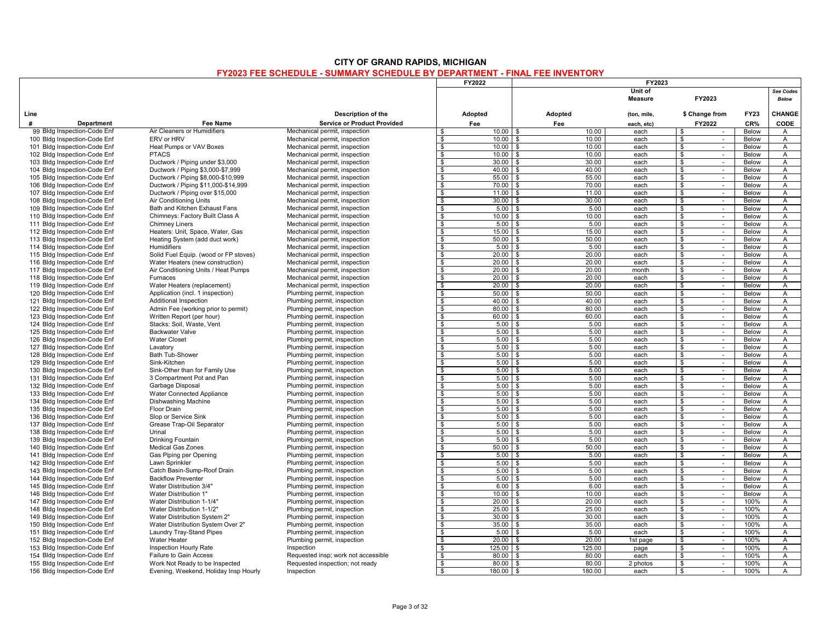|      |                                                              |                                                               |                                                                        | FY2022                  |                                    |                | FY2023                    |                                                   |                       |                                  |
|------|--------------------------------------------------------------|---------------------------------------------------------------|------------------------------------------------------------------------|-------------------------|------------------------------------|----------------|---------------------------|---------------------------------------------------|-----------------------|----------------------------------|
|      |                                                              |                                                               |                                                                        |                         |                                    |                | Unit of<br><b>Measure</b> | FY2023                                            |                       | See Codes<br><b>Below</b>        |
| Line |                                                              |                                                               | Description of the                                                     | Adopted                 |                                    | Adopted        | (ton, mile,               | \$ Change from                                    | <b>FY23</b>           | <b>CHANGE</b>                    |
| #    | Department                                                   | Fee Name                                                      | <b>Service or Product Provided</b>                                     | Fee                     |                                    | Fee            | each, etc)                | FY2022                                            | CR%                   | <b>CODE</b>                      |
|      | 99 Bldg Inspection-Code Enf                                  | Air Cleaners or Humidifiers                                   | Mechanical permit, inspection                                          | \$                      |                                    | 10.00          | each                      | \$                                                | Below                 | $\mathsf{A}$                     |
|      | 100 Bldg Inspection-Code Enf                                 | ERV or HRV                                                    | Mechanical permit, inspection                                          | $\mathbf{s}$            | $10.00$ \ \$                       | 10.00          | each                      | \$<br>$\sim$                                      | Below                 | $\overline{A}$                   |
|      | 101 Bldg Inspection-Code Enf                                 | Heat Pumps or VAV Boxes                                       | Mechanical permit, inspection                                          | $\mathbf{s}$            | 10.00<br>$\mathbf{\hat{z}}$        | 10.00          | each                      | \$<br>$\sim$                                      | <b>Below</b>          | $\overline{A}$                   |
|      | 102 Bldg Inspection-Code Enf                                 | <b>PTACS</b>                                                  | Mechanical permit, inspection                                          | \$                      | 10.00                              | 10.00          | each                      | \$<br>$\sim$                                      | <b>Below</b>          | Α                                |
|      | 103 Bldg Inspection-Code Enf                                 | Ductwork / Piping under \$3,000                               | Mechanical permit, inspection                                          | $\mathbf{s}$            | $30.00$ \ \$                       | 30.00          | each                      | $\mathbf{\hat{s}}$<br>$\mathcal{L}_{\mathcal{A}}$ | Below                 | $\overline{A}$                   |
|      | 104 Bldg Inspection-Code Enf                                 | Ductwork / Piping \$3,000-\$7,999                             | Mechanical permit, inspection                                          | \$                      | 40.00                              | 40.00          | each                      | \$<br>$\sim$                                      | Below                 | A                                |
|      | 105 Bldg Inspection-Code Enf                                 | Ductwork / Piping \$8,000-\$10,999                            | Mechanical permit, inspection                                          | \$                      | $55.00$ \ \$                       | 55.00          | each                      | \$<br>$\sim$                                      | Below                 | $\overline{A}$                   |
|      | 106 Bldg Inspection-Code Enf                                 | Ductwork / Piping \$11,000-\$14,999                           | Mechanical permit, inspection                                          | $\overline{\mathbf{s}}$ | $70.00$ \ \$<br>11.00<br>. \$      | 70.00<br>11.00 | each                      | $\bullet$                                         | Below<br>Below        | $\overline{A}$                   |
|      | 107 Bldg Inspection-Code Enf                                 | Ductwork / Piping over \$15,000                               | Mechanical permit, inspection                                          | $\bullet$               | $30.00$ \$                         | 30.00          | each                      | $\boldsymbol{\theta}$<br>$\sim$                   |                       | $\overline{A}$                   |
|      | 108 Bldg Inspection-Code Enf                                 | Air Conditioning Units                                        | Mechanical permit, inspection                                          | \$                      |                                    |                | each                      | \$<br>$\sim$<br>÷                                 | <b>Below</b>          | A                                |
|      | 109 Bldg Inspection-Code Enf                                 | Bath and Kitchen Exhaust Fans                                 | Mechanical permit, inspection                                          | $\mathbf{s}$<br>-S      | $5.00$ \$                          | 5.00<br>10.00  | each                      | $\mathbf{\hat{s}}$                                | <b>Below</b>          | $\overline{A}$                   |
|      | 110 Bldg Inspection-Code Enf                                 | Chimneys: Factory Built Class A                               | Mechanical permit, inspection                                          |                         | $10.00$ \ \$                       |                | each                      | \$<br>$\sim$                                      | Below                 | A                                |
|      | 111 Bldg Inspection-Code Enf                                 | <b>Chimney Liners</b>                                         | Mechanical permit, inspection                                          | -S                      | 5.00                               | 5.00           | each                      | \$<br>$\sim$                                      | Below                 | A                                |
|      | 112 Bldg Inspection-Code Enf                                 | Heaters: Unit, Space, Water, Gas                              | Mechanical permit, inspection                                          | \$                      | $15.00$ \ \$                       | 15.00          | each                      | \$<br>$\sim$                                      | Below                 | A                                |
|      | 113 Bldg Inspection-Code Enf                                 | Heating System (add duct work)<br><b>Humidifiers</b>          | Mechanical permit, inspection                                          | $\mathbf{s}$            | $50.00$ \ \$<br>$\hat{\mathbf{r}}$ | 50.00<br>5.00  | each                      | \$<br>$\sim$                                      | Below                 | $\overline{A}$                   |
|      | 114 Bldg Inspection-Code Enf                                 |                                                               | Mechanical permit, inspection                                          | $\mathbf{s}$            | 5.00                               |                | each                      | \$<br>$\sim$                                      | Below                 | $\overline{A}$                   |
|      | 115 Bldg Inspection-Code Enf                                 | Solid Fuel Equip. (wood or FP stoves)                         | Mechanical permit, inspection                                          | \$                      | $20.00$ \$                         | 20.00          | each                      | \$<br>$\sim$                                      | <b>Below</b>          | A                                |
|      | 116 Bldg Inspection-Code Enf                                 | Water Heaters (new construction)                              | Mechanical permit, inspection                                          | $\overline{\mathbf{s}}$ | $20.00$ \$                         | 20.00          | each                      | $\overline{\mathcal{E}}$                          | Below                 | $\overline{A}$                   |
|      | 117 Bldg Inspection-Code Enf                                 | Air Conditioning Units / Heat Pumps                           | Mechanical permit, inspection                                          | \$                      | $20.00$ \ \$                       | 20.00          | month                     | \$<br>$\sim$                                      | Below                 | A                                |
|      | 118 Bldg Inspection-Code Enf                                 | Furnaces                                                      | Mechanical permit, inspection                                          | <b>S</b>                | $20.00$ \$                         | 20.00          | each                      | \$<br>$\sim$                                      | Below                 | $\overline{A}$                   |
|      | 119 Bldg Inspection-Code Enf                                 | Water Heaters (replacement)                                   | Mechanical permit, inspection                                          | $\mathbf{s}$            | $20.00$ \$                         | 20.00          | each                      | $\bullet$                                         | Below                 | $\overline{A}$                   |
|      | 120 Bldg Inspection-Code Enf                                 | Application (incl. 1 inspection)                              | Plumbing permit, inspection                                            | $\bullet$               | $50.00$ \$                         | 50.00          | each                      | $\boldsymbol{\theta}$<br>$\sim$                   | Below                 | $\overline{A}$                   |
|      | 121 Bldg Inspection-Code Enf                                 | Additional Inspection                                         | Plumbing permit, inspection                                            | \$                      | $40.00$ \$                         | 40.00          | each                      | \$<br>$\sim$                                      | <b>Below</b>          | A                                |
|      | 122 Bldg Inspection-Code Enf                                 | Admin Fee (working prior to permit)                           | Plumbing permit, inspection                                            | $\mathbf{s}$            | $80.00$ \$                         | 80.00          | each                      | $\mathbf{\hat{s}}$<br>÷                           | Below                 | $\overline{A}$                   |
|      | 123 Bldg Inspection-Code Enf                                 | Written Report (per hour)                                     | Plumbing permit, inspection                                            | $\overline{s}$          | $60.00$ \$                         | 60.00          | each                      | \$<br>$\overline{\phantom{a}}$                    | Below                 | A                                |
|      | 124 Bldg Inspection-Code Enf                                 | Stacks: Soil, Waste, Vent                                     | Plumbing permit, inspection                                            | \$                      | 5.00                               | 5.00           | each                      | \$<br>$\sim$                                      | Below                 | A                                |
|      | 125 Bldg Inspection-Code Enf                                 | <b>Backwater Valve</b>                                        | Plumbing permit, inspection                                            | -S                      | 5.00<br>$\mathbf{R}$               | 5.00           | each                      | \$<br>$\sim$                                      | Below                 | A                                |
|      | 126 Bldg Inspection-Code Enf                                 | <b>Water Closet</b>                                           | Plumbing permit, inspection                                            | $\sqrt{3}$              | $5.00$ \$                          | 5.00           | each                      | $\mathbf{s}$<br>$\overline{\phantom{a}}$          | <b>Below</b>          | $\overline{A}$                   |
|      | 127 Bldg Inspection-Code Enf                                 | Lavatory                                                      | Plumbing permit, inspection                                            | $\mathbf{s}$            | 5.00                               | 5.00           | each                      | \$<br>$\sim$                                      | Below                 | $\overline{A}$                   |
|      | 128 Bldg Inspection-Code Enf                                 | <b>Bath Tub-Shower</b>                                        | Plumbing permit, inspection                                            | <b>S</b>                | 5.00                               | 5.00           | each                      | \$<br>$\sim$                                      | <b>Below</b>          | A                                |
|      | 129 Bldg Inspection-Code Enf                                 | Sink-Kitchen                                                  | Plumbing permit, inspection                                            | \$                      | 5.00<br>\$                         | 5.00           | each                      | $\bullet$<br>$\omega$                             | Below                 | $\overline{A}$                   |
|      | 130 Bldg Inspection-Code Enf                                 | Sink-Other than for Family Use                                | Plumbing permit, inspection                                            | S.                      | 5.00                               | 5.00           | each                      | \$<br>$\sim$                                      | Below                 | A                                |
|      | 131 Bldg Inspection-Code Enf                                 | 3 Compartment Pot and Pan                                     | Plumbing permit, inspection                                            | <b>S</b>                | $5.00$ \$                          | 5.00           | each                      | \$<br>$\sim$                                      | Below                 | $\overline{A}$                   |
|      | 132 Bldg Inspection-Code Enf                                 | Garbage Disposal                                              | Plumbing permit, inspection                                            | $\mathbf{s}$            | $5.00$ \$<br>. ድ                   | 5.00<br>5.00   | each                      | $\mathbf{\hat{s}}$<br>$\sim$                      | Below                 | $\overline{A}$                   |
|      | 133 Bldg Inspection-Code Enf                                 | Water Connected Appliance                                     | Plumbing permit, inspection                                            | $\bullet$               | 5.00                               |                | each                      | $\boldsymbol{\phi}$<br>$\sim$                     | Below                 | $\overline{A}$                   |
|      | 134 Bldg Inspection-Code Enf                                 | Dishwashing Machine                                           | Plumbing permit, inspection                                            | - \$                    | 5.00                               | 5.00           | each                      | \$<br>$\sim$<br>÷                                 | <b>Below</b>          | A                                |
|      | 135 Bldg Inspection-Code Enf                                 | <b>Floor Drain</b>                                            | Plumbing permit, inspection                                            | S.                      | 5.00                               | 5.00           | each                      | \$                                                | Below                 | A                                |
|      | 136 Bldg Inspection-Code Enf                                 | Slop or Service Sink                                          | Plumbing permit, inspection                                            | -S                      | $5.00$ \$                          | 5.00           | each                      | \$<br>$\sim$                                      | Below                 | A                                |
|      | 137 Bldg Inspection-Code Enf                                 | Grease Trap-Oil Separator<br>Urinal                           | Plumbing permit, inspection                                            | -S                      | 5.00                               | 5.00           | each                      | \$<br>$\sim$<br>$\sim$                            | Below                 | A                                |
|      | 138 Bldg Inspection-Code Enf                                 |                                                               | Plumbing permit, inspection                                            | -S<br>$\sqrt{s}$        | 5.00                               | 5.00<br>5.00   | each                      | \$                                                | Below                 | A<br>$\overline{A}$              |
|      | 139 Bldg Inspection-Code Enf                                 | Drinking Fountain                                             | Plumbing permit, inspection                                            | $\mathbf{s}$            | $5.00$ \$<br>50.00                 | 50.00          | each<br>each              | \$<br>$\overline{\phantom{a}}$                    | <b>Below</b><br>Below | $\overline{A}$                   |
|      | 140 Bldg Inspection-Code Enf                                 | <b>Medical Gas Zones</b>                                      | Plumbing permit, inspection                                            | $\mathbf{s}$            |                                    |                |                           | \$<br>$\sim$                                      |                       |                                  |
|      | 141 Bldg Inspection-Code Enf                                 | Gas Piping per Opening                                        | Plumbing permit, inspection                                            |                         | 5.00<br><b>¢</b>                   | 5.00<br>5.00   | each                      | \$<br>$\sim$                                      | Below                 | A                                |
|      | 142 Bldg Inspection-Code Enf                                 | Lawn Sprinkler<br>Catch Basin-Sump-Roof Drain                 | Plumbing permit, inspection                                            | \$<br>S.                | 5.00<br>5.00                       | 5.00           | each                      | $\bullet$<br>$\omega$                             | Below<br>Below        | $\overline{A}$                   |
|      | 143 Bldg Inspection-Code Enf                                 |                                                               | Plumbing permit, inspection                                            |                         | . ድ                                |                | each                      | \$<br>$\sim$                                      |                       | A                                |
|      | 144 Bldg Inspection-Code Enf                                 | <b>Backflow Preventer</b><br>Water Distribution 3/4"          | Plumbing permit, inspection                                            | \$<br>$\mathbf{s}$      | 5.00<br>6.00<br>. ድ                | 5.00<br>6.00   | each<br>each              | \$<br>$\sim$<br>$\mathbf{\hat{s}}$<br>$\sim$      | Below<br>Below        | $\overline{A}$<br>$\overline{A}$ |
|      | 145 Bldg Inspection-Code Enf                                 | Water Distribution 1"                                         | Plumbing permit, inspection                                            | $\sqrt{3}$              | 10.00                              | 10.00          |                           |                                                   | Below                 | $\overline{A}$                   |
|      | 146 Bldg Inspection-Code Enf                                 |                                                               | Plumbing permit, inspection                                            |                         | 20.00                              | 20.00          | each                      | $\boldsymbol{\theta}$<br>$\overline{\phantom{a}}$ |                       |                                  |
|      | 147 Bldg Inspection-Code Enf                                 | Water Distribution 1-1/4"                                     | Plumbing permit, inspection                                            | - \$<br>\$              | 25.00                              | 25.00          | each<br>each              | \$<br>$\sim$<br>\$<br>$\sim$                      | 100%<br>100%          | $\overline{A}$<br>A              |
|      | 148 Bldg Inspection-Code Enf                                 | Water Distribution 1-1/2"                                     | Plumbing permit, inspection                                            | -S                      | $30.00$ \$                         | 30.00          |                           |                                                   | 100%                  | A                                |
|      | 149 Bldg Inspection-Code Enf                                 | Water Distribution System 2"                                  | Plumbing permit, inspection                                            |                         |                                    | 35.00          | each                      | \$<br>$\sim$                                      |                       |                                  |
|      | 150 Bldg Inspection-Code Enf                                 | Water Distribution System Over 2"<br>Laundry Tray-Stand Pipes | Plumbing permit, inspection                                            | \$<br>$\mathbf{s}$      | 35.00<br>5.00                      | 5.00           | each<br>each              | \$<br>$\sim$<br>\$<br>$\sim$                      | 100%<br>100%          | A<br>A                           |
|      | 151 Bldg Inspection-Code Enf                                 |                                                               | Plumbing permit, inspection                                            | $\mathbf{s}$            | $20.00$ \$                         | 20.00          |                           |                                                   |                       | $\overline{A}$                   |
|      | 152 Bldg Inspection-Code Enf<br>153 Bldg Inspection-Code Enf | Water Heater<br>Inspection Hourly Rate                        | Plumbing permit, inspection<br>Inspection                              | $\mathbf{s}$            | 125.00<br>$\hat{\mathbf{r}}$       | 125.00         | 1st page<br>page          | \$<br>$\sim$<br>$\mathbf{\hat{s}}$<br>$\sim$      | 100%<br>100%          | $\overline{A}$                   |
|      | 154 Bldg Inspection-Code Enf                                 | Failure to Gain Access                                        |                                                                        | \$                      | $80.00$ \$                         | 80.00          |                           | \$<br>$\sim$                                      | 100%                  | $\mathsf{A}$                     |
|      | 155 Bldg Inspection-Code Enf                                 | Work Not Ready to be Inspected                                | Requested insp; work not accessible<br>Requested inspection; not ready | \$                      | 80.00 \$                           | 80.00          | each<br>2 photos          | \$<br>$\sim$                                      | 100%                  | $\overline{A}$                   |
|      | 156 Bldg Inspection-Code Enf                                 | Evening, Weekend, Holiday Insp Hourly                         | Inspection                                                             | <b>S</b>                | 180.00 \$                          | 180.00         | each                      | \$                                                | 100%                  | $\overline{A}$                   |
|      |                                                              |                                                               |                                                                        |                         |                                    |                |                           | $\sim$                                            |                       |                                  |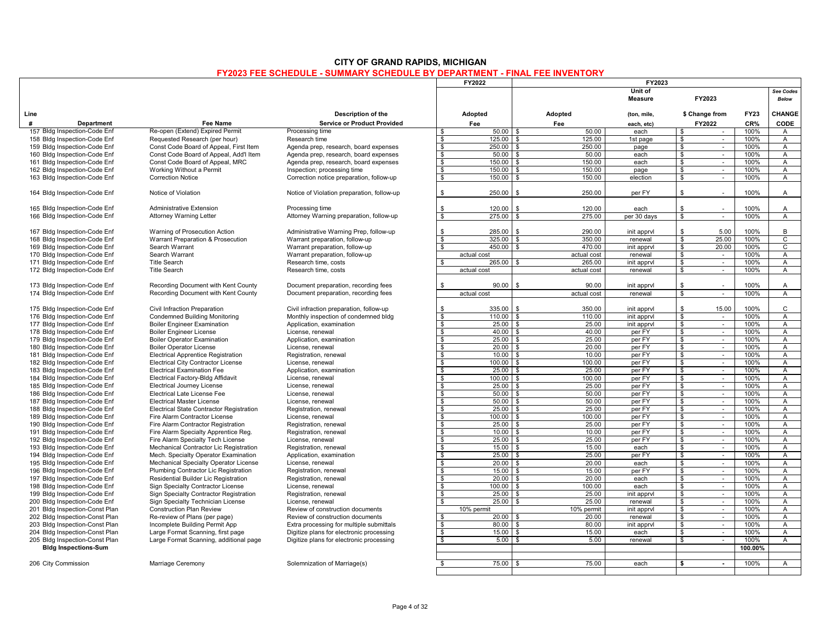|                                                               |                                                                             |                                            |                                 | FY2022              |                                      | FY2023                 |                               |                  |              |                                  |
|---------------------------------------------------------------|-----------------------------------------------------------------------------|--------------------------------------------|---------------------------------|---------------------|--------------------------------------|------------------------|-------------------------------|------------------|--------------|----------------------------------|
|                                                               |                                                                             |                                            |                                 |                     |                                      | Unit of                |                               |                  |              | See Codes                        |
|                                                               |                                                                             |                                            |                                 |                     |                                      | <b>Measure</b>         |                               | FY2023           |              | <b>Below</b>                     |
|                                                               |                                                                             |                                            |                                 |                     |                                      |                        |                               |                  |              |                                  |
| Line                                                          |                                                                             | Description of the                         |                                 | Adopted             | Adopted                              | (ton, mile,            |                               | \$ Change from   | <b>FY23</b>  | CHANGE                           |
| #<br><b>Department</b>                                        | <b>Fee Name</b>                                                             | <b>Service or Product Provided</b>         |                                 | Fee                 | Fee                                  | each, etc)             |                               | FY2022           | CR%          | CODE                             |
| 157 Bldg Inspection-Code Enf                                  | Re-open (Extend) Expired Permit                                             | Processing time                            | \$                              | 50.00               | 50.00<br>\$                          | each                   | \$                            |                  | 100%         | $\overline{A}$                   |
| 158 Bldg Inspection-Code Enf                                  | Requested Research (per hour)                                               | Research time                              | \$                              | 125.00              | 125.00<br>\$                         | 1st page               | \$                            | $\sim$           | 100%         | Α                                |
| 159 Bldg Inspection-Code Enf                                  | Const Code Board of Appeal, First Item                                      | Agenda prep, research, board expenses      | \$                              | 250.00              | 250.00<br>\$                         | page                   | \$                            | $\sim$           | 100%         | $\overline{A}$                   |
| 160 Bldg Inspection-Code Enf                                  | Const Code Board of Appeal, Add'l Item                                      | Agenda prep, research, board expenses      | $\overline{\mathbf{s}}$         | 50.00               | 50.00<br>\$                          | each                   | $\bullet$                     | $\sim$           | 100%         | $\overline{A}$                   |
| 161 Bldg Inspection-Code Enf                                  | Const Code Board of Appeal, MRC                                             | Agenda prep, research, board expenses      | $\mathbf{s}$                    | 150.00              | 150.00                               | each                   | $\mathbf{s}$                  | $\sim$           | 100%         | A                                |
| 162 Bldg Inspection-Code Enf                                  | Working Without a Permit                                                    | Inspection; processing time                | \$                              | 150.00              | 150.00<br>\$                         | page                   | \$                            | $\sim$           | 100%         | A                                |
| 163 Bldg Inspection-Code Enf                                  | <b>Correction Notice</b>                                                    | Correction notice preparation, follow-up   | \$                              | 150.00              | $\mathbf{s}$<br>150.00               | election               | $\mathfrak s$                 | $\mathcal{L}$    | 100%         | A                                |
| 164 Bldg Inspection-Code Enf                                  | Notice of Violation                                                         | Notice of Violation preparation, follow-up | \$                              | 250.00              | 250.00<br>\$                         | per FY                 | \$                            | $\sim$           | 100%         | Α                                |
|                                                               |                                                                             |                                            |                                 |                     |                                      |                        |                               |                  |              |                                  |
| 165 Bldg Inspection-Code Enf                                  | <b>Administrative Extension</b>                                             | Processing time                            | \$                              | 120.00              | 120.00<br>\$                         | each                   | $\mathbb{S}$                  | $\sim$           | 100%         | $\mathsf{A}$                     |
| 166 Bldg Inspection-Code Enf                                  | <b>Attorney Warning Letter</b>                                              | Attorney Warning preparation, follow-up    | $\overline{\mathbf{s}}$         | 275.00              | 275.00<br>\$                         | per 30 days            | $\overline{\mathbf{s}}$       | $\sim$           | 100%         | $\overline{A}$                   |
| 167 Bldg Inspection-Code Enf                                  | Warning of Prosecution Action                                               | Administrative Warning Prep, follow-up     | \$                              | 285.00              | 290.00<br>\$                         | init apprvl            | \$                            | 5.00             | 100%         | B                                |
| 168 Bldg Inspection-Code Enf                                  | Warrant Preparation & Prosecution                                           | Warrant preparation, follow-up             | \$                              | 325.00              | 350.00<br>\$                         | renewal                | \$                            | 25.00            | 100%         | $\mathsf{C}$                     |
| 169 Bldg Inspection-Code Enf                                  | Search Warrant                                                              | Warrant preparation, follow-up             | \$                              | 450.00              | 470.00                               | init apprvl            | \$                            | 20.00            | 100%         | $\overline{c}$                   |
| 170 Bldg Inspection-Code Enf                                  | Search Warrant                                                              | Warrant preparation, follow-up             |                                 | actual cost         | actual cost                          | renewal                | $\bullet$                     | $\sim$           | 100%         | Α                                |
| 171 Bldg Inspection-Code Enf                                  | <b>Title Search</b>                                                         | Research time, costs                       | \$                              | 265.00              | 265.00<br>ደ                          | init apprvl            | \$                            | $\sim$           | 100%         | $\overline{A}$                   |
| 172 Bldg Inspection-Code Enf                                  | <b>Title Search</b>                                                         | Research time, costs                       |                                 | actual cost         | actual cost                          | renewal                | \$                            | $\sim$           | 100%         | $\overline{A}$                   |
|                                                               |                                                                             |                                            |                                 |                     |                                      |                        |                               |                  |              |                                  |
| 173 Bldg Inspection-Code Enf                                  | Recording Document with Kent County                                         | Document preparation, recording fees       | \$                              | 90.00               | \$<br>90.00                          | init apprvl            | \$                            | $\sim$           | 100%         | A                                |
| 174 Bldg Inspection-Code Enf                                  | Recording Document with Kent County                                         | Document preparation, recording fees       |                                 | actual cost         | actual cost                          | renewal                | $\overline{\mathbf{s}}$       | $\sim$           | 100%         | $\overline{A}$                   |
| 175 Bldg Inspection-Code Enf                                  | Civil Infraction Preparation                                                | Civil infraction preparation, follow-up    | \$                              | 335.00              | 350.00<br>\$                         | init apprvl            | \$                            | 15.00            | 100%         | $\mathsf{C}$                     |
| 176 Bldg Inspection-Code Enf                                  | <b>Condemned Building Monitoring</b>                                        | Monthly inspection of condemned bldg       | s.                              | 110.00              | 110.00                               | init apprvl            | $\mathbb{S}$                  | $\sim$           | 100%         | A                                |
| 177 Bldg Inspection-Code Enf                                  | <b>Boiler Engineer Examination</b>                                          | Application, examination                   | \$                              | 25.00               | 25.00<br>ፍ                           | init apprvl            | $\mathbb{S}$                  | $\sim$           | 100%         | $\overline{A}$                   |
| 178 Bldg Inspection-Code Enf                                  | <b>Boiler Engineer License</b>                                              | License, renewal                           | S.                              | 40.00               | 40.00<br>\$                          | per FY                 | \$                            | $\sim$           | 100%         | $\overline{A}$                   |
| 179 Bldg Inspection-Code Enf                                  | <b>Boiler Operator Examination</b>                                          | Application, examination                   | $\overline{\mathcal{S}}$        | 25.00               | 25.00<br>\$                          | per FY                 | $\overline{\mathbf{s}}$       | $\sim$           | 100%         | $\overline{A}$                   |
| 180 Bldg Inspection-Code Enf                                  | <b>Boiler Operator License</b>                                              | License, renewal                           | $\mathbf{s}$                    | 20.00               | 20.00<br>\$                          | per FY                 | $\mathbf{s}$                  | $\sim$           | 100%         | $\overline{A}$                   |
| 181 Bldg Inspection-Code Enf                                  | <b>Electrical Apprentice Registration</b>                                   |                                            | \$                              | 10.00               | 10.00<br>\$                          |                        | $\mathbf{s}$                  | $\sim$           | 100%         | Α                                |
| 182 Bldg Inspection-Code Enf                                  | <b>Electrical City Contractor License</b>                                   | Registration, renewal<br>License, renewal  | $\overline{s}$                  | 100.00              | 100.00<br>$\mathbf{s}$               | per FY<br>per FY       | $\bullet$                     | $\sim$           | 100%         | A                                |
| 183 Bldg Inspection-Code Enf                                  | <b>Electrical Examination Fee</b>                                           | Application, examination                   | \$                              | 25.00               | 25.00<br>\$                          | per FY                 | \$                            | $\sim$           | 100%         | $\overline{A}$                   |
| 184 Bldg Inspection-Code Enf                                  | Electrical Factory-Bldg Affidavit                                           | License, renewal                           | s.                              | 100.00              | 100.00<br>\$                         | per FY                 | $\mathbb{S}$                  | $\sim$           | 100%         | $\overline{A}$                   |
| 185 Bldg Inspection-Code Enf                                  | <b>Electrical Journey License</b>                                           | License, renewal                           | $\mathbf{s}$                    | 25.00               | 25.00<br>-S                          | per FY                 | \$                            | $\sim$           | 100%         | A                                |
| 186 Bldg Inspection-Code Enf                                  | Electrical Late License Fee                                                 | License, renewal                           | S.                              | 50.00               | 50.00<br>. ፍ                         | per FY                 | \$                            | $\sim$           | 100%         | $\mathsf{A}$                     |
| 187 Bldg Inspection-Code Enf                                  | <b>Electrical Master License</b>                                            | License, renewal                           | $\overline{\mathcal{S}}$        | 50.00               | 50.00<br>\$                          | per FY                 | $\overline{\mathbf{s}}$       | Ŧ                | 100%         | $\overline{A}$                   |
| 188 Bldg Inspection-Code Enf                                  |                                                                             |                                            | \$                              | 25.00               | 25.00<br>ፍ                           | per FY                 | \$                            |                  | 100%         | A                                |
|                                                               | Electrical State Contractor Registration                                    | Registration, renewal                      | \$                              | 100.00              | 100.00<br>\$                         | per FY                 | $\mathfrak s$                 | $\sim$<br>$\sim$ | 100%         | $\overline{A}$                   |
| 189 Bldg Inspection-Code Enf<br>190 Bldg Inspection-Code Enf  | Fire Alarm Contractor License                                               | License, renewal                           | $\overline{s}$                  | 25.00               | 25.00<br>\$                          | per FY                 | $\bullet$                     | $\sim$           | 100%         | $\overline{A}$                   |
|                                                               | Fire Alarm Contractor Registration                                          | Registration, renewal                      |                                 | 10.00               | \$                                   |                        |                               |                  |              |                                  |
| 191 Bldg Inspection-Code Enf<br>192 Bldg Inspection-Code Enf  | Fire Alarm Specialty Apprentice Reg.                                        | Registration, renewal<br>License, renewal  | \$<br>\$                        | 25.00               | 10.00<br>25.00<br>$\mathbf{\hat{z}}$ | per FY<br>per FY       | \$<br>\$                      | $\sim$<br>$\sim$ | 100%<br>100% | $\overline{A}$<br>Α              |
| 193 Bldg Inspection-Code Enf                                  | Fire Alarm Specialty Tech License<br>Mechanical Contractor Lic Registration |                                            | $\mathbf{s}$                    | 15.00               | \$<br>15.00                          | each                   | $\overline{\mathbf{s}}$       | $\sim$           | 100%         | $\overline{A}$                   |
|                                                               |                                                                             | Registration, renewal                      |                                 | 25.00               | 25.00<br>. ጽ                         | per FY                 |                               |                  | 100%         |                                  |
| 194 Bldg Inspection-Code Enf                                  | Mech. Specialty Operator Examination                                        | Application, examination                   | - \$<br>$\overline{\mathbf{s}}$ | 20.00               | 20.00<br>\$                          |                        | \$<br>$\overline{\mathbf{s}}$ | $\sim$<br>$\sim$ | 100%         | $\mathsf{A}$<br>$\overline{A}$   |
| 195 Bldg Inspection-Code Enf                                  | Mechanical Specialty Operator License                                       | License, renewal                           |                                 |                     |                                      | each                   |                               |                  |              |                                  |
| 196 Bldg Inspection-Code Enf                                  | Plumbing Contractor Lic Registration                                        | Registration, renewal                      | \$                              | 15.00               | 15.00<br>$\mathbf{\hat{z}}$          | per FY                 | \$                            | $\sim$           | 100%         | A                                |
| 197 Bldg Inspection-Code Enf                                  | Residential Builder Lic Registration                                        | Registration, renewal                      | \$<br>$\overline{\mathcal{S}}$  | 20.00               | 20.00                                | each                   | \$<br>$\overline{\mathbf{s}}$ | $\sim$           | 100%         | $\overline{A}$                   |
| 198 Bldg Inspection-Code Enf                                  | Sign Specialty Contractor License                                           | License, renewal                           |                                 | 100.00<br>25.00     | 100.00<br>\$<br>25.00<br>£.          | each                   |                               | $\sim$           | 100%<br>100% | $\overline{A}$<br>$\overline{A}$ |
| 199 Bldg Inspection-Code Enf                                  | Sign Specialty Contractor Registration                                      | Registration, renewal<br>License, renewal  | $\bullet$<br>S.                 | 25.00               | 25.00                                | init apprvl<br>renewal | \$<br>\$                      | $\sim$<br>$\sim$ | 100%         | $\overline{A}$                   |
| 200 Bldg Inspection-Code Enf                                  | Sign Specialty Technician License                                           |                                            |                                 |                     |                                      |                        |                               |                  | 100%         | $\overline{A}$                   |
| 201 Bldg Inspection-Const Plan                                | <b>Construction Plan Review</b>                                             | Review of construction documents           |                                 | 10% permit<br>20.00 | 10% permit<br>20.00                  | init apprvl            | \$                            | $\sim$           |              |                                  |
| 202 Bldg Inspection-Const Plan                                | Re-review of Plans (per page)                                               | Review of construction documents           | \$<br>S                         | 80.00               | 80.00                                | renewal                | $\mathbb{S}$                  | $\sim$           | 100%<br>100% | $\overline{A}$<br>$\overline{A}$ |
| 203 Bldg Inspection-Const Plan                                | Incomplete Building Permit App                                              | Extra processing for multiple submittals   | \$                              |                     | 15.00<br>\$                          | init apprvl            | $\bullet$                     | $\omega$         | 100%         |                                  |
| 204 Bldg Inspection-Const Plan                                | Large Format Scanning, first page                                           | Digitize plans for electronic processing   |                                 | 15.00<br>5.00       | 5.00                                 | each                   | \$<br>\$                      | $\sim$<br>$\sim$ | 100%         | Α<br>$\overline{A}$              |
| 205 Bldg Inspection-Const Plan<br><b>Bldg Inspections-Sum</b> | Large Format Scanning, additional page                                      | Digitize plans for electronic processing   | \$                              |                     |                                      | renewal                |                               |                  | 100.00%      |                                  |
|                                                               |                                                                             |                                            |                                 |                     |                                      |                        |                               |                  |              |                                  |
| 206 City Commission                                           | Marriage Ceremony                                                           | Solemnization of Marriage(s)               | ¢                               | 75.00               | 75.00<br>$\mathcal{S}$               | each                   | S.                            | $\sim$           | 100%         | $\overline{A}$                   |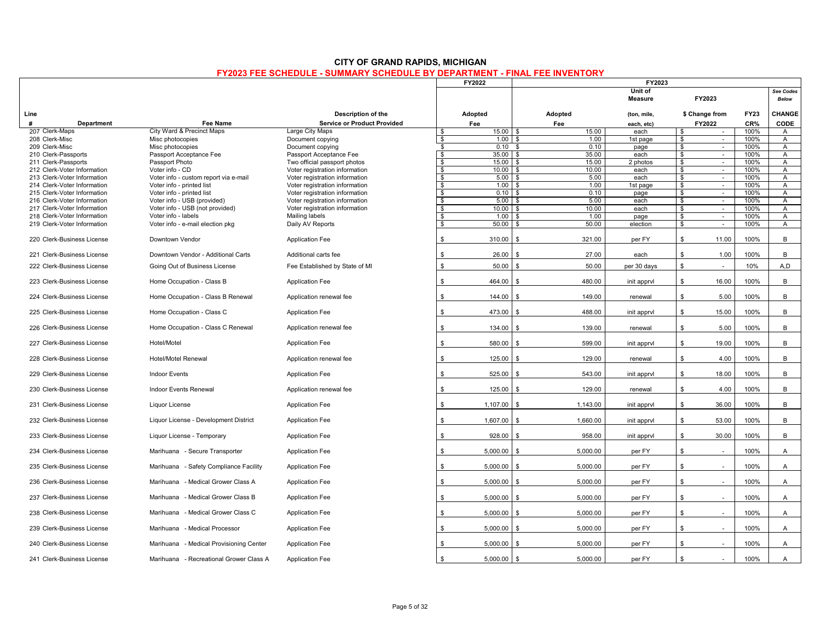|                                                    |                                            |                                                                |                         | <b>FY2022</b>            | FY2023                       |                           |                         |                  |              |                           |
|----------------------------------------------------|--------------------------------------------|----------------------------------------------------------------|-------------------------|--------------------------|------------------------------|---------------------------|-------------------------|------------------|--------------|---------------------------|
|                                                    |                                            |                                                                |                         |                          |                              | Unit of<br><b>Measure</b> |                         | FY2023           |              | See Codes<br><b>Below</b> |
| Line                                               |                                            | Description of the                                             |                         | Adopted                  | Adopted                      | (ton, mile,               |                         | \$ Change from   | <b>FY23</b>  | CHANGE                    |
| #<br>Department                                    | Fee Name                                   | <b>Service or Product Provided</b>                             |                         | Fee                      | Fee                          | each, etc)                |                         | FY2022           | CR%          | CODE                      |
| 207 Clerk-Maps                                     | City Ward & Precinct Maps                  | Large City Maps                                                | - \$                    | $15.00$ \$               | 15.00                        | each                      | \$                      | $\sim$           | 100%         | A                         |
| 208 Clerk-Misc                                     | Misc photocopies                           | Document copying                                               | \$                      | $1.00$ \$                | 1.00                         | 1st page                  | \$                      | $\sim$           | 100%         | $\mathsf{A}$              |
| 209 Clerk-Misc                                     | Misc photocopies                           | Document copying                                               | \$                      | $0.10-5$                 | 0.10                         | page                      | $\mathbf{s}$            | $\sim$           | 100%         | $\mathsf{A}$              |
| 210 Clerk-Passports                                | Passport Acceptance Fee<br>Passport Photo  | Passport Acceptance Fee                                        | $\mathbf{s}$<br>s,      | $35.00$ \$<br>$15.00$ \$ | 35.00<br>15.00               | each<br>2 photos          | \$<br>$\mathbf{s}$      | $\sim$<br>$\sim$ | 100%<br>100% | A<br>$\overline{A}$       |
| 211 Clerk-Passports<br>212 Clerk-Voter Information | Voter info - CD                            | Two official passport photos<br>Voter registration information | $\overline{\mathbf{s}}$ | $10.00$ \$               | 10.00                        | each                      | \$                      | $\mathcal{L}$    | 100%         | A                         |
| 213 Clerk-Voter Information                        | Voter info - custom report via e-mail      | Voter registration information                                 | \$                      | $5.00$ \$                | 5.00                         | each                      | \$                      | $\sim$           | 100%         | $\mathsf{A}$              |
| 214 Clerk-Voter Information                        | Voter info - printed list                  | Voter registration information                                 | $\overline{\mathbf{s}}$ | $1.00$ \$                | 1.00                         | 1st page                  | $\overline{\mathbf{s}}$ | $\mathbf{r}$     | 100%         | $\overline{A}$            |
| 215 Clerk-Voter Information                        | Voter info - printed list                  | Voter registration information                                 | \$                      |                          | 0.10                         | page                      | \$                      | $\sim$           | 100%         | A                         |
| 216 Clerk-Voter Information                        | Voter info - USB (provided)                | Voter registration information                                 | S,                      | $5.00$ \$                | 5.00                         | each                      | \$                      | $\sim$           | 100%         | $\overline{A}$            |
| 217 Clerk-Voter Information                        | Voter info - USB (not provided)            | Voter registration information                                 | $\overline{\mathbf{s}}$ | $10.00$ \ \$             | 10.00                        | each                      | $\mathbf{s}$            | $\mathcal{L}$    | 100%         | $\overline{A}$            |
| 218 Clerk-Voter Information                        | Voter info - labels                        | Mailing labels                                                 | \$                      | 1.00                     | 1.00                         | page                      | \$                      | $\sim$           | 100%         | A                         |
| 219 Clerk-Voter Information                        | Voter info - e-mail election pkg           | Daily AV Reports                                               | \$                      | 50.00                    | 50.00                        | election                  | \$                      | $\omega$         | 100%         | A                         |
| 220 Clerk-Business License                         | Downtown Vendor                            | <b>Application Fee</b>                                         | \$                      | 310.00                   | 321.00<br>\$                 | per FY                    | \$                      | 11.00            | 100%         | B                         |
| 221 Clerk-Business License                         | Downtown Vendor - Additional Carts         | Additional carts fee                                           | \$                      | 26.00                    | 27.00<br>\$                  | each                      | \$                      | 1.00             | 100%         | B                         |
| 222 Clerk-Business License                         | Going Out of Business License              | Fee Established by State of MI                                 | \$                      | 50.00                    | 50.00<br>\$                  | per 30 days               | \$                      | $\sim$           | 10%          | A,D                       |
| 223 Clerk-Business License                         | Home Occupation - Class B                  | <b>Application Fee</b>                                         | \$                      | 464.00                   | 480.00<br>\$                 | init apprvl               | \$                      | 16.00            | 100%         | B                         |
| 224 Clerk-Business License                         | Home Occupation - Class B Renewal          | Application renewal fee                                        | \$                      | 144.00                   | 149.00                       | renewal                   | \$                      | 5.00             | 100%         | B                         |
| 225 Clerk-Business License                         | Home Occupation - Class C                  | <b>Application Fee</b>                                         | \$                      | 473.00                   | 488.00<br>. ጽ                | init apprvl               | \$                      | 15.00            | 100%         | B                         |
| 226 Clerk-Business License                         | Home Occupation - Class C Renewal          | Application renewal fee                                        | \$                      | 134.00                   | 139.00<br>\$                 | renewal                   | \$                      | 5.00             | 100%         | В                         |
| 227 Clerk-Business License                         | Hotel/Motel                                | <b>Application Fee</b>                                         | \$                      | 580.00                   | 599.00<br>\$                 | init apprvl               | \$                      | 19.00            | 100%         | B                         |
| 228 Clerk-Business License                         | <b>Hotel/Motel Renewal</b>                 | Application renewal fee                                        | \$                      | 125.00                   | 129.00<br>- \$               | renewal                   | \$                      | 4.00             | 100%         | B                         |
| 229 Clerk-Business License                         | <b>Indoor Events</b>                       | <b>Application Fee</b>                                         | \$                      | 525.00                   | 543.00<br>$\mathbf{\hat{S}}$ | init apprvl               | ${\mathbb S}$           | 18.00            | 100%         | B                         |
| 230 Clerk-Business License                         | Indoor Events Renewal                      | Application renewal fee                                        | \$                      | 125.00                   | 129.00<br>\$                 | renewal                   | \$                      | 4.00             | 100%         | B                         |
| 231 Clerk-Business License                         | Liquor License                             | <b>Application Fee</b>                                         | \$                      | 1,107.00                 | 1,143.00<br>- \$             | init apprvl               | \$                      | 36.00            | 100%         | B                         |
| 232 Clerk-Business License                         | Liquor License - Development District      | <b>Application Fee</b>                                         | \$                      | 1,607.00                 | 1,660.00<br>\$               | init apprvl               | \$                      | 53.00            | 100%         | B                         |
| 233 Clerk-Business License                         | Liquor License - Temporary                 | <b>Application Fee</b>                                         | \$                      | 928.00                   | 958.00<br>\$                 | init apprvl               | \$                      | 30.00            | 100%         | B                         |
| 234 Clerk-Business License                         | Marihuana - Secure Transporter             | <b>Application Fee</b>                                         | \$                      | 5,000.00                 | 5,000.00<br>\$               | per FY                    | \$                      | ÷.               | 100%         | A                         |
| 235 Clerk-Business License                         | Marihuana<br>- Safety Compliance Facility  | <b>Application Fee</b>                                         | \$                      | 5.000.00                 | 5.000.00<br>\$               | per FY                    | \$                      | ÷.               | 100%         | A                         |
| 236 Clerk-Business License                         | Marihuana - Medical Grower Class A         | <b>Application Fee</b>                                         | \$                      | 5,000.00                 | 5,000.00<br>. ድ              | per FY                    | \$                      |                  | 100%         | Α                         |
| 237 Clerk-Business License                         | - Medical Grower Class B<br>Marihuana      | <b>Application Fee</b>                                         | \$                      | 5,000.00                 | 5,000.00<br>\$               | per FY                    | \$                      |                  | 100%         | A                         |
| 238 Clerk-Business License                         | - Medical Grower Class C<br>Marihuana      | <b>Application Fee</b>                                         | \$                      | 5,000.00                 | 5,000.00<br>\$               | per FY                    | \$                      | $\sim$           | 100%         | A                         |
| 239 Clerk-Business License                         | Marihuana<br>- Medical Processor           | <b>Application Fee</b>                                         | \$                      | $5,000.00$ \$            | 5,000.00                     | per FY                    | \$                      | ÷,               | 100%         | $\overline{A}$            |
| 240 Clerk-Business License                         | - Medical Provisioning Center<br>Marihuana | <b>Application Fee</b>                                         | \$                      | 5,000.00                 | 5,000.00<br>\$               | per FY                    | \$                      | ÷.               | 100%         | $\mathsf{A}$              |
| 241 Clerk-Business License                         | Marihuana - Recreational Grower Class A    | <b>Application Fee</b>                                         | \$                      | 5,000.00                 | 5,000.00<br>- \$             | per FY                    | \$                      |                  | 100%         | A                         |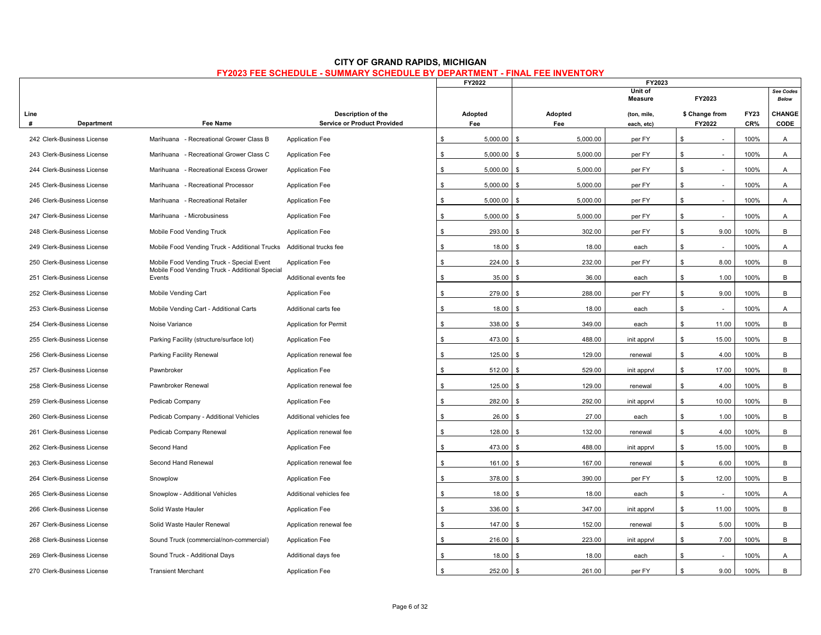|           |                            |                                                          |                                                          |    | FY2022         | FY2023                       |                           |              |                          |                    |                           |
|-----------|----------------------------|----------------------------------------------------------|----------------------------------------------------------|----|----------------|------------------------------|---------------------------|--------------|--------------------------|--------------------|---------------------------|
|           |                            |                                                          |                                                          |    |                |                              | Unit of<br>Measure        |              | FY2023                   |                    | See Codes<br><b>Below</b> |
| Line<br># | Department                 | <b>Fee Name</b>                                          | Description of the<br><b>Service or Product Provided</b> |    | Adopted<br>Fee | Adopted<br>Fee               | (ton, mile,<br>each, etc) |              | \$ Change from<br>FY2022 | <b>FY23</b><br>CR% | CHANGE<br>CODE            |
|           | 242 Clerk-Business License | Marihuana - Recreational Grower Class B                  | <b>Application Fee</b>                                   | \$ | 5,000.00       | 5,000.00<br>$\mathbf{s}$     | per FY                    | \$           |                          | 100%               | $\mathsf{A}$              |
|           | 243 Clerk-Business License | Marihuana - Recreational Grower Class C                  | <b>Application Fee</b>                                   | \$ | 5,000.00       | \$<br>5,000.00               | per FY                    | \$           | $\sim$                   | 100%               | A                         |
|           | 244 Clerk-Business License | - Recreational Excess Grower<br>Marihuana                | <b>Application Fee</b>                                   | \$ | 5,000.00       | 5,000.00<br>\$               | per FY                    | \$           |                          | 100%               | A                         |
|           | 245 Clerk-Business License | Marihuana - Recreational Processor                       | <b>Application Fee</b>                                   | S. | 5.000.00       | 5,000.00<br>\$               | per FY                    | \$           |                          | 100%               | $\mathsf{A}$              |
|           | 246 Clerk-Business License | Marihuana - Recreational Retailer                        | <b>Application Fee</b>                                   | \$ | 5,000.00       | \$<br>5,000.00               | per FY                    | \$           | $\sim$                   | 100%               | A                         |
|           | 247 Clerk-Business License | Marihuana - Microbusiness                                | <b>Application Fee</b>                                   | \$ | 5,000.00       | 5,000.00<br>\$               | per FY                    | \$           | $\sim$                   | 100%               | A                         |
|           | 248 Clerk-Business License | Mobile Food Vending Truck                                | <b>Application Fee</b>                                   | \$ | 293.00         | 302.00<br>\$                 | per FY                    | \$           | 9.00                     | 100%               | B                         |
|           | 249 Clerk-Business License | Mobile Food Vending Truck - Additional Trucks            | Additional trucks fee                                    | \$ | 18.00          | 18.00<br>\$                  | each                      | $\mathbb S$  | ÷.                       | 100%               | A                         |
|           | 250 Clerk-Business License | Mobile Food Vending Truck - Special Event                | <b>Application Fee</b>                                   | \$ | 224.00         | 232.00<br>\$                 | per FY                    | \$           | 8.00                     | 100%               | B                         |
|           | 251 Clerk-Business License | Mobile Food Vending Truck - Additional Special<br>Events | Additional events fee                                    | \$ | 35.00          | 36.00<br>\$                  | each                      | \$.          | 1.00                     | 100%               | В                         |
|           | 252 Clerk-Business License | Mobile Vending Cart                                      | <b>Application Fee</b>                                   | \$ | 279.00         | 288.00<br>\$                 | per FY                    | \$           | 9.00                     | 100%               | B                         |
|           | 253 Clerk-Business License | Mobile Vending Cart - Additional Carts                   | Additional carts fee                                     | \$ | 18.00          | 18.00<br>\$.                 | each                      | \$           | $\sim$                   | 100%               | A                         |
|           | 254 Clerk-Business License | Noise Variance                                           | <b>Application for Permit</b>                            | \$ | 338.00         | $\mathfrak{L}$<br>349.00     | each                      | \$           | 11.00                    | 100%               | B                         |
|           | 255 Clerk-Business License | Parking Facility (structure/surface lot)                 | <b>Application Fee</b>                                   | \$ | 473.00         | 488.00<br>\$                 | init apprvl               | $\mathbb{S}$ | 15.00                    | 100%               | B                         |
|           | 256 Clerk-Business License | Parking Facility Renewal                                 | Application renewal fee                                  | \$ | 125.00         | 129.00<br>\$                 | renewal                   | \$           | 4.00                     | 100%               | B                         |
|           | 257 Clerk-Business License | Pawnbroker                                               | <b>Application Fee</b>                                   | \$ | 512.00         | 529.00<br>\$                 | init apprvl               | \$           | 17.00                    | 100%               | B                         |
|           | 258 Clerk-Business License | Pawnbroker Renewal                                       | Application renewal fee                                  | \$ | 125.00         | 129.00<br>\$                 | renewal                   | \$           | 4.00                     | 100%               | B                         |
|           | 259 Clerk-Business License | Pedicab Company                                          | <b>Application Fee</b>                                   | \$ | 282.00         | 292.00<br>\$                 | init apprvl               | \$.          | 10.00                    | 100%               | B                         |
|           | 260 Clerk-Business License | Pedicab Company - Additional Vehicles                    | Additional vehicles fee                                  | \$ | 26.00          | 27.00<br>$\mathbf{\hat{z}}$  | each                      | \$           | 1.00                     | 100%               | B                         |
|           | 261 Clerk-Business License | Pedicab Company Renewal                                  | Application renewal fee                                  | \$ | 128.00         | 132.00                       | renewal                   | \$           | 4.00                     | 100%               | B                         |
|           | 262 Clerk-Business License | Second Hand                                              | Application Fee                                          | \$ | 473.00         | 488.00<br>$\mathbf{s}$       | init apprvl               | \$           | 15.00                    | 100%               | B                         |
|           | 263 Clerk-Business License | Second Hand Renewal                                      | Application renewal fee                                  | \$ | 161.00         | 167.00                       | renewal                   | \$           | 6.00                     | 100%               | B                         |
|           | 264 Clerk-Business License | Snowplow                                                 | Application Fee                                          | \$ | 378.00         | 390.00                       | per FY                    | $\mathbb{S}$ | 12.00                    | 100%               | B                         |
|           | 265 Clerk-Business License | Snowplow - Additional Vehicles                           | Additional vehicles fee                                  | \$ | 18.00          | 18.00<br>\$                  | each                      | \$           | $\sim$                   | 100%               | A                         |
|           | 266 Clerk-Business License | Solid Waste Hauler                                       | <b>Application Fee</b>                                   | \$ | 336.00         | 347.00<br>\$                 | init apprvl               | \$           | 11.00                    | 100%               | B                         |
|           | 267 Clerk-Business License | Solid Waste Hauler Renewal                               | Application renewal fee                                  | \$ | 147.00         | 152.00<br>ፍ                  | renewal                   | \$           | 5.00                     | 100%               | B                         |
|           | 268 Clerk-Business License | Sound Truck (commercial/non-commercial)                  | <b>Application Fee</b>                                   | \$ | 216.00         | 223.00<br>\$                 | init apprvl               | \$           | 7.00                     | 100%               | B                         |
|           | 269 Clerk-Business License | Sound Truck - Additional Days                            | Additional days fee                                      | \$ | 18.00          | 18.00                        | each                      | \$           |                          | 100%               | A                         |
|           | 270 Clerk-Business License | <b>Transient Merchant</b>                                | <b>Application Fee</b>                                   | \$ | 252.00         | 261.00<br>$\mathbf{\hat{S}}$ | per FY                    | $\mathbb{S}$ | 9.00                     | 100%               | B                         |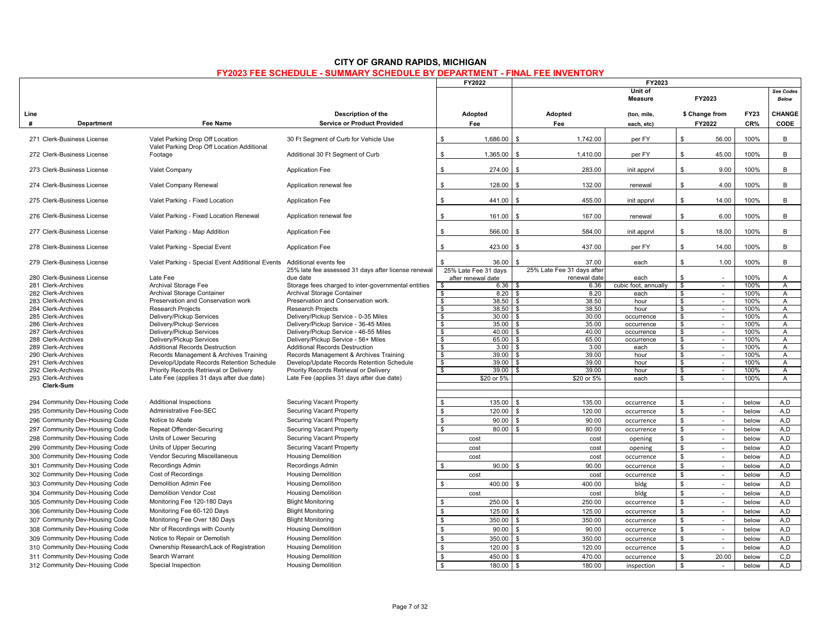|                                          |                                                                               |                                                                              | FY2022                                                              | FY2023<br>Unit of                   |                      |                                         |                           |                                |
|------------------------------------------|-------------------------------------------------------------------------------|------------------------------------------------------------------------------|---------------------------------------------------------------------|-------------------------------------|----------------------|-----------------------------------------|---------------------------|--------------------------------|
|                                          |                                                                               |                                                                              |                                                                     |                                     | FY2023               |                                         | See Codes<br><b>Below</b> |                                |
| Line                                     |                                                                               | Description of the                                                           | Adopted                                                             | Adopted                             | (ton, mile,          | \$ Change from                          | <b>FY23</b>               | CHANGE                         |
| #<br>Department                          | <b>Fee Name</b>                                                               | <b>Service or Product Provided</b>                                           | Fee                                                                 | Fee                                 | each, etc)           | FY2022                                  | CR%                       | <b>CODE</b>                    |
| 271 Clerk-Business License               | Valet Parking Drop Off Location<br>Valet Parking Drop Off Location Additional | 30 Ft Segment of Curb for Vehicle Use                                        | \$<br>1,686.00                                                      | 1,742.00<br>$\mathbf{s}$            | per FY               | \$<br>56.00                             | 100%                      | B                              |
| 272 Clerk-Business License               | Footage                                                                       | Additional 30 Ft Segment of Curb                                             | \$<br>1,365.00                                                      | 1,410.00<br>\$                      | per FY               | \$<br>45.00                             | 100%                      | B                              |
| 273 Clerk-Business License               | Valet Company                                                                 | <b>Application Fee</b>                                                       | \$<br>274.00                                                        | 283.00                              | init apprvl          | \$<br>9.00                              | 100%                      | B                              |
| 274 Clerk-Business License               | Valet Company Renewal                                                         | Application renewal fee                                                      | \$<br>128.00                                                        | 132.00                              | renewal              | \$<br>4.00                              | 100%                      | B                              |
| 275 Clerk-Business License               | Valet Parking - Fixed Location                                                | <b>Application Fee</b>                                                       | \$<br>441.00                                                        | 455.00<br>- \$                      | init apprvl          | \$<br>14.00                             | 100%                      | B                              |
| 276 Clerk-Business License               | Valet Parking - Fixed Location Renewal                                        | Application renewal fee                                                      | \$<br>161.00                                                        | $\mathbf{\hat{s}}$<br>167.00        | renewal              | \$<br>6.00                              | 100%                      | B                              |
| 277 Clerk-Business License               | Valet Parking - Map Addition                                                  | <b>Application Fee</b>                                                       | \$<br>566.00                                                        | 584.00                              | init apprvl          | 18.00<br>\$                             | 100%                      | B                              |
| 278 Clerk-Business License               | Valet Parking - Special Event                                                 | <b>Application Fee</b>                                                       | 423.00<br>\$                                                        | 437.00<br>£.                        | per FY               | \$<br>14.00                             | 100%                      | B                              |
| 279 Clerk-Business License               | Valet Parking - Special Event Additional Events                               | Additional events fee<br>25% late fee assessed 31 days after license renewal | \$.<br>36.00<br>25% Late Fee 31 days                                | 37.00<br>25% Late Fee 31 days after | each                 | \$<br>1.00                              | 100%                      | B                              |
| 280 Clerk-Business License               | Late Fee                                                                      | due date                                                                     | after renewal date                                                  | renewal date                        | each                 | \$                                      | 100%                      | $\mathsf{A}$                   |
| 281 Clerk-Archives                       | Archival Storage Fee                                                          | Storage fees charged to inter-governmental entities                          | $6.36$ \$<br>\$                                                     | 6.36                                | cubic foot, annually | \$<br>$\mathcal{L}_{\mathcal{A}}$       | 100%                      | $\overline{A}$                 |
| 282 Clerk-Archives                       | Archival Storage Container                                                    | Archival Storage Container                                                   | \$<br>8.20                                                          | 8.20<br>- \$                        | each                 | \$<br>$\sim$                            | 100%                      | $\mathsf{A}$                   |
| 283 Clerk-Archives                       | Preservation and Conservation work                                            | Preservation and Conservation work.                                          | $\overline{\mathbf{s}}$<br>38.50                                    | 38.50<br>l \$                       | hour                 | \$<br>$\sim$                            | 100%                      | A                              |
| 284 Clerk-Archives                       | <b>Research Projects</b>                                                      | <b>Research Projects</b>                                                     | $\overline{\mathbf{s}}$                                             | 38.50                               | hour                 | \$<br>$\overline{\phantom{a}}$          | 100%                      | $\overline{A}$                 |
| 285 Clerk-Archives                       | Delivery/Pickup Services                                                      | Delivery/Pickup Service - 0-35 Miles                                         | \$<br>30.00                                                         | 30.00<br>- \$                       | occurrence           | \$<br>$\sim$                            | 100%                      | A                              |
| 286 Clerk-Archives                       | Delivery/Pickup Services                                                      | Delivery/Pickup Service - 36-45 Miles                                        | 35.00<br>\$                                                         | l \$<br>35.00                       | occurrence           | \$<br>$\sim$                            | 100%                      | A                              |
| 287 Clerk-Archives                       | Delivery/Pickup Services                                                      | Delivery/Pickup Service - 46-55 Miles                                        | $\overline{\mathbf{s}}$<br>$40.00$ \ \$                             | 40.00<br>. ድ                        | occurrence           | \$<br>$\mathcal{L}_{\mathcal{A}}$       | 100%<br>100%              | $\overline{A}$                 |
| 288 Clerk-Archives<br>289 Clerk-Archives | Delivery/Pickup Services<br><b>Additional Records Destruction</b>             | Delivery/Pickup Service - 56+ Miles<br><b>Additional Records Destruction</b> | $\overline{\mathbf{s}}$<br>65.00<br>$\overline{\mathbf{s}}$<br>3.00 | 65.00<br>3.00<br>l \$               | occurrence<br>each   | $\mathbf{\$}$<br>$\sim$<br>\$<br>$\sim$ | 100%                      | $\overline{A}$<br>$\mathsf{A}$ |
| 290 Clerk-Archives                       | Records Management & Archives Training                                        | Records Management & Archives Training                                       | \$<br>39.00                                                         | 39.00<br>l \$                       | hour                 | \$<br>×.                                | 100%                      | A                              |
| 291 Clerk-Archives                       | Develop/Update Records Retention Schedule                                     | Develop/Update Records Retention Schedule                                    | \$<br>39.00                                                         | 39.00<br>- \$                       | hour                 | \$<br>$\sim$                            | 100%                      | A                              |
| 292 Clerk-Archives                       | Priority Records Retrieval or Delivery                                        | Priority Records Retrieval or Delivery                                       | \$<br>39.00                                                         | 39.00<br>l \$                       | hour                 | \$<br>$\sim$                            | 100%                      | A                              |
| 293 Clerk-Archives                       | Late Fee (applies 31 days after due date)                                     | Late Fee (applies 31 days after due date)                                    | \$20 or 5%                                                          | \$20 or 5%                          | each                 | \$<br>$\sim$                            | 100%                      | $\overline{A}$                 |
| Clerk-Sum                                |                                                                               |                                                                              |                                                                     |                                     |                      |                                         |                           |                                |
| 294 Community Dev-Housing Code           | <b>Additional Inspections</b>                                                 | Securing Vacant Property                                                     | \$<br>135.00                                                        | \$<br>135.00                        | occurrence           | \$<br>$\sim$                            | below                     | A,D                            |
| 295 Community Dev-Housing Code           | Administrative Fee-SEC                                                        | <b>Securing Vacant Property</b>                                              | ${\mathbb S}$<br>120.00                                             | $\mathfrak{F}$<br>120.00            | occurrence           | $\mathbf{\hat{s}}$<br>$\blacksquare$    | below                     | A.D                            |
| 296 Community Dev-Housing Code           | Notice to Abate                                                               | Securing Vacant Property                                                     | \$<br>90.00                                                         | 90.00<br>\$                         | occurrence           | \$<br>$\sim$                            | below                     | A,D                            |
| 297 Community Dev-Housing Code           | Repeat Offender-Securing                                                      | Securing Vacant Property                                                     | $\mathbb{S}$<br>80.00                                               | 80.00                               | occurrence           | \$<br>$\sim$                            | below                     | A.D                            |
| 298 Community Dev-Housing Code           | Units of Lower Securing                                                       | Securing Vacant Property                                                     | cost                                                                | cost                                |                      | \$<br>$\sim$                            | below                     | A.D                            |
| 299 Community Dev-Housing Code           | Units of Upper Securing                                                       | Securing Vacant Property                                                     |                                                                     |                                     | opening              | \$                                      |                           | A.D                            |
|                                          |                                                                               |                                                                              | cost                                                                | cost                                | opening              | $\sim$<br>$\overline{a}$                | below                     |                                |
| 300 Community Dev-Housing Code           | Vendor Securing Miscellaneous                                                 | <b>Housing Demolition</b>                                                    | cost                                                                | cost                                | occurrence           | \$                                      | below                     | A,D                            |
| 301 Community Dev-Housing Code           | <b>Recordings Admin</b>                                                       | Recordings Admin                                                             | \$<br>90.00                                                         | 90.00                               | occurrence           | \$<br>$\sim$                            | below                     | A,D                            |
| 302 Community Dev-Housing Code           | Cost of Recordings                                                            | <b>Housing Demolition</b>                                                    | cost                                                                | cost                                | occurrence           | \$<br>$\sim$                            | below                     | A.D                            |
| 303 Community Dev-Housing Code           | <b>Demolition Admin Fee</b>                                                   | <b>Housing Demolition</b>                                                    | \$<br>400.00                                                        | 400.00                              | bldg                 | \$<br>÷,                                | below                     | A,D                            |
| 304 Community Dev-Housing Code           | <b>Demolition Vendor Cost</b>                                                 | <b>Housing Demolition</b>                                                    | cost                                                                | cost                                | bldg                 | \$<br>$\sim$                            | below                     | A,D                            |
| 305 Community Dev-Housing Code           | Monitoring Fee 120-180 Days                                                   | <b>Blight Monitoring</b>                                                     | \$<br>250.00                                                        | 250.00<br><b>S</b>                  | occurrence           | \$<br>$\sim$                            | below                     | A,D                            |
| 306 Community Dev-Housing Code           | Monitoring Fee 60-120 Days                                                    | <b>Blight Monitoring</b>                                                     | $\mathbb S$<br>125.00                                               | $\mathfrak{L}$<br>125.00            | occurrence           | \$<br>$\sim$                            | below                     | A.D                            |
| 307 Community Dev-Housing Code           | Monitoring Fee Over 180 Days                                                  | <b>Blight Monitoring</b>                                                     | $\mathbb{S}$<br>350.00                                              | \$<br>350.00                        | occurrence           | \$<br>$\sim$                            | below                     | A,D                            |
| 308 Community Dev-Housing Code           | Nbr of Recordings with County                                                 | <b>Housing Demolition</b>                                                    | $\mathbb S$<br>90.00                                                | $\mathbf{s}$<br>90.00               | occurrence           | \$<br>$\sim$                            | below                     | A, D                           |
| 309 Community Dev-Housing Code           | Notice to Repair or Demolish                                                  | <b>Housing Demolition</b>                                                    | $\mathbb S$<br>350.00                                               | 350.00<br>$\mathbf{\hat{S}}$        | occurrence           | \$<br>$\sim$                            | below                     | A.D                            |
| 310 Community Dev-Housing Code           | Ownership Research/Lack of Registration                                       | <b>Housing Demolition</b>                                                    | \$<br>120.00                                                        | $\mathbf{s}$<br>120.00              | occurrence           | \$<br>$\sim$                            | below                     | A.D                            |
| 311 Community Dev-Housing Code           | Search Warrant                                                                | <b>Housing Demolition</b>                                                    | $\mathbb{S}$<br>450.00                                              | $\mathbf{\hat{s}}$<br>470.00        | occurrence           | \$<br>20.00                             | below                     | C, D                           |
| 312 Community Dev-Housing Code           | Special Inspection                                                            | <b>Housing Demolition</b>                                                    | \$<br>180.00                                                        | 180.00<br>\$                        | inspection           | \$<br>n.                                | below                     | A.D                            |
|                                          |                                                                               |                                                                              |                                                                     |                                     |                      |                                         |                           |                                |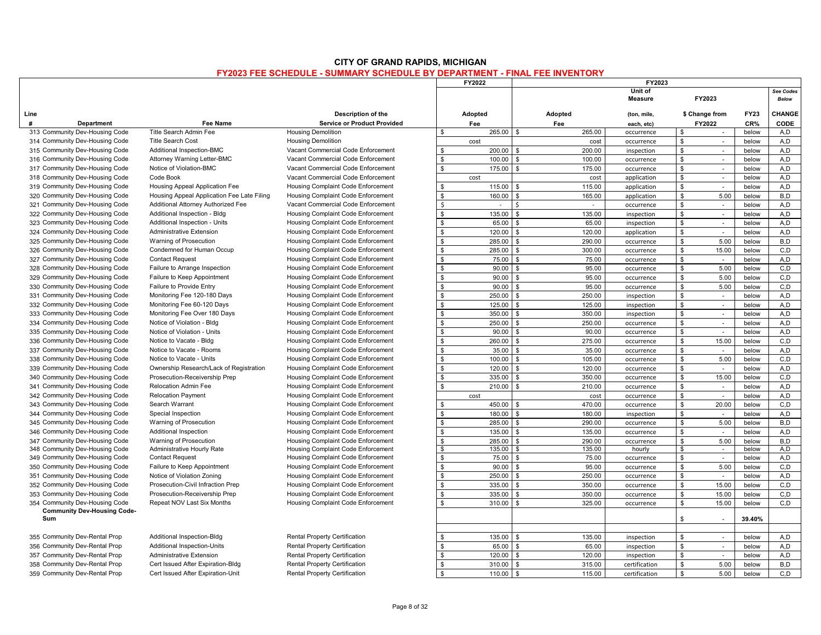|                                           |                                            |                                      |                    | FY2022      | FY2023                       |                           |               |                |             |                           |
|-------------------------------------------|--------------------------------------------|--------------------------------------|--------------------|-------------|------------------------------|---------------------------|---------------|----------------|-------------|---------------------------|
|                                           |                                            |                                      |                    |             |                              | Unit of<br><b>Measure</b> |               | FY2023         |             | See Codes<br><b>Below</b> |
| Line                                      |                                            | Description of the                   |                    | Adopted     | Adopted                      | (ton, mile,               |               | \$ Change from | <b>FY23</b> | CHANGE                    |
| #<br><b>Department</b>                    | Fee Name                                   | <b>Service or Product Provided</b>   |                    | Fee         | Fee                          | each, etc)                |               | FY2022         | CR%         | CODE                      |
| 313 Community Dev-Housing Code            | Title Search Admin Fee                     | <b>Housing Demolition</b>            | $\mathbf{\hat{S}}$ | 265.00      | <b>S</b><br>265.00           | occurrence                | \$            | $\sim$         | below       | A,D                       |
| 314 Community Dev-Housing Code            | Title Search Cost                          | <b>Housing Demolition</b>            |                    | cost        | cost                         | occurrence                | \$            | $\sim$         | below       | A,D                       |
| 315 Community Dev-Housing Code            | Additional Inspection-BMC                  | Vacant Commercial Code Enforcement   | \$                 | 200.00      | 200.00<br>$\mathbf{\hat{S}}$ | inspection                | \$            | $\sim$         | below       | A.D                       |
| 316 Community Dev-Housing Code            | Attorney Warning Letter-BMC                | Vacant Commercial Code Enforcement   | $\mathbf{s}$       | 100.00      | \$<br>100.00                 | occurrence                | $\$$          | ä,             | below       | A,D                       |
| 317 Community Dev-Housing Code            | Notice of Violation-BMC                    | Vacant Commercial Code Enforcement   | $\mathbf{s}$       | 175.00      | 175.00<br>$\mathbf{s}$       | occurrence                | \$            | $\mathcal{L}$  | below       | A, D                      |
| 318 Community Dev-Housing Code            | Code Book                                  | Vacant Commercial Code Enforcement   |                    | cost        | cost                         | application               | \$            | $\sim$         | below       | A,D                       |
| 319 Community Dev-Housing Code            | Housing Appeal Application Fee             | Housing Complaint Code Enforcement   | <b>S</b>           | 115.00      | 115.00                       | application               | \$            | $\sim$         | below       | A,D                       |
| 320 Community Dev-Housing Code            | Housing Appeal Application Fee Late Filing | Housing Complaint Code Enforcement   | $\mathbf{s}$       | 160.00      | 165.00<br>. \$               | application               | $\mathbb{S}$  | 5.00           | below       | B.D                       |
| 321 Community Dev-Housing Code            | Additional Attorney Authorized Fee         | Vacant Commercial Code Enforcement   | $\zeta$            | $\sim$      | <sup>\$</sup><br>$\omega$    | occurrence                | \$            | $\mathcal{L}$  | below       | A,D                       |
| 322 Community Dev-Housing Code            | Additional Inspection - Bldg               | Housing Complaint Code Enforcement   | $\mathbf{s}$       | 135.00      | 135.00<br>$\mathbf{\hat{z}}$ | inspection                | \$            | $\sim$         | below       | A, D                      |
| 323 Community Dev-Housing Code            | Additional Inspection - Units              | Housing Complaint Code Enforcement   | $\mathbb{S}$       | 65.00       | \$<br>65.00                  | inspection                | \$            | $\sim$         | below       | A,D                       |
| 324 Community Dev-Housing Code            | <b>Administrative Extension</b>            | Housing Complaint Code Enforcement   | $\mathbb S$        | 120.00      | 120.00<br>$\mathbf{\hat{z}}$ | application               | \$            | $\sim$         | below       | A.D                       |
| 325 Community Dev-Housing Code            | Warning of Prosecution                     | Housing Complaint Code Enforcement   | \$                 | 285.00      | 290.00                       | occurrence                | $\mathbb S$   | 5.00           | below       | B.D                       |
| 326 Community Dev-Housing Code            | Condemned for Human Occup                  | Housing Complaint Code Enforcement   | \$                 | 285.00      | 300.00<br>\$                 | occurrence                | \$            | 15.00          | below       | C, D                      |
| 327 Community Dev-Housing Code            | <b>Contact Request</b>                     | Housing Complaint Code Enforcement   | S.                 | 75.00       | £.<br>75.00                  | occurrence                | \$            | $\sim$         | below       | A,D                       |
| 328 Community Dev-Housing Code            | Failure to Arrange Inspection              | Housing Complaint Code Enforcement   | \$                 | 90.00       | 95.00<br>\$                  | occurrence                | \$            | 5.00           | below       | C, D                      |
| 329 Community Dev-Housing Code            | Failure to Keep Appointment                | Housing Complaint Code Enforcement   | \$                 | 90.00       | 95.00<br>$\mathbf{\hat{S}}$  | occurrence                | $\mathbb S$   | 5.00           | below       | C, D                      |
| 330 Community Dev-Housing Code            | Failure to Provide Entry                   | Housing Complaint Code Enforcement   | \$                 | 90.00       | 95.00<br>\$                  | occurrence                | $\mathbb{S}$  | 5.00           | below       | C, D                      |
| 331 Community Dev-Housing Code            | Monitoring Fee 120-180 Days                | Housing Complaint Code Enforcement   | $\mathbb{S}$       | 250.00      | \$<br>250.00                 | inspection                | $\$$          | $\sim$         | below       | A,D                       |
| 332 Community Dev-Housing Code            | Monitoring Fee 60-120 Days                 | Housing Complaint Code Enforcement   | \$                 | 125.00      | 125.00<br>\$                 | inspection                | \$            | $\sim$         | below       | A,D                       |
| 333 Community Dev-Housing Code            | Monitoring Fee Over 180 Days               | Housing Complaint Code Enforcement   | \$                 | 350.00      | 350.00<br>\$                 | inspection                | \$            | $\sim$         | below       | A, D                      |
| 334 Community Dev-Housing Code            | Notice of Violation - Bldg                 | Housing Complaint Code Enforcement   | $\mathbf{s}$       | 250.00      | 250.00<br>$\mathbf{\hat{S}}$ | occurrence                | \$            | $\sim$         | below       | A.D                       |
| 335 Community Dev-Housing Code            | Notice of Violation - Units                | Housing Complaint Code Enforcement   | \$                 | 90.00       | 90.00<br>\$                  | occurrence                | \$            | $\sim$         | below       | A,D                       |
| 336 Community Dev-Housing Code            | Notice to Vacate - Bldg                    | Housing Complaint Code Enforcement   | $\mathbb{S}$       | 260.00      | 275.00<br>$\mathbf{\hat{S}}$ | occurrence                | $\mathbb{S}$  | 15.00          | below       | C, D                      |
| 337 Community Dev-Housing Code            | Notice to Vacate - Rooms                   | Housing Complaint Code Enforcement   | $\mathbb{S}$       | 35.00       | 35.00                        | occurrence                | \$            | $\sim$         | below       | A,D                       |
| 338 Community Dev-Housing Code            | Notice to Vacate - Units                   | Housing Complaint Code Enforcement   | \$                 | 100.00      | 105.00<br>- \$               | occurrence                | $\mathbb{S}$  | 5.00           | below       | C, D                      |
| 339 Community Dev-Housing Code            | Ownership Research/Lack of Registration    | Housing Complaint Code Enforcement   | $\mathbb{S}$       | 120.00      | 120.00<br>\$                 | occurrence                | $\$$          |                | below       | A, D                      |
| 340 Community Dev-Housing Code            | Prosecution-Receivership Prep              | Housing Complaint Code Enforcement   | $\mathbb{S}$       | 335.00      | 350.00<br>$\mathbf{s}$       | occurrence                | $\mathbb S$   | 15.00          | below       | C, D                      |
| 341 Community Dev-Housing Code            | <b>Relocation Admin Fee</b>                | Housing Complaint Code Enforcement   | s.                 | $210.00$ \$ | 210.00                       | occurrence                | \$            | $\sim$         | below       | A,D                       |
| 342 Community Dev-Housing Code            | <b>Relocation Payment</b>                  | Housing Complaint Code Enforcement   |                    | cost        | cost                         | occurrence                | \$            | $\sim$         | below       | A,D                       |
| 343 Community Dev-Housing Code            | Search Warrant                             | Housing Complaint Code Enforcement   | $\mathbf{s}$       | 450.00      | 470.00<br>- \$               | occurrence                | $\mathbb{S}$  | 20.00          | below       | C, D                      |
| 344 Community Dev-Housing Code            | Special Inspection                         | Housing Complaint Code Enforcement   | \$                 | 180.00      | 180.00<br>\$                 | inspection                | \$            | $\sim$         | below       | A,D                       |
| 345 Community Dev-Housing Code            | Warning of Prosecution                     | Housing Complaint Code Enforcement   | $\mathbb{S}$       | 285.00      | 290.00                       | occurrence                | $\mathbb{S}$  | 5.00           | below       | B,D                       |
| 346 Community Dev-Housing Code            | Additional Inspection                      | Housing Complaint Code Enforcement   | \$                 | 135.00      | \$<br>135.00                 | occurrence                | \$            | $\sim$         | below       | A,D                       |
| 347 Community Dev-Housing Code            | Warning of Prosecution                     | Housing Complaint Code Enforcement   | $\mathbf{\hat{s}}$ | 285.00      | $\mathbf{\hat{S}}$<br>290.00 | occurrence                | $\mathbb S$   | 5.00           | below       | B.D                       |
| 348 Community Dev-Housing Code            | Administrative Hourly Rate                 | Housing Complaint Code Enforcement   | \$                 | 135.00      | 135.00<br>\$                 | hourly                    | \$            | $\sim$         | below       | A,D                       |
| 349 Community Dev-Housing Code            | <b>Contact Request</b>                     | Housing Complaint Code Enforcement   | $\mathbb{S}$       | 75.00       | \$<br>75.00                  | occurrence                | \$            | $\sim$         | below       | A,D                       |
| 350 Community Dev-Housing Code            | Failure to Keep Appointment                | Housing Complaint Code Enforcement   | $\mathbf{\hat{s}}$ | 90.00       | 95.00<br>$\mathbf{\hat{S}}$  | occurrence                | $\mathbb S$   | 5.00           | below       | C, D                      |
| 351 Community Dev-Housing Code            | Notice of Violation Zoning                 | Housing Complaint Code Enforcement   | \$                 | 250.00      | 250.00<br>\$                 | occurrence                | \$            | $\sim$         | below       | A,D                       |
| 352 Community Dev-Housing Code            | Prosecution-Civil Infraction Prep          | Housing Complaint Code Enforcement   | s.                 | 335.00      | 350.00<br>\$                 | occurrence                | $\mathbb{S}$  | 15.00          | below       | C, D                      |
| 353 Community Dev-Housing Code            | Prosecution-Receivership Prep              | Housing Complaint Code Enforcement   | \$                 | 335.00      | 350.00                       | occurrence                | ${\mathbb S}$ | 15.00          | below       | C, D                      |
| 354 Community Dev-Housing Code            | Repeat NOV Last Six Months                 | Housing Complaint Code Enforcement   | $\mathbf{s}$       | 310.00      | 325.00<br>$\mathbf{\hat{S}}$ | occurrence                | ${\mathbb S}$ | 15.00          | below       | C, D                      |
| <b>Community Dev-Housing Code-</b><br>Sum |                                            |                                      |                    |             |                              |                           | \$            |                | 39.40%      |                           |
|                                           |                                            |                                      |                    |             |                              |                           |               |                |             |                           |
| 355 Community Dev-Rental Prop             | Additional Inspection-Bldg                 | <b>Rental Property Certification</b> | $\mathbf{s}$       | 135.00 \$   | 135.00                       | inspection                | \$            | $\sim$         | below       | A,D                       |
| 356 Community Dev-Rental Prop             | Additional Inspection-Units                | Rental Property Certification        | \$                 | 65.00       | 65.00<br>\$                  | inspection                | \$            | $\sim$         | below       | A,D                       |
| 357 Community Dev-Rental Prop             | Administrative Extension                   | <b>Rental Property Certification</b> | \$                 | 120.00      | 120.00<br>$\mathbf{\hat{S}}$ | inspection                | $\mathbb{S}$  | $\sim$         | below       | A.D                       |
| 358 Community Dev-Rental Prop             | Cert Issued After Expiration-Bldg          | <b>Rental Property Certification</b> | <b>S</b>           | $310.00$ \$ | 315.00                       | certification             | \$            | 5.00           | below       | B.D                       |

Community Dev-Rental Prop Cert Issued After Expiration-Unit Rental Property Certification \$ 110.00 \$ 115.00 certification \$ 5.00 below C,D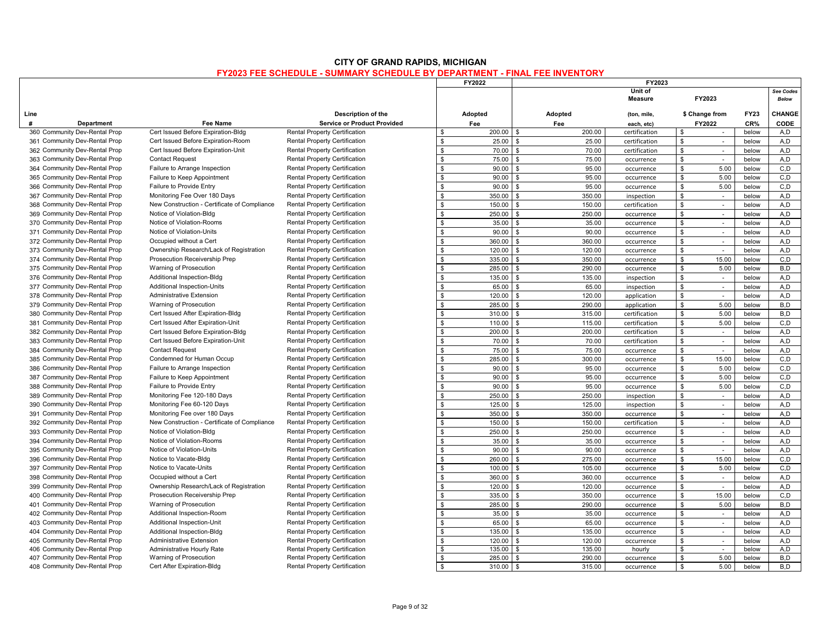|                               |                                              |                                      |               | FY2022  |                              | FY2023                    |                |                          |             |                           |
|-------------------------------|----------------------------------------------|--------------------------------------|---------------|---------|------------------------------|---------------------------|----------------|--------------------------|-------------|---------------------------|
|                               |                                              |                                      |               |         |                              | Unit of<br><b>Measure</b> |                | FY2023                   |             | See Codes<br><b>Below</b> |
| Line                          |                                              | Description of the                   |               | Adopted | Adopted                      | (ton, mile,               |                | \$ Change from           | <b>FY23</b> | CHANGE                    |
| #<br><b>Department</b>        | <b>Fee Name</b>                              | <b>Service or Product Provided</b>   |               | Fee     | Fee                          | each, etc)                |                | FY2022                   | CR%         | CODE                      |
| 360 Community Dev-Rental Prop | Cert Issued Before Expiration-Bldg           | <b>Rental Property Certification</b> | \$            | 200.00  | \$<br>200.00                 | certification             | \$             | $\sim$                   | below       | A,D                       |
| 361 Community Dev-Rental Prop | Cert Issued Before Expiration-Room           | <b>Rental Property Certification</b> | $\mathbf{\$}$ | 25.00   | 25.00                        | certification             | $\mathbf{\$}$  | $\sim$                   | below       | A.D                       |
| 362 Community Dev-Rental Prop | Cert Issued Before Expiration-Unit           | <b>Rental Property Certification</b> | \$            | 70.00   | 70.00<br>\$                  | certification             | \$             | $\sim$                   | below       | A.D                       |
| 363 Community Dev-Rental Prop | <b>Contact Request</b>                       | <b>Rental Property Certification</b> | \$            | 75.00   | 75.00<br>$\mathbf{s}$        | occurrence                | \$             | ×.                       | below       | A,D                       |
| 364 Community Dev-Rental Prop | Failure to Arrange Inspection                | <b>Rental Property Certification</b> | \$            | 90.00   | 95.00<br>\$                  | occurrence                | \$             | 5.00                     | below       | C, D                      |
| 365 Community Dev-Rental Prop | Failure to Keep Appointment                  | <b>Rental Property Certification</b> | \$            | 90.00   | 95.00<br><sup>\$</sup>       | occurrence                | \$             | 5.00                     | below       | C, D                      |
| 366 Community Dev-Rental Prop | Failure to Provide Entry                     | <b>Rental Property Certification</b> | \$            | 90.00   | 95.00                        | occurrence                | $\mathbf{\$}$  | 5.00                     | below       | C, D                      |
| 367 Community Dev-Rental Prop | Monitoring Fee Over 180 Days                 | <b>Rental Property Certification</b> | \$            | 350.00  | 350.00<br>\$                 | inspection                | \$             | $\sim$                   | below       | A,D                       |
| 368 Community Dev-Rental Prop | New Construction - Certificate of Compliance | <b>Rental Property Certification</b> | \$            | 150.00  | 150.00<br>\$                 | certification             | \$             | $\sim$                   | below       | A,D                       |
| 369 Community Dev-Rental Prop | Notice of Violation-Bldg                     | <b>Rental Property Certification</b> | \$            | 250.00  | 250.00<br>ፍ                  | occurrence                | \$             | $\sim$                   | below       | A,D                       |
| 370 Community Dev-Rental Prop | Notice of Violation-Rooms                    | <b>Rental Property Certification</b> | \$            | 35.00   | 35.00<br>\$                  | occurrence                | \$             |                          | below       | A,D                       |
| 371 Community Dev-Rental Prop | Notice of Violation-Units                    | <b>Rental Property Certification</b> | $\mathbb{S}$  | 90.00   | $\mathbf{\hat{S}}$<br>90.00  | occurrence                | \$             | $\sim$                   | below       | A, D                      |
| 372 Community Dev-Rental Prop | Occupied without a Cert                      | <b>Rental Property Certification</b> | \$            | 360.00  | 360.00                       | occurrence                | \$             | $\overline{\phantom{a}}$ | below       | A,D                       |
| 373 Community Dev-Rental Prop | Ownership Research/Lack of Registration      | <b>Rental Property Certification</b> | \$            | 120.00  | 120.00<br>\$                 | occurrence                | \$             | $\sim$                   | below       | A,D                       |
| 374 Community Dev-Rental Prop | Prosecution Receivership Prep                | <b>Rental Property Certification</b> | \$            | 335.00  | 350.00<br>$\mathbf{s}$       | occurrence                | \$             | 15.00                    | below       | C, D                      |
| 375 Community Dev-Rental Prop | Warning of Prosecution                       | <b>Rental Property Certification</b> | \$            | 285.00  | 290.00<br>\$                 | occurrence                | \$             | 5.00                     | below       | B,D                       |
| 376 Community Dev-Rental Prop | Additional Inspection-Bldg                   | <b>Rental Property Certification</b> | \$            | 135.00  | 135.00<br>\$                 | inspection                | \$             | $\sim$                   | below       | A,D                       |
| 377 Community Dev-Rental Prop | Additional Inspection-Units                  | <b>Rental Property Certification</b> | \$            | 65.00   | 65.00<br>\$                  | inspection                | \$             | $\omega$                 | below       | A,D                       |
| 378 Community Dev-Rental Prop | <b>Administrative Extension</b>              | <b>Rental Property Certification</b> | \$            | 120.00  | 120.00<br>\$                 | application               | \$             | $\sim$                   | below       | A, D                      |
| 379 Community Dev-Rental Prop | Warning of Prosecution                       | <b>Rental Property Certification</b> | \$            | 285.00  | 290.00<br><sup>\$</sup>      | application               | ${\mathbb S}$  | 5.00                     | below       | B.D                       |
| 380 Community Dev-Rental Prop | Cert Issued After Expiration-Bldg            | <b>Rental Property Certification</b> | \$            | 310.00  | 315.00<br>\$                 | certification             | $\mathbb S$    | 5.00                     | below       | B,D                       |
| 381 Community Dev-Rental Prop | Cert Issued After Expiration-Unit            | <b>Rental Property Certification</b> | $\mathbf{s}$  | 110.00  | 115.00<br>$\mathbf{s}$       | certification             | ${\mathbb S}$  | 5.00                     | below       | C, D                      |
| 382 Community Dev-Rental Prop | Cert Issued Before Expiration-Bldg           | <b>Rental Property Certification</b> | \$            | 200.00  | $\mathbf{s}$<br>200.00       | certification             | \$             | $\sim$                   | below       | A,D                       |
| 383 Community Dev-Rental Prop | Cert Issued Before Expiration-Unit           | Rental Property Certification        | $\mathbf{s}$  | 70.00   | 70.00                        | certification             | $\mathbf{\$}$  | $\sim$                   | below       | A,D                       |
| 384 Community Dev-Rental Prop | <b>Contact Request</b>                       | <b>Rental Property Certification</b> | \$            | 75.00   | 75.00<br>$\mathfrak{L}$      | occurrence                | \$             | $\sim$                   | below       | A.D                       |
| 385 Community Dev-Rental Prop | Condemned for Human Occup                    | <b>Rental Property Certification</b> | \$            | 285.00  | 300.00<br>\$                 | occurrence                | \$             | 15.00                    | below       | C, D                      |
| 386 Community Dev-Rental Prop | Failure to Arrange Inspection                | <b>Rental Property Certification</b> | $\mathbf{s}$  | 90.00   | 95.00                        | occurrence                | ${\mathbb S}$  | 5.00                     | below       | C, D                      |
| 387 Community Dev-Rental Prop | Failure to Keep Appointment                  | Rental Property Certification        | \$            | 90.00   | 95.00<br>\$                  | occurrence                | \$             | 5.00                     | below       | C, D                      |
| 388 Community Dev-Rental Prop | Failure to Provide Entry                     | <b>Rental Property Certification</b> | ${\mathbb S}$ | 90.00   | 95.00<br>$\mathbf{s}$        | occurrence                | ${\mathbb S}$  | 5.00                     | below       | C, D                      |
| 389 Community Dev-Rental Prop | Monitoring Fee 120-180 Days                  | <b>Rental Property Certification</b> | \$            | 250.00  | 250.00<br>\$                 | inspection                | \$             | $\sim$                   | below       | A, D                      |
| 390 Community Dev-Rental Prop | Monitoring Fee 60-120 Days                   | <b>Rental Property Certification</b> | \$            | 125.00  | 125.00<br><sup>\$</sup>      | inspection                | \$             | $\sim$                   | below       | A,D                       |
| 391 Community Dev-Rental Prop | Monitoring Fee over 180 Days                 | <b>Rental Property Certification</b> | \$            | 350.00  | 350.00<br>\$                 | occurrence                | $$\mathbb{S}$$ | $\sim$                   | below       | A.D                       |
| 392 Community Dev-Rental Prop | New Construction - Certificate of Compliance | <b>Rental Property Certification</b> | \$            | 150.00  | 150.00<br>\$                 | certification             | \$             | $\mathcal{L}$            | below       | A, D                      |
| 393 Community Dev-Rental Prop | Notice of Violation-Bldg                     | <b>Rental Property Certification</b> | \$            | 250.00  | 250.00<br>\$                 | occurrence                | \$             | ×.                       | below       | A.D                       |
| 394 Community Dev-Rental Prop | Notice of Violation-Rooms                    | <b>Rental Property Certification</b> | \$            | 35.00   | 35.00<br>ፍ                   | occurrence                | \$             | $\sim$                   | below       | A,D                       |
| 395 Community Dev-Rental Prop | Notice of Violation-Units                    | <b>Rental Property Certification</b> | \$            | 90.00   | 90.00<br>£.                  | occurrence                | \$             |                          | below       | A,D                       |
| 396 Community Dev-Rental Prop | Notice to Vacate-Bldg                        | <b>Rental Property Certification</b> | $\mathbb S$   | 260.00  | $\mathbf{s}$<br>275.00       | occurrence                | \$             | 15.00                    | below       | C, D                      |
| 397 Community Dev-Rental Prop | Notice to Vacate-Units                       | <b>Rental Property Certification</b> | \$            | 100.00  | 105.00<br>\$                 | occurrence                | ${\mathbb S}$  | 5.00                     | below       | C, D                      |
| 398 Community Dev-Rental Prop | Occupied without a Cert                      | <b>Rental Property Certification</b> | \$            | 360.00  | 360.00<br>\$                 | occurrence                | \$             | $\sim$                   | below       | A.D                       |
| 399 Community Dev-Rental Prop | Ownership Research/Lack of Registration      | <b>Rental Property Certification</b> | \$            | 120.00  | 120.00<br>\$                 | occurrence                | \$             | $\sim$                   | below       | A,D                       |
| 400 Community Dev-Rental Prop | Prosecution Receivership Prep                | <b>Rental Property Certification</b> | \$            | 335.00  | 350.00<br>£.                 | occurrence                | \$             | 15.00                    | below       | C, D                      |
| 401 Community Dev-Rental Prop | Warning of Prosecution                       | <b>Rental Property Certification</b> | \$            | 285.00  | 290.00<br>£.                 | occurrence                | \$             | 5.00                     | below       | B.D                       |
| 402 Community Dev-Rental Prop | Additional Inspection-Room                   | <b>Rental Property Certification</b> | \$            | 35.00   | 35.00<br>\$                  | occurrence                | \$             | $\overline{\phantom{a}}$ | below       | A,D                       |
| 403 Community Dev-Rental Prop | Additional Inspection-Unit                   | <b>Rental Property Certification</b> | \$            | 65.00   | 65.00<br>\$                  | occurrence                | \$             | $\sim$                   | below       | A, D                      |
| 404 Community Dev-Rental Prop | Additional Inspection-Bldg                   | <b>Rental Property Certification</b> | $\mathfrak s$ | 135.00  | $\mathbf{s}$<br>135.00       | occurrence                | \$             | $\overline{\phantom{a}}$ | below       | A,D                       |
| 405 Community Dev-Rental Prop | <b>Administrative Extension</b>              | <b>Rental Property Certification</b> | \$            | 120.00  | ፍ<br>120.00                  | occurrence                | \$             | $\sim$                   | below       | A,D                       |
| 406 Community Dev-Rental Prop | Administrative Hourly Rate                   | <b>Rental Property Certification</b> | \$            | 135.00  | 135.00                       | hourly                    | \$             | $\sim$                   | below       | A.D                       |
| 407 Community Dev-Rental Prop | Warning of Prosecution                       | Rental Property Certification        | \$            | 285.00  | $\hat{\mathbf{r}}$<br>290.00 | occurrence                | \$             | 5.00                     | below       | B,D                       |
| 408 Community Dev-Rental Prop | Cert After Expiration-Bldg                   | <b>Rental Property Certification</b> | \$            | 310.00  | 315.00<br>- \$               | occurrence                | \$             | 5.00                     | below       | B.D                       |
|                               |                                              |                                      |               |         |                              |                           |                |                          |             |                           |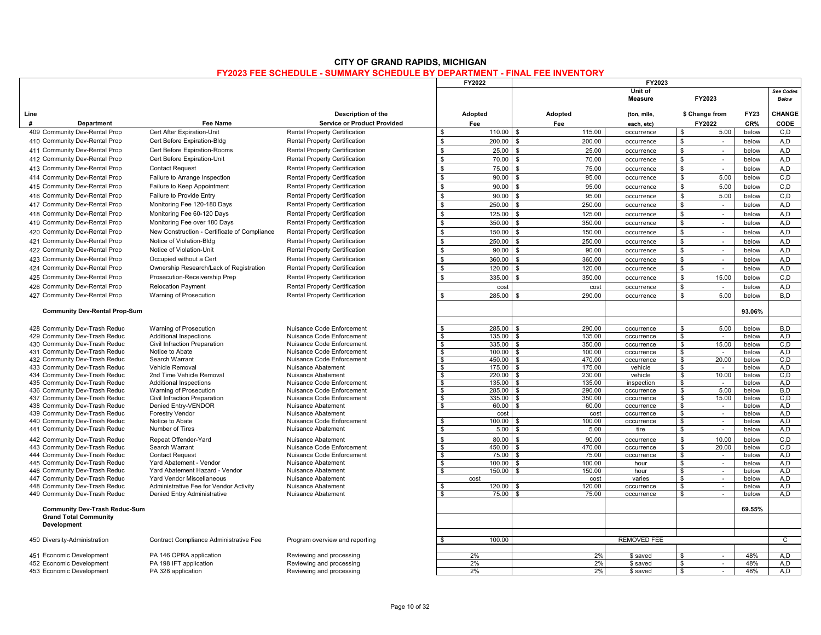|                                                                      |                                                               |                                                        |                    | FY2022           | FY2023                |                          |                             |                |                    |
|----------------------------------------------------------------------|---------------------------------------------------------------|--------------------------------------------------------|--------------------|------------------|-----------------------|--------------------------|-----------------------------|----------------|--------------------|
|                                                                      |                                                               |                                                        |                    |                  |                       | Unit of<br>Measure       | FY2023                      |                | See Codes<br>Below |
| Line                                                                 |                                                               | Description of the                                     |                    | Adopted          | Adopted               | (ton, mile,              | \$ Change from              | <b>FY23</b>    | <b>CHANGE</b>      |
| <b>Department</b><br>#                                               | Fee Name                                                      | <b>Service or Product Provided</b>                     |                    | Fee              | Fee                   | each, etc)               | FY2022                      | CR%            | <b>CODE</b>        |
| 409 Community Dev-Rental Prop                                        | Cert After Expiration-Unit                                    | Rental Property Certification                          | \$                 | 110.00           | \$<br>115.00          | occurrence               | \$<br>5.00                  | below          | C, D               |
| 410 Community Dev-Rental Prop                                        | Cert Before Expiration-Bldg                                   | Rental Property Certification                          | \$                 | 200.00           | 200.00<br>\$          | occurrence               | \$<br>$\sim$                | below          | A.D                |
| 411 Community Dev-Rental Prop                                        | Cert Before Expiration-Rooms                                  | <b>Rental Property Certification</b>                   | $$\mathbb{S}$$     | 25.00            | 25.00<br>\$           | occurrence               | \$<br>$\sim$                | below          | A.D                |
| 412 Community Dev-Rental Prop                                        | Cert Before Expiration-Unit                                   | Rental Property Certification                          | \$                 | 70.00            | 70.00<br>\$           | occurrence               | \$<br>$\sim$                | below          | A,D                |
| 413 Community Dev-Rental Prop                                        | <b>Contact Request</b>                                        | <b>Rental Property Certification</b>                   | \$                 | 75.00            | 75.00                 | occurrence               | \$<br>$\sim$                | below          | A, D               |
| 414 Community Dev-Rental Prop                                        | Failure to Arrange Inspection                                 | Rental Property Certification                          | \$                 | 90.00            | 95.00<br>\$           | occurrence               | \$<br>5.00                  | below          | C.D                |
| 415 Community Dev-Rental Prop                                        | Failure to Keep Appointment                                   | Rental Property Certification                          | \$                 | 90.00            | \$<br>95.00           | occurrence               | \$<br>5.00                  | below          | C, D               |
| 416 Community Dev-Rental Prop                                        | Failure to Provide Entry                                      | Rental Property Certification                          | \$                 | 90.00            | 95.00<br>\$           | occurrence               | \$<br>5.00                  | below          | C, D               |
| 417 Community Dev-Rental Prop                                        | Monitoring Fee 120-180 Days                                   | Rental Property Certification                          | \$                 | 250.00           | 250.00<br>\$          | occurrence               | \$<br>$\sim$                | below          | A,D                |
| 418 Community Dev-Rental Prop                                        | Monitoring Fee 60-120 Days                                    | <b>Rental Property Certification</b>                   | $\mathbb{S}$       | 125.00           | 125.00<br>\$          |                          | \$<br>$\sim$                | below          | A.D                |
|                                                                      |                                                               |                                                        |                    |                  |                       | occurrence               |                             |                |                    |
| 419 Community Dev-Rental Prop                                        | Monitoring Fee over 180 Days                                  | Rental Property Certification                          | \$                 | 350.00           | 350.00                | occurrence               | \$<br>$\sim$                | below          | A,D                |
| 420 Community Dev-Rental Prop                                        | New Construction - Certificate of Compliance                  | <b>Rental Property Certification</b>                   | \$                 | 150.00           | 150.00                | occurrence               | \$<br>$\sim$                | below          | A,D                |
| 421 Community Dev-Rental Prop                                        | Notice of Violation-Bldg                                      | <b>Rental Property Certification</b>                   | \$                 | 250.00           | 250.00                | occurrence               | \$<br>$\sim$                | below          | A,D                |
| 422 Community Dev-Rental Prop                                        | Notice of Violation-Unit                                      | <b>Rental Property Certification</b>                   | \$                 | 90.00            | 90.00                 | occurrence               | \$<br>$\sim$                | below          | A.D                |
| 423 Community Dev-Rental Prop                                        | Occupied without a Cert                                       | Rental Property Certification                          | \$                 | 360.00           | 360.00                | occurrence               | $\mathbb{S}$<br>$\sim$      | below          | A,D                |
| 424 Community Dev-Rental Prop                                        | Ownership Research/Lack of Registration                       | Rental Property Certification                          | ${\mathbb S}$      | 120.00           | 120.00                | occurrence               | \$<br>$\blacksquare$        | below          | A,D                |
| 425 Community Dev-Rental Prop                                        | Prosecution-Receivership Prep                                 | <b>Rental Property Certification</b>                   | $\mathbb{S}$       | 335.00           | 350.00                | occurrence               | \$<br>15.00                 | below          | C.D                |
| 426 Community Dev-Rental Prop                                        | <b>Relocation Payment</b>                                     | <b>Rental Property Certification</b>                   |                    | cost             | cost                  | occurrence               | \$<br>$\sim$                | below          | A,D                |
| 427 Community Dev-Rental Prop                                        | Warning of Prosecution                                        | <b>Rental Property Certification</b>                   | \$                 | 285.00           | 290.00                | occurrence               | $\mathbb{S}$<br>5.00        | below          | B,D                |
|                                                                      |                                                               |                                                        |                    |                  |                       |                          |                             |                |                    |
| <b>Community Dev-Rental Prop-Sum</b>                                 |                                                               |                                                        |                    |                  |                       |                          |                             | 93.06%         |                    |
|                                                                      |                                                               |                                                        |                    |                  |                       |                          |                             |                |                    |
| 428 Community Dev-Trash Reduc                                        | Warning of Prosecution                                        | Nuisance Code Enforcement                              |                    | 285.00           | 290.00                | occurrence               | 5.00<br>\$                  | below          | B,D                |
| 429 Community Dev-Trash Reduc<br>430 Community Dev-Trash Reduc       | <b>Additional Inspections</b><br>Civil Infraction Preparation | Nuisance Code Enforcement<br>Nuisance Code Enforcement | \$<br>$\mathbf{s}$ | 135.00<br>335.00 | 135.00<br>350.00<br>S | occurrence<br>occurrence | \$<br>$\sim$<br>s,<br>15.00 | below<br>below | A,D<br>C, D        |
| 431 Community Dev-Trash Reduc                                        | Notice to Abate                                               | Nuisance Code Enforcement                              | \$                 | 100.00           | 100.00<br>ድ           | occurrence               | \$<br>$\sim$                | below          | A.D                |
| 432 Community Dev-Trash Reduc                                        | Search Warrant                                                | Nuisance Code Enforcement                              | \$                 | 450.00           | 470.00<br>£.          | occurrence               | 20.00<br>\$                 | below          | C.D                |
| 433 Community Dev-Trash Reduc                                        | Vehicle Removal                                               | Nuisance Abatement                                     | \$                 | 175.00           | 175.00<br>\$.         | vehicle                  | \$<br>$\sim$                | below          | A,D                |
| 434 Community Dev-Trash Reduc                                        | 2nd Time Vehicle Removal                                      | Nuisance Abatement                                     | s.                 | 220.00           | 230.00                | vehicle                  | 10.00<br>\$                 | below          | C.D                |
| 435 Community Dev-Trash Reduc                                        | <b>Additional Inspections</b>                                 | Nuisance Code Enforcement                              | $\mathbf{s}$       | 135.00           | 135.00                | inspection               | \$<br>$\sim$                | below          | A,D                |
| 436 Community Dev-Trash Reduc                                        | Warning of Prosecution                                        | Nuisance Code Enforcement                              | \$                 | 285.00           | 290.00                | occurrence               | \$<br>5.00                  | below          | B,D                |
| 437 Community Dev-Trash Reduc                                        | Civil Infraction Preparation                                  | Nuisance Code Enforcement                              | s.                 | 335.00           | 350.00<br>\$          | occurrence               | s,<br>15.00                 | below          | C.D                |
| 438 Community Dev-Trash Reduc                                        | Denied Entry-VENDOR                                           | Nuisance Abatement                                     | \$                 | 60.00            | 60.00                 | occurrence               | \$<br>$\sim$<br>$\sim$      | below          | A,D<br>A.D         |
| 439 Community Dev-Trash Reduc<br>440 Community Dev-Trash Reduc       | <b>Forestry Vendor</b><br>Notice to Abate                     | Nuisance Abatement<br>Nuisance Code Enforcement        | \$                 | cost<br>100.00   | cost<br>100.00        | occurrence<br>occurrence | \$<br>\$<br>$\sim$          | below<br>below | A,D                |
| 441 Community Dev-Trash Reduc                                        | Number of Tires                                               | Nuisance Abatement                                     | \$                 | 5.00             | 5.00                  | tire                     | \$<br>$\sim$                | below          | A,D                |
|                                                                      |                                                               |                                                        | \$                 | 80.00            | 90.00<br>\$           |                          | ${\mathbb S}$               |                |                    |
| 442 Community Dev-Trash Reduc<br>443 Community Dev-Trash Reduc       | Repeat Offender-Yard<br>Search Warrant                        | Nuisance Abatement<br>Nuisance Code Enforcement        | \$                 | 450.00           | 470.00                | occurrence<br>occurrence | 10.00<br>\$<br>20.00        | below<br>below | C.D<br>C, D        |
| 444 Community Dev-Trash Reduc                                        | <b>Contact Request</b>                                        | Nuisance Code Enforcement                              | s,                 | 75.00            | 75.00<br>£.           | occurrence               | $\frac{1}{2}$<br>$\sim$     | below          | A,D                |
| 445 Community Dev-Trash Reduc                                        | Yard Abatement - Vendor                                       | Nuisance Abatement                                     | \$                 | 100.00           | 100.00                | hour                     | \$<br>$\sim$                | below          | A,D                |
| 446 Community Dev-Trash Reduc                                        | Yard Abatement Hazard - Vendor                                | Nuisance Abatement                                     | S.                 | 150.00           | 150.00                | hour                     | \$<br>$\sim$                | below          | A.D                |
| 447 Community Dev-Trash Reduc                                        | Yard Vendor Miscellaneous                                     | Nuisance Abatement                                     |                    | cost             | cost                  | varies                   | \$<br>$\sim$                | below          | A,D                |
| 448 Community Dev-Trash Reduc                                        | Administrative Fee for Vendor Activity                        | Nuisance Abatement                                     | \$                 | 120.00           | 120.00                | occurrence               | \$<br>$\sim$                | below          | A.D                |
| 449 Community Dev-Trash Reduc                                        | Denied Entry Administrative                                   | Nuisance Abatement                                     | \$                 | 75.00            | 75.00                 | occurrence               | \$<br>$\sim$                | below          | A,D                |
| <b>Community Dev-Trash Reduc-Sum</b><br><b>Grand Total Community</b> |                                                               |                                                        |                    |                  |                       |                          |                             | 69.55%         |                    |
| Development                                                          |                                                               |                                                        |                    |                  |                       |                          |                             |                |                    |
| 450 Diversity-Administration                                         | Contract Compliance Administrative Fee                        | Program overview and reporting                         | \$                 | 100.00           |                       | <b>REMOVED FEE</b>       |                             |                | $\mathsf{C}$       |
|                                                                      |                                                               |                                                        |                    |                  |                       |                          |                             |                |                    |
| 451 Economic Development                                             | PA 146 OPRA application                                       | Reviewing and processing                               |                    | 2%               | 2%                    | \$ saved                 | $\mathbf{\hat{s}}$<br>÷     | 48%            | A,D                |
| 452 Economic Development                                             | PA 198 IFT application                                        | Reviewing and processing                               |                    | 2%               | 2%                    | \$ saved                 | \$<br>$\sim$                | 48%            | A.D                |
| 453 Economic Development                                             | PA 328 application                                            | Reviewing and processing                               |                    | 2%               | 2%                    | \$ saved                 | \$<br>$\sim$                | 48%            | A.D                |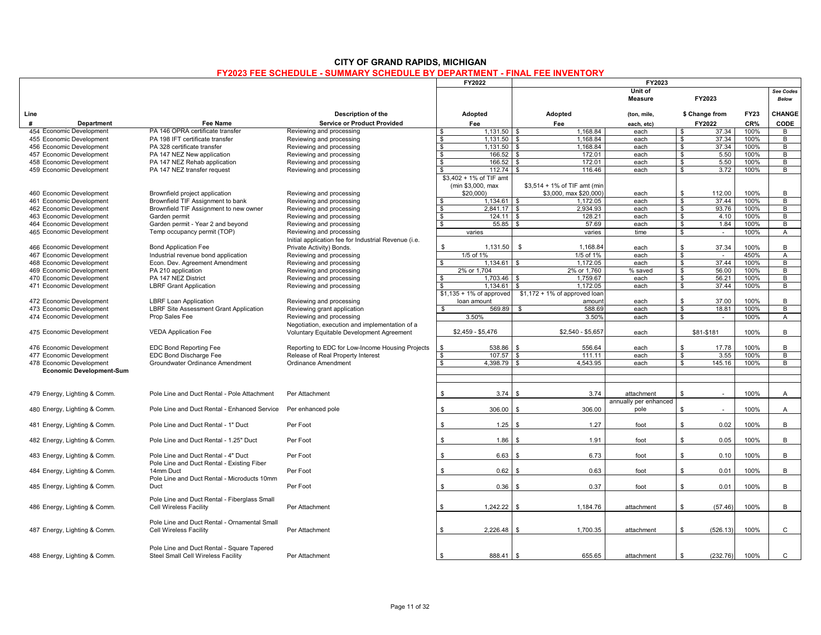|                                 |                                                                                  |                                                                                             | FY2022                                       | FY2023                            |                           |                    |            |             |                           |
|---------------------------------|----------------------------------------------------------------------------------|---------------------------------------------------------------------------------------------|----------------------------------------------|-----------------------------------|---------------------------|--------------------|------------|-------------|---------------------------|
|                                 |                                                                                  |                                                                                             |                                              |                                   | Unit of<br><b>Measure</b> |                    | FY2023     |             | See Codes<br><b>Below</b> |
| Line                            |                                                                                  | Description of the                                                                          | Adopted                                      | Adopted                           | (ton, mile,               | \$ Change from     |            | <b>FY23</b> | CHANGE                    |
| #<br>Department                 | Fee Name                                                                         | <b>Service or Product Provided</b>                                                          | Fee                                          | Fee                               | each, etc)                |                    | FY2022     | CR%         | CODE                      |
| 454 Economic Development        | PA 146 OPRA certificate transfer                                                 | Reviewing and processing                                                                    | $1,131.50$ \$<br>\$                          | 1,168.84                          | each                      | \$                 | 37.34      | 100%        | B                         |
| 455 Economic Development        | PA 198 IFT certificate transfer                                                  | Reviewing and processing                                                                    | $\sqrt{2}$<br>$1.131.50$ \$                  | 1.168.84                          | each                      | \$                 | 37.34      | 100%        | B                         |
| 456 Economic Development        | PA 328 certificate transfer                                                      | Reviewing and processing                                                                    | $\frac{1}{2}$<br>1,131.50                    | 1,168.84<br>$\mathbf{s}$          | each                      | $\mathbf{s}$       | 37.34      | 100%        | B                         |
| 457 Economic Development        | PA 147 NEZ New application                                                       | Reviewing and processing                                                                    | $\boldsymbol{\phi}$<br>166.52                | \$<br>172.01                      | each                      | \$                 | 5.50       | 100%        | B                         |
| 458 Economic Development        | PA 147 NEZ Rehab application                                                     | Reviewing and processing                                                                    | $\bullet$                                    | 172.01                            | each                      | s.                 | 5.50       | 100%        | B                         |
| 459 Economic Development        | PA 147 NEZ transfer request                                                      | Reviewing and processing                                                                    | 112.74<br>\$                                 | 116.46<br><b>S</b>                | each                      | s.                 | 3.72       | 100%        | B                         |
|                                 |                                                                                  |                                                                                             | \$3,402 + 1% of TIF amt<br>(min \$3,000, max | \$3,514 + 1% of TIF amt (min      |                           |                    |            |             |                           |
|                                 |                                                                                  |                                                                                             | \$20,000                                     | \$3,000, max \$20,000             | each                      | \$                 | 112.00     | 100%        | В                         |
| 460 Economic Development        | Brownfield project application                                                   | Reviewing and processing                                                                    |                                              |                                   |                           |                    | 37.44      |             |                           |
| 461 Economic Development        | Brownfield TIF Assignment to bank                                                | Reviewing and processing                                                                    | $1.134.61$ \$<br>\$                          | 1.172.05                          | each                      | \$                 |            | 100%        | B                         |
| 462 Economic Development        | Brownfield TIF Assignment to new owner                                           | Reviewing and processing                                                                    | $2.841.17$ \\$<br>\$                         | 2.934.93                          | each                      | \$                 | 93.76      | 100%        | B                         |
| 463 Economic Development        | Garden permit                                                                    | Reviewing and processing                                                                    | $\frac{1}{2}$<br>124.11                      | $\overline{\mathbf{s}}$<br>128.21 | each                      | $\mathbf{s}$       | 4.10       | 100%        | $\overline{B}$            |
| 464 Economic Development        | Garden permit - Year 2 and beyond                                                | Reviewing and processing                                                                    | \$<br>55.85                                  | $\mathfrak{L}$<br>57.69           | each                      | \$                 | 1.84       | 100%        | B                         |
| 465 Economic Development        | Temp occupancy permit (TOP)                                                      | Reviewing and processing                                                                    | varies                                       | varies                            | time                      | \$                 | $\sim$     | 100%        | A                         |
|                                 |                                                                                  | Initial application fee for Industrial Revenue (i.e.                                        |                                              |                                   |                           |                    |            |             |                           |
| 466 Economic Development        | <b>Bond Application Fee</b>                                                      | Private Activity) Bonds.                                                                    | 1,131.50<br>\$                               | \$<br>1.168.84                    | each                      | \$                 | 37.34      | 100%        | B                         |
| 467 Economic Development        | Industrial revenue bond application                                              | Reviewing and processing                                                                    | 1/5 of 1%                                    | 1/5 of 1%                         | each                      | $\mathbf{\hat{s}}$ | $\sim$     | 450%        | $\overline{A}$            |
| 468 Economic Development        | Econ. Dev. Agreement Amendment                                                   | Reviewing and processing                                                                    | $\bullet$<br>1,134.61                        | 1.172.05<br>\$                    | each                      | \$                 | 37.44      | 100%        | B                         |
| 469 Economic Development        | PA 210 application                                                               | Reviewing and processing                                                                    | 2% or 1.704                                  | 2% or 1,760                       | % saved                   | \$                 | 56.00      | 100%        | B                         |
| 470 Economic Development        | PA 147 NEZ District                                                              | Reviewing and processing                                                                    | 1.703.46<br>\$                               | 1.759.67<br>\$                    | each                      | s.                 | 56.21      | 100%        | B                         |
| 471 Economic Development        | <b>LBRF Grant Application</b>                                                    | Reviewing and processing                                                                    | 1.134.61<br>\$                               | 1.172.05                          | each                      | s.                 | 37.44      | 100%        | B                         |
|                                 |                                                                                  |                                                                                             | $$1,135 + 1\%$ of approved                   | $$1,172 + 1\%$ of approved loar   |                           |                    |            |             |                           |
| 472 Economic Development        | <b>LBRF Loan Application</b>                                                     | Reviewing and processing                                                                    | loan amount                                  | amoun                             | each                      | \$                 | 37.00      | 100%        | B                         |
| 473 Economic Development        | LBRF Site Assessment Grant Application                                           | Reviewing grant application                                                                 | 569.89<br>- \$                               | 588.69<br>\$                      | each                      | \$                 | 18.81      | 100%        | B                         |
| 474 Economic Development        | Prop Sales Fee                                                                   | Reviewing and processing                                                                    | 3.50%                                        | 3.50%                             | each                      | \$                 | $\sim$     | 100%        | $\overline{A}$            |
|                                 |                                                                                  |                                                                                             |                                              |                                   |                           |                    |            |             |                           |
| 475 Economic Development        | <b>VEDA Application Fee</b>                                                      | Negotiation, execution and implementation of a<br>Voluntary Equitable Development Agreement | $$2,459 - $5,476$                            | $$2,540 - $5,657$                 | each                      |                    | \$81-\$181 | 100%        | В                         |
|                                 |                                                                                  |                                                                                             |                                              |                                   |                           |                    |            |             |                           |
| 476 Economic Development        | <b>EDC Bond Reporting Fee</b>                                                    | Reporting to EDC for Low-Income Housing Projects                                            | \$<br>538.86                                 | 556.64<br><b>S</b>                | each                      | \$                 | 17.78      | 100%        | В                         |
| 477 Economic Development        | EDC Bond Discharge Fee                                                           | Release of Real Property Interest                                                           | \$<br>107.57                                 | $\mathbf{s}$<br>111.11            | each                      | s.                 | 3.55       | 100%        | B                         |
| 478 Economic Development        | Groundwater Ordinance Amendment                                                  | Ordinance Amendment                                                                         | \$<br>4,398.79 \$                            | 4,543.95                          | each                      | s.                 | 145.16     | 100%        | B                         |
| <b>Economic Development-Sum</b> |                                                                                  |                                                                                             |                                              |                                   |                           |                    |            |             |                           |
| 479 Energy, Lighting & Comm.    | Pole Line and Duct Rental - Pole Attachment                                      | Per Attachment                                                                              | 3.74<br>\$                                   | 3.74<br>- \$                      | attachment                | \$                 | $\sim$     | 100%        | A                         |
|                                 |                                                                                  |                                                                                             |                                              |                                   | annually per enhanced     |                    |            |             |                           |
| 480 Energy, Lighting & Comm.    | Pole Line and Duct Rental - Enhanced Service                                     | Per enhanced pole                                                                           | \$<br>306.00                                 | 306.00                            | pole                      | \$                 | ÷,         | 100%        | A                         |
| 481 Energy, Lighting & Comm.    | Pole Line and Duct Rental - 1" Duct                                              | Per Foot                                                                                    | \$<br>1.25                                   | 1.27<br>. \$                      | foot                      | \$                 | 0.02       | 100%        | B                         |
| 482 Energy, Lighting & Comm.    | Pole Line and Duct Rental - 1.25" Duct                                           | Per Foot                                                                                    | \$<br>1.86                                   | 1.91                              | foot                      | \$                 | 0.05       | 100%        | B                         |
| 483 Energy, Lighting & Comm.    | Pole Line and Duct Rental - 4" Duct                                              | Per Foot                                                                                    | 6.63<br>\$                                   | 6.73<br>- \$                      | foot                      | \$                 | 0.10       | 100%        | В                         |
|                                 | Pole Line and Duct Rental - Existing Fiber                                       |                                                                                             |                                              |                                   |                           |                    |            |             |                           |
| 484 Energy, Lighting & Comm.    | 14mm Duct<br>Pole Line and Duct Rental - Microducts 10mm                         | Per Foot                                                                                    | 0.62<br>\$                                   | 0.63                              | foot                      | \$                 | 0.01       | 100%        | B                         |
| 485 Energy, Lighting & Comm.    | Duct                                                                             | Per Foot                                                                                    | \$<br>0.36                                   | 0.37<br>$\mathbf{s}$              | foot                      | \$                 | 0.01       | 100%        | В                         |
| 486 Energy, Lighting & Comm.    | Pole Line and Duct Rental - Fiberglass Small<br><b>Cell Wireless Facility</b>    | Per Attachment                                                                              | 1,242.22<br>\$                               | 1,184.76<br>-8                    | attachment                | \$                 | (57.46)    | 100%        | B                         |
| 487 Energy, Lighting & Comm.    | Pole Line and Duct Rental - Ornamental Small<br><b>Cell Wireless Facility</b>    | Per Attachment                                                                              | 2.226.48<br>\$.                              | 1,700.35<br>- \$                  | attachment                | \$                 | (526.13)   | 100%        | $\mathsf{C}$              |
| 488 Energy, Lighting & Comm.    | Pole Line and Duct Rental - Square Tapered<br>Steel Small Cell Wireless Facility | Per Attachment                                                                              | 888.41<br>\$                                 | 655.65<br>- \$                    | attachment                | \$                 | (232.76)   | 100%        | $\mathsf{C}$              |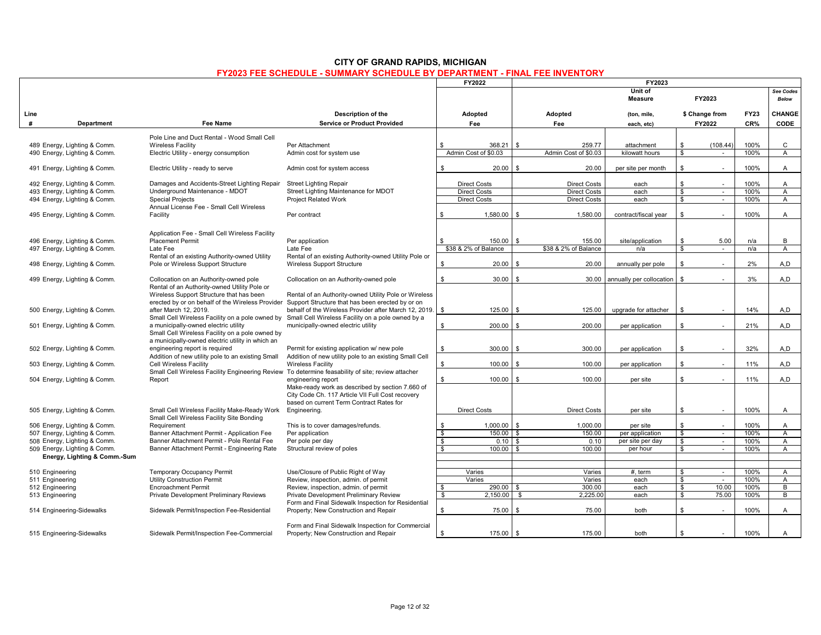|                 |                                                              |                                                                                    |                                                                                                   |                    | FY2022                         | FY2023                         |                               |                               |                    |              |                                |
|-----------------|--------------------------------------------------------------|------------------------------------------------------------------------------------|---------------------------------------------------------------------------------------------------|--------------------|--------------------------------|--------------------------------|-------------------------------|-------------------------------|--------------------|--------------|--------------------------------|
|                 |                                                              |                                                                                    |                                                                                                   |                    |                                |                                | Unit of<br><b>Measure</b>     |                               | FY2023             |              | See Codes<br><b>Below</b>      |
| Line            |                                                              |                                                                                    | Description of the                                                                                |                    | Adopted                        | Adopted                        | (ton, mile,                   |                               | \$ Change from     | <b>FY23</b>  | CHANGE                         |
| #               | Department                                                   | <b>Fee Name</b>                                                                    | <b>Service or Product Provided</b>                                                                |                    | Fee                            | Fee                            | each, etc)                    |                               | FY2022             | CR%          | <b>CODE</b>                    |
|                 |                                                              |                                                                                    |                                                                                                   |                    |                                |                                |                               |                               |                    |              |                                |
|                 |                                                              | Pole Line and Duct Rental - Wood Small Cell                                        |                                                                                                   |                    |                                |                                |                               |                               |                    |              |                                |
|                 | 489 Energy, Lighting & Comm.                                 | <b>Wireless Facility</b><br>Electric Utility - energy consumption                  | Per Attachment                                                                                    |                    | 368.21<br>Admin Cost of \$0.03 | 259.77<br>Admin Cost of \$0.03 | attachment                    | \$<br>\$                      | (108.44)<br>$\sim$ | 100%<br>100% | C<br>$\mathsf{A}$              |
|                 | 490 Energy, Lighting & Comm.                                 |                                                                                    | Admin cost for system use                                                                         |                    |                                |                                | kilowatt hours                |                               |                    |              |                                |
|                 | 491 Energy, Lighting & Comm.                                 | Electric Utility - ready to serve                                                  | Admin cost for system access                                                                      | \$                 | 20.00                          | \$<br>20.00                    | per site per month            | \$                            | ÷.                 | 100%         | A                              |
|                 | 492 Energy, Lighting & Comm.                                 | Damages and Accidents-Street Lighting Repair                                       | <b>Street Lighting Repair</b>                                                                     |                    | <b>Direct Costs</b>            | <b>Direct Costs</b>            | each                          | \$                            | ÷                  | 100%         | A                              |
|                 | 493 Energy, Lighting & Comm.                                 | Underground Maintenance - MDOT                                                     | Street Lighting Maintenance for MDOT                                                              |                    | <b>Direct Costs</b>            | <b>Direct Costs</b>            | each                          | $\overline{\mathbf{s}}$       | $\sim$             | 100%         | $\overline{A}$                 |
|                 | 494 Energy, Lighting & Comm.                                 | <b>Special Projects</b>                                                            | <b>Project Related Work</b>                                                                       |                    | <b>Direct Costs</b>            | <b>Direct Costs</b>            | each                          | \$                            | $\sim$             | 100%         | $\overline{A}$                 |
|                 |                                                              | Annual License Fee - Small Cell Wireless                                           |                                                                                                   |                    |                                |                                |                               |                               |                    |              |                                |
|                 | 495 Energy, Lighting & Comm.                                 | Facility                                                                           | Per contract                                                                                      | \$                 | 1.580.00                       | <b>S</b><br>1.580.00           | contract/fiscal year          | \$                            |                    | 100%         | $\overline{A}$                 |
|                 |                                                              | Application Fee - Small Cell Wireless Facility                                     |                                                                                                   |                    |                                |                                |                               |                               |                    |              |                                |
|                 | 496 Energy, Lighting & Comm.                                 | Placement Permit                                                                   | Per application                                                                                   | \$.                | 150.00                         | 155.00<br>- \$                 | site/application              | \$                            | 5.00               | n/a          | B                              |
|                 | 497 Energy, Lighting & Comm.                                 | Late Fee                                                                           | Late Fee                                                                                          |                    | \$38 & 2% of Balance           | \$38 & 2% of Balance           | n/a                           | $\overline{\mathbf{s}}$       | $\sim$             | n/a          | $\overline{A}$                 |
|                 |                                                              | Rental of an existing Authority-owned Utility                                      | Rental of an existing Authority-owned Utility Pole or                                             |                    |                                |                                |                               |                               |                    |              |                                |
|                 | 498 Energy, Lighting & Comm.                                 | Pole or Wireless Support Structure                                                 | Wireless Support Structure                                                                        | \$                 | 20.00                          | \$<br>20.00                    | annually per pole             | \$                            | ÷.                 | 2%           | A,D                            |
|                 | 499 Energy, Lighting & Comm.                                 | Collocation on an Authority-owned pole                                             | Collocation on an Authority-owned pole                                                            | \$                 | 30.00                          | - \$<br>30.00                  | annually per collocation   \$ |                               |                    | 3%           | A,D                            |
|                 |                                                              | Rental of an Authority-owned Utility Pole or                                       |                                                                                                   |                    |                                |                                |                               |                               |                    |              |                                |
|                 |                                                              | Wireless Support Structure that has been                                           | Rental of an Authority-owned Utility Pole or Wireless                                             |                    |                                |                                |                               |                               |                    |              |                                |
|                 |                                                              |                                                                                    | erected by or on behalf of the Wireless Provider Support Structure that has been erected by or on |                    |                                |                                |                               |                               |                    |              |                                |
|                 | 500 Energy, Lighting & Comm.                                 | after March 12, 2019.                                                              | behalf of the Wireless Provider after March 12, 2019.                                             | \$                 | $125.00$ \$                    | 125.00                         | upgrade for attacher          | \$                            | $\sim$             | 14%          | A,D                            |
|                 |                                                              |                                                                                    | Small Cell Wireless Facility on a pole owned by Small Cell Wireless Facility on a pole owned by a |                    |                                |                                |                               |                               |                    |              |                                |
|                 | 501 Energy, Lighting & Comm.                                 | a municipally-owned electric utility                                               | municipally-owned electric utility                                                                | \$                 | $200.00$ \$                    | 200.00                         | per application               | \$                            |                    | 21%          | A,D                            |
|                 |                                                              | Small Cell Wireless Facility on a pole owned by                                    |                                                                                                   |                    |                                |                                |                               |                               |                    |              |                                |
|                 | 502 Energy, Lighting & Comm.                                 | a municipally-owned electric utility in which an<br>engineering report is required | Permit for existing application w/ new pole                                                       | \$                 | 300.00                         | 300.00<br>ς.                   | per application               | \$                            | $\sim$             | 32%          | A,D                            |
|                 |                                                              | Addition of new utility pole to an existing Small                                  | Addition of new utility pole to an existing Small Cell                                            |                    |                                |                                |                               |                               |                    |              |                                |
|                 | 503 Energy, Lighting & Comm.                                 | Cell Wireless Facility                                                             | <b>Wireless Facility</b>                                                                          | \$                 | 100.00                         | \$<br>100.00                   | per application               | \$                            | ÷.                 | 11%          | A,D                            |
|                 |                                                              |                                                                                    | Small Cell Wireless Facility Engineering Review To determine feasability of site; review attacher |                    |                                |                                |                               |                               |                    |              |                                |
|                 | 504 Energy, Lighting & Comm.                                 | Report                                                                             | engineering report                                                                                | \$                 | 100.00                         | \$<br>100.00                   | per site                      | \$                            | $\sim$             | 11%          | A,D                            |
|                 |                                                              |                                                                                    | Make-ready work as described by section 7.660 of                                                  |                    |                                |                                |                               |                               |                    |              |                                |
|                 |                                                              |                                                                                    | City Code Ch. 117 Article VII Full Cost recovery                                                  |                    |                                |                                |                               |                               |                    |              |                                |
|                 |                                                              |                                                                                    | based on current Term Contract Rates for                                                          |                    |                                |                                |                               |                               |                    |              |                                |
|                 | 505 Energy, Lighting & Comm.                                 | Small Cell Wireless Facility Make-Ready Work                                       | Engineering.                                                                                      |                    | <b>Direct Costs</b>            | <b>Direct Costs</b>            | per site                      | \$                            | $\sim$             | 100%         | A                              |
|                 |                                                              | Small Cell Wireless Facility Site Bonding                                          |                                                                                                   |                    |                                |                                |                               |                               |                    |              |                                |
|                 | 506 Energy, Lighting & Comm.<br>507 Energy, Lighting & Comm. | Requirement<br>Banner Attachment Permit - Application Fee                          | This is to cover damages/refunds.<br>Per application                                              | \$<br>$\mathbf{s}$ | $1.000.00$ \ \$<br>$150.00$ \$ | 1.000.00<br>150.00             | per site<br>per application   | \$<br>$\overline{\mathbf{s}}$ | $\sim$             | 100%<br>100% | $\mathsf{A}$<br>$\overline{A}$ |
|                 | 508 Energy, Lighting & Comm.                                 | Banner Attachment Permit - Pole Rental Fee                                         | Per pole per day                                                                                  | \$                 | 0.10                           | <b>\$</b><br>0.10              | per site per day              | <b>S</b>                      | $\sim$             | 100%         | $\overline{A}$                 |
|                 | 509 Energy, Lighting & Comm.                                 | Banner Attachment Permit - Engineering Rate                                        | Structural review of poles                                                                        | $\mathbb{S}$       | $100.00$ \ \$                  | 100.00                         | per hour                      | s,                            |                    | 100%         | $\overline{A}$                 |
|                 | Energy, Lighting & Comm.-Sum                                 |                                                                                    |                                                                                                   |                    |                                |                                |                               |                               |                    |              |                                |
|                 |                                                              |                                                                                    |                                                                                                   |                    |                                |                                |                               |                               |                    |              |                                |
| 510 Engineering |                                                              | <b>Temporary Occupancy Permit</b>                                                  | Use/Closure of Public Right of Way                                                                |                    | Varies                         | Varies                         | $#$ . term                    | \$                            | $\sim$             | 100%         | $\mathsf{A}$                   |
| 511 Engineering |                                                              | <b>Utility Construction Permit</b>                                                 | Review, inspection, admin. of permit                                                              |                    | Varies                         | Varies                         | each                          | \$                            |                    | 100%         | $\overline{A}$                 |
| 512 Engineering |                                                              | <b>Encroachment Permit</b>                                                         | Review, inspection, admin. of permit                                                              | \$                 | 290.00                         | 300.00<br>l \$                 | each                          | \$                            | 10.00              | 100%         | B                              |
| 513 Engineering |                                                              | Private Development Preliminary Reviews                                            | Private Development Preliminary Review                                                            | $\mathbf{s}$       | 2,150.00                       | 2,225.00<br>\$                 | each                          | S,                            | 75.00              | 100%         | В                              |
|                 |                                                              |                                                                                    | Form and Final Sidewalk Inspection for Residential                                                |                    |                                |                                |                               |                               |                    |              |                                |
|                 | 514 Engineering-Sidewalks                                    | Sidewalk Permit/Inspection Fee-Residential                                         | Property; New Construction and Repair                                                             | \$                 | 75.00                          | 75.00<br>\$                    | both                          | \$                            |                    | 100%         | A                              |
|                 |                                                              |                                                                                    | Form and Final Sidewalk Inspection for Commercial                                                 |                    |                                |                                |                               |                               |                    |              |                                |
|                 | 515 Engineering-Sidewalks                                    | Sidewalk Permit/Inspection Fee-Commercial                                          | Property; New Construction and Repair                                                             | \$                 | 175.00 \$                      | 175.00                         | both                          | \$                            | $\sim$             | 100%         | A                              |
|                 |                                                              |                                                                                    |                                                                                                   |                    |                                |                                |                               |                               |                    |              |                                |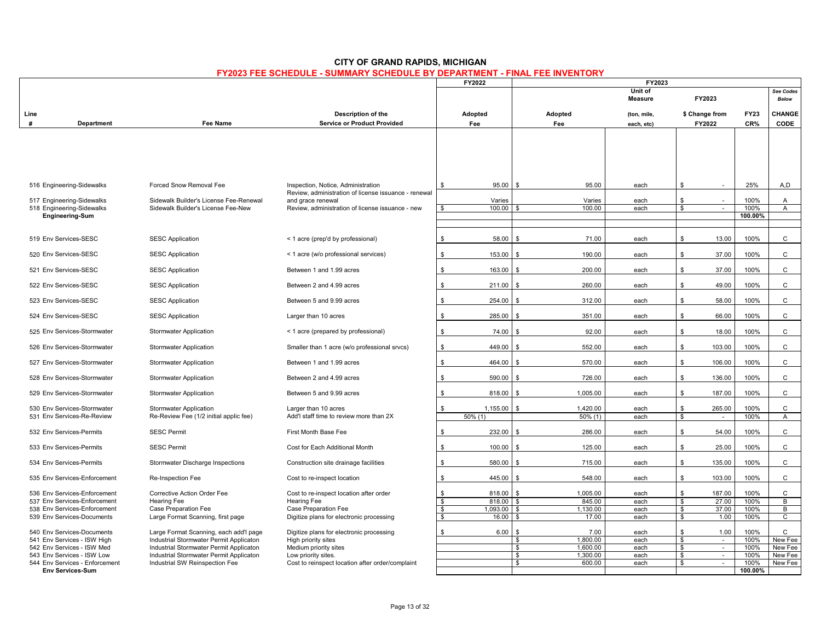# **Unit of** See Codes<br> **Measure** FY2023 Relow **Measure FY2023** *Below* **FY2023 FEE SCHEDULE - SUMMARY SCHEDULE BY DEPARTMENT - FINAL FEE INVENTORY FY2022 FY2023**

| <b>CITY OF GRAND RAPIDS, MICHIGAN</b>                                             |
|-----------------------------------------------------------------------------------|
| <b>FY2023 FEE SCHEDULE - SUMMARY SCHEDULE BY DEPARTMENT - FINAL FEE INVENTORY</b> |

|      |                                                              |                                                                                    |                                                                           |                                                         |                                            |              |                                                   |              | Delow                     |
|------|--------------------------------------------------------------|------------------------------------------------------------------------------------|---------------------------------------------------------------------------|---------------------------------------------------------|--------------------------------------------|--------------|---------------------------------------------------|--------------|---------------------------|
| Line |                                                              |                                                                                    | Description of the                                                        | Adopted                                                 | Adopted                                    | (ton, mile,  | \$ Change from                                    | <b>FY23</b>  | <b>CHANGE</b>             |
|      | Department                                                   | Fee Name                                                                           | <b>Service or Product Provided</b>                                        | Fee                                                     | Fee                                        | each, etc)   | FY2022                                            | CR%          | CODE                      |
|      |                                                              |                                                                                    |                                                                           |                                                         |                                            |              |                                                   |              |                           |
|      | 516 Engineering-Sidewalks                                    | Forced Snow Removal Fee                                                            | Inspection, Notice, Administration                                        | 95.00<br>\$                                             | 95.00                                      | each         | \$                                                | 25%          | A,D                       |
|      | 517 Engineering-Sidewalks                                    | Sidewalk Builder's License Fee-Renewal                                             | Review, administration of license issuance - renewal<br>and grace renewal | Varies                                                  | Varies                                     | each         | \$                                                | 100%         | $\mathsf{A}$              |
|      | 518 Engineering-Sidewalks                                    | Sidewalk Builder's License Fee-New                                                 | Review, administration of license issuance - new                          | 100.00<br>- \$                                          | 100.00                                     | each         | $\overline{\mathbf{s}}$                           | 100%         | $\overline{A}$            |
|      | <b>Engineering-Sum</b>                                       |                                                                                    |                                                                           |                                                         |                                            |              |                                                   | 100.00%      |                           |
|      |                                                              |                                                                                    |                                                                           |                                                         |                                            |              |                                                   |              |                           |
|      | 519 Env Services-SESC                                        | <b>SESC Application</b>                                                            | < 1 acre (prep'd by professional)                                         | 58.00<br>\$                                             | 71.00<br>\$                                | each         | \$<br>13.00                                       | 100%         | $\mathsf{C}$              |
|      | 520 Env Services-SESC                                        | <b>SESC Application</b>                                                            | < 1 acre (w/o professional services)                                      | 153.00<br>\$                                            | 190.00<br>\$                               | each         | \$<br>37.00                                       | 100%         | $\mathsf{C}$              |
|      | 521 Env Services-SESC                                        | <b>SESC Application</b>                                                            | Between 1 and 1.99 acres                                                  | \$<br>163.00                                            | 200.00<br>\$                               | each         | \$<br>37.00                                       | 100%         | $\mathsf{C}$              |
|      | 522 Env Services-SESC                                        | <b>SESC Application</b>                                                            | Between 2 and 4.99 acres                                                  | 211.00<br>\$                                            | 260.00<br>\$                               | each         | \$<br>49.00                                       | 100%         | $\mathsf{C}$              |
|      | 523 Env Services-SESC                                        | <b>SESC Application</b>                                                            | Between 5 and 9.99 acres                                                  | \$<br>254.00                                            | 312.00                                     | each         | \$<br>58.00                                       | 100%         | $\mathsf{C}$              |
|      | 524 Env Services-SESC                                        | <b>SESC Application</b>                                                            | Larger than 10 acres                                                      | 285.00<br>\$                                            | 351.00<br>\$.                              | each         | \$<br>66.00                                       | 100%         | $\mathsf{C}$              |
|      | 525 Env Services-Stormwater                                  | <b>Stormwater Application</b>                                                      | < 1 acre (prepared by professional)                                       | 74.00<br>\$                                             | 92.00<br>$\hat{\mathcal{F}}$               | each         | \$<br>18.00                                       | 100%         | $\mathsf{C}$              |
|      | 526 Env Services-Stormwater                                  | <b>Stormwater Application</b>                                                      | Smaller than 1 acre (w/o professional srvcs)                              | \$<br>449.00                                            | 552.00<br>\$                               | each         | $\mathbb{S}$<br>103.00                            | 100%         | $\mathsf{C}$              |
|      | 527 Env Services-Stormwater                                  | <b>Stormwater Application</b>                                                      | Between 1 and 1.99 acres                                                  | \$<br>464.00                                            | 570.00<br>\$                               | each         | \$<br>106.00                                      | 100%         | $\mathsf{C}$              |
|      | 528 Env Services-Stormwater                                  | <b>Stormwater Application</b>                                                      | Between 2 and 4.99 acres                                                  | \$<br>590.00                                            | ፍ<br>726.00                                | each         | \$<br>136.00                                      | 100%         | $\mathbf{C}$              |
|      | 529 Env Services-Stormwater                                  | <b>Stormwater Application</b>                                                      | Between 5 and 9.99 acres                                                  | 818.00<br>\$                                            | 1,005.00<br>\$                             | each         | \$<br>187.00                                      | 100%         | $\mathsf{C}$              |
|      | 530 Env Services-Stormwater<br>531 Env Services-Re-Review    | <b>Stormwater Application</b><br>Re-Review Fee (1/2 initial applic fee)            | Larger than 10 acres<br>Add'l staff time to review more than 2X           | \$<br>1,155.00<br>$50\%$ (1)                            | \$<br>1,420.00<br>$50\%$ (1)               | each<br>each | \$.<br>265.00<br>\$<br>$\sim$                     | 100%<br>100% | C<br>$\mathsf{A}$         |
|      |                                                              |                                                                                    |                                                                           |                                                         |                                            |              |                                                   |              |                           |
|      | 532 Env Services-Permits                                     | <b>SESC Permit</b>                                                                 | First Month Base Fee                                                      | 232.00<br>\$                                            | 286.00<br>\$                               | each         | \$<br>54.00                                       | 100%         | $\mathsf{C}$              |
|      | 533 Env Services-Permits                                     | <b>SESC Permit</b>                                                                 | Cost for Each Additional Month                                            | 100.00<br>$\mathbf{s}$                                  | 125.00<br>$\mathbf{R}$                     | each         | \$<br>25.00                                       | 100%         | $\mathsf{C}$              |
|      | 534 Env Services-Permits                                     | Stormwater Discharge Inspections                                                   | Construction site drainage facilities                                     | \$<br>580.00                                            | \$<br>715.00                               | each         | \$<br>135.00                                      | 100%         | $\mathsf{C}$              |
|      | 535 Env Services-Enforcement                                 | Re-Inspection Fee                                                                  | Cost to re-inspect location                                               | \$<br>445.00                                            | 548.00<br>\$                               | each         | 103.00<br>\$                                      | 100%         | $\mathsf{C}$              |
|      | 536 Env Services-Enforcement                                 | Corrective Action Order Fee                                                        | Cost to re-inspect location after order                                   | 818.00<br>\$                                            | 1,005.00<br>$\mathbf{\hat{z}}$             | each         | \$<br>187.00                                      | 100%         | C                         |
|      | 537 Env Services-Enforcement<br>538 Env Services-Enforcement | <b>Hearing Fee</b><br>Case Preparation Fee                                         | <b>Hearing Fee</b><br>Case Preparation Fee                                | $\sqrt{3}$<br>818.00<br>$\boldsymbol{\phi}$<br>1,093.00 | 845.00<br>\$<br>1,130.00<br>\$.            | each<br>each | $\overline{\mathbb{S}}$<br>27.00<br>37.00<br>\$   | 100%<br>100% | $\overline{B}$<br>B       |
|      | 539 Env Services-Documents                                   | Large Format Scanning, first page                                                  | Digitize plans for electronic processing                                  | \$<br>16.00                                             | 17.00                                      | each         | \$<br>1.00                                        | 100%         | $\mathsf{C}$              |
|      | 540 Env Services-Documents                                   | Large Format Scanning, each add'l page                                             | Digitize plans for electronic processing                                  | 6.00<br>\$                                              | 7.00<br>\$                                 | each         | \$<br>1.00                                        | 100%         | C                         |
|      | 541 Env Services - ISW High<br>542 Env Services - ISW Med    | Industrial Stormwater Permit Applicaton<br>Industrial Stormwater Permit Applicaton | High priority sites<br>Medium priority sites                              |                                                         | $\mathbf{s}$<br>1.800.00<br>1,600.00<br>\$ | each<br>each | $\overline{\mathbf{s}}$<br>$\sim$<br>\$<br>$\sim$ | 100%<br>100% | New Fee<br><b>New Fee</b> |
|      | 543 Env Services - ISW Low                                   | Industrial Stormwater Permit Applicaton                                            | Low priority sites.                                                       |                                                         | \$<br>1,300.00                             | each         | \$<br>$\sim$                                      | 100%         | <b>New Fee</b>            |
|      | 544 Env Services - Enforcement                               | Industrial SW Reinspection Fee                                                     | Cost to reinspect location after order/complaint                          |                                                         | \$<br>600.00                               | each         | \$<br>$\sim$                                      | 100%         | New Fee                   |
|      | <b>Env Services-Sum</b>                                      |                                                                                    |                                                                           |                                                         |                                            |              |                                                   | 100.00%      |                           |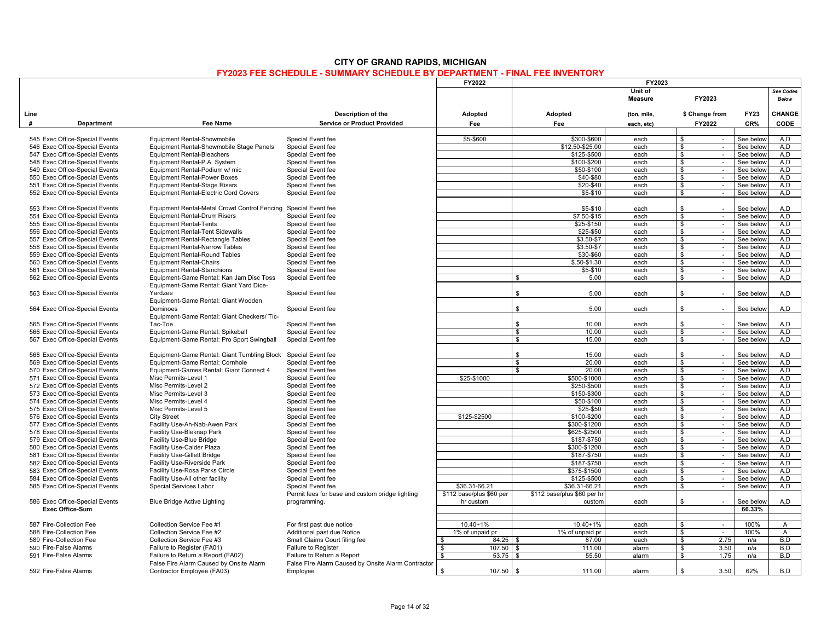|                         |                                                                  |                                                                                     |                                                    | <b>FY2022</b>            |                              | FY2023                    |                                   |                        |                           |
|-------------------------|------------------------------------------------------------------|-------------------------------------------------------------------------------------|----------------------------------------------------|--------------------------|------------------------------|---------------------------|-----------------------------------|------------------------|---------------------------|
|                         |                                                                  |                                                                                     |                                                    |                          |                              | Unit of<br><b>Measure</b> | FY2023                            |                        | See Codes<br><b>Below</b> |
| Line                    |                                                                  |                                                                                     | Description of the                                 | Adopted                  | Adopted                      | (ton, mile,               | \$ Change from                    | <b>FY23</b>            | CHANGE                    |
| #                       | Department                                                       | Fee Name                                                                            | <b>Service or Product Provided</b>                 | Fee                      | Fee                          | each, etc)                | FY2022                            | CR%                    | CODE                      |
|                         |                                                                  |                                                                                     |                                                    |                          |                              |                           |                                   |                        |                           |
|                         | 545 Exec Office-Special Events                                   | Equipment Rental-Showmobile                                                         | Special Event fee                                  | \$5-\$600                | \$300-\$600                  | each                      | \$<br>$\sim$                      | See below              | A.D                       |
|                         | 546 Exec Office-Special Events                                   | Equipment Rental-Showmobile Stage Panels                                            | Special Event fee                                  |                          | \$12.50-\$25.00              | each                      | \$<br>$\sim$                      | See below              | A,D                       |
|                         | 547 Exec Office-Special Events<br>548 Exec Office-Special Events | Equipment Rental-Bleachers<br>Equipment Rental-P.A. System                          | Special Event fee<br>Special Event fee             |                          | \$125-\$500<br>\$100-\$200   | each<br>each              | \$<br>$\sim$<br>\$<br>$\sim$      | See below<br>See below | A.D<br>A.D                |
|                         | 549 Exec Office-Special Events                                   | Equipment Rental-Podium w/ mic                                                      | Special Event fee                                  |                          | \$50-\$100                   | each                      | \$<br>$\sim$                      | See below              | A,D                       |
|                         | 550 Exec Office-Special Events                                   | <b>Equipment Rental-Power Boxes</b>                                                 | Special Event fee                                  |                          | \$40-\$80                    | each                      | $\bullet$<br>$\sim$               | See below              | A.D                       |
|                         | 551 Exec Office-Special Events                                   | <b>Equipment Rental-Stage Risers</b>                                                | Special Event fee                                  |                          | \$20-\$40                    | each                      | \$<br>$\sim$                      | See below              | A.D                       |
|                         | 552 Exec Office-Special Events                                   | Equipment Rental-Electric Cord Covers                                               | Special Event fee                                  |                          | \$5-\$10                     | each                      | \$<br>$\sim$                      | See below              | A,D                       |
|                         |                                                                  |                                                                                     |                                                    |                          |                              |                           |                                   |                        |                           |
|                         | 553 Exec Office-Special Events                                   | Equipment Rental-Metal Crowd Control Fencing                                        | Special Event fee                                  |                          | \$5-\$10                     | each                      | \$<br>÷.                          | See below              | A.D                       |
|                         | 554 Exec Office-Special Events                                   | <b>Equipment Rental-Drum Risers</b>                                                 | Special Event fee                                  |                          | \$7.50-\$15                  | each                      | \$<br>$\sim$                      | See below              | A,D                       |
|                         | 555 Exec Office-Special Events                                   | <b>Equipment Rental-Tents</b>                                                       | Special Event fee                                  |                          | \$25-\$150                   | each                      | \$<br>$\sim$                      | See below              | A.D                       |
|                         | 556 Exec Office-Special Events                                   | <b>Equipment Rental-Tent Sidewalls</b>                                              | Special Event fee                                  |                          | \$25-\$50                    | each                      | \$<br>$\sim$                      | See below              | A.D                       |
|                         | 557 Exec Office-Special Events                                   | Equipment Rental-Rectangle Tables                                                   | Special Event fee                                  |                          | \$3.50-\$7                   | each                      | \$<br>$\sim$                      | See below              | A.D                       |
|                         | 558 Exec Office-Special Events                                   | Equipment Rental-Narrow Tables                                                      | Special Event fee                                  |                          | $$3.50 - $7$                 | each                      | $\mathbf{s}$<br>$\sim$            | See below              | A, D                      |
|                         | 559 Exec Office-Special Events                                   | <b>Equipment Rental-Round Tables</b>                                                | Special Event fee                                  |                          | \$30-\$60                    | each                      | $\mathfrak s$<br>$\sim$           | See below              | A.D                       |
|                         | 560 Exec Office-Special Events                                   | <b>Equipment Rental-Chairs</b>                                                      | Special Event fee                                  |                          | $$.50 - $1.30$               | each                      | \$<br>$\sim$                      | See below              | A.D                       |
|                         | 561 Exec Office-Special Events                                   | <b>Equipment Rental-Stanchions</b>                                                  | Special Event fee                                  |                          | \$5-\$10                     | each                      | \$<br>$\mathcal{L}$               | See below              | A,D                       |
|                         | 562 Exec Office-Special Events                                   | Equipment-Game Rental: Kan Jam Disc Toss<br>Equipment-Game Rental: Giant Yard Dice- | Special Event fee                                  |                          | 5.00<br>\$                   | each                      | \$<br>$\sim$                      | See below              | A.D                       |
|                         | 563 Exec Office-Special Events                                   | Yardzee<br>Equipment-Game Rental: Giant Wooden                                      | Special Event fee                                  |                          | \$<br>5.00                   | each                      | \$<br>×.                          | See belov              | A,D                       |
|                         | 564 Exec Office-Special Events                                   | Dominoes                                                                            | Special Event fee                                  |                          | \$<br>5.00                   | each                      | \$                                | See below              | A.D                       |
|                         | 565 Exec Office-Special Events                                   | Equipment-Game Rental: Giant Checkers/ Tic-<br>Tac-Toe                              | Special Event fee                                  |                          | \$<br>10.00                  | each                      | \$                                | See below              | A.D                       |
|                         | 566 Exec Office-Special Events                                   | Equipment-Game Rental: Spikeball                                                    | Special Event fee                                  |                          | 10.00<br>\$                  |                           | \$<br>$\sim$                      | See below              | A.D                       |
|                         | 567 Exec Office-Special Events                                   | Equipment-Game Rental: Pro Sport Swingball                                          | Special Event fee                                  |                          | 15.00<br>\$                  | each<br>each              | $\sim$                            | See below              | A.D                       |
|                         |                                                                  |                                                                                     |                                                    |                          |                              |                           | \$                                |                        |                           |
|                         | 568 Exec Office-Special Events                                   | Equipment-Game Rental: Giant Tumbling Block                                         | Special Event fee                                  |                          | $\mathbb{S}$<br>15.00        | each                      | \$<br>$\sim$                      | See below              | A.D                       |
|                         | 569 Exec Office-Special Events                                   | Equipment-Game Rental: Cornhole                                                     | Special Event fee                                  |                          | 20.00<br>\$                  | each                      | \$<br>$\sim$                      | See below              | A.D                       |
|                         | 570 Exec Office-Special Events                                   | Equipment-Games Rental: Giant Connect 4                                             | Special Event fee                                  |                          | 20.00<br>\$                  | each                      | \$<br>$\sim$                      | See below              | A.D                       |
|                         | 571 Exec Office-Special Events                                   | Misc Permits-Level 1                                                                | Special Event fee                                  | \$25-\$1000              | \$500-\$1000                 | each                      | \$<br>$\sim$                      | See below              | A.D                       |
|                         | 572 Exec Office-Special Events                                   | Misc Permits-Level 2                                                                | Special Event fee                                  |                          | \$250-\$500                  | each                      | \$<br>$\sim$                      | See below              | A.D                       |
|                         | 573 Exec Office-Special Events                                   | Misc Permits-Level 3                                                                | Special Event fee                                  |                          | \$150-\$300                  | each                      | $\mathfrak s$<br>$\sim$           | See below              | A, D                      |
|                         | 574 Exec Office-Special Events                                   | Misc Permits-Level 4                                                                | Special Event fee                                  |                          | \$50-\$100                   | each                      | \$<br>$\mathcal{L}_{\mathcal{A}}$ | See below              | A.D                       |
|                         | 575 Exec Office-Special Events                                   | Misc Permits-Level 5                                                                | Special Event fee                                  |                          | \$25-\$50                    | each                      | \$<br>$\sim$                      | See below              | A.D                       |
|                         | 576 Exec Office-Special Events                                   | <b>City Street</b>                                                                  | Special Event fee                                  | \$125-\$2500             | \$100-\$200                  | each                      | \$<br>$\sim$                      | See below              | A,D<br>A.D                |
|                         | 577 Exec Office-Special Events<br>578 Exec Office-Special Events | Facility Use-Ah-Nab-Awen Park<br>Facility Use-Bleknap Park                          | Special Event fee<br>Special Event fee             |                          | \$300-\$1200<br>\$625-\$2500 | each                      | \$<br>$\mathcal{L}_{\mathcal{A}}$ | See below<br>See below | A.D                       |
|                         | 579 Exec Office-Special Events                                   | Facility Use-Blue Bridge                                                            | Special Event fee                                  |                          | \$187-\$750                  | each<br>each              | \$<br>$\sim$<br>\$<br>$\sim$      | See below              | A,D                       |
|                         | 580 Exec Office-Special Events                                   | Facility Use-Calder Plaza                                                           | Special Event fee                                  |                          | \$300-\$1200                 | each                      | \$<br>$\sim$                      | See below              | A.D                       |
|                         | 581 Exec Office-Special Events                                   | <b>Facility Use-Gillett Bridge</b>                                                  | Special Event fee                                  |                          | \$187-\$750                  | each                      | \$<br>$\sim$                      | See below              | A.D                       |
|                         | 582 Exec Office-Special Events                                   | Facility Use-Riverside Park                                                         | Special Event fee                                  |                          | \$187-\$750                  | each                      | \$<br>$\sim$                      | See below              | A,D                       |
|                         | 583 Exec Office-Special Events                                   | Facility Use-Rosa Parks Circle                                                      | Special Event fee                                  |                          | \$375-\$1500                 | each                      | \$<br>$\sim$                      | See below              | A.D                       |
|                         | 584 Exec Office-Special Events                                   | Facility Use-All other facility                                                     | Special Event fee                                  |                          | \$125-\$500                  | each                      | \$<br>$\sim$                      | See below              | A.D                       |
|                         | 585 Exec Office-Special Events                                   | Special Services Labor                                                              | Special Event fee                                  | \$36.31-66.21            | \$36.31-66.21                | each                      | \$<br>$\sim$                      | See below              | A.D                       |
|                         |                                                                  |                                                                                     | Permit fees for base and custom bridge lighting    | \$112 base/plus \$60 per | \$112 base/plus \$60 per hr  |                           |                                   |                        |                           |
|                         | 586 Exec Office-Special Events                                   | <b>Blue Bridge Active Lighting</b>                                                  | programming.                                       | hr custom                | custom                       | each                      | \$<br>$\sim$                      | See below              | A.D                       |
|                         | Exec Office-Sum                                                  |                                                                                     |                                                    |                          |                              |                           |                                   | 66.33%                 |                           |
| 587 Fire-Collection Fee |                                                                  | Collection Service Fee #1                                                           | For first past due notice                          | $10.40 + 1%$             | 10.40+1%                     | each                      | \$<br>$\sim$                      | 100%                   | A                         |
| 588 Fire-Collection Fee |                                                                  | Collection Service Fee #2                                                           | Additional past due Notice                         | 1% of unpaid pr          | 1% of unpaid pr              | each                      | \$<br>$\sim$                      | 100%                   | $\overline{A}$            |
| 589 Fire-Collection Fee |                                                                  | Collection Service Fee #3                                                           | Small Claims Court filing fee                      | 84.25<br>\$              | 87.00<br>-\$                 | each                      | \$<br>2.75                        | n/a                    | B,D                       |
| 590 Fire-False Alarms   |                                                                  | Failure to Register (FA01)                                                          | Failure to Register                                | \$<br>107.50             | 111.00<br><b>S</b>           | alarm                     | 3.50<br>\$                        | n/a                    | B.D                       |
| 591 Fire-False Alarms   |                                                                  | Failure to Return a Report (FA02)                                                   | Failure to Return a Report                         | \$<br>53.75              | 55.50<br>. \$                | alarm                     | \$<br>1.75                        | n/a                    | B.D                       |
|                         |                                                                  | False Fire Alarm Caused by Onsite Alarm                                             | False Fire Alarm Caused by Onsite Alarm Contractor |                          |                              |                           |                                   |                        |                           |
| 592 Fire-False Alarms   |                                                                  | Contractor Employee (FA03)                                                          | Employee                                           | \$<br>107.50             | 111.00<br>$\mathbf{s}$       | alarm                     | \$<br>3.50                        | 62%                    | B,D                       |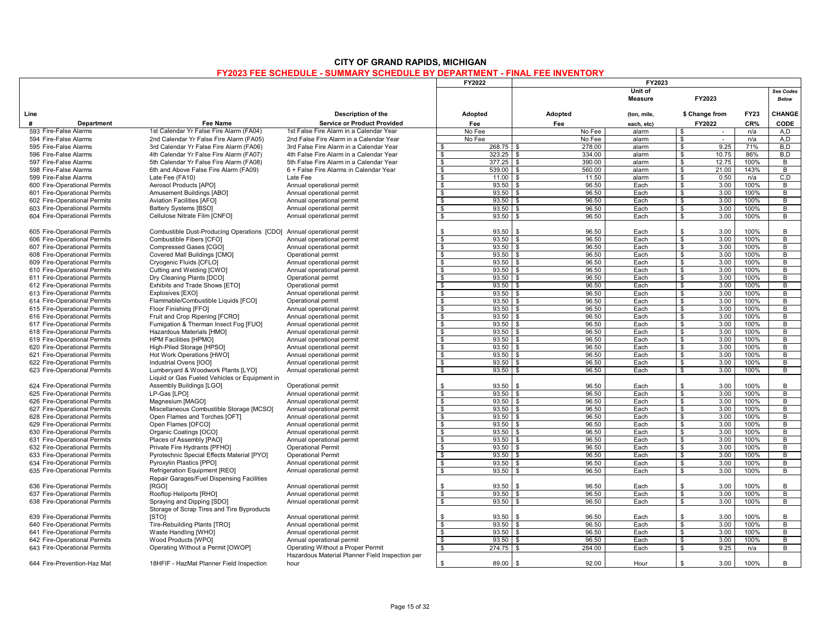# **CITY OF GRAND RAPIDS, MICHIGAN**

## **FY2023 FEE SCHEDULE - SUMMARY SCHEDULE BY DEPARTMENT - FINAL FEE INVENTORY**

|                                                              | FY2022                                                                     |                                                    |                         | <b>FY2023</b>       |                             |                |                         |                |              |                |
|--------------------------------------------------------------|----------------------------------------------------------------------------|----------------------------------------------------|-------------------------|---------------------|-----------------------------|----------------|-------------------------|----------------|--------------|----------------|
|                                                              |                                                                            |                                                    |                         |                     |                             | Unit of        |                         |                |              | See Codes      |
|                                                              |                                                                            |                                                    |                         |                     |                             | <b>Measure</b> |                         | FY2023         |              | <b>Below</b>   |
|                                                              |                                                                            |                                                    |                         |                     |                             |                |                         |                |              |                |
| Line                                                         |                                                                            | Description of the                                 | Adopted                 |                     | Adopted                     | (ton, mile,    |                         | \$ Change from | <b>FY23</b>  | CHANGE         |
| #<br>Department                                              | <b>Fee Name</b>                                                            | <b>Service or Product Provided</b>                 | Fee                     |                     | Fee                         | each, etc)     |                         | FY2022         | CR%          | <b>CODE</b>    |
| 593 Fire-False Alarms                                        | 1st Calendar Yr False Fire Alarm (FA04)                                    | 1st False Fire Alarm in a Calendar Year            | No Fee                  |                     | No Fee                      | alarm          | \$                      | $\sim$         | n/a          | A,D            |
| 594 Fire-False Alarms                                        | 2nd Calendar Yr False Fire Alarm (FA05)                                    | 2nd False Fire Alarm in a Calendar Year            | No Fee                  |                     | No Fee                      | alarm          | \$                      |                | n/a          | A.D            |
| 595 Fire-False Alarms                                        | 3rd Calendar Yr False Fire Alarm (FA06)                                    | 3rd False Fire Alarm in a Calendar Year            | - \$                    | 268.75              | <b>S</b><br>278.00          | alarm          | \$                      | 9.25           | 71%          | B.D            |
| 596 Fire-False Alarms                                        | 4th Calendar Yr False Fire Alarm (FA07)                                    | 4th False Fire Alarm in a Calendar Year            | \$                      | 323.25              | 334.00<br><b>S</b>          | alarm          | \$                      | 10.75          | 86%          | B,D            |
| 597 Fire-False Alarms                                        | 5th Calendar Yr False Fire Alarm (FA08)                                    | 5th False Fire Alarm in a Calendar Year            | $\mathbf{s}$            | $377.25$ \ \$       | 390.00                      | alarm          | s,                      | 12.75          | 100%         | В              |
| 598 Fire-False Alarms<br>599 Fire-False Alarms               | 6th and Above False Fire Alarm (FA09)                                      | 6 + False Fire Alarms in Calendar Year<br>Late Fee | \$                      | 539.00              | 560.00<br>\$                | alarm          | \$                      | 21.00          | 143%         | B              |
|                                                              | Late Fee (FA10)                                                            |                                                    | \$                      | $11.00$ \$          | 11.50                       | alarm          | \$                      | 0.50           | n/a          | C, D           |
| 600 Fire-Operational Permits<br>601 Fire-Operational Permits | Aerosol Products [APO]<br>Amusement Buildings [ABO]                        | Annual operational permit                          | S.<br>$\mathbf{s}$      | $93.50$ \$<br>93.50 | 96.50<br>96.50<br>-S        | Each<br>Each   | \$<br>\$                | 3.00<br>3.00   | 100%<br>100% | B<br>В         |
| 602 Fire-Operational Permits                                 | Aviation Facilities [AFO]                                                  | Annual operational permit                          | s,                      | $93.50$ \$          | 96.50                       | Each           | \$                      | 3.00           | 100%         | B              |
| 603 Fire-Operational Permits                                 | Battery Systems [BSO]                                                      | Annual operational permit                          | $\overline{\mathbf{s}}$ | $93.50$ \$          | 96.50                       | Each           | s,                      | 3.00           | 100%         | В              |
|                                                              |                                                                            | Annual operational permit                          | \$                      | 93.50               | 96.50                       | Each           | \$                      | 3.00           | 100%         | B              |
| 604 Fire-Operational Permits                                 | Cellulose Nitrate Film [CNFO]                                              | Annual operational permit                          |                         |                     | - \$                        |                |                         |                |              |                |
| 605 Fire-Operational Permits                                 | Combustible Dust-Producing Operations [CDO]                                | Annual operational permit                          | \$                      | 93.50               | 96.50<br>$\mathbf{\hat{z}}$ | Each           | - \$                    | 3.00           | 100%         | B              |
| 606 Fire-Operational Permits                                 | Combustible Fibers [CFO]                                                   | Annual operational permit                          | S.                      | $93.50$ \ \$        | 96.50                       | Each           | \$                      | 3.00           | 100%         | B              |
| 607 Fire-Operational Permits                                 | Compressed Gases [CGO]                                                     | Annual operational permit                          | s,                      | $93.50$ \$          | 96.50                       | Each           | s,                      | 3.00           | 100%         | В              |
| 608 Fire-Operational Permits                                 | Covered Mall Buildings [CMO]                                               | Operational permit                                 | $\overline{\mathbf{s}}$ | $93.50$ \ \$        | 96.50                       | Each           | s,                      | 3.00           | 100%         | B              |
| 609 Fire-Operational Permits                                 | Cryogenic Fluids [CFLO]                                                    | Annual operational permit                          | - \$                    | $93.50$ \$          | 96.50                       | Each           | - \$                    | 3.00           | 100%         | B              |
| 610 Fire-Operational Permits                                 | Cutting and Welding [CWO]                                                  | Annual operational permit                          | \$                      | $93.50$ \$          | 96.50                       | Each           | - \$                    | 3.00           | 100%         | B              |
| 611 Fire-Operational Permits                                 | Dry Cleaning Plants [DCO]                                                  | Operational permit                                 | \$                      | 93.50               | \$<br>96.50                 | Each           | \$                      | 3.00           | 100%         | В              |
| 612 Fire-Operational Permits                                 | Exhibits and Trade Shows [ETO]                                             | Operational permit                                 | \$                      | $93.50$ \$          | 96.50                       | Each           | S.                      | 3.00           | 100%         | B              |
| 613 Fire-Operational Permits                                 | Explosives [EXO]                                                           | Annual operational permit                          | $\mathbf{s}$            | $93.50$ \$          | 96.50                       | Each           | -S                      | 3.00           | 100%         | B              |
| 614 Fire-Operational Permits                                 | Flammable/Combustible Liquids [FCO]                                        | Operational permit                                 | \$                      | 93.50               | 96.50<br>l \$               | Each           | \$                      | 3.00           | 100%         | В              |
| 615 Fire-Operational Permits                                 | Floor Finishing [FFO]                                                      | Annual operational permit                          | \$                      | $93.50$ \$          | 96.50                       | Each           | S.                      | 3.00           | 100%         | B              |
| 616 Fire-Operational Permits                                 | Fruit and Crop Ripening [FCRO]                                             | Annual operational permit                          | \$                      | $93.50$ \$          | 96.50                       | Each           | \$                      | 3.00           | 100%         | В              |
| 617 Fire-Operational Permits                                 | Fumigation & Therman Insect Fog [FUO]                                      | Annual operational permit                          | \$                      | 93.50               | 96.50<br>- \$               | Each           | \$                      | 3.00           | 100%         | В              |
| 618 Fire-Operational Permits                                 | Hazardous Materials [HMO]                                                  | Annual operational permit                          | \$                      | $93.50$ \$          | 96.50                       | Each           | \$                      | 3.00           | 100%         | В              |
| 619 Fire-Operational Permits                                 | <b>HPM Facilities [HPMO]</b>                                               | Annual operational permit                          | $\overline{\mathbf{s}}$ | $93.50$ \$          | 96.50                       | Each           | s,                      | 3.00           | 100%         | В              |
| 620 Fire-Operational Permits                                 | High-Piled Storage [HPSO]                                                  | Annual operational permit                          | $\mathbf{s}$            | 93.50               | 96.50<br>- \$               | Each           | \$                      | 3.00           | 100%         | В              |
| 621 Fire-Operational Permits                                 | Hot Work Operations [HWO]                                                  | Annual operational permit                          | \$                      | $93.50$ \$          | 96.50                       | Each           | \$                      | 3.00           | 100%         | В              |
| 622 Fire-Operational Permits                                 | Industrial Ovens [IOO]                                                     | Annual operational permit                          | \$                      | $93.50$ \$          | 96.50                       | Each           | \$                      | 3.00           | 100%         | В              |
| 623 Fire-Operational Permits                                 | Lumberyard & Woodwork Plants [LYO]                                         | Annual operational permit                          | $\overline{\mathbf{s}}$ | 93.50               | 96.50<br>\$                 | Each           | \$                      | 3.00           | 100%         | B              |
|                                                              | Liquid or Gas Fueled Vehicles or Equipment in                              |                                                    |                         |                     |                             |                |                         |                |              |                |
| 624 Fire-Operational Permits                                 | Assembly Buildings [LGO]                                                   | Operational permit                                 | \$                      | 93.50               | $\mathbf{s}$<br>96.50       | Each           | \$                      | 3.00           | 100%         | B              |
| 625 Fire-Operational Permits                                 | LP-Gas [LPO]                                                               | Annual operational permit                          | $\mathbf{s}$            | 93.50               | 96.50<br>-S                 | Each           | -S                      | 3.00           | 100%         | В              |
| 626 Fire-Operational Permits                                 | Magnesium [MAGO]                                                           | Annual operational permit                          | $\mathbf{s}$            | $93.50$ \$          | 96.50                       | Each           | s                       | 3.00           | 100%         | В              |
| 627 Fire-Operational Permits                                 | Miscellaneous Combustible Storage [MCSO]                                   | Annual operational permit                          | \$                      | $93.50$ \$          | 96.50                       | Each           | \$                      | 3.00           | 100%         | В              |
| 628 Fire-Operational Permits                                 | Open Flames and Torches [OFT]                                              | Annual operational permit                          | S.                      | $93.50$ \ \$        | 96.50                       | Each           | S.                      | 3.00           | 100%         | B              |
| 629 Fire-Operational Permits                                 | Open Flames [OFCO]                                                         | Annual operational permit                          | $\overline{s}$          | $93.50$ \$          | 96.50                       | Each           | s                       | 3.00           | 100%         | $\overline{B}$ |
| 630 Fire-Operational Permits                                 | Organic Coatings [OCO]                                                     | Annual operational permit                          | s,                      | 93.50               | 96.50<br>$\mathbf{\hat{z}}$ | Each           | \$                      | 3.00           | 100%         | В              |
| 631 Fire-Operational Permits                                 | Places of Assembly [PAO]                                                   | Annual operational permit                          | \$                      | $93.50$ \$          | 96.50                       | Each           | \$                      | 3.00           | 100%         | В              |
| 632 Fire-Operational Permits                                 | Private Fire Hydrants [PFHO]                                               | <b>Operational Permit</b>                          | $\overline{\mathbf{s}}$ | $93.50$ \$          | 96.50                       | Each           | s,                      | 3.00           | 100%         | В              |
| 633 Fire-Operational Permits                                 | Pyrotechnic Special Effects Material [PYO]                                 | <b>Operational Permit</b>                          | $\mathbf{s}$            | 93.50               | 96.50<br>l \$               | Each           | s,                      | 3.00           | 100%         | В              |
| 634 Fire-Operational Permits                                 | Pyroxylin Plastics [PPO]                                                   | Annual operational permit                          | \$                      | $93.50$ \$          | 96.50                       | Each           | \$                      | 3.00           | 100%         | B              |
| 635 Fire-Operational Permits                                 | Refrigeration Equipment [REO]<br>Repair Garages/Fuel Dispensing Facilities | Annual operational permit                          | $\overline{\mathbf{s}}$ | $93.50$ \ \$        | 96.50                       | Each           | $\overline{\mathbf{s}}$ | 3.00           | 100%         | $\overline{B}$ |
| 636 Fire-Operational Permits                                 | [RGO]                                                                      |                                                    | \$                      | 93.50               | 96.50<br>. ድ                | Each           | -S                      | 3.00           | 100%         | B              |
|                                                              |                                                                            | Annual operational permit                          | \$                      | 93.50               | 96.50<br>\$                 | Each           |                         | 3.00           | 100%         | В              |
| 637 Fire-Operational Permits                                 | Rooftop Heliports [RHO]                                                    | Annual operational permit                          |                         |                     |                             |                | \$                      | 3.00           |              |                |
| 638 Fire-Operational Permits                                 | Spraying and Dipping [SDO]<br>Storage of Scrap Tires and Tire Byproducts   | Annual operational permit                          | S.                      | 93.50               | 96.50<br>-8                 | Each           | S.                      |                | 100%         | B              |
| 639 Fire-Operational Permits                                 | <b>ISTO1</b>                                                               | Annual operational permit                          | \$                      | 93.50               | $\mathbf{\hat{z}}$<br>96.50 | Each           | S.                      | 3.00           | 100%         | B              |
| 640 Fire-Operational Permits                                 | Tire-Rebuilding Plants [TRO]                                               | Annual operational permit                          | S.                      | 93.50               | 96.50<br>\$.                | Each           | \$                      | 3.00           | 100%         | B              |
| 641 Fire-Operational Permits                                 | Waste Handling [WHO]                                                       | Annual operational permit                          | \$                      | $93.50$ \$          | 96.50                       | Each           | \$                      | 3.00           | 100%         | В              |
| 642 Fire-Operational Permits                                 | Wood Products [WPO]                                                        | Annual operational permit                          | \$                      | 93.50               | l \$<br>96.50               | Each           | S.                      | 3.00           | 100%         | В              |
| 643 Fire-Operational Permits                                 | Operating Without a Permit [OWOP]                                          | Operating Without a Proper Permit                  | \$                      | 274.75              | 284.00<br>- \$              | Each           | -S                      | 9.25           | n/a          | В              |
|                                                              |                                                                            | Hazardous Material Planner Field Inspection per    |                         |                     |                             |                |                         |                |              |                |
| 644 Fire-Prevention-Haz Mat                                  | 18HFIF - HazMat Planner Field Inspection                                   | hour                                               | $\mathfrak s$           | 89.00               | $\mathbb{S}$<br>92.00       | Hour           | \$                      | 3.00           | 100%         | В              |
|                                                              |                                                                            |                                                    |                         |                     |                             |                |                         |                |              |                |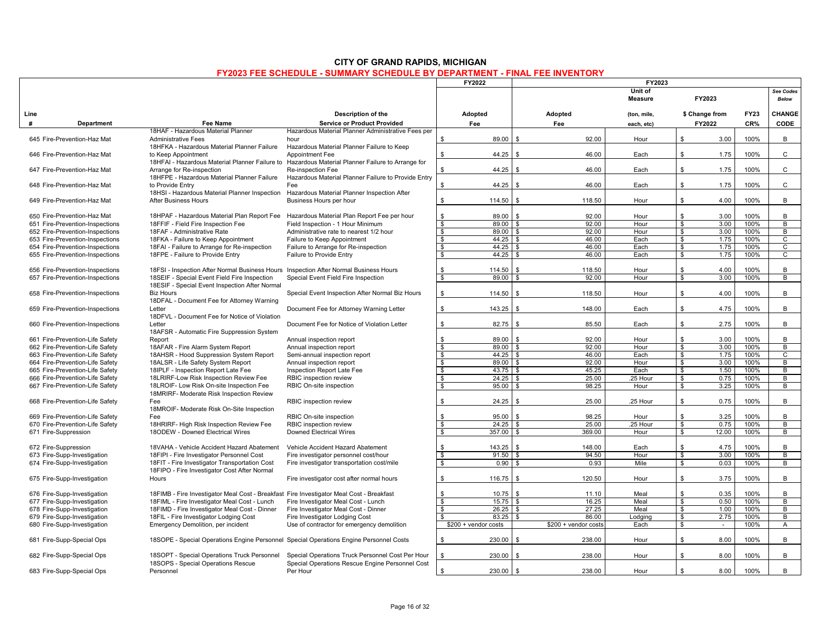|      |                                 |                                                                                          |                                                     | FY2022                           |                    |                       | FY2023                    |                         |                |             |                           |
|------|---------------------------------|------------------------------------------------------------------------------------------|-----------------------------------------------------|----------------------------------|--------------------|-----------------------|---------------------------|-------------------------|----------------|-------------|---------------------------|
|      |                                 |                                                                                          |                                                     |                                  |                    |                       | Unit of<br><b>Measure</b> |                         | FY2023         |             | See Codes<br><b>Below</b> |
| Line |                                 |                                                                                          | Description of the                                  | Adopted                          |                    | Adopted               | (ton, mile,               |                         | \$ Change from | <b>FY23</b> | CHANGE                    |
| #    | Department                      | Fee Name                                                                                 | <b>Service or Product Provided</b>                  | Fee                              |                    | Fee                   | each, etc)                |                         | FY2022         | CR%         | CODE                      |
|      |                                 | 18HAF - Hazardous Material Planner                                                       | Hazardous Material Planner Administrative Fees per  |                                  |                    |                       |                           |                         |                |             |                           |
|      | 645 Fire-Prevention-Haz Mat     | <b>Administrative Fees</b>                                                               | hour                                                |                                  | l \$               |                       |                           | \$                      |                |             |                           |
|      |                                 |                                                                                          |                                                     | \$<br>89.00                      |                    | 92.00                 | Hour                      |                         | 3.00           | 100%        | B                         |
|      |                                 | 18HFKA - Hazardous Material Planner Failure                                              | Hazardous Material Planner Failure to Keep          |                                  |                    |                       |                           |                         |                |             |                           |
|      | 646 Fire-Prevention-Haz Mat     | to Keep Appointment                                                                      | Appointment Fee                                     | \$<br>44.25                      | <b>\$</b>          | 46.00                 | Each                      | \$                      | 1.75           | 100%        | $\mathsf{C}$              |
|      |                                 | 18HFAI - Hazardous Material Planner Failure to                                           | Hazardous Material Planner Failure to Arrange for   |                                  |                    |                       |                           |                         |                |             |                           |
|      | 647 Fire-Prevention-Haz Mat     | Arrange for Re-inspection                                                                | Re-inspection Fee                                   | 44.25<br>\$                      | <b>S</b>           | 46.00                 | Each                      | \$                      | 1.75           | 100%        | $\mathtt{C}$              |
|      |                                 | 18HFPE - Hazardous Material Planner Failure                                              | Hazardous Material Planner Failure to Provide Entry |                                  |                    |                       |                           |                         |                |             |                           |
|      | 648 Fire-Prevention-Haz Mat     | to Provide Entry                                                                         | Fee                                                 | \$<br>44.25                      | $\mathbf{\hat{z}}$ | 46.00                 | Each                      | \$                      | 1.75           | 100%        | C                         |
|      |                                 | 18HSI - Hazardous Material Planner Inspection                                            | Hazardous Material Planner Inspection After         |                                  |                    |                       |                           |                         |                |             |                           |
|      | 649 Fire-Prevention-Haz Mat     | After Business Hours                                                                     | Business Hours per hour                             | $114.50$ \$<br>\$                |                    | 118.50                | Hour                      | \$                      | 4.00           | 100%        | B                         |
|      |                                 |                                                                                          |                                                     |                                  |                    |                       |                           |                         |                |             |                           |
|      | 650 Fire-Prevention-Haz Mat     | 18HPAF - Hazardous Material Plan Report Fee                                              | Hazardous Material Plan Report Fee per hour         | \$<br>89.00                      | $\mathbf{\hat{f}}$ | 92.00                 | Hour                      | \$                      | 3.00           | 100%        | В                         |
|      | 651 Fire-Prevention-Inspections | 18FFIF - Field Fire Inspection Fee                                                       | Field Inspection - 1 Hour Minimum                   | 89.00<br>\$                      |                    | 92.00                 | Hour                      | \$                      | 3.00           | 100%        | $\overline{B}$            |
|      | 652 Fire-Prevention-Inspections | 18FAF - Administrative Rate                                                              | Administrative rate to nearest 1/2 hour             | \$<br>89.00                      | l \$               | 92.00                 | Hour                      | \$                      | 3.00           | 100%        | B                         |
|      | 653 Fire-Prevention-Inspections | 18FKA - Failure to Keep Appointment                                                      | Failure to Keep Appointment                         | $\overline{\mathbf{s}}$          |                    | 46.00                 | Each                      | \$                      | 1.75           | 100%        | $\overline{c}$            |
|      | 654 Fire-Prevention-Inspections | 18FAI - Failure to Arrange for Re-inspection                                             | Failure to Arrange for Re-inspection                | \$<br>44.25                      | £.                 | 46.00                 | Each                      | \$                      | 1.75           | 100%        | $\overline{c}$            |
|      | 655 Fire-Prevention-Inspections | 18FPE - Failure to Provide Entry                                                         | Failure to Provide Entry                            | \$<br>44.25                      | -S                 | 46.00                 | Each                      | S.                      | 1.75           | 100%        | C                         |
|      |                                 |                                                                                          |                                                     |                                  |                    |                       |                           |                         |                |             |                           |
|      | 656 Fire-Prevention-Inspections | 18FSI - Inspection After Normal Business Hours                                           | Inspection After Normal Business Hours              | 114.50<br>s.                     |                    | 118.50                | Hour                      | \$                      | 4.00           | 100%        | B                         |
|      | 657 Fire-Prevention-Inspections | 18SEIF - Special Event Field Fire Inspection                                             | Special Event Field Fire Inspection                 | 89.00<br>\$                      |                    | 92.00                 | Hour                      | \$                      | 3.00           | 100%        | $\overline{B}$            |
|      |                                 | 18ESIF - Special Event Inspection After Normal                                           |                                                     |                                  |                    |                       |                           |                         |                |             |                           |
|      | 658 Fire-Prevention-Inspections | <b>Biz Hours</b>                                                                         | Special Event Inspection After Normal Biz Hours     | \$<br>114.50                     | \$                 | 118.50                | Hour                      | \$                      | 4.00           | 100%        | B                         |
|      |                                 | 18DFAL - Document Fee for Attorney Warning                                               |                                                     |                                  |                    |                       |                           |                         |                |             |                           |
|      | 659 Fire-Prevention-Inspections | Letter                                                                                   | Document Fee for Attorney Warning Letter            | 143.25<br>\$                     | <b>S</b>           | 148.00                | Each                      | \$                      | 4.75           | 100%        | B                         |
|      |                                 | 18DFVL - Document Fee for Notice of Violation                                            |                                                     |                                  |                    |                       |                           |                         |                |             |                           |
|      | 660 Fire-Prevention-Inspections | Letter                                                                                   | Document Fee for Notice of Violation Letter         | \$                               | $82.75$ \$         | 85.50                 |                           | \$                      | 2.75           | 100%        | B                         |
|      |                                 |                                                                                          |                                                     |                                  |                    |                       | Each                      |                         |                |             |                           |
|      |                                 | 18AFSR - Automatic Fire Suppression System                                               |                                                     |                                  |                    |                       |                           |                         |                |             |                           |
|      | 661 Fire-Prevention-Life Safety | Report                                                                                   | Annual inspection report                            | \$<br>89.00                      | <b>S</b>           | 92.00                 | Hour                      | \$                      | 3.00           | 100%        | В                         |
|      | 662 Fire-Prevention-Life Safety | 18AFAR - Fire Alarm System Report                                                        | Annual inspection report                            | $\overline{\mathbf{s}}$          | $89.00$ \ \$       | 92.00                 | Hour                      | s,                      | 3.00           | 100%        | В                         |
|      | 663 Fire-Prevention-Life Safety | 18AHSR - Hood Suppression System Report                                                  | Semi-annual inspection report                       | S.                               |                    | 46.00                 | Each                      | \$                      | 1.75           | 100%        | C                         |
|      | 664 Fire-Prevention-Life Safety | 18ALSR - Life Safety System Report                                                       | Annual inspection report                            | $\overline{\mathbf{s}}$          | $89.00$ \ \$       | 92.00                 | Hour                      | s,                      | 3.00           | 100%        | $\overline{B}$            |
|      | 665 Fire-Prevention-Life Safety | 18IPLF - Inspection Report Late Fee                                                      | Inspection Report Late Fee                          | $\bullet$                        |                    | 45.25                 | Each                      | $\bullet$               | 1.50           | 100%        | $\overline{B}$            |
|      | 666 Fire-Prevention-Life Safety | 18LRIRF-Low Risk Inspection Review Fee                                                   | RBIC inspection review                              | \$                               | $24.25$ \$         | 25.00                 | 25 Hour                   | \$                      | 0.75           | 100%        | B                         |
|      | 667 Fire-Prevention-Life Safety | 18LROIF- Low Risk On-site Inspection Fee                                                 | RBIC On-site inspection                             | $\overline{\mathbf{s}}$<br>95.00 | \$                 | 98.25                 | Hour                      | s,                      | 3.25           | 100%        | В                         |
|      |                                 | 18MRIRF- Moderate Risk Inspection Review                                                 |                                                     |                                  |                    |                       |                           |                         |                |             |                           |
|      | 668 Fire-Prevention-Life Safety | Fee                                                                                      | RBIC inspection review                              | 24.25<br>\$                      | l \$               | 25.00                 | 25 Hour                   | \$                      | 0.75           | 100%        | B                         |
|      |                                 | 18MROIF- Moderate Risk On-Site Inspection                                                |                                                     |                                  |                    |                       |                           |                         |                |             |                           |
|      | 669 Fire-Prevention-Life Safety | Fee                                                                                      | RBIC On-site inspection                             | s.<br>95.00                      | - \$               | 98.25                 | Hour                      | $\mathbf{s}$            | 3.25           | 100%        | B                         |
|      | 670 Fire-Prevention-Life Safety | 18HRIRF- High Risk Inspection Review Fee                                                 | RBIC inspection review                              | \$                               |                    | 25.00                 | 25 Hour                   | \$                      | 0.75           | 100%        | $\overline{B}$            |
|      | 671 Fire-Suppression            | 18ODEW - Downed Electrical Wires                                                         | <b>Downed Electrical Wires</b>                      | \$<br>$357.00$ \$                |                    | 369.00                | Hour                      | \$                      | 12.00          | 100%        | В                         |
|      |                                 |                                                                                          |                                                     |                                  |                    |                       |                           |                         |                |             |                           |
|      | 672 Fire-Suppression            | 18VAHA - Vehicle Accident Hazard Abatement                                               | Vehicle Accident Hazard Abatement                   | 143.25<br>s.                     | l \$               | 148.00                | Each                      | \$                      | 4.75           | 100%        | B                         |
|      | 673 Fire-Supp-Investigation     | 18FIPI - Fire Investigator Personnel Cost                                                | Fire investigator personnel cost/hour               | \$                               | $91.50$ \ \$       | 94.50                 | Hour                      | \$                      | 3.00           | 100%        | В                         |
|      | 674 Fire-Supp-Investigation     | 18FIT - Fire Investigator Transportation Cost                                            | Fire investigator transportation cost/mile          | $\overline{\mathbf{s}}$<br>0.90  | <b>S</b>           | 0.93                  | Mile                      | $\overline{\mathbf{s}}$ | 0.03           | 100%        | $\overline{B}$            |
|      |                                 | 18FIPO - Fire Investigator Cost After Normal                                             |                                                     |                                  |                    |                       |                           |                         |                |             |                           |
|      | 675 Fire-Supp-Investigation     | Hours                                                                                    | Fire investigator cost after normal hours           | 116.75<br>\$                     | <b>S</b>           | 120.50                | Hour                      | \$                      | 3.75           | 100%        | B                         |
|      |                                 |                                                                                          |                                                     |                                  |                    |                       |                           |                         |                |             |                           |
|      | 676 Fire-Supp-Investigation     | 18FIMB - Fire Investigator Meal Cost - Breakfast Fire Investigator Meal Cost - Breakfast |                                                     | s.<br>10.75                      | l \$               | 11.10                 | Meal                      | \$                      | 0.35           | 100%        | B                         |
|      | 677 Fire-Supp-Investigation     | 18FIML - Fire Investigator Meal Cost - Lunch                                             | Fire Investigator Meal Cost - Lunch                 | $\overline{\mathbf{s}}$<br>15.75 | . ድ                | 16.25                 | Meal                      | s,                      | 0.50           | 100%        | $\overline{B}$            |
|      | 678 Fire-Supp-Investigation     | 18FIMD - Fire Investigator Meal Cost - Dinner                                            | Fire Investigator Meal Cost - Dinner                | \$<br>26.25                      | \$                 | 27.25                 | Meal                      | \$                      | 1.00           | 100%        | B                         |
|      |                                 |                                                                                          |                                                     |                                  |                    |                       |                           |                         |                |             |                           |
|      | 679 Fire-Supp-Investigation     | 18FIL - Fire Investigator Lodging Cost                                                   | Fire Investigator Lodging Cost                      | $\mathbf{s}$<br>83.25            | l \$               | 86.00                 | Lodging                   | \$                      | 2.75           | 100%        | $\overline{B}$            |
|      | 680 Fire-Supp-Investigation     | Emergency Demolition, per incident                                                       | Use of contractor for emergency demolition          | $$200 +$ vendor costs            |                    | $$200 +$ vendor costs | Each                      | \$                      | $\sim$         | 100%        | A                         |
|      |                                 |                                                                                          |                                                     |                                  |                    |                       |                           |                         |                |             |                           |
|      | 681 Fire-Supp-Special Ops       | 18SOPE - Special Operations Engine Personnel Special Operations Engine Personnel Costs   |                                                     | \$<br>230.00                     | \$                 | 238.00                | Hour                      | \$                      | 8.00           | 100%        | B                         |
|      |                                 |                                                                                          |                                                     |                                  |                    |                       |                           |                         |                |             |                           |
|      | 682 Fire-Supp-Special Ops       | 18SOPT - Special Operations Truck Personnel                                              | Special Operations Truck Personnel Cost Per Hour    | s.<br>230.00                     | \$                 | 238.00                | Hour                      | \$                      | 8.00           | 100%        | B                         |
|      |                                 | 18SOPS - Special Operations Rescue                                                       | Special Operations Rescue Engine Personnel Cost     |                                  |                    |                       |                           |                         |                |             |                           |
|      | 683 Fire-Supp-Special Ops       | Personnel                                                                                | Per Hour                                            | $230.00$ \$<br>\$                |                    | 238.00                | Hour                      | \$                      | 8.00           | 100%        | B                         |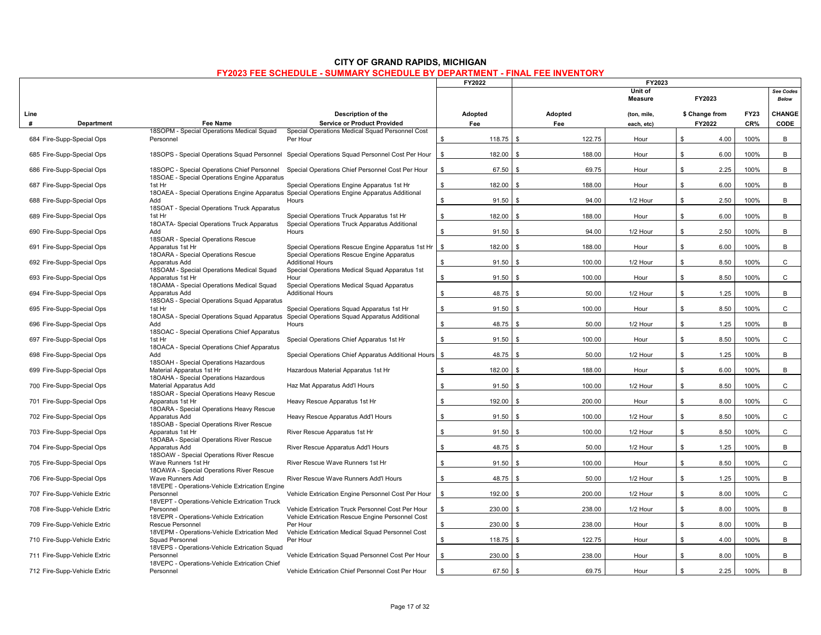| <b>CITY OF GRAND RAPIDS, MICHIGAN</b>                                             |
|-----------------------------------------------------------------------------------|
| <b>FY2023 FEE SCHEDULE - SUMMARY SCHEDULE BY DEPARTMENT - FINAL FEE INVENTORY</b> |

|           |                              |                                                                                             |                                                                                                                                           | FY2022                 | FY2023                       |                           |                          |                    |                           |
|-----------|------------------------------|---------------------------------------------------------------------------------------------|-------------------------------------------------------------------------------------------------------------------------------------------|------------------------|------------------------------|---------------------------|--------------------------|--------------------|---------------------------|
|           |                              |                                                                                             |                                                                                                                                           |                        | Unit of<br><b>Measure</b>    |                           | FY2023                   |                    | See Codes<br><b>Below</b> |
| Line<br># | Department                   | Fee Name                                                                                    | Description of the<br><b>Service or Product Provided</b>                                                                                  | Adopted<br>Fee         | Adopted<br>Fee               | (ton, mile,<br>each, etc) | \$ Change from<br>FY2022 | <b>FY23</b><br>CR% | CHANGE<br><b>CODE</b>     |
|           |                              | 18SOPM - Special Operations Medical Squad                                                   | Special Operations Medical Squad Personnel Cost                                                                                           |                        |                              |                           |                          |                    |                           |
|           | 684 Fire-Supp-Special Ops    | Personnel                                                                                   | Per Hour                                                                                                                                  | 118.75<br>\$           | 122.75<br><b>S</b>           | Hour                      | \$<br>4.00               | 100%               | B                         |
|           | 685 Fire-Supp-Special Ops    |                                                                                             | 18SOPS - Special Operations Squad Personnel Special Operations Squad Personnel Cost Per Hour                                              | \$<br>182.00           | $\mathbf{\hat{s}}$<br>188.00 | Hour                      | \$<br>6.00               | 100%               | B                         |
|           | 686 Fire-Supp-Special Ops    | 18SOPC - Special Operations Chief Personnel<br>18SOAE - Special Operations Engine Apparatus | Special Operations Chief Personnel Cost Per Hour                                                                                          | 67.50<br>\$            | 69.75<br>- \$                | Hour                      | \$<br>2.25               | 100%               | B                         |
|           | 687 Fire-Supp-Special Ops    | 1st Hr                                                                                      | Special Operations Engine Apparatus 1st Hr<br>18OAEA - Special Operations Engine Apparatus Special Operations Engine Apparatus Additional | \$.<br>182.00          | - \$<br>188.00               | Hour                      | \$<br>6.00               | 100%               | B                         |
|           | 688 Fire-Supp-Special Ops    | Add                                                                                         | Hours                                                                                                                                     | \$<br>91.50            | 94.00<br>\$                  | 1/2 Hour                  | \$<br>2.50               | 100%               | B                         |
|           | 689 Fire-Supp-Special Ops    | 18SOAT - Special Operations Truck Apparatus<br>1st Hr                                       | Special Operations Truck Apparatus 1st Hr                                                                                                 | \$<br>182.00           | 188.00<br>\$                 | Hour                      | \$<br>6.00               | 100%               | B                         |
|           | 690 Fire-Supp-Special Ops    | 18OATA- Special Operations Truck Apparatus<br>Add                                           | Special Operations Truck Apparatus Additional<br>Hours                                                                                    | \$<br>91.50            | <b>S</b><br>94.00            | 1/2 Hour                  | \$<br>2.50               | 100%               | B                         |
|           | 691 Fire-Supp-Special Ops    | 18SOAR - Special Operations Rescue<br>Apparatus 1st Hr                                      | Special Operations Rescue Engine Apparatus 1st Hr                                                                                         | $\mathbb{S}$<br>182.00 | 188.00<br>$\mathbf{\hat{s}}$ | Hour                      | \$<br>6.00               | 100%               | B                         |
|           | 692 Fire-Supp-Special Ops    | 18OARA - Special Operations Rescue<br>Apparatus Add                                         | Special Operations Rescue Engine Apparatus<br><b>Additional Hours</b>                                                                     | \$<br>91.50            | 100.00<br>\$                 | 1/2 Hour                  | \$<br>8.50               | 100%               | $\mathsf{C}$              |
|           | 693 Fire-Supp-Special Ops    | 18SOAM - Special Operations Medical Squad<br>Apparatus 1st Hr                               | Special Operations Medical Squad Apparatus 1st<br>Hour                                                                                    | \$<br>91.50            | 100.00<br><b>S</b>           | Hour                      | \$<br>8.50               | 100%               | $\mathsf{C}$              |
|           | 694 Fire-Supp-Special Ops    | 18OAMA - Special Operations Medical Squad<br>Apparatus Add                                  | Special Operations Medical Squad Apparatus<br><b>Additional Hours</b>                                                                     | \$<br>48.75            | 50.00<br>\$                  | 1/2 Hour                  | \$<br>1.25               | 100%               | B                         |
|           | 695 Fire-Supp-Special Ops    | 18SOAS - Special Operations Squad Apparatus<br>1st Hr                                       | Special Operations Squad Apparatus 1st Hr                                                                                                 | \$<br>91.50            | 100.00<br>- \$               | Hour                      | \$<br>8.50               | 100%               | $\mathsf{C}$              |
|           |                              | 18OASA - Special Operations Squad Apparatus                                                 | Special Operations Squad Apparatus Additional<br>Hours                                                                                    |                        |                              |                           | \$                       |                    |                           |
|           | 696 Fire-Supp-Special Ops    | Add<br>18SOAC - Special Operations Chief Apparatus                                          |                                                                                                                                           | \$<br>48.75            | 50.00<br>\$                  | 1/2 Hour                  | 1.25                     | 100%               | B                         |
|           | 697 Fire-Supp-Special Ops    | 1st Hr<br>18OACA - Special Operations Chief Apparatus                                       | Special Operations Chief Apparatus 1st Hr                                                                                                 | \$<br>91.50            | 100.00<br>- \$               | Hour                      | \$<br>8.50               | 100%               | $\mathtt{C}$              |
|           | 698 Fire-Supp-Special Ops    | Add<br>18SOAH - Special Operations Hazardous                                                | Special Operations Chief Apparatus Additional Hours                                                                                       | \$<br>48.75            | 50.00<br>\$                  | 1/2 Hour                  | \$<br>1.25               | 100%               | B                         |
|           | 699 Fire-Supp-Special Ops    | Material Apparatus 1st Hr<br>18OAHA - Special Operations Hazardous                          | Hazardous Material Apparatus 1st Hr                                                                                                       | \$<br>182.00           | 188.00<br>\$                 | Hour                      | \$<br>6.00               | 100%               | B                         |
|           | 700 Fire-Supp-Special Ops    | Material Apparatus Add<br>18SOAR - Special Operations Heavy Rescue                          | Haz Mat Apparatus Add'l Hours                                                                                                             | \$<br>91.50            | 100.00<br>- \$               | 1/2 Hour                  | \$<br>8.50               | 100%               | $\mathsf{C}$              |
|           | 701 Fire-Supp-Special Ops    | Apparatus 1st Hr<br>18OARA - Special Operations Heavy Rescue                                | Heavy Rescue Apparatus 1st Hr                                                                                                             | \$<br>192.00           | 200.00<br>\$                 | Hour                      | \$<br>8.00               | 100%               | $\mathsf{C}$              |
|           | 702 Fire-Supp-Special Ops    | Apparatus Add                                                                               | Heavy Rescue Apparatus Add'l Hours                                                                                                        | 91.50<br>\$            | 100.00<br>\$                 | 1/2 Hour                  | \$<br>8.50               | 100%               | $\mathsf{C}$              |
|           | 703 Fire-Supp-Special Ops    | 18SOAB - Special Operations River Rescue<br>Apparatus 1st Hr                                | River Rescue Apparatus 1st Hr                                                                                                             | \$<br>91.50            | 100.00<br>- \$               | 1/2 Hour                  | \$<br>8.50               | 100%               | $\mathsf{C}$              |
|           | 704 Fire-Supp-Special Ops    | 18OABA - Special Operations River Rescue<br>Apparatus Add                                   | River Rescue Apparatus Add'l Hours                                                                                                        | \$<br>48.75            | 50.00<br>\$                  | 1/2 Hour                  | \$<br>1.25               | 100%               | B                         |
|           | 705 Fire-Supp-Special Ops    | 18SOAW - Special Operations River Rescue<br>Wave Runners 1st Hr                             | River Rescue Wave Runners 1st Hr                                                                                                          | 91.50<br>\$            | 100.00<br>. \$               | Hour                      | \$<br>8.50               | 100%               | $\mathsf{C}$              |
|           | 706 Fire-Supp-Special Ops    | 18OAWA - Special Operations River Rescue<br><b>Wave Runners Add</b>                         | River Rescue Wave Runners Add'l Hours                                                                                                     | \$<br>48.75            | 50.00<br>$\mathbf{\hat{S}}$  | 1/2 Hour                  | \$<br>1.25               | 100%               | B                         |
|           | 707 Fire-Supp-Vehicle Extric | 18VEPE - Operations-Vehicle Extrication Engine<br>Personnel                                 | Vehicle Extrication Engine Personnel Cost Per Hour                                                                                        | \$<br>192.00           | 200.00<br>\$                 | 1/2 Hour                  | \$<br>8.00               | 100%               | $\mathsf{C}$              |
|           | 708 Fire-Supp-Vehicle Extric | 18VEPT - Operations-Vehicle Extrication Truck<br>Personnel                                  | Vehicle Extrication Truck Personnel Cost Per Hour                                                                                         | 230.00<br>\$.          | 238.00<br>\$                 | 1/2 Hour                  | \$<br>8.00               | 100%               | B                         |
|           | 709 Fire-Supp-Vehicle Extric | 18VEPR - Operations-Vehicle Extrication<br><b>Rescue Personnel</b>                          | Vehicle Extrication Rescue Engine Personnel Cost<br>Per Hour                                                                              | \$<br>230.00           | \$<br>238.00                 | Hour                      | \$<br>8.00               | 100%               | B                         |
|           |                              | 18VEPM - Operations-Vehicle Extrication Med                                                 | Vehicle Extrication Medical Squad Personnel Cost                                                                                          |                        |                              |                           |                          |                    |                           |
|           | 710 Fire-Supp-Vehicle Extric | Squad Personnel<br>18VEPS - Operations-Vehicle Extrication Squad                            | Per Hour                                                                                                                                  | \$<br>118.75           | \$<br>122.75                 | Hour                      | \$<br>4.00               | 100%               | B                         |
|           | 711 Fire-Supp-Vehicle Extric | Personnel<br>18VEPC - Operations-Vehicle Extrication Chief                                  | Vehicle Extrication Squad Personnel Cost Per Hour                                                                                         | 230.00<br>\$           | 238.00<br>\$                 | Hour                      | \$<br>8.00               | 100%               | B                         |
|           | 712 Fire-Supp-Vehicle Extric | Personnel                                                                                   | Vehicle Extrication Chief Personnel Cost Per Hour                                                                                         | \$<br>67.50            | 69.75<br>- \$                | Hour                      | \$<br>2.25               | 100%               | B                         |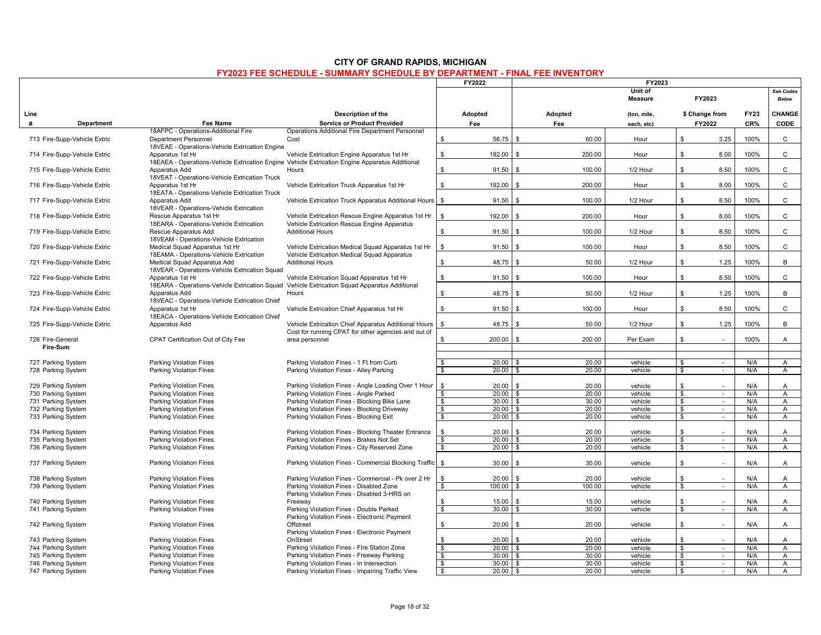|      |                                          |                                                                               |                                                                                                                                               | FY2022                      | FY2023                              |                           |                                    |             |                     |
|------|------------------------------------------|-------------------------------------------------------------------------------|-----------------------------------------------------------------------------------------------------------------------------------------------|-----------------------------|-------------------------------------|---------------------------|------------------------------------|-------------|---------------------|
|      |                                          |                                                                               |                                                                                                                                               |                             |                                     | Unit of<br><b>Measure</b> | FY2023                             |             | See Codes<br>Below  |
| Line |                                          |                                                                               | Description of the                                                                                                                            | Adopted                     | Adopted                             | (ton, mile,               | \$ Change from                     | <b>FY23</b> | CHANGE              |
| #    | <b>Department</b>                        | Fee Name                                                                      | <b>Service or Product Provided</b>                                                                                                            | Fee                         | Fee                                 | each, etc)                | FY2022                             | CR%         | CODE                |
|      |                                          | 18AFPC - Operations-Additional Fire                                           | Operations Additional Fire Department Personnel                                                                                               |                             |                                     |                           |                                    |             |                     |
|      | 713 Fire-Supp-Vehicle Extric             | <b>Department Personnel</b><br>18VEAE - Operations-Vehicle Extrication Engine | Cost                                                                                                                                          | \$<br>56.75                 | \$<br>60.00                         | Hour                      | $\mathbb{S}$<br>3.25               | 100%        | $\mathsf{C}$        |
|      |                                          | Apparatus 1st Hr                                                              |                                                                                                                                               | \$<br>192.00                | 200.00<br>\$                        | Hour                      | \$<br>8.00                         | 100%        | C                   |
|      | 714 Fire-Supp-Vehicle Extric             |                                                                               | Vehicle Extrication Engine Apparatus 1st Hr<br>18EAEA - Operations-Vehicle Extrication Engine Vehicle Extrication Engine Apparatus Additional |                             |                                     |                           |                                    |             |                     |
|      | 715 Fire-Supp-Vehicle Extric             | Apparatus Add                                                                 | Hours                                                                                                                                         | $\mathbb{S}$<br>91.50       | 100.00                              | 1/2 Hour                  | 8.50<br>\$                         | 100%        | $\mathsf{C}$        |
|      |                                          | 18VEAT - Operations-Vehicle Extrication Truck                                 |                                                                                                                                               |                             |                                     |                           |                                    |             |                     |
|      | 716 Fire-Supp-Vehicle Extric             | Apparatus 1st Hr                                                              | Vehicle Extrication Truck Apparatus 1st Hr                                                                                                    | \$<br>192.00                | $\mathbf{s}$<br>200.00              | Hour                      | \$<br>8.00                         | 100%        | $\mathsf{C}$        |
|      |                                          | 18EATA - Operations-Vehicle Extrication Truck                                 |                                                                                                                                               |                             |                                     |                           |                                    |             |                     |
|      | 717 Fire-Supp-Vehicle Extric             | Apparatus Add                                                                 | Vehicle Extrication Truck Apparatus Additional Hours                                                                                          | \$<br>91.50                 | \$<br>100.00                        | 1/2 Hour                  | \$<br>8.50                         | 100%        | $\mathbf C$         |
|      |                                          | 18VEAR - Operations-Vehicle Extrication                                       |                                                                                                                                               |                             |                                     |                           |                                    |             |                     |
|      | 718 Fire-Supp-Vehicle Extric             | Rescue Apparatus 1st Hr                                                       | Vehicle Extrication Rescue Engine Apparatus 1st Hr                                                                                            | 192.00<br>\$                | 200.00<br>$\mathbf{\hat{z}}$        | Hour                      | \$<br>8.00                         | 100%        | $\mathsf{C}$        |
|      |                                          | 18EARA - Operations-Vehicle Extrication                                       | Vehicle Extrication Rescue Engine Apparatus                                                                                                   |                             |                                     |                           |                                    |             |                     |
|      | 719 Fire-Supp-Vehicle Extric             | Rescue Apparatus Add                                                          | <b>Additional Hours</b>                                                                                                                       | \$<br>91.50                 | 100.00<br>$\mathbf{s}$              | 1/2 Hour                  | \$<br>8.50                         | 100%        | $\mathsf{C}$        |
|      |                                          | 18VEAM - Operations-Vehicle Extrication                                       |                                                                                                                                               |                             |                                     |                           |                                    |             |                     |
|      | 720 Fire-Supp-Vehicle Extric             | Medical Squad Apparatus 1st Hr                                                | Vehicle Extrication Medical Squad Apparatus 1st Hr                                                                                            | \$<br>91.50                 | \$<br>100.00                        | Hour                      | \$<br>8.50                         | 100%        | $\mathsf{C}$        |
|      |                                          | 18EAMA - Operations-Vehicle Extrication<br>Medical Squad Apparatus Add        | Vehicle Extrication Medical Squad Apparatus<br><b>Additional Hours</b>                                                                        | \$<br>48.75                 | \$<br>50.00                         | 1/2 Hour                  | \$<br>1.25                         | 100%        | B                   |
|      | 721 Fire-Supp-Vehicle Extric             | 18VEAR - Operations-Vehicle Extrication Squad                                 |                                                                                                                                               |                             |                                     |                           |                                    |             |                     |
|      | 722 Fire-Supp-Vehicle Extric             | Apparatus 1st Hr                                                              | Vehicle Extrication Squad Apparatus 1st Hr                                                                                                    | \$<br>91.50                 | 100.00<br>- \$                      | Hour                      | \$<br>8.50                         | 100%        | C                   |
|      |                                          |                                                                               | 18EARA - Operations-Vehicle Extrication Squad Vehicle Extrication Squad Apparatus Additional                                                  |                             |                                     |                           |                                    |             |                     |
|      | 723 Fire-Supp-Vehicle Extric             | Apparatus Add                                                                 | Hours                                                                                                                                         | $$\mathbb{S}$$<br>48.75     | \$<br>50.00                         | 1/2 Hour                  | \$<br>1.25                         | 100%        | В                   |
|      |                                          | 18VEAC - Operations-Vehicle Extrication Chief                                 |                                                                                                                                               |                             |                                     |                           |                                    |             |                     |
|      | 724 Fire-Supp-Vehicle Extric             | Apparatus 1st Hr                                                              | Vehicle Extrication Chief Apparatus 1st Hr                                                                                                    | \$<br>91.50                 | 100.00<br>\$                        | Hour                      | \$<br>8.50                         | 100%        | $\mathsf{C}$        |
|      |                                          | 18EACA - Operations-Vehicle Extrication Chief                                 |                                                                                                                                               |                             |                                     |                           |                                    |             |                     |
|      | 725 Fire-Supp-Vehicle Extric             | Apparatus Add                                                                 | Vehicle Extrication Chief Apparatus Additional Hours                                                                                          | $\mathbb{S}$<br>48.75       | \$<br>50.00                         | 1/2 Hour                  | \$<br>1.25                         | 100%        | B                   |
|      |                                          |                                                                               | Cost for running CPAT for other agencies and out of                                                                                           |                             |                                     |                           |                                    |             |                     |
|      | 726 Fire-General<br><b>Fire-Sum</b>      | CPAT Certification Out of City Fee                                            | area personnel                                                                                                                                | \$<br>200.00                | \$<br>200.00                        | Per Exam                  | \$<br>×.                           | 100%        | A                   |
|      |                                          |                                                                               |                                                                                                                                               |                             |                                     |                           |                                    |             |                     |
|      | 727 Parking System                       | Parking Violation Fines                                                       | Parking Violation Fines - 1 Ft from Curb                                                                                                      | \$<br>20.00                 | 20.00<br>- \$                       | vehicle                   | \$<br>$\sim$                       | N/A         | $\mathsf{A}$        |
|      | 728 Parking System                       | Parking Violation Fines                                                       | Parking Violation Fines - Alley Parking                                                                                                       | $\mathbf{s}$<br>20.00       | 20.00<br>- \$                       | vehicle                   | $\overline{s}$<br>$\sim$           | N/A         | A                   |
|      |                                          |                                                                               |                                                                                                                                               |                             |                                     |                           |                                    |             |                     |
|      | 729 Parking System                       | Parking Violation Fines                                                       | Parking Violation Fines - Angle Loading Over 1 Hour                                                                                           | \$<br>20.00                 | l \$<br>20.00                       | vehicle                   | \$                                 | N/A         | A                   |
|      | 730 Parking System                       | Parking Violation Fines                                                       | Parking Violation Fines - Angle Parked                                                                                                        | $\mathbf{\hat{s}}$<br>20.00 | 20.00<br><b>S</b>                   | vehicle                   | $\mathbf{s}$<br>in 19              | N/A         | $\overline{A}$      |
|      | 731 Parking System                       | Parking Violation Fines                                                       | Parking Violation Fines - Blocking Bike Lane                                                                                                  | $\bullet$<br>30.00          | l \$<br>30.00                       | vehicle                   | $\mathbf{s}$<br>$\sim$             | N/A         | $\mathsf{A}$        |
|      | 732 Parking System                       | Parking Violation Fines                                                       | Parking Violation Fines - Blocking Driveway                                                                                                   | 20.00<br>\$                 | 20.00<br>l \$                       | vehicle                   | \$<br>$\sim$                       | N/A         | $\mathsf{A}$        |
|      | 733 Parking System                       | Parking Violation Fines                                                       | Parking Violation Fines - Blocking Exit                                                                                                       | \$<br>20.00                 | \$<br>20.00                         | vehicle                   | $\mathbb{S}$<br>in 19              | N/A         | A                   |
|      |                                          |                                                                               |                                                                                                                                               |                             |                                     |                           |                                    |             |                     |
|      | 734 Parking System<br>735 Parking System | Parking Violation Fines<br>Parking Violation Fines                            | Parking Violation Fines - Blocking Theater Entrance<br>Parking Violation Fines - Brakes Not Set                                               | \$<br>20.00<br>s,<br>20.00  | 20.00<br>- \$<br>20.00<br><b>IS</b> | vehicle<br>vehicle        | $\mathbf{s}$<br>÷.<br>s,<br>$\sim$ | N/A<br>N/A  | A<br>$\overline{A}$ |
|      | 736 Parking System                       | Parking Violation Fines                                                       | Parking Violation Fines - City Reserved Zone                                                                                                  | $\bullet$<br>20.00          | 20.00<br><b>S</b>                   | vehicle                   | $\mathbf{s}$<br>$\sim$             | N/A         | $\mathsf{A}$        |
|      |                                          |                                                                               |                                                                                                                                               |                             |                                     |                           |                                    |             |                     |
|      | 737 Parking System                       | <b>Parking Violation Fines</b>                                                | Parking Violation Fines - Commercial Blocking Traffic                                                                                         | $\sqrt{3}$<br>30.00         | $\mathbf{\hat{z}}$<br>30.00         | vehicle                   | \$<br>×.                           | N/A         | A                   |
|      |                                          |                                                                               |                                                                                                                                               |                             |                                     |                           |                                    |             |                     |
|      | 738 Parking System                       | Parking Violation Fines                                                       | Parking Violation Fines - Commercial - Pk over 2 Hr                                                                                           | $\mathfrak{s}$<br>20.00     | 20.00<br>$\mathbf{\hat{S}}$         | vehicle                   | \$                                 | N/A         | $\overline{A}$      |
|      | 739 Parking System                       | <b>Parking Violation Fines</b>                                                | Parking Violation Fines - Disabled Zone                                                                                                       | 100.00<br>\$                | 100.00<br>-\$                       | vehicle                   | \$<br>$\sim$                       | N/A         | $\mathsf{A}$        |
|      |                                          |                                                                               | Parking Violation Fines - Disabled 3-HRS on                                                                                                   |                             |                                     |                           |                                    |             |                     |
|      | 740 Parking System                       | Parking Violation Fines                                                       | Freeway                                                                                                                                       | \$<br>15.00                 | 15.00<br>$\mathbf{\hat{z}}$         | vehicle                   | $\mathbf{\hat{s}}$                 | N/A         | $\overline{A}$      |
|      | 741 Parking System                       | <b>Parking Violation Fines</b>                                                | Parking Violation Fines - Double Parked                                                                                                       | \$<br>30.00                 | 30.00                               | vehicle                   | \$<br>$\sim$                       | N/A         | A                   |
|      | 742 Parking System                       | Parking Violation Fines                                                       | Parking Violation Fines - Electronic Payment<br>Offstreet                                                                                     | \$<br>20.00                 | $\mathbf{s}$                        | vehicle                   | $\mathbb{S}$<br>$\sim$             | N/A         |                     |
|      |                                          |                                                                               | Parking Violation Fines - Electronic Payment                                                                                                  |                             | 20.00                               |                           |                                    |             | A                   |
|      | 743 Parking System                       | Parking Violation Fines                                                       | OnStreet                                                                                                                                      | \$<br>20.00                 | \$<br>20.00                         | vehicle                   | \$                                 | N/A         | Α                   |
|      | 744 Parking System                       | Parking Violation Fines                                                       | Parking Violation Fines - Fire Station Zone                                                                                                   | $\bullet$<br>$20.00$ \$     | 20.00                               | vehicle                   | $\mathbf{s}$<br>$\blacksquare$     | N/A         | $\overline{A}$      |
|      | 745 Parking System                       | Parking Violation Fines                                                       | Parking Violation Fines - Freeway Parking                                                                                                     | \$<br>30.00                 | 30.00<br>\$                         | vehicle                   | \$<br>$\sim$                       | N/A         | $\mathsf{A}$        |
|      | 746 Parking System                       | Parking Violation Fines                                                       | Parking Violation Fines - In Intersection                                                                                                     | \$<br>$30.00$ \ \$          | 30.00                               | vehicle                   | \$<br>$\sim$                       | N/A         | $\overline{A}$      |
|      | 747 Parking System                       | Parking Violation Fines                                                       | Parking Violaiton Fines - Impairing Traffic View                                                                                              | $\sqrt{3}$<br>$20.00$ \$    | 20.00                               | vehicle                   | \$<br>$\sim$                       | N/A         | $\overline{A}$      |
|      |                                          |                                                                               |                                                                                                                                               |                             |                                     |                           |                                    |             |                     |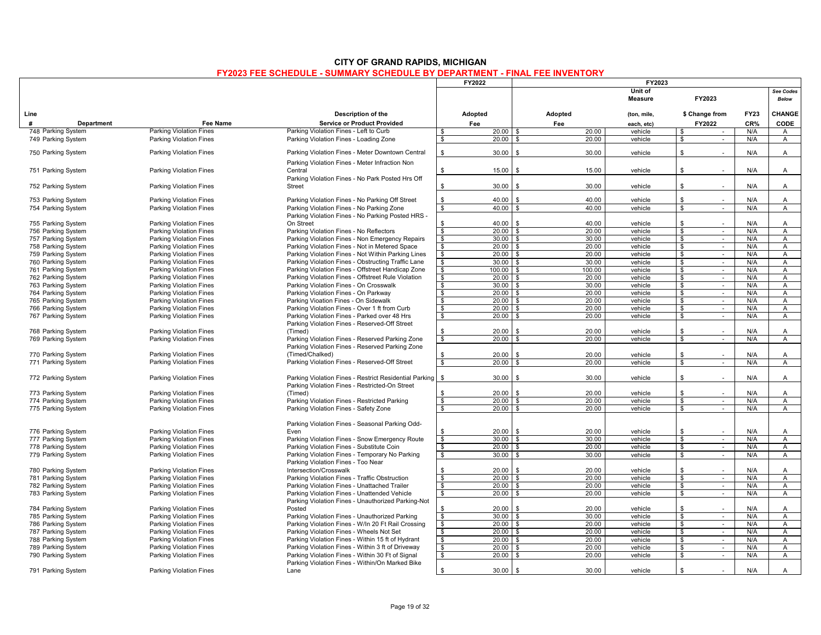|                                          |                                                                  |                                                                                                |                                | FY2022<br>FY2023      |                        |                    |                                              |             |                                  |  |  |
|------------------------------------------|------------------------------------------------------------------|------------------------------------------------------------------------------------------------|--------------------------------|-----------------------|------------------------|--------------------|----------------------------------------------|-------------|----------------------------------|--|--|
|                                          |                                                                  |                                                                                                |                                |                       |                        | Unit of<br>Measure | FY2023                                       |             | See Codes<br><b>Below</b>        |  |  |
| Line                                     |                                                                  | Description of the                                                                             |                                | Adopted               | Adopted                | (ton, mile,        | \$ Change from                               | <b>FY23</b> | CHANGE                           |  |  |
| #<br><b>Department</b>                   | Fee Name                                                         | <b>Service or Product Provided</b>                                                             |                                | Fee                   | Fee                    | each, etc)         | FY2022                                       | CR%         | <b>CODE</b>                      |  |  |
| 748 Parking System                       | <b>Parking Violation Fines</b>                                   | Parking Violation Fines - Left to Curb                                                         | \$                             | $20.00$ \$            | 20.00                  | vehicle            | \$<br>$\sim$                                 | N/A         | A                                |  |  |
| 749 Parking System                       | Parking Violation Fines                                          | Parking Violation Fines - Loading Zone                                                         | $\mathbf{\$}$                  | 20.00                 | 20.00<br>- \$          | vehicle            | <b>S</b><br>$\sim$                           | N/A         | $\mathsf{A}$                     |  |  |
| 750 Parking System                       | <b>Parking Violation Fines</b>                                   | Parking Violation Fines - Meter Downtown Central                                               | \$                             | 30.00                 | 30.00<br>\$            | vehicle            | \$<br>÷.                                     | N/A         | A                                |  |  |
|                                          |                                                                  | Parking Violation Fines - Meter Infraction Non                                                 |                                |                       |                        |                    |                                              |             |                                  |  |  |
| 751 Parking System                       | <b>Parking Violation Fines</b>                                   | Central<br>Parking Violation Fines - No Park Posted Hrs Off                                    | \$                             | 15.00                 | \$<br>15.00            | vehicle            | \$                                           | N/A         | A                                |  |  |
| 752 Parking System                       | <b>Parking Violation Fines</b>                                   | Street                                                                                         | \$                             | 30.00                 | 30.00                  | vehicle            | $\mathbf{\$}$                                | N/A         | A                                |  |  |
| 753 Parking System                       | <b>Parking Violation Fines</b>                                   | Parking Violation Fines - No Parking Off Street                                                | $\mathbf{\$}$                  | 40.00                 | 40.00<br>£.            | vehicle            | $\mathbf{\$}$                                | N/A         | $\mathsf{A}$                     |  |  |
| 754 Parking System                       | <b>Parking Violation Fines</b>                                   | Parking Violation Fines - No Parking Zone                                                      | \$                             | 40.00                 | 40.00<br>\$            | vehicle            | \$<br>$\sim$                                 | N/A         | A                                |  |  |
| 755 Parking System                       | <b>Parking Violation Fines</b>                                   | Parking Violation Fines - No Parking Posted HRS -<br>On Street                                 | \$.                            | 40.00                 | 40.00<br>- \$          | vehicle            | \$                                           | N/A         | $\overline{A}$                   |  |  |
| 756 Parking System                       | <b>Parking Violation Fines</b>                                   | Parking Violation Fines - No Reflectors                                                        | \$                             | $20.00$ \ \$          | 20.00                  | vehicle            | \$<br>$\sim$                                 | N/A         | $\overline{A}$                   |  |  |
| 757 Parking System                       | <b>Parking Violation Fines</b>                                   | Parking Violation Fines - Non Emergency Repairs                                                | \$                             | $30.00$ \$            | 30.00                  | vehicle            | \$<br>$\sim$                                 | N/A         | A                                |  |  |
| 758 Parking System                       | <b>Parking Violation Fines</b>                                   | Parking Violation Fines - Not in Metered Space                                                 | $\mathbf{\hat{s}}$             | $20.00$ \$            | 20.00                  | vehicle            | $\boldsymbol{\phi}$<br>$\bullet$             | N/A         | A                                |  |  |
| 759 Parking System                       | <b>Parking Violation Fines</b>                                   | Parking Violation Fines - Not Within Parking Lines                                             | \$                             | $20.00$ \$            | 20.00                  | vehicle            | \$<br>$\sim$                                 | N/A         | A                                |  |  |
| 760 Parking System                       | <b>Parking Violation Fines</b>                                   | Parking Violation Fines - Obstructing Traffic Lane                                             | \$                             | 30.00                 | 30.00<br>l \$          | vehicle            | \$<br>$\sim$                                 | N/A         | $\overline{A}$                   |  |  |
| 761 Parking System                       | <b>Parking Violation Fines</b>                                   | Parking Violation Fines - Offstreet Handicap Zone                                              | \$                             | $100.00$ \$           | 100.00                 | vehicle            | \$                                           | N/A         | A                                |  |  |
| 762 Parking System                       | <b>Parking Violation Fines</b>                                   | Parking Violation Fines - Offstreet Rule Violation                                             | \$                             | $20.00$ \$            | 20.00                  | vehicle            | \$<br>$\sim$                                 | N/A         | Α                                |  |  |
| 763 Parking System                       | <b>Parking Violation Fines</b>                                   | Parking Violation Fines - On Crosswalk                                                         | \$                             | $30.00$ \$            | 30.00                  | vehicle            | $\mathbb{S}$<br>$\sim$                       | N/A         | $\overline{A}$                   |  |  |
| 764 Parking System                       | <b>Parking Violation Fines</b>                                   | Parking Violation Fines - On Parkway                                                           | $\frac{1}{2}$                  | 20.00                 | 20.00<br>l \$          | vehicle            | $\boldsymbol{\theta}$<br>$\sim$              | N/A         | Α                                |  |  |
| 765 Parking System                       | <b>Parking Violation Fines</b>                                   | Parking Vioation Fines - On Sidewalk                                                           | \$                             | $20.00$ \ \$          | 20.00                  | vehicle            | \$<br>$\sim$                                 | N/A         | A                                |  |  |
| 766 Parking System                       | <b>Parking Violation Fines</b>                                   | Parking Violation Fines - Over 1 ft from Curb                                                  | <b>S</b>                       | $20.00$ \ \$          | 20.00                  | vehicle            | \$<br>$\sim$                                 | N/A         | $\overline{A}$                   |  |  |
| 767 Parking System                       | <b>Parking Violation Fines</b>                                   | Parking Violation Fines - Parked over 48 Hrs                                                   | \$                             | 20.00                 | 20.00                  | vehicle            | \$<br>$\sim$                                 | N/A         | A                                |  |  |
|                                          |                                                                  | Parking Violation Fines - Reserved-Off Street                                                  |                                |                       |                        |                    |                                              |             |                                  |  |  |
| 768 Parking System                       | <b>Parking Violation Fines</b>                                   | (Timed)                                                                                        |                                | 20.00                 | 20.00<br>£.            | vehicle            | \$                                           | N/A         | A                                |  |  |
| 769 Parking System                       | <b>Parking Violation Fines</b>                                   | Parking Violation Fines - Reserved Parking Zone                                                | \$                             | 20.00                 | 20.00<br>£.            | vehicle            | \$<br>$\sim$                                 | N/A         | A                                |  |  |
|                                          |                                                                  | Parking Violation Fines - Reserved Parking Zone                                                |                                |                       |                        |                    |                                              |             |                                  |  |  |
| 770 Parking System                       | <b>Parking Violation Fines</b>                                   | (Timed/Chalked)                                                                                |                                | 20.00                 | 20.00                  | vehicle            | \$                                           | N/A         | A                                |  |  |
| 771 Parking System                       | <b>Parking Violation Fines</b>                                   | Parking Violation Fines - Reserved-Off Street                                                  | \$                             | 20.00                 | 20.00                  | vehicle            | \$<br>$\sim$                                 | N/A         | Α                                |  |  |
| 772 Parking System                       | <b>Parking Violation Fines</b>                                   | Parking Violation Fines - Restrict Residential Parking                                         | \$                             | 30.00                 | 30.00<br>- \$          | vehicle            | \$<br>$\sim$                                 | N/A         | A                                |  |  |
|                                          |                                                                  | Parking Violation Fines - Restricted-On Street                                                 |                                |                       |                        |                    |                                              |             |                                  |  |  |
| 773 Parking System                       | <b>Parking Violation Fines</b>                                   | (Timed)                                                                                        |                                | 20.00<br>$20.00$ \ \$ | 20.00<br>\$<br>20.00   | vehicle<br>vehicle | \$                                           | N/A<br>N/A  | A                                |  |  |
| 774 Parking System                       | <b>Parking Violation Fines</b><br><b>Parking Violation Fines</b> | Parking Violation Fines - Restricted Parking                                                   | $\frac{1}{2}$<br>\$            | $20.00$ \$            | 20.00                  | vehicle            | $\mathbf{\hat{s}}$<br>$\sim$<br>\$<br>$\sim$ | N/A         | $\overline{A}$<br>$\overline{A}$ |  |  |
| 775 Parking System                       |                                                                  | Parking Violation Fines - Safety Zone                                                          |                                |                       |                        |                    |                                              |             |                                  |  |  |
|                                          |                                                                  | Parking Violation Fines - Seasonal Parking Odd-                                                |                                |                       |                        |                    |                                              |             |                                  |  |  |
| 776 Parking System                       | <b>Parking Violation Fines</b>                                   | Even                                                                                           |                                | $20.00$ \$            | 20.00                  | vehicle            | \$                                           | N/A         | A                                |  |  |
| 777 Parking System                       | <b>Parking Violation Fines</b>                                   | Parking Violation Fines - Snow Emergency Route                                                 | $\frac{1}{2}$                  | 30.00                 | 30.00<br><b>S</b>      | vehicle            | $\frac{1}{2}$<br>$\overline{\phantom{a}}$    | N/A         | $\overline{A}$                   |  |  |
| 778 Parking System                       | <b>Parking Violation Fines</b>                                   | Parking Violation Fines - Substitute Coin                                                      | \$                             | $20.00$ \$            | 20.00                  | vehicle            | $\mathbb{S}$<br>$\sim$                       | N/A         | $\overline{A}$                   |  |  |
| 779 Parking System                       | <b>Parking Violation Fines</b>                                   | Parking Violation Fines - Temporary No Parking<br>Parking Violation Fines - Too Near           | \$                             | 30.00                 | 30.00<br>l \$          | vehicle            | \$<br>$\sim$                                 | N/A         | A                                |  |  |
| 780 Parking System                       | <b>Parking Violation Fines</b>                                   | Intersection/Crosswalk                                                                         | \$                             | 20.00                 | 20.00<br>ς.            | vehicle            | \$                                           | N/A         | $\mathsf{A}$                     |  |  |
| 781 Parking System                       | <b>Parking Violation Fines</b>                                   | Parking Violation Fines - Traffic Obstruction                                                  | $\boldsymbol{\phi}$            | 20.00                 | 20.00<br>- \$          | vehicle            | \$<br>$\sim$                                 | N/A         | $\overline{A}$                   |  |  |
| 782 Parking System                       | <b>Parking Violation Fines</b>                                   | Parking Violation Fines - Unattached Trailer                                                   | \$                             | $20.00$ \ \$          | 20.00                  | vehicle            | \$<br>$\sim$                                 | N/A         | Α                                |  |  |
| 783 Parking System                       | <b>Parking Violation Fines</b>                                   | Parking Violation Fines - Unattended Vehicle                                                   | $\mathbf{s}$                   | $20.00$ \ \$          | 20.00                  | vehicle            | $\overline{\mathbf{s}}$<br>$\sim$            | N/A         | $\overline{A}$                   |  |  |
|                                          |                                                                  | Parking Violation Fines - Unauthorized Parking-Not                                             |                                |                       |                        |                    |                                              |             |                                  |  |  |
| 784 Parking System                       | <b>Parking Violation Fines</b><br><b>Parking Violation Fines</b> | Posted                                                                                         | \$<br>$\overline{\mathcal{S}}$ | 20.00<br>30.00        | 20.00<br>- \$<br>30.00 | vehicle<br>vehicle | \$<br>$\sim$<br>$\mathbf{\hat{s}}$<br>$\sim$ | N/A<br>N/A  | $\overline{A}$<br>$\overline{A}$ |  |  |
| 785 Parking System                       |                                                                  | Parking Violation Fines - Unauthorized Parking                                                 | \$                             | $20.00$ \ \$          | l \$<br>20.00          | vehicle            |                                              | N/A         | Α                                |  |  |
| 786 Parking System<br>787 Parking System | <b>Parking Violation Fines</b><br><b>Parking Violation Fines</b> | Parking Violation Fines - W/In 20 Ft Rail Crossing<br>Parking Violation Fines - Wheels Not Set | \$                             | $20.00$ \ \$          | 20.00                  | vehicle            | \$<br>$\sim$<br>\$<br>$\sim$                 | N/A         | $\overline{A}$                   |  |  |
| 788 Parking System                       | <b>Parking Violation Fines</b>                                   | Parking Violation Fines - Within 15 ft of Hydrant                                              | $\overline{\mathbf{s}}$        | $20.00$ \ \$          | 20.00                  | vehicle            | $\overline{\mathbf{s}}$<br>$\sim$            | N/A         | $\overline{A}$                   |  |  |
| 789 Parking System                       | <b>Parking Violation Fines</b>                                   | Parking Violation Fines - Within 3 ft of Driveway                                              | \$                             | $20.00$ \ \$          | 20.00                  | vehicle            | \$<br>$\sim$                                 | N/A         | A                                |  |  |
| 790 Parking System                       | <b>Parking Violation Fines</b>                                   | Parking Violation Fines - Within 30 Ft of Signal                                               | \$                             | 20.00                 | 20.00<br>. \$          | vehicle            | \$<br>$\sim$                                 | N/A         | $\overline{A}$                   |  |  |
|                                          |                                                                  | Parking Violation Fines - Within/On Marked Bike                                                |                                |                       |                        |                    |                                              |             |                                  |  |  |
| 791 Parking System                       | <b>Parking Violation Fines</b>                                   | Lane                                                                                           | \$                             | 30.00                 | 30.00<br>\$            | vehicle            | \$<br>×.                                     | N/A         | Α                                |  |  |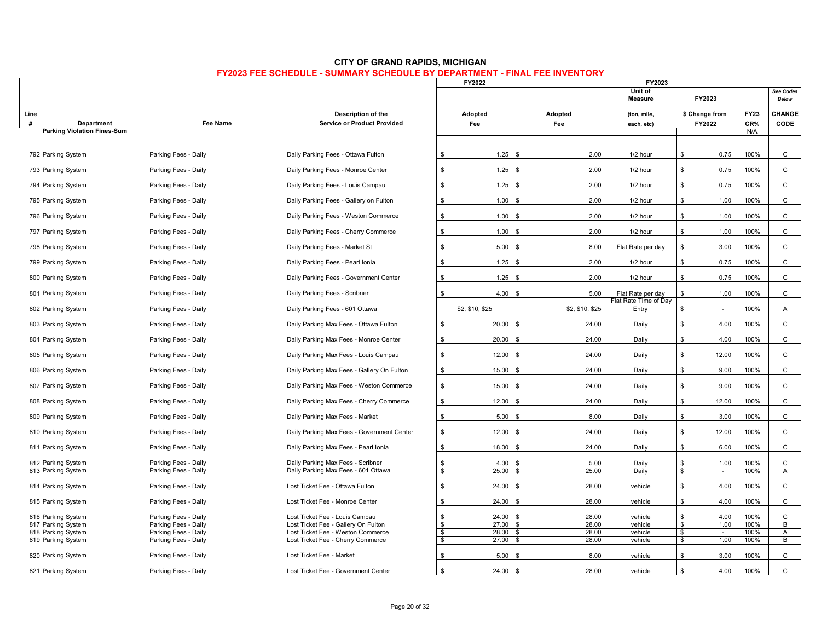|                                    |                      |                                            |                | FY2022          | FY2023                       |                                |              |                           |             |              |
|------------------------------------|----------------------|--------------------------------------------|----------------|-----------------|------------------------------|--------------------------------|--------------|---------------------------|-------------|--------------|
|                                    |                      |                                            |                |                 | Unit of<br>FY2023<br>Measure |                                |              | See Codes<br><b>Below</b> |             |              |
| Line                               |                      | Description of the                         |                | Adopted         | Adopted                      | (ton, mile,                    |              | \$ Change from            | <b>FY23</b> | CHANGE       |
| #<br>Department                    | <b>Fee Name</b>      | <b>Service or Product Provided</b>         |                | Fee             | Fee                          | each, etc)                     |              | FY2022                    | CR%         | CODE         |
| <b>Parking Violation Fines-Sum</b> |                      |                                            |                |                 |                              |                                |              |                           | N/A         |              |
|                                    |                      |                                            |                |                 |                              |                                |              |                           |             |              |
| 792 Parking System                 | Parking Fees - Daily | Daily Parking Fees - Ottawa Fulton         | \$             | 1.25            | \$<br>2.00                   | 1/2 hour                       | \$           | 0.75                      | 100%        | C            |
| 793 Parking System                 | Parking Fees - Daily | Daily Parking Fees - Monroe Center         | \$             | 1.25            | 2.00<br>$\mathbf{\hat{S}}$   | 1/2 hour                       | \$           | 0.75                      | 100%        | C            |
| 794 Parking System                 | Parking Fees - Daily | Daily Parking Fees - Louis Campau          | \$             | 1.25            | - \$<br>2.00                 | 1/2 hour                       | $\mathbf{s}$ | 0.75                      | 100%        | $\mathsf{C}$ |
| 795 Parking System                 | Parking Fees - Daily | Daily Parking Fees - Gallery on Fulton     | \$             | 1.00            | \$<br>2.00                   | 1/2 hour                       | $\mathbf{s}$ | 1.00                      | 100%        | $\mathsf{C}$ |
| 796 Parking System                 | Parking Fees - Daily | Daily Parking Fees - Weston Commerce       | \$             | 1.00            | 2.00<br>$\mathbf{\hat{S}}$   | 1/2 hour                       | \$           | 1.00                      | 100%        | $\mathsf{C}$ |
| 797 Parking System                 | Parking Fees - Daily | Daily Parking Fees - Cherry Commerce       | \$             | 1.00            | 2.00<br>$\mathbf{\hat{S}}$   | 1/2 hour                       | \$           | 1.00                      | 100%        | C            |
| 798 Parking System                 | Parking Fees - Daily | Daily Parking Fees - Market St             | $$\mathbb{S}$$ | 5.00            | \$<br>8.00                   | Flat Rate per day              | $\mathbf{s}$ | 3.00                      | 100%        | C            |
| 799 Parking System                 | Parking Fees - Daily | Daily Parking Fees - Pearl Ionia           | \$             | 1.25            | - \$<br>2.00                 | 1/2 hour                       | \$           | 0.75                      | 100%        | C            |
| 800 Parking System                 | Parking Fees - Daily | Daily Parking Fees - Government Center     | \$             | 1.25            | 2.00<br>$\mathbf{\hat{S}}$   | 1/2 hour                       | $\mathbf{s}$ | 0.75                      | 100%        | C            |
| 801 Parking System                 | Parking Fees - Daily | Daily Parking Fees - Scribner              | \$             | 4.00            | 5.00<br>\$                   | Flat Rate per day              | \$           | 1.00                      | 100%        | C            |
| 802 Parking System                 | Parking Fees - Daily | Daily Parking Fees - 601 Ottawa            |                | \$2, \$10, \$25 | \$2, \$10, \$25              | Flat Rate Time of Day<br>Entry | \$           | $\sim$                    | 100%        | A            |
| 803 Parking System                 | Parking Fees - Daily | Daily Parking Max Fees - Ottawa Fulton     | \$             | 20.00           | \$<br>24.00                  | Daily                          | \$           | 4.00                      | 100%        | C            |
| 804 Parking System                 | Parking Fees - Daily | Daily Parking Max Fees - Monroe Center     | \$             | 20.00           | 24.00<br>- \$                | Daily                          | $\mathbf{s}$ | 4.00                      | 100%        | $\mathsf{C}$ |
| 805 Parking System                 | Parking Fees - Daily | Daily Parking Max Fees - Louis Campau      | \$             | 12.00           | 24.00<br>- \$                | Daily                          | \$           | 12.00                     | 100%        | C            |
| 806 Parking System                 | Parking Fees - Daily | Daily Parking Max Fees - Gallery On Fulton | \$             | 15.00           | \$<br>24.00                  | Daily                          | \$           | 9.00                      | 100%        | C            |
| 807 Parking System                 | Parking Fees - Daily | Daily Parking Max Fees - Weston Commerce   | \$             | 15.00           | 24.00<br>- \$                | Daily                          | \$           | 9.00                      | 100%        | $\mathsf{C}$ |
| 808 Parking System                 | Parking Fees - Daily | Daily Parking Max Fees - Cherry Commerce   | \$             | 12.00           | 24.00<br>\$                  | Daily                          | \$           | 12.00                     | 100%        | C            |
| 809 Parking System                 | Parking Fees - Daily | Daily Parking Max Fees - Market            | \$             | 5.00            | 8.00<br>. \$                 | Daily                          | \$           | 3.00                      | 100%        | $\mathsf{C}$ |
| 810 Parking System                 | Parking Fees - Daily | Daily Parking Max Fees - Government Center | \$             | 12.00           | \$<br>24.00                  | Daily                          | \$           | 12.00                     | 100%        | $\mathsf{C}$ |
| 811 Parking System                 | Parking Fees - Daily | Daily Parking Max Fees - Pearl Ionia       | \$             | 18.00           | 24.00<br>- \$                | Daily                          | \$           | 6.00                      | 100%        | $\mathsf{C}$ |
| 812 Parking System                 | Parking Fees - Daily | Daily Parking Max Fees - Scribner          | \$             | 4.00            | 5.00<br>\$                   | Daily                          | \$           | 1.00                      | 100%        | $\mathsf{C}$ |
| 813 Parking System                 | Parking Fees - Daily | Daily Parking Max Fees - 601 Ottawa        | \$             | 25.00           | \$<br>25.00                  | Daily                          | \$           | $\sim$                    | 100%        | A            |
| 814 Parking System                 | Parking Fees - Daily | Lost Ticket Fee - Ottawa Fulton            | \$             | 24.00           | 28.00<br>\$                  | vehicle                        | \$           | 4.00                      | 100%        | C            |
| 815 Parking System                 | Parking Fees - Daily | Lost Ticket Fee - Monroe Center            | \$             | 24.00           | \$<br>28.00                  | vehicle                        | \$           | 4.00                      | 100%        | $\mathsf{C}$ |
| 816 Parking System                 | Parking Fees - Daily | Lost Ticket Fee - Louis Campau             | \$             | 24.00           | \$<br>28.00                  | vehicle                        | $\mathbf{s}$ | 4.00                      | 100%        | $\mathsf{C}$ |
| 817 Parking System                 | Parking Fees - Daily | Lost Ticket Fee - Gallery On Fulton        | \$             | 27.00           | 28.00<br>- \$                | vehicle                        | \$           | 1.00                      | 100%        | B            |
| 818 Parking System                 | Parking Fees - Daily | Lost Ticket Fee - Weston Commerce          | \$             | 28.00           | 28.00<br>\$                  | vehicle                        | \$           | $\sim$                    | 100%        | Α            |
| 819 Parking System                 | Parking Fees - Daily | Lost Ticket Fee - Cherry Commerce          | $\bullet$      | 27.00           | 28.00<br>-\$                 | vehicle                        | \$           | 1.00                      | 100%        | В            |
| 820 Parking System                 | Parking Fees - Daily | Lost Ticket Fee - Market                   | $\mathfrak{S}$ | 5.00            | 8.00<br>. ድ                  | vehicle                        | $\mathbf{s}$ | 3.00                      | 100%        | $\mathsf{C}$ |
| 821 Parking System                 | Parking Fees - Daily | Lost Ticket Fee - Government Center        | \$             | 24.00           | 28.00<br>\$                  | vehicle                        | $\mathbf{s}$ | 4.00                      | 100%        | $\mathsf{C}$ |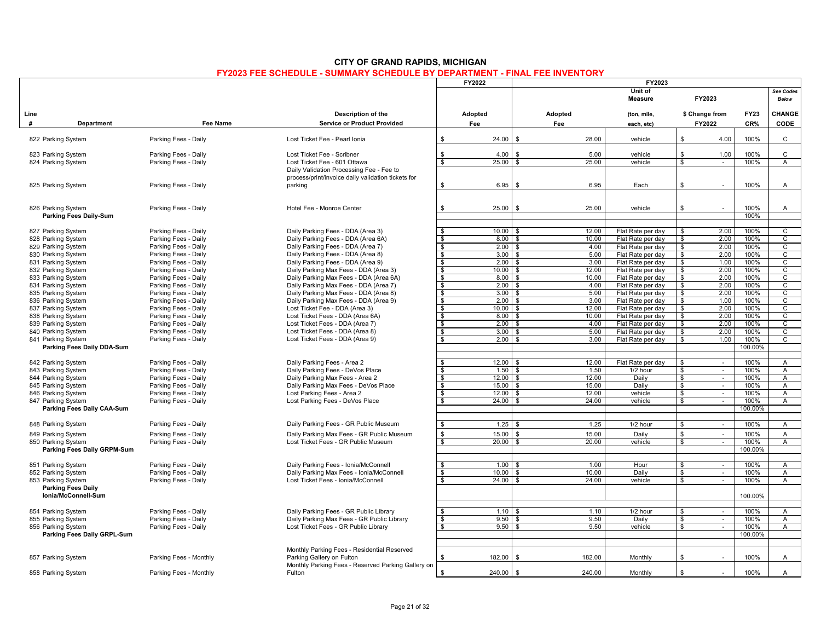|                                                  |                                              |                                                                                                | FY2022                        | FY2023            |                                |                                        |               |                          |                    |                                |
|--------------------------------------------------|----------------------------------------------|------------------------------------------------------------------------------------------------|-------------------------------|-------------------|--------------------------------|----------------------------------------|---------------|--------------------------|--------------------|--------------------------------|
|                                                  |                                              |                                                                                                |                               |                   |                                | Unit of<br><b>Measure</b>              |               | FY2023                   |                    | See Codes<br><b>Below</b>      |
| Line<br>#<br>Department                          | <b>Fee Name</b>                              | Description of the<br><b>Service or Product Provided</b>                                       | Adopted<br>Fee                |                   | Adopted<br>Fee                 | (ton, mile,<br>each, etc)              |               | \$ Change from<br>FY2022 | <b>FY23</b><br>CR% | CHANGE<br>CODE                 |
|                                                  |                                              |                                                                                                |                               |                   |                                |                                        |               |                          |                    |                                |
| 822 Parking System                               | Parking Fees - Daily                         | Lost Ticket Fee - Pearl Ionia                                                                  | \$                            | 24.00             | l \$<br>28.00                  | vehicle                                | \$            | 4.00                     | 100%               | $\mathsf{C}$                   |
| 823 Parking System                               | Parking Fees - Daily                         | Lost Ticket Fee - Scribner                                                                     | $\mathbf{\$}$                 | 4.00              | 5.00                           | vehicle                                | ${\mathbb S}$ | 1.00                     | 100%               | $\mathsf{C}$                   |
| 824 Parking System                               | Parking Fees - Daily                         | Lost Ticket Fee - 601 Ottawa                                                                   | \$                            | 25.00             | 25.00<br>$\mathbf{\hat{s}}$    | vehicle                                | $\mathbf{\$}$ | $\sim$                   | 100%               | $\overline{A}$                 |
|                                                  |                                              | Daily Validation Processing Fee - Fee to<br>process/print/invoice daily validation tickets for |                               |                   |                                |                                        |               |                          |                    |                                |
| 825 Parking System                               | Parking Fees - Daily                         | parking                                                                                        | \$                            | 6.95              | 6.95<br>\$                     | Each                                   | \$            |                          | 100%               | A                              |
|                                                  |                                              |                                                                                                |                               |                   |                                |                                        |               |                          |                    |                                |
| 826 Parking System                               | Parking Fees - Daily                         | Hotel Fee - Monroe Center                                                                      | \$                            | 25.00             | 25.00                          | vehicle                                | \$            |                          | 100%               | A                              |
| <b>Parking Fees Daily-Sum</b>                    |                                              |                                                                                                |                               |                   |                                |                                        |               |                          | 100%               |                                |
|                                                  |                                              |                                                                                                |                               |                   |                                |                                        |               |                          |                    |                                |
| 827 Parking System                               | Parking Fees - Daily                         | Daily Parking Fees - DDA (Area 3)                                                              | \$<br>\$                      | 10.00             | 12.00<br>l \$<br>10.00<br>l \$ | Flat Rate per day                      | \$<br>\$      | 2.00                     | 100%<br>100%       | $\overline{c}$                 |
| 828 Parking System                               | Parking Fees - Daily<br>Parking Fees - Daily | Daily Parking Fees - DDA (Area 6A)<br>Daily Parking Fees - DDA (Area 7)                        |                               | 8.00              |                                | Flat Rate per day                      |               | 2.00                     |                    | $\mathsf{C}$                   |
| 829 Parking System<br>830 Parking System         | Parking Fees - Daily                         | Daily Parking Fees - DDA (Area 8)                                                              | \$<br>$\overline{\mathbf{s}}$ | $2.00$ \$<br>3.00 | 4.00<br>l \$<br>5.00           | Flat Rate per day<br>Flat Rate per day | \$<br>\$      | 2.00<br>2.00             | 100%<br>100%       | $\mathsf{C}$<br>$\overline{c}$ |
| 831 Parking System                               | Parking Fees - Daily                         | Daily Parking Fees - DDA (Area 9)                                                              | $\bullet$                     | $2.00$ \$         | 3.00                           | Flat Rate per day                      | \$            | 1.00                     | 100%               | C                              |
| 832 Parking System                               | Parking Fees - Daily                         | Daily Parking Max Fees - DDA (Area 3)                                                          | $\frac{1}{2}$                 | $10.00$ \$        | 12.00                          | Flat Rate per day                      | \$            | 2.00                     | 100%               | $\mathsf{C}$                   |
| 833 Parking System                               | Parking Fees - Daily                         | Daily Parking Max Fees - DDA (Area 6A)                                                         | $\frac{1}{2}$                 | $8.00$ \$         | 10.00                          | Flat Rate per day                      | \$            | 2.00                     | 100%               | $\overline{c}$                 |
| 834 Parking System                               | Parking Fees - Daily                         | Daily Parking Max Fees - DDA (Area 7)                                                          | $\overline{\mathbf{s}}$       | $2.00$ \$         | 4.00                           | Flat Rate per day                      | \$            | 2.00                     | 100%               | $\overline{c}$                 |
| 835 Parking System                               | Parking Fees - Daily                         | Daily Parking Max Fees - DDA (Area 8)                                                          | \$                            | $3.00$ \ \$       | 5.00                           | Flat Rate per day                      | \$            | 2.00                     | 100%               | $\mathsf{C}$                   |
| 836 Parking System                               | Parking Fees - Daily                         | Daily Parking Max Fees - DDA (Area 9)                                                          | \$                            | $2.00$ \$         | 3.00                           | Flat Rate per day                      | \$            | 1.00                     | 100%               | $\mathsf{C}$                   |
| 837 Parking System                               | Parking Fees - Daily                         | Lost Ticket Fee - DDA (Area 3)                                                                 | $\overline{\mathbf{S}}$       | $10.00$ \$        | 12.00                          | Flat Rate per day                      | \$            | 2.00                     | 100%               | $\overline{c}$                 |
| 838 Parking System                               | Parking Fees - Daily                         | Lost Ticket Fees - DDA (Area 6A)                                                               | $\frac{1}{2}$                 | 8.00              | 10.00<br>l \$                  | Flat Rate per day                      | \$            | 2.00                     | 100%               | C                              |
| 839 Parking System                               | Parking Fees - Daily                         | Lost Ticket Fees - DDA (Area 7)                                                                | \$                            | $2.00$ \ \$       | 4.00                           | Flat Rate per day                      | \$            | 2.00                     | 100%               | C                              |
| 840 Parking System                               | Parking Fees - Daily                         | Lost Ticket Fees - DDA (Area 8)                                                                | $\bullet$                     | 3.00              | l \$<br>5.00                   | Flat Rate per day                      | \$            | 2.00                     | 100%               | $\overline{c}$                 |
| 841 Parking System                               | Parking Fees - Daily                         | Lost Ticket Fees - DDA (Area 9)                                                                | \$                            | $2.00$ \$         | 3.00                           | Flat Rate per day                      | \$            | 1.00                     | 100%               | $\mathsf{C}$                   |
| Parking Fees Daily DDA-Sum                       |                                              |                                                                                                |                               |                   |                                |                                        |               |                          | 100.00%            |                                |
| 842 Parking System                               | Parking Fees - Daily                         | Daily Parking Fees - Area 2                                                                    | \$                            | $12.00$ \ \$      | 12.00                          | Flat Rate per day                      | \$            | $\sim$                   | 100%               | $\overline{A}$                 |
| 843 Parking System                               | Parking Fees - Daily                         | Daily Parking Fees - DeVos Place                                                               | $\mathbf{\hat{s}}$            | 1.50              | 1.50<br>l \$                   | 1/2 hour                               | \$            | $\sim$                   | 100%               | A                              |
| 844 Parking System                               | Parking Fees - Daily                         | Daily Parking Max Fees - Area 2                                                                | \$                            | $12.00$ \$        | 12.00                          | Daily                                  | \$            | $\sim$                   | 100%               | $\mathsf{A}$                   |
| 845 Parking System                               | Parking Fees - Daily                         | Daily Parking Max Fees - DeVos Place                                                           | \$                            | $15.00$ \$        | 15.00                          | Daily                                  | \$            | $\sim$                   | 100%               | A                              |
| 846 Parking System                               | Parking Fees - Daily                         | Lost Parking Fees - Area 2                                                                     | \$                            | $12.00$ \$        | 12.00                          | vehicle                                | \$            | $\sim$                   | 100%               | A                              |
| 847 Parking System                               | Parking Fees - Daily                         | Lost Parking Fees - DeVos Place                                                                | \$                            |                   | 24.00                          | vehicle                                | \$            | $\sim$                   | 100%               | A                              |
| Parking Fees Daily CAA-Sum                       |                                              |                                                                                                |                               |                   |                                |                                        |               |                          | 100.00%            |                                |
| 848 Parking System                               | Parking Fees - Daily                         | Daily Parking Fees - GR Public Museum                                                          | \$                            | 1.25              | 1.25                           | 1/2 hour                               | \$            | $\sim$                   | 100%               | $\mathsf{A}$                   |
|                                                  |                                              |                                                                                                |                               |                   |                                |                                        |               |                          |                    |                                |
| 849 Parking System                               | Parking Fees - Daily                         | Daily Parking Max Fees - GR Public Museum                                                      | \$                            | 15.00             | 15.00                          | Daily                                  | \$            | $\sim$                   | 100%               | A                              |
| 850 Parking System                               | Parking Fees - Daily                         | Lost Ticket Fees - GR Public Museum                                                            | $\frac{1}{2}$                 | 20.00             | 20.00<br>l \$                  | vehicle                                | \$            | $\sim$                   | 100%<br>100.00%    | $\mathsf{A}$                   |
| Parking Fees Daily GRPM-Sum                      |                                              |                                                                                                |                               |                   |                                |                                        |               |                          |                    |                                |
| 851 Parking System                               | Parking Fees - Daily                         | Daily Parking Fees - Ionia/McConnell                                                           | \$                            | 1.00              | 1.00<br>l \$                   | Hour                                   | \$            | $\sim$                   | 100%               | $\overline{A}$                 |
| 852 Parking System                               | Parking Fees - Daily                         | Daily Parking Max Fees - Ionia/McConnell                                                       | \$                            | 10.00             | 10.00<br><b>S</b>              | Daily                                  | \$            | $\sim$                   | 100%               | A                              |
| 853 Parking System                               | Parking Fees - Daily                         | Lost Ticket Fees - Ionia/McConnell                                                             | \$                            | 24.00             | 24.00<br><b>S</b>              | vehicle                                | \$            | $\sim$                   | 100%               | $\mathsf{A}$                   |
| <b>Parking Fees Daily</b><br>Ionia/McConnell-Sum |                                              |                                                                                                |                               |                   |                                |                                        |               |                          | 100.00%            |                                |
| 854 Parking System                               | Parking Fees - Daily                         | Daily Parking Fees - GR Public Library                                                         | - \$                          | 1.10              | 1.10                           | 1/2 hour                               | \$.           | $\sim$                   | 100%               | $\mathsf{A}$                   |
|                                                  |                                              |                                                                                                | \$                            | 9.50              | <b>S</b><br>9.50               |                                        | \$            | $\sim$                   |                    |                                |
| 855 Parking System<br>856 Parking System         | Parking Fees - Daily<br>Parking Fees - Daily | Daily Parking Max Fees - GR Public Library<br>Lost Ticket Fees - GR Public Library             | $\overline{\mathbf{s}}$       | $9.50$ \$         | 9.50                           | Daily<br>vehicle                       | \$            | $\sim$                   | 100%<br>100%       | A<br>$\mathsf{A}$              |
| Parking Fees Daily GRPL-Sum                      |                                              |                                                                                                |                               |                   |                                |                                        |               |                          | 100.00%            |                                |
|                                                  |                                              |                                                                                                |                               |                   |                                |                                        |               |                          |                    |                                |
|                                                  |                                              | Monthly Parking Fees - Residential Reserved                                                    |                               |                   |                                |                                        |               |                          |                    |                                |
| 857 Parking System                               | Parking Fees - Monthly                       | Parking Gallery on Fulton                                                                      | \$                            | 182.00            | 182.00                         | Monthly                                | \$            |                          | 100%               | A                              |
|                                                  |                                              | Monthly Parking Fees - Reserved Parking Gallery on                                             |                               |                   |                                |                                        |               |                          |                    |                                |
| 858 Parking System                               | Parking Fees - Monthly                       | Fulton                                                                                         | \$                            | 240.00            | 240.00                         | Monthly                                | \$            |                          | 100%               | A                              |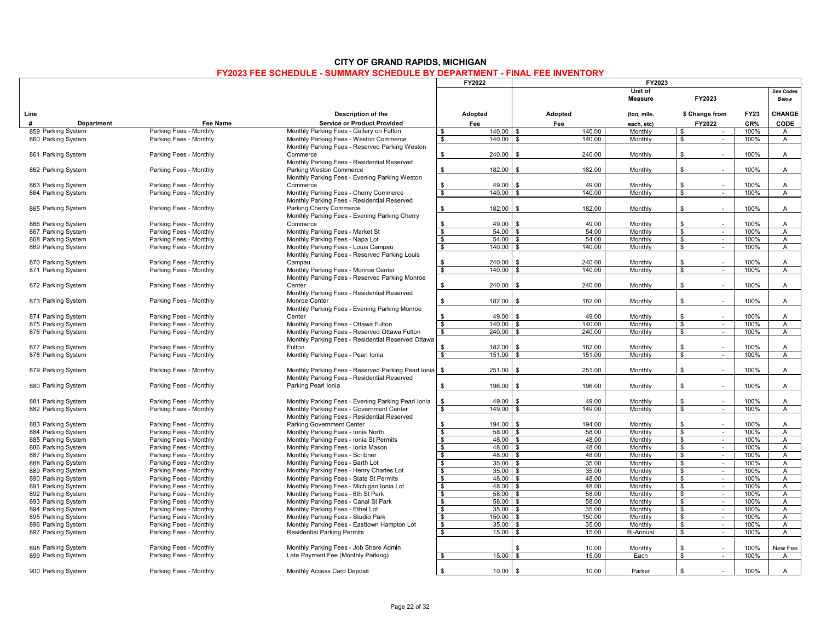|                                  |                                           |                                                                                |                         | <b>FY2022</b>  | FY2023                       |                       |                          |                    |                                  |  |  |
|----------------------------------|-------------------------------------------|--------------------------------------------------------------------------------|-------------------------|----------------|------------------------------|-----------------------|--------------------------|--------------------|----------------------------------|--|--|
|                                  |                                           |                                                                                |                         |                |                              | Unit of<br>Measure    | FY2023                   |                    | <b>See Codes</b><br><b>Below</b> |  |  |
| Line<br>#                        |                                           | Description of the                                                             |                         | Adopted<br>Fee | Adopted<br>Fee               | (ton, mile,           | \$ Change from<br>FY2022 | <b>FY23</b><br>CR% | CHANGE<br>CODE                   |  |  |
| Department<br>859 Parking System | <b>Fee Name</b><br>Parking Fees - Monthly | <b>Service or Product Provided</b><br>Monthly Parking Fees - Gallery on Fulton | \$                      | 140.00         | 140.00<br>l \$               | each, etc)<br>Monthly | \$<br>$\sim$             | 100%               | $\mathsf{A}$                     |  |  |
| 860 Parking System               | Parking Fees - Monthly                    | Monthly Parking Fees - Weston Commerce                                         |                         |                | ∣ \$                         |                       | $\sim$                   |                    |                                  |  |  |
|                                  |                                           |                                                                                | \$                      | 140.00         | 140.00                       | Monthly               | \$                       | 100%               | A                                |  |  |
|                                  |                                           | Monthly Parking Fees - Reserved Parking Weston                                 |                         |                |                              |                       | $\mathbf{\$}$            |                    |                                  |  |  |
| 861 Parking System               | Parking Fees - Monthly                    | Commerce                                                                       | \$                      | 240.00         | 240.00<br>$\mathbf{\hat{s}}$ | Monthly               |                          | 100%               | $\mathsf{A}$                     |  |  |
|                                  |                                           | Monthly Parking Fees - Residential Reserved                                    |                         |                |                              |                       |                          |                    |                                  |  |  |
| 862 Parking System               | Parking Fees - Monthly                    | Parking Weston Commerce                                                        | \$                      | 182.00         | 182.00                       | Monthly               | \$<br>÷.                 | 100%               | A                                |  |  |
|                                  |                                           | Monthly Parking Fees - Evening Parking Weston                                  |                         |                |                              |                       |                          |                    |                                  |  |  |
| 863 Parking System               | Parking Fees - Monthly                    | Commerce                                                                       | \$                      | 49.00          | 49.00                        | Monthly               | \$                       | 100%               | A                                |  |  |
| 864 Parking System               | Parking Fees - Monthly                    | Monthly Parking Fees - Cherry Commerce                                         | \$                      | 140.00         | 140.00<br>l \$               | Monthly               | \$<br>$\sim$             | 100%               | A                                |  |  |
|                                  |                                           | Monthly Parking Fees - Residential Reserved                                    |                         |                |                              |                       |                          |                    |                                  |  |  |
| 865 Parking System               | Parking Fees - Monthly                    | Parking Cherry Commerce                                                        | \$                      | 182.00         | 182.00<br>. ድ                | Monthly               | \$<br>$\sim$             | 100%               | A                                |  |  |
|                                  |                                           | Monthly Parking Fees - Evening Parking Cherry                                  |                         |                |                              |                       |                          |                    |                                  |  |  |
| 866 Parking System               | Parking Fees - Monthly                    | Commerce                                                                       | \$                      | 49.00          | 49.00                        | Monthly               | \$                       | 100%               | $\overline{A}$                   |  |  |
| 867 Parking System               | Parking Fees - Monthly                    | Monthly Parking Fees - Market St                                               | $\bullet$               | 54.00          | l \$<br>54.00                | Monthly               | \$<br>$\sim$             | 100%               | A                                |  |  |
| 868 Parking System               | Parking Fees - Monthly                    | Monthly Parking Fees - Napa Lot                                                | \$                      | $54.00$ \ \$   | 54.00                        | Monthly               | \$<br>$\sim$             | 100%               | A                                |  |  |
| 869 Parking System               | Parking Fees - Monthly                    | Monthly Parking Fees - Louis Campau                                            | $\mathbf{\hat{s}}$      | 140.00         | 140.00<br><b>S</b>           | Monthly               | \$<br>$\sim$             | 100%               | $\overline{A}$                   |  |  |
|                                  |                                           | Monthly Parking Fees - Reserved Parking Louis                                  |                         |                |                              |                       |                          |                    |                                  |  |  |
| 870 Parking System               | Parking Fees - Monthly                    | Campau                                                                         | \$                      | 240.00         | 240.00                       | Monthly               | \$                       | 100%               | A                                |  |  |
| 871 Parking System               | Parking Fees - Monthly                    | Monthly Parking Fees - Monroe Center                                           | \$                      | 140.00         | 140.00<br>\$                 | Monthly               | \$<br>$\sim$             | 100%               | A                                |  |  |
|                                  |                                           | Monthly Parking Fees - Reserved Parking Monroe                                 |                         |                |                              |                       |                          |                    |                                  |  |  |
| 872 Parking System               | Parking Fees - Monthly                    | Center                                                                         | \$                      | 240.00         | 240.00<br>- \$               | Monthly               | \$                       | 100%               | A                                |  |  |
|                                  |                                           | Monthly Parking Fees - Residential Reserved                                    |                         |                |                              |                       |                          |                    |                                  |  |  |
| 873 Parking System               | Parking Fees - Monthly                    | Monroe Center                                                                  | $\mathbb{S}$            | 182.00         | 182.00<br>$\mathbf{\hat{s}}$ | Monthly               | \$<br>÷.                 | 100%               | $\mathsf{A}$                     |  |  |
|                                  |                                           | Monthly Parking Fees - Evening Parking Monroe                                  |                         |                |                              |                       |                          |                    |                                  |  |  |
| 874 Parking System               | Parking Fees - Monthly                    | Center                                                                         | \$                      | 49.00          | 49.00<br>. ድ                 | Monthly               | \$                       | 100%               | A                                |  |  |
| 875 Parking System               | Parking Fees - Monthly                    | Monthly Parking Fees - Ottawa Fulton                                           | $\overline{\mathbf{s}}$ | 140.00         | l \$<br>140.00               | Monthly               | \$<br>$\mathcal{L}$      | 100%               | $\overline{A}$                   |  |  |
| 876 Parking System               | Parking Fees - Monthly                    | Monthly Parking Fees - Reserved Ottawa Fulton                                  | \$                      | 240.00         | 240.00<br>\$                 | Monthly               | \$<br>$\sim$             | 100%               | A                                |  |  |
|                                  |                                           | Monthly Parking Fees - Residential Reserved Ottawa                             |                         |                |                              |                       |                          |                    |                                  |  |  |
| 877 Parking System               | Parking Fees - Monthly                    | Fulton                                                                         | \$                      | 182.00         | 182.00                       | Monthly               | \$                       | 100%               | A                                |  |  |
| 878 Parking System               | Parking Fees - Monthly                    | Monthly Parking Fees - Pearl Ionia                                             | $\overline{\mathbf{s}}$ | 151.00         | 151.00<br>. ድ                | Monthly               | \$<br>$\sim$             | 100%               | A                                |  |  |
|                                  |                                           |                                                                                |                         |                |                              |                       |                          |                    |                                  |  |  |
| 879 Parking System               | Parking Fees - Monthly                    | Monthly Parking Fees - Reserved Parking Pearl Ionia                            | \$                      | 251.00         | 251.00                       | Monthly               | \$<br>÷.                 | 100%               | A                                |  |  |
|                                  |                                           | Monthly Parking Fees - Residential Reserved                                    |                         |                |                              |                       |                          |                    |                                  |  |  |
| 880 Parking System               | Parking Fees - Monthly                    | Parking Pearl Ionia                                                            | \$                      | 196.00         | 196.00<br>- \$               | Monthly               | \$                       | 100%               | A                                |  |  |
|                                  |                                           |                                                                                |                         |                |                              |                       |                          |                    |                                  |  |  |
| 881 Parking System               | Parking Fees - Monthly                    | Monthly Parking Fees - Evening Parking Pearl Ionia                             | \$                      | 49.00          | 49.00<br>$\mathbf{S}$        | Monthly               | \$                       | 100%               | $\mathsf{A}$                     |  |  |
| 882 Parking System               | Parking Fees - Monthly                    | Monthly Parking Fees - Government Center                                       | \$                      | 149.00         | 149.00                       | Monthly               | \$<br>$\sim$             | 100%               | A                                |  |  |
|                                  |                                           | Monthly Parking Fees - Residential Reserved                                    |                         |                |                              |                       |                          |                    |                                  |  |  |
| 883 Parking System               | Parking Fees - Monthly                    | <b>Parking Government Center</b>                                               | \$                      | 194.00         | 194.00<br>- \$               | Monthly               | \$                       | 100%               | A                                |  |  |
| 884 Parking System               | Parking Fees - Monthly                    | Monthly Parking Fees - Ionia North                                             | $\bullet$               | 58.00          | 58.00<br>l \$                | Monthly               | \$<br>$\sim$             | 100%               | $\overline{A}$                   |  |  |
| 885 Parking System               | Parking Fees - Monthly                    | Monthly Parking Fees - Ionia St Permits                                        | $\overline{\mathbf{s}}$ | $48.00$ \$     | 48.00                        | Monthly               | \$<br>$\sim$             | 100%               | $\mathsf{A}$                     |  |  |
| 886 Parking System               | Parking Fees - Monthly                    | Monthly Parking Fees - Ionia Mason                                             | $\frac{1}{2}$           | $48.00$ \$     | 48.00                        | Monthly               | $\mathbf{\$}$<br>$\sim$  | 100%               | $\mathsf{A}$                     |  |  |
| 887 Parking System               | Parking Fees - Monthly                    | Monthly Parking Fees - Scribner                                                | $\frac{1}{2}$           | $48.00$ \$     | 48.00                        | Monthly               | $\mathbf{\$}$<br>$\sim$  | 100%               | $\mathsf{A}$                     |  |  |
| 888 Parking System               | Parking Fees - Monthly                    | Monthly Parking Fees - Barth Lot                                               | \$                      | $35.00$ \$     | 35.00                        | Monthly               | \$<br>$\sim$             | 100%               | $\overline{A}$                   |  |  |
| 889 Parking System               | Parking Fees - Monthly                    | Monthly Parking Fees - Henry Charles Lot                                       | $\bullet$               | $35.00$ \$     | 35.00                        | Monthly               | \$                       | 100%               | A                                |  |  |
| 890 Parking System               | Parking Fees - Monthly                    | Monthly Parking Fees - State St Permits                                        | \$                      | $48.00$ \$     | 48.00                        | Monthly               | \$<br>$\sim$             | 100%               | $\mathsf{A}$                     |  |  |
| 891 Parking System               | Parking Fees - Monthly                    | Monthly Parking Fees - Michigan Ionia Lot                                      | $\frac{1}{2}$           | $48.00$ \ \$   | 48.00                        | Monthly               | \$<br>$\sim$             | 100%               | $\overline{A}$                   |  |  |
| 892 Parking System               | Parking Fees - Monthly                    | Monthly Parking Fees - 6th St Park                                             | $\bullet$               | $58.00$ \$     | 58.00                        | Monthly               | \$<br>$\sim$             | 100%               | $\mathsf{A}$                     |  |  |
| 893 Parking System               | Parking Fees - Monthly                    | Monthly Parking Fees - Canal St Park                                           | $\frac{1}{2}$           | $58.00$ \$     | 58.00                        | Monthly               | \$<br>$\sim$             | 100%               | $\mathsf{A}$                     |  |  |
| 894 Parking System               | Parking Fees - Monthly                    | Monthly Parking Fees - Ethel Lot                                               | \$                      | $35.00$ \$     | 35.00                        | Monthly               | \$<br>$\sim$             | 100%               | $\mathsf{A}$                     |  |  |
| 895 Parking System               | Parking Fees - Monthly                    | Monthly Parking Fees - Studio Park                                             | \$                      | 150.00         | 150.00<br><b>S</b>           | Monthly               | \$<br>$\sim$             | 100%               | A                                |  |  |
| 896 Parking System               | Parking Fees - Monthly                    | Monthly Parking Fees - Easttown Hampton Lot                                    | \$                      | 35.00          | 35.00<br>l \$                | Monthly               | \$<br>$\sim$             | 100%               | $\mathsf{A}$                     |  |  |
| 897 Parking System               | Parking Fees - Monthly                    | <b>Residential Parking Permits</b>                                             | $\frac{1}{2}$           | 15.00          | 15.00<br>l \$                | <b>Bi-Annual</b>      | \$<br>$\sim$             | 100%               | $\mathsf{A}$                     |  |  |
|                                  |                                           |                                                                                |                         |                |                              |                       |                          |                    |                                  |  |  |
| 898 Parking System               | Parking Fees - Monthly                    | Monthly Parking Fees - Job Share Admin                                         |                         |                | 10.00                        | Monthly               | \$                       | 100%               | New Fee                          |  |  |
| 899 Parking System               | Parking Fees - Monthly                    | Late Payment Fee (Monthly Parking)                                             | \$                      | 15.00          | 15.00                        | Each                  | \$<br>$\sim$             | 100%               | $\mathsf{A}$                     |  |  |
|                                  |                                           |                                                                                |                         |                |                              |                       |                          |                    |                                  |  |  |
| 900 Parking System               | Parking Fees - Monthly                    | Monthly Access Card Deposit                                                    | \$                      | 10.00          | 10.00<br>- \$                | Parker                | \$                       | 100%               | $\mathsf{A}$                     |  |  |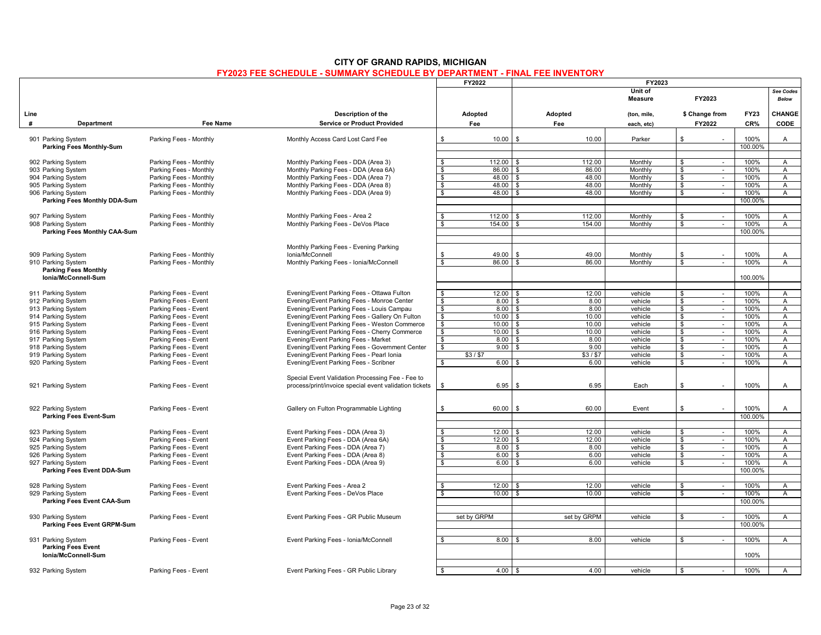|                                          |                                              |                                                                        | FY2022                                      | FY2023             |                 |                    |                                          |              |                                  |
|------------------------------------------|----------------------------------------------|------------------------------------------------------------------------|---------------------------------------------|--------------------|-----------------|--------------------|------------------------------------------|--------------|----------------------------------|
|                                          |                                              |                                                                        |                                             |                    |                 | Unit of<br>Measure | FY2023                                   |              | See Codes<br><b>Below</b>        |
| Line<br>#                                |                                              | Description of the                                                     | Adopted                                     | Adopted            |                 | (ton, mile,        | \$ Change from                           | <b>FY23</b>  | CHANGE                           |
| Department                               | Fee Name                                     | <b>Service or Product Provided</b>                                     | Fee                                         | Fee                |                 | each, etc)         | FY2022                                   | CR%          | CODE                             |
| 901 Parking System                       | Parking Fees - Monthly                       | Monthly Access Card Lost Card Fee                                      | 10.00<br>\$                                 | $\mathbf{s}$       | 10.00           | Parker             | \$                                       | 100%         | A                                |
| <b>Parking Fees Monthly-Sum</b>          |                                              |                                                                        |                                             |                    |                 |                    |                                          | 100.00%      |                                  |
|                                          |                                              |                                                                        |                                             |                    |                 |                    |                                          |              |                                  |
| 902 Parking System                       | Parking Fees - Monthly                       | Monthly Parking Fees - DDA (Area 3)                                    | 112.00<br>\$                                |                    | 112.00          | Monthly            | \$<br>$\sim$                             | 100%         | A                                |
| 903 Parking System                       | Parking Fees - Monthly                       | Monthly Parking Fees - DDA (Area 6A)                                   | 86.00<br>- \$                               |                    | 86.00           | Monthly            | $\mathbb{S}$<br>$\sim$                   | 100%         | $\overline{A}$                   |
| 904 Parking System                       | Parking Fees - Monthly                       | Monthly Parking Fees - DDA (Area 7)                                    | \$<br>48.00                                 | \$                 | 48.00           | Monthly            | $\mathbf{\hat{s}}$                       | 100%         | A                                |
| 905 Parking System                       | Parking Fees - Monthly                       | Monthly Parking Fees - DDA (Area 8)                                    | 48.00<br>\$                                 | \$.                | 48.00           | Monthly            | \$<br>$\sim$                             | 100%         | $\mathsf{A}$                     |
| 906 Parking System                       | Parking Fees - Monthly                       | Monthly Parking Fees - DDA (Area 9)                                    | <b>S</b><br>48.00                           | . ድ                | 48.00           | Monthly            | \$<br>$\sim$                             | 100%         | $\mathsf{A}$                     |
| Parking Fees Monthly DDA-Sum             |                                              |                                                                        |                                             |                    |                 |                    |                                          | 100.00%      |                                  |
| 907 Parking System                       | Parking Fees - Monthly                       | Monthly Parking Fees - Area 2                                          | 112.00<br>\$                                |                    | 112.00          | Monthly            | \$<br>$\sim$                             | 100%         | $\overline{A}$                   |
| 908 Parking System                       | Parking Fees - Monthly                       | Monthly Parking Fees - DeVos Place                                     | 154.00<br>\$                                |                    | 154.00          | Monthly            | \$<br>$\sim$                             | 100%         | $\overline{A}$                   |
| Parking Fees Monthly CAA-Sum             |                                              |                                                                        |                                             |                    |                 |                    |                                          | 100.00%      |                                  |
|                                          |                                              |                                                                        |                                             |                    |                 |                    |                                          |              |                                  |
|                                          |                                              | Monthly Parking Fees - Evening Parking                                 |                                             |                    |                 |                    |                                          |              |                                  |
| 909 Parking System                       | Parking Fees - Monthly                       | Ionia/McConnell                                                        | 49.00<br>\$                                 |                    | 49.00           | Monthly            | \$                                       | 100%         | A                                |
| 910 Parking System                       | Parking Fees - Monthly                       | Monthly Parking Fees - Ionia/McConnell                                 | 86.00<br>\$                                 |                    | 86.00           | Monthly            | \$<br>$\sim$                             | 100%         | $\mathsf{A}$                     |
| <b>Parking Fees Monthly</b>              |                                              |                                                                        |                                             |                    |                 |                    |                                          |              |                                  |
| Ionia/McConnell-Sum                      |                                              |                                                                        |                                             |                    |                 |                    |                                          | 100.00%      |                                  |
|                                          |                                              |                                                                        |                                             |                    |                 |                    |                                          |              |                                  |
| 911 Parking System                       | Parking Fees - Event                         | Evening/Event Parking Fees - Ottawa Fulton                             | 12.00<br>\$                                 | $\mathbf{\hat{S}}$ | 12.00           | vehicle            | \$<br>$\sim$                             | 100%         | $\mathsf{A}$                     |
| 912 Parking System                       | Parking Fees - Event                         | Evening/Event Parking Fees - Monroe Center                             | $\sqrt{3}$<br>8.00                          | . ጽ                | 8.00            | vehicle            | \$<br>$\blacksquare$                     | 100%         | $\mathsf{A}$                     |
| 913 Parking System                       | Parking Fees - Event                         | Evening/Event Parking Fees - Louis Campau                              | $\frac{1}{2}$<br>8.00                       | \$                 | 8.00            | vehicle            | \$<br>$\sim$                             | 100%         | $\mathsf{A}$                     |
| 914 Parking System                       | Parking Fees - Event                         | Evening/Event Parking Fees - Gallery On Fulton                         | \$<br>10.00                                 | \$                 | 10.00           | vehicle            | \$<br>$\sim$                             | 100%         | $\mathsf{A}$                     |
| 915 Parking System                       | Parking Fees - Event                         | Evening/Event Parking Fees - Weston Commerce                           | $\bullet$<br>10.00                          | £.                 | 10.00           | vehicle            | $\mathbf{s}$<br>$\overline{\phantom{a}}$ | 100%         | $\overline{A}$                   |
| 916 Parking System                       | Parking Fees - Event                         | Evening/Event Parking Fees - Cherry Commerce                           | \$<br>10.00                                 | S                  | 10.00           | vehicle            | \$<br>$\sim$                             | 100%         | $\mathsf{A}$                     |
| 917 Parking System                       | Parking Fees - Event                         | Evening/Event Parking Fees - Market                                    | \$<br>8.00                                  |                    | 8.00            | vehicle            | \$<br>$\sim$                             | 100%         | $\mathsf{A}$                     |
| 918 Parking System                       | Parking Fees - Event                         | Evening/Event Parking Fees - Government Center                         | $\sqrt{3}$<br>9.00                          | \$                 | 9.00            | vehicle            | $\overline{\mathbf{s}}$<br>$\sim$        | 100%         | $\overline{A}$                   |
| 919 Parking System                       | Parking Fees - Event                         | Evening/Event Parking Fees - Pearl Ionia                               | \$3/\$7<br>6.00                             |                    | \$3/\$7<br>6.00 | vehicle            | \$<br>$\sim$<br>\$<br>$\sim$             | 100%<br>100% | A                                |
| 920 Parking System                       | Parking Fees - Event                         | Evening/Event Parking Fees - Scribner                                  | \$                                          |                    |                 | vehicle            |                                          |              | A                                |
|                                          |                                              | Special Event Validation Processing Fee - Fee to                       |                                             |                    |                 |                    |                                          |              |                                  |
| 921 Parking System                       | Parking Fees - Event                         | process/print/invoice special event validation tickets                 | 6.95                                        | \$                 | 6.95            | Each               | \$                                       | 100%         | A                                |
|                                          |                                              |                                                                        |                                             |                    |                 |                    |                                          |              |                                  |
|                                          |                                              |                                                                        |                                             |                    |                 |                    |                                          |              |                                  |
| 922 Parking System                       | Parking Fees - Event                         | Gallery on Fulton Programmable Lighting                                | 60.00<br>\$                                 | \$                 | 60.00           | Event              | \$                                       | 100%         | A                                |
| <b>Parking Fees Event-Sum</b>            |                                              |                                                                        |                                             |                    |                 |                    |                                          | 100.00%      |                                  |
|                                          |                                              |                                                                        |                                             |                    |                 |                    |                                          |              |                                  |
| 923 Parking System                       | Parking Fees - Event                         | Event Parking Fees - DDA (Area 3)                                      | 12.00                                       |                    | 12.00           | vehicle            | \$<br>$\sim$                             | 100%         | A                                |
| 924 Parking System                       | Parking Fees - Event                         | Event Parking Fees - DDA (Area 6A)                                     | 12.00<br>\$                                 |                    | 12.00           | vehicle            | \$<br>$\sim$                             | 100%         | A                                |
| 925 Parking System<br>926 Parking System | Parking Fees - Event<br>Parking Fees - Event | Event Parking Fees - DDA (Area 7)<br>Event Parking Fees - DDA (Area 8) | $\sqrt{s}$<br>8.00<br>$\frac{1}{2}$<br>6.00 |                    | 8.00<br>6.00    | vehicle<br>vehicle | $\mathbf{s}$<br>$\sim$                   | 100%<br>100% | $\overline{A}$<br>$\overline{A}$ |
| 927 Parking System                       | Parking Fees - Event                         | Event Parking Fees - DDA (Area 9)                                      | \$<br>6.00                                  |                    | 6.00            | vehicle            | \$<br>$\sim$<br>\$<br>$\sim$             | 100%         | A                                |
| Parking Fees Event DDA-Sum               |                                              |                                                                        |                                             |                    |                 |                    |                                          | 100.00%      |                                  |
|                                          |                                              |                                                                        |                                             |                    |                 |                    |                                          |              |                                  |
| 928 Parking System                       | Parking Fees - Event                         | Event Parking Fees - Area 2                                            | 12.00<br>\$                                 |                    | 12.00           | vehicle            | \$<br>$\sim$                             | 100%         | $\overline{A}$                   |
| 929 Parking System                       | Parking Fees - Event                         | Event Parking Fees - DeVos Place                                       | \$<br>10.00                                 | \$                 | 10.00           | vehicle            | $\overline{\mathbf{s}}$<br>$\mathcal{L}$ | 100%         | A                                |
| Parking Fees Event CAA-Sum               |                                              |                                                                        |                                             |                    |                 |                    |                                          | 100.00%      |                                  |
|                                          |                                              |                                                                        |                                             |                    |                 |                    |                                          |              |                                  |
| 930 Parking System                       | Parking Fees - Event                         | Event Parking Fees - GR Public Museum                                  | set by GRPM                                 |                    | set by GRPM     | vehicle            | \$<br>$\sim$                             | 100%         | $\mathsf{A}$                     |
| Parking Fees Event GRPM-Sum              |                                              |                                                                        |                                             |                    |                 |                    |                                          | 100.00%      |                                  |
|                                          |                                              |                                                                        |                                             |                    |                 |                    |                                          |              |                                  |
| 931 Parking System                       | Parking Fees - Event                         | Event Parking Fees - Ionia/McConnell                                   | 8.00                                        |                    | 8.00            | vehicle            | $\mathbf{s}$<br>$\sim$                   | 100%         | A                                |
| <b>Parking Fees Event</b>                |                                              |                                                                        |                                             |                    |                 |                    |                                          |              |                                  |
| Ionia/McConnell-Sum                      |                                              |                                                                        |                                             |                    |                 |                    |                                          | 100%         |                                  |
| 932 Parking System                       | Parking Fees - Event                         | Event Parking Fees - GR Public Library                                 | 4.00<br>\$                                  | l \$               | 4.00            | vehicle            | \$<br>$\sim$                             | 100%         | $\mathsf{A}$                     |
|                                          |                                              |                                                                        |                                             |                    |                 |                    |                                          |              |                                  |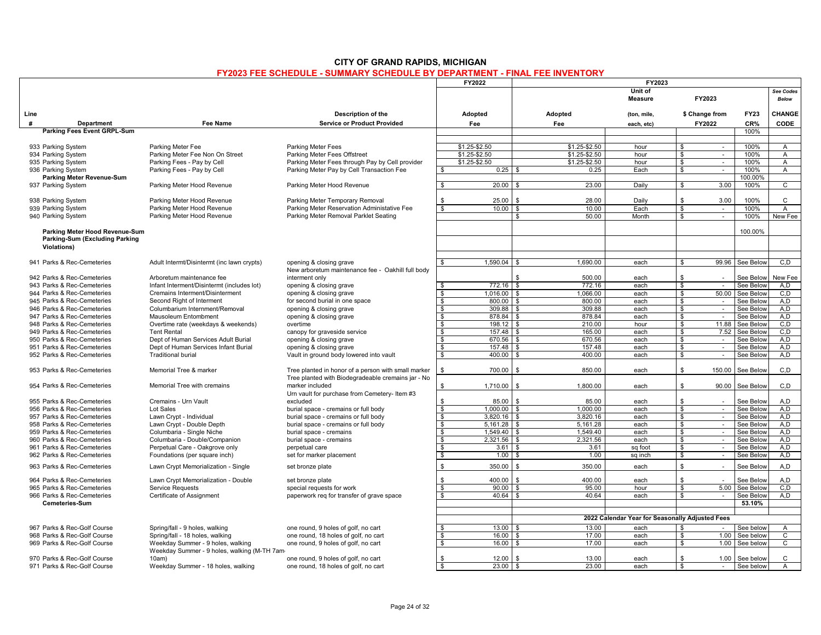|                                                                                        |                                                                                   |                                                                                                           | FY2022              | FY2023                     |                 |                                                 |                               |                  |                        |                           |
|----------------------------------------------------------------------------------------|-----------------------------------------------------------------------------------|-----------------------------------------------------------------------------------------------------------|---------------------|----------------------------|-----------------|-------------------------------------------------|-------------------------------|------------------|------------------------|---------------------------|
|                                                                                        |                                                                                   |                                                                                                           |                     |                            |                 | Unit of<br>Measure                              |                               | FY2023           |                        | See Codes<br><b>Below</b> |
| Line                                                                                   |                                                                                   | Description of the                                                                                        | Adopted             |                            | Adopted         | (ton, mile,                                     |                               | \$ Change from   | <b>FY23</b>            | CHANGE                    |
| #<br><b>Department</b>                                                                 | <b>Fee Name</b>                                                                   | <b>Service or Product Provided</b>                                                                        | Fee                 |                            | Fee             | each, etc)                                      |                               | FY2022           | CR%                    | CODE                      |
| Parking Fees Event GRPL-Sum                                                            |                                                                                   |                                                                                                           |                     |                            |                 |                                                 |                               |                  | 100%                   |                           |
|                                                                                        |                                                                                   |                                                                                                           |                     |                            |                 |                                                 |                               |                  |                        |                           |
| 933 Parking System                                                                     | Parking Meter Fee                                                                 | <b>Parking Meter Fees</b>                                                                                 | \$1.25-\$2.50       |                            | \$1.25-\$2.50   | hour                                            | \$                            | $\sim$           | 100%                   | A                         |
| 934 Parking System                                                                     | Parking Meter Fee Non On Street                                                   | Parking Meter Fees Offstreet                                                                              | \$1.25-\$2.50       |                            | \$1.25-\$2.50   | hour                                            | \$                            | $\sim$           | 100%                   | $\mathsf{A}$              |
| 935 Parking System                                                                     | Parking Fees - Pay by Cell                                                        | Parking Meter Fees through Pay by Cell provider                                                           | \$1.25-\$2.50       |                            | $$1.25 - $2.50$ | hour                                            | $\frac{1}{2}$                 |                  | 100%                   | $\overline{A}$            |
| 936 Parking System                                                                     | Parking Fees - Pay by Cell                                                        | Parking Meter Pay by Cell Transaction Fee                                                                 | \$                  | 0.25                       | 0.25            | Each                                            | \$                            | $\sim$           | 100%                   | A                         |
| Parking Meter Revenue-Sum                                                              |                                                                                   |                                                                                                           |                     |                            |                 |                                                 |                               |                  | 100.00%                |                           |
| 937 Parking System                                                                     | Parking Meter Hood Revenue                                                        | Parking Meter Hood Revenue                                                                                | \$<br>20.00         |                            | 23.00           | Daily                                           | <b>S</b>                      | 3.00             | 100%                   | $\overline{c}$            |
| 938 Parking System                                                                     | Parking Meter Hood Revenue                                                        | Parking Meter Temporary Removal                                                                           | 25.00<br>\$.        | \$                         | 28.00           | Daily                                           | s.                            | 3.00             | 100%                   | C                         |
| 939 Parking System                                                                     | Parking Meter Hood Revenue                                                        | Parking Meter Reservation Administative Fee                                                               | 10.00<br>\$         | <b>\$</b>                  | 10.00           | Each                                            | \$                            | $\sim$           | 100%                   | $\overline{A}$            |
| 940 Parking System                                                                     | Parking Meter Hood Revenue                                                        | Parking Meter Removal Parklet Seating                                                                     |                     | \$                         | 50.00           | Month                                           | \$                            | $\sim$           | 100%                   | New Fee                   |
|                                                                                        |                                                                                   |                                                                                                           |                     |                            |                 |                                                 |                               |                  |                        |                           |
| Parking Meter Hood Revenue-Sum<br>Parking-Sum (Excluding Parking<br><b>Violations)</b> |                                                                                   |                                                                                                           |                     |                            |                 |                                                 |                               |                  | 100.00%                |                           |
| 941 Parks & Rec-Cemeteries                                                             | Adult Intermt/Disintermt (inc lawn crypts)                                        | opening & closing grave                                                                                   | $1.590.04$ \$       |                            | 1,690.00        | each                                            | <b>S</b>                      | 99.96            | See Below              | C.D                       |
|                                                                                        |                                                                                   | New arboretum maintenance fee - Oakhill full body                                                         |                     |                            |                 |                                                 |                               |                  |                        |                           |
| 942 Parks & Rec-Cemeteries                                                             | Arboretum maintenance fee                                                         | interment only                                                                                            |                     |                            | 500.00          | each                                            | \$                            | $\sim$           | See Below              | New Fee                   |
| 943 Parks & Rec-Cemeteries                                                             | Infant Interment/Disintermt (includes lot)                                        | opening & closing grave                                                                                   | \$                  | $772.16$ \$                | 772.16          | each                                            | \$                            | $\sim$           | See Below              | A.D                       |
| 944 Parks & Rec-Cemeteries                                                             | Cremains Interment/Disinterment                                                   | opening & closing grave                                                                                   | $1.016.00$ \$<br>\$ |                            | 1.066.00        | each                                            | \$                            | 50.00            | See Below              | C.D                       |
| 945 Parks & Rec-Cemeteries                                                             | Second Right of Interment                                                         | for second burial in one space                                                                            | \$<br>800.00        | l \$                       | 800.00          | each                                            | \$                            | $\sim$           | See Below              | A.D                       |
| 946 Parks & Rec-Cemeteries                                                             | Columbarium Internment/Removal                                                    | opening & closing grave                                                                                   | \$                  | $309.88$ \$                | 309.88          | each                                            | \$                            | $\sim$           | See Below              | A.D                       |
| 947 Parks & Rec-Cemeteries                                                             | <b>Mausoleum Entombment</b>                                                       | opening & closing grave                                                                                   | \$                  | 878.84 \$                  | 878.84          | each                                            | \$                            | $\sim$           | See Below              | A.D                       |
| 948 Parks & Rec-Cemeteries                                                             | Overtime rate (weekdays & weekends)                                               | overtime                                                                                                  | \$                  | $198.12$ \$                | 210.00          | hour                                            | \$                            | 11.88            | See Below              | C.D                       |
| 949 Parks & Rec-Cemeteries                                                             | <b>Tent Rental</b>                                                                | canopy for graveside service                                                                              | \$                  | $157.48$ \$                | 165.00          | each                                            | \$                            | 7.52             | See Below              | C.D                       |
| 950 Parks & Rec-Cemeteries                                                             | Dept of Human Services Adult Burial                                               | opening & closing grave                                                                                   | \$                  | $670.56$ \$                | 670.56          | each                                            | \$                            | $\sim$           | See Below              | A, D                      |
| 951 Parks & Rec-Cemeteries                                                             | Dept of Human Services Infant Burial                                              | opening & closing grave                                                                                   | \$                  |                            | 157.48          | each                                            | \$                            | $\sim$           | See Below              | A.D                       |
| 952 Parks & Rec-Cemeteries                                                             | <b>Traditional burial</b>                                                         | Vault in ground body lowered into vault                                                                   | s,                  | $400.00$ \ \$              | 400.00          | each                                            | $\overline{\mathbf{s}}$       |                  | See Below              | A.D                       |
| 953 Parks & Rec-Cemeteries                                                             | Memorial Tree & marker                                                            | Tree planted in honor of a person with small marker<br>Tree planted with Biodegradeable cremains jar - No | \$<br>700.00        |                            | 850.00          | each                                            | \$                            | 150.00           | See Belov              | C, D                      |
| 954 Parks & Rec-Cemeteries                                                             | Memorial Tree with cremains                                                       | marker included                                                                                           | 1,710.00<br>\$      | \$                         | 1,800.00        | each                                            | \$                            | 90.00            | See Below              | C.D                       |
|                                                                                        |                                                                                   | Urn vault for purchase from Cemetery- Item #3                                                             |                     |                            |                 |                                                 |                               |                  |                        |                           |
| 955 Parks & Rec-Cemeteries                                                             | Cremains - Urn Vault                                                              | excluded                                                                                                  | 85.00<br>\$         |                            | 85.00           | each                                            | \$                            |                  | See Below              | A,D                       |
| 956 Parks & Rec-Cemeteries                                                             | Lot Sales                                                                         | burial space - cremains or full body                                                                      | 1.000.00<br>\$      | \$                         | 1.000.00        | each                                            | \$                            | $\sim$           | See Below              | A,D                       |
| 957 Parks & Rec-Cemeteries                                                             | Lawn Crypt - Individual                                                           | burial space - cremains or full body                                                                      | \$<br>$3.820.16$ \$ |                            | 3.820.16        | each                                            | \$                            | $\sim$           | See Below              | A.D                       |
| 958 Parks & Rec-Cemeteries                                                             | Lawn Crypt - Double Depth                                                         | burial space - cremains or full body                                                                      | \$<br>$5,161.28$ \$ |                            | 5,161.28        | each                                            | \$                            | $\sim$           | See Below              | A,D                       |
| 959 Parks & Rec-Cemeteries                                                             | Columbaria - Single Niche                                                         | burial space - cremains                                                                                   | \$<br>1,549.40 \$   |                            | 1,549.40        | each                                            | \$                            | $\sim$           | See Below              | A,D                       |
| 960 Parks & Rec-Cemeteries                                                             | Columbaria - Double/Companion                                                     | burial space - cremains                                                                                   | \$<br>$2,321.56$ \$ |                            | 2,321.56        | each                                            | \$                            | $\sim$           | See Below              | A,D                       |
| 961 Parks & Rec-Cemeteries<br>962 Parks & Rec-Cemeteries                               | Perpetual Care - Oakgrove only<br>Foundations (per square inch)                   | perpetual care<br>set for marker placement                                                                | \$<br>\$            | $1.00$ \$                  | 3.61<br>1.00    | sq foot<br>sq inch                              | $\overline{\mathbf{s}}$<br>\$ | $\sim$<br>$\sim$ | See Below<br>See Below | A.D<br>A,D                |
| 963 Parks & Rec-Cemeteries                                                             | Lawn Crypt Memorialization - Single                                               | set bronze plate                                                                                          | \$<br>350.00        | £.                         | 350.00          | each                                            | $\mathbf{s}$                  | $\sim$           | See Below              | A.D                       |
|                                                                                        |                                                                                   |                                                                                                           |                     |                            |                 |                                                 |                               |                  |                        |                           |
| 964 Parks & Rec-Cemeteries<br>965 Parks & Rec-Cemeteries                               | Lawn Crypt Memorialization - Double                                               | set bronze plate                                                                                          | 400.00<br>\$<br>\$  | $\mathbf{R}$<br>$90.00$ \$ | 400.00<br>95.00 | each<br>hour                                    | $\mathbf{s}$<br>\$            | 5.00             | See Below              | A,D<br>C.D                |
| 966 Parks & Rec-Cemeteries                                                             | <b>Service Requests</b><br>Certificate of Assignment                              | special requests for work<br>paperwork reg for transfer of grave space                                    | \$                  |                            | 40.64           | each                                            | \$                            |                  | See Below<br>See Below | A.D                       |
| <b>Cemeteries-Sum</b>                                                                  |                                                                                   |                                                                                                           |                     |                            |                 |                                                 |                               | $\sim$           | 53.10%                 |                           |
|                                                                                        |                                                                                   |                                                                                                           |                     |                            |                 |                                                 |                               |                  |                        |                           |
|                                                                                        |                                                                                   |                                                                                                           |                     |                            |                 | 2022 Calendar Year for Seasonally Adjusted Fees |                               |                  |                        |                           |
| 967 Parks & Rec-Golf Course                                                            | Spring/fall - 9 holes, walking                                                    | one round, 9 holes of golf, no cart                                                                       | \$                  | $13.00$ \ \$               | 13.00           | each                                            | \$                            | $\sim$           | See below              | $\mathsf{A}$              |
| 968 Parks & Rec-Golf Course                                                            | Spring/fall - 18 holes, walking                                                   | one round, 18 holes of golf, no cart                                                                      | 16.00<br>S.         | - \$                       | 17.00           | each                                            | \$                            | 1.00             | See below              | C                         |
| 969 Parks & Rec-Golf Course                                                            | Weekday Summer - 9 holes, walking<br>Weekday Summer - 9 holes, walking (M-TH 7am- | one round, 9 holes of golf, no cart                                                                       | \$<br>16.00         | \$                         | 17.00           | each                                            | \$                            | 1.00             | See below              | C                         |
| 970 Parks & Rec-Golf Course                                                            | 10am                                                                              | one round, 9 holes of golf, no cart                                                                       | 12.00               |                            | 13.00           | each                                            | <b>S</b>                      | 1.00             | See below              | C                         |
| 971 Parks & Rec-Golf Course                                                            | Weekday Summer - 18 holes, walking                                                | one round, 18 holes of golf, no cart                                                                      | S.                  | $23.00$ \$                 | 23.00           | each                                            | \$                            | $\sim$           | See below              | Α                         |
|                                                                                        |                                                                                   |                                                                                                           |                     |                            |                 |                                                 |                               |                  |                        |                           |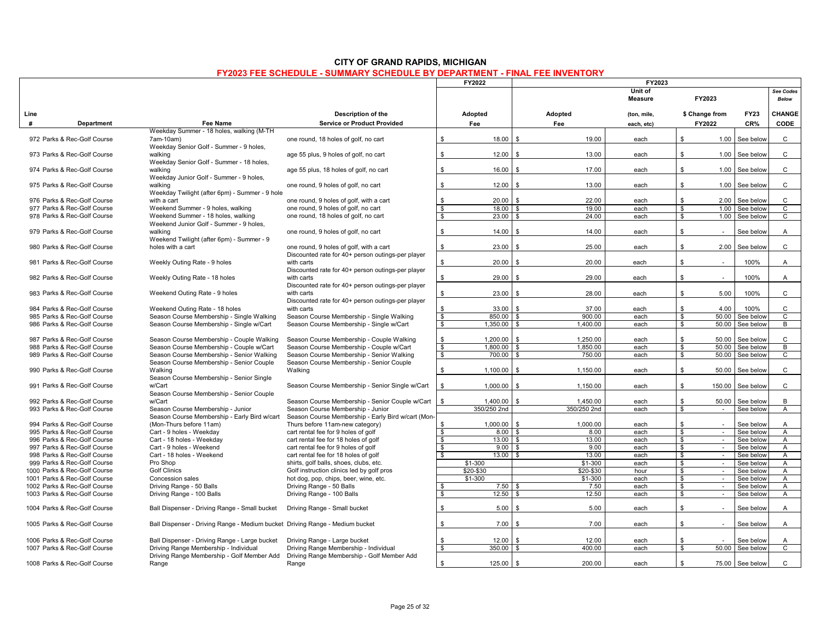|                              |                                                                              |                                                    |                         | FY2022        | FY2023                         |                           |                                   |                 |                    |
|------------------------------|------------------------------------------------------------------------------|----------------------------------------------------|-------------------------|---------------|--------------------------------|---------------------------|-----------------------------------|-----------------|--------------------|
|                              |                                                                              |                                                    |                         |               |                                | Unit of<br><b>Measure</b> | FY2023                            |                 | See Codes<br>Below |
| Line                         |                                                                              | Description of the                                 |                         | Adopted       | Adopted                        | (ton, mile,               | \$ Change from                    | <b>FY23</b>     | CHANGE             |
| #<br><b>Department</b>       | Fee Name                                                                     | <b>Service or Product Provided</b>                 |                         | Fee           | Fee                            | each, etc)                | FY2022                            | CR%             | <b>CODE</b>        |
|                              | Weekday Summer - 18 holes, walking (M-TH                                     |                                                    |                         |               |                                |                           |                                   |                 |                    |
| 972 Parks & Rec-Golf Course  | 7am-10am)                                                                    | one round, 18 holes of golf, no cart               | \$                      | 18.00         | 19.00<br>$\mathbf{\hat{z}}$    | each                      | \$.<br>1.00                       | See below       | $\mathsf{C}$       |
|                              | Weekday Senior Golf - Summer - 9 holes,                                      |                                                    |                         |               |                                |                           |                                   |                 |                    |
| 973 Parks & Rec-Golf Course  | walking                                                                      | age 55 plus, 9 holes of golf, no cart              | \$                      | 12.00         | 13.00                          | each                      | \$<br>1.00                        | See below       | $\mathsf{C}$       |
|                              | Weekday Senior Golf - Summer - 18 holes,                                     |                                                    |                         |               |                                |                           |                                   |                 |                    |
| 974 Parks & Rec-Golf Course  | walking                                                                      | age 55 plus, 18 holes of golf, no cart             | \$                      | 16.00         | 17.00<br>$\hat{\mathbf{r}}$    | each                      | \$                                | 1.00 See below  | $\mathsf{C}$       |
|                              | Weekday Junior Golf - Summer - 9 holes,                                      |                                                    |                         |               |                                |                           |                                   |                 |                    |
| 975 Parks & Rec-Golf Course  | walking                                                                      | one round, 9 holes of golf, no cart                | \$                      | 12.00         | 13.00<br>$\mathbf{\hat{S}}$    | each                      | ${\mathbb S}$<br>1.00             | See below       | $\mathbf{C}$       |
|                              | Weekday Twilight (after 6pm) - Summer - 9 hole                               |                                                    |                         |               |                                |                           |                                   |                 |                    |
| 976 Parks & Rec-Golf Course  | with a cart                                                                  | one round, 9 holes of golf, with a cart            | \$                      | 20.00         | 22.00<br>$\mathbf{\hat{z}}$    | each                      | s.<br>2.00                        | See below       | $\mathbf{C}$       |
| 977 Parks & Rec-Golf Course  | Weekend Summer - 9 holes, walking                                            | one round, 9 holes of golf, no cart                | $\overline{\mathbf{s}}$ | $18.00$ \ \$  | 19.00                          | each                      | S.                                | 1.00 See below  | $\overline{c}$     |
| 978 Parks & Rec-Golf Course  | Weekend Summer - 18 holes, walking                                           | one round, 18 holes of golf, no cart               | S.                      | 23.00         | 24.00                          | each                      | s.                                | 1.00 See below  | C                  |
|                              | Weekend Junior Golf - Summer - 9 holes.                                      |                                                    |                         |               |                                |                           |                                   |                 |                    |
| 979 Parks & Rec-Golf Course  | walking                                                                      | one round, 9 holes of golf, no cart                | \$                      | 14.00         | $\hat{\mathbf{r}}$<br>14.00    | each                      | \$                                | See below       | A                  |
|                              | Weekend Twilight (after 6pm) - Summer - 9                                    |                                                    |                         |               |                                |                           |                                   |                 |                    |
| 980 Parks & Rec-Golf Course  | holes with a cart                                                            | one round, 9 holes of golf, with a cart            | \$                      | 23.00         | 25.00<br>. ድ                   | each                      | \$<br>2.00                        | See below       | $\mathtt{C}$       |
|                              |                                                                              | Discounted rate for 40+ person outings-per player  |                         |               |                                |                           |                                   |                 |                    |
| 981 Parks & Rec-Golf Course  | Weekly Outing Rate - 9 holes                                                 | with carts                                         | $\mathbb{S}$            | 20.00         | 20.00                          | each                      | \$                                | 100%            | A                  |
|                              |                                                                              | Discounted rate for 40+ person outings-per player  |                         |               |                                |                           |                                   |                 |                    |
| 982 Parks & Rec-Golf Course  | Weekly Outing Rate - 18 holes                                                | with carts                                         | \$                      | 29.00         | 29.00<br>$\hat{\mathbf{r}}$    | each                      | \$                                | 100%            | A                  |
|                              |                                                                              | Discounted rate for 40+ person outings-per player  |                         |               |                                |                           |                                   |                 |                    |
| 983 Parks & Rec-Golf Course  | Weekend Outing Rate - 9 holes                                                | with carts                                         | \$                      | 23.00         | 28.00<br>$\mathbf{s}$          | each                      | \$<br>5.00                        | 100%            | $\mathtt{C}$       |
|                              |                                                                              | Discounted rate for 40+ person outings-per player  |                         |               |                                |                           |                                   |                 |                    |
| 984 Parks & Rec-Golf Course  | Weekend Outing Rate - 18 holes                                               | with carts                                         | S.                      | $33.00$ \ \$  | 37.00                          | each                      | 4.00<br>\$                        | 100%            | $\mathsf{C}$       |
| 985 Parks & Rec-Golf Course  | Season Course Membership - Single Walking                                    | Season Course Membership - Single Walking          | \$                      | 850.00 \$     | 900.00                         | each                      | s.<br>50.00                       | See below       | $\mathbf{C}$       |
| 986 Parks & Rec-Golf Course  | Season Course Membership - Single w/Cart                                     | Season Course Membership - Single w/Cart           |                         |               |                                | each                      | s.                                |                 | B                  |
|                              |                                                                              |                                                    | \$                      | $1,350.00$ \$ | 1,400.00                       |                           |                                   | 50.00 See below |                    |
| 987 Parks & Rec-Golf Course  |                                                                              |                                                    | \$                      | 1,200.00      | 1,250.00<br>. ድ                | each                      | \$<br>50.00                       |                 | $\mathsf{C}$       |
|                              | Season Course Membership - Couple Walking                                    | Season Course Membership - Couple Walking          |                         | 1.800.00      | . ድ                            |                           |                                   | See below       |                    |
| 988 Parks & Rec-Golf Course  | Season Course Membership - Couple w/Cart                                     | Season Course Membership - Couple w/Cart           | $\overline{\mathbf{s}}$ |               | 1,850.00                       | each                      | \$<br>50.00                       | See below       | В                  |
| 989 Parks & Rec-Golf Course  | Season Course Membership - Senior Walking                                    | Season Course Membership - Senior Walking          | \$                      | 700.00 \$     | 750.00                         | each                      | 50.00<br>s.                       | See below       | $\overline{c}$     |
|                              | Season Course Membership - Senior Couple                                     | Season Course Membership - Senior Couple           |                         |               |                                |                           |                                   |                 |                    |
| 990 Parks & Rec-Golf Course  | Walking                                                                      | Walking                                            | \$                      | 1,100.00      | 1,150.00<br>$\mathbf{\hat{z}}$ | each                      | \$                                | 50.00 See below | C                  |
|                              | Season Course Membership - Senior Single                                     |                                                    |                         |               |                                |                           |                                   |                 |                    |
| 991 Parks & Rec-Golf Course  | w/Cart                                                                       | Season Course Membership - Senior Single w/Cart    | \$                      | 1,000.00      | 1,150.00<br>$\mathbf{\hat{z}}$ | each                      | \$<br>150.00                      | See below       | $\mathtt{C}$       |
|                              | Season Course Membership - Senior Couple                                     |                                                    |                         |               |                                |                           |                                   |                 |                    |
| 992 Parks & Rec-Golf Course  | w/Cart                                                                       | Season Course Membership - Senior Couple w/Cart    | \$                      | 1.400.00      | $\mathbf{s}$<br>1.450.00       | each                      | \$.<br>50.00                      | See below       | B                  |
| 993 Parks & Rec-Golf Course  | Season Course Membership - Junior                                            | Season Course Membership - Junior                  |                         | 350/250 2nd   | 350/250 2nd                    | each                      | \$<br>$\sim$                      | See below       | $\overline{A}$     |
|                              | Season Course Membership - Early Bird w/cart                                 | Season Course Membership - Early Bird w/cart (Mon- |                         |               |                                |                           |                                   |                 |                    |
| 994 Parks & Rec-Golf Course  | (Mon-Thurs before 11am)                                                      | Thurs before 11am-new category)                    | \$                      | 1.000.00      | 1.000.00<br>$\hat{\mathbf{r}}$ | each                      | \$                                | See below       | $\overline{A}$     |
| 995 Parks & Rec-Golf Course  | Cart - 9 holes - Weekday                                                     | cart rental fee for 9 holes of golf                | \$                      | $8.00$ \$     | 8.00                           | each                      | \$<br>$\sim$                      | See below       | A                  |
| 996 Parks & Rec-Golf Course  | Cart - 18 holes - Weekday                                                    | cart rental fee for 18 holes of golf               | \$                      | 13.00         | 13.00                          | each                      | \$<br>$\sim$                      | See below       | A                  |
| 997 Parks & Rec-Golf Course  | Cart - 9 holes - Weekend                                                     | cart rental fee for 9 holes of golf                | \$                      | 9.00          | 9.00<br>. ድ                    | each                      | \$<br>$\sim$                      | See below       | A                  |
| 998 Parks & Rec-Golf Course  | Cart - 18 holes - Weekend                                                    | cart rental fee for 18 holes of golf               | S.                      |               | 13.00                          | each                      | \$<br>$\sim$                      | See below       | $\mathsf{A}$       |
| 999 Parks & Rec-Golf Course  | Pro Shop                                                                     | shirts, golf balls, shoes, clubs, etc.             |                         | $$1-300$      | $$1-300$                       | each                      | \$<br>$\sim$                      | See below       | A                  |
| 1000 Parks & Rec-Golf Course | <b>Golf Clinics</b>                                                          | Golf instruction clinics led by golf pros          |                         | \$20-\$30     | \$20-\$30                      | hour                      | \$<br>$\sim$                      | See below       | A                  |
| 1001 Parks & Rec-Golf Course | Concession sales                                                             | hot dog, pop, chips, beer, wine, etc.              |                         | \$1-300       | $$1-300$                       | each                      | \$<br>$\mathcal{L}$               | See below       | $\overline{A}$     |
| 1002 Parks & Rec-Golf Course | Driving Range - 50 Balls                                                     | Driving Range - 50 Balls                           | -\$                     | 7.50          | 7.50                           | each                      | \$<br>$\sim$                      | See below       | $\overline{A}$     |
| 1003 Parks & Rec-Golf Course | Driving Range - 100 Balls                                                    | Driving Range - 100 Balls                          | S,                      | 12.50         | 12.50<br>. ጽ                   | each                      | \$<br>$\mathcal{L}_{\mathcal{A}}$ | See below       | $\overline{A}$     |
|                              |                                                                              |                                                    |                         |               | $\mathbf{\hat{S}}$             |                           | $\mathbf{\$}$                     |                 |                    |
| 1004 Parks & Rec-Golf Course | Ball Dispenser - Driving Range - Small bucket                                | Driving Range - Small bucket                       | \$                      | 5.00          | 5.00                           | each                      |                                   | See below       | $\mathsf{A}$       |
|                              |                                                                              |                                                    |                         |               |                                |                           |                                   |                 |                    |
| 1005 Parks & Rec-Golf Course | Ball Dispenser - Driving Range - Medium bucket Driving Range - Medium bucket |                                                    | S.                      | 7.00          | 7.00                           | each                      | \$                                | See below       | A                  |
|                              |                                                                              |                                                    |                         |               |                                |                           |                                   |                 |                    |
| 1006 Parks & Rec-Golf Course | Ball Dispenser - Driving Range - Large bucket                                | Driving Range - Large bucket                       | \$                      | 12.00         | 12.00                          | each                      | \$                                | See below       | A                  |
| 1007 Parks & Rec-Golf Course | Driving Range Membership - Individual                                        | Driving Range Membership - Individual              | \$                      | 350.00        | 400.00                         | each                      | \$                                | 50.00 See below | $\mathsf{C}$       |
|                              | Driving Range Membership - Golf Member Add                                   | Driving Range Membership - Golf Member Add         |                         |               |                                |                           |                                   |                 |                    |
| 1008 Parks & Rec-Golf Course | Range                                                                        | Range                                              | $\mathbb S$             | 125.00        | 200.00<br>\$                   | each                      | \$                                | 75.00 See below | $\mathbf{C}$       |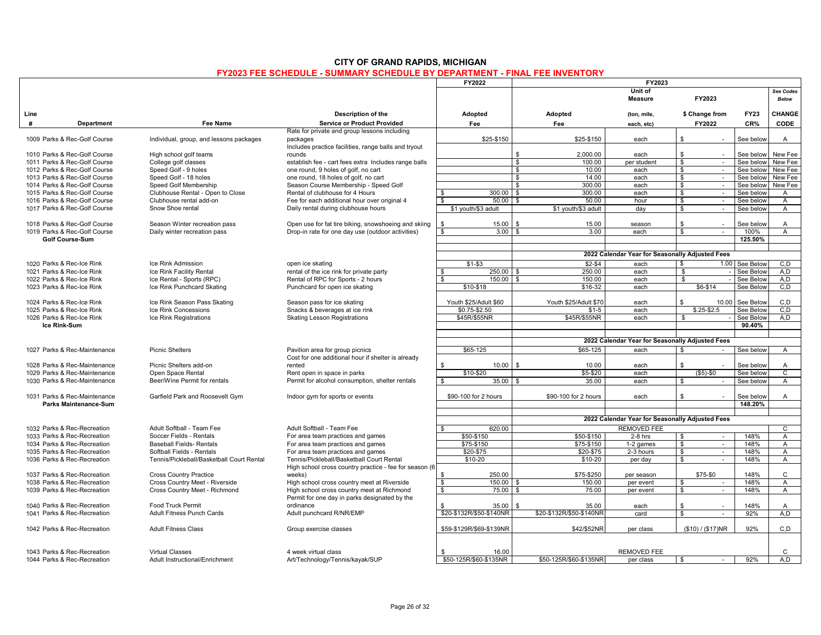|      |                              |                                           |                                                         | FY2022                                      |                             | FY2023                                          |                                   |                |                |
|------|------------------------------|-------------------------------------------|---------------------------------------------------------|---------------------------------------------|-----------------------------|-------------------------------------------------|-----------------------------------|----------------|----------------|
|      |                              |                                           |                                                         |                                             |                             | Unit of                                         |                                   |                | See Codes      |
|      |                              |                                           |                                                         |                                             |                             | <b>Measure</b>                                  | FY2023                            |                | <b>Below</b>   |
|      |                              |                                           |                                                         |                                             |                             |                                                 |                                   |                |                |
| Line |                              |                                           | Description of the                                      | Adopted                                     | Adopted                     | (ton, mile,                                     | \$ Change from                    | <b>FY23</b>    | CHANGE         |
| #    | Department                   | Fee Name                                  | <b>Service or Product Provided</b>                      | Fee                                         | Fee                         | each, etc)                                      | FY2022                            | CR%            | <b>CODE</b>    |
|      |                              |                                           | Rate for private and group lessons including            |                                             |                             |                                                 |                                   |                |                |
|      | 1009 Parks & Rec-Golf Course | Individual, group, and lessons packages   | packages                                                | \$25-\$150                                  | \$25-\$150                  | each                                            | $\mathbf{s}$<br>$\sim$            | See below      | $\overline{A}$ |
|      |                              |                                           | Includes practice facilities, range balls and tryout    |                                             |                             |                                                 |                                   |                |                |
|      | 1010 Parks & Rec-Golf Course | High school golf teams                    | rounds                                                  |                                             | 2.000.00<br>\$              | each                                            | $\mathbf{s}$<br>$\sim$            | See below      | New Fee        |
|      | 1011 Parks & Rec-Golf Course | College golf classes                      | establish fee - cart fees extra Includes range balls    |                                             | \$<br>100.00                | per student                                     | \$<br>$\sim$                      | See below      | New Fee        |
|      | 1012 Parks & Rec-Golf Course | Speed Golf - 9 holes                      | one round, 9 holes of golf, no cart                     |                                             | \$<br>10.00                 | each                                            | $\bullet$<br>$\sim$               | See below      | New Fee        |
|      | 1013 Parks & Rec-Golf Course | Speed Golf - 18 holes                     | one round, 18 holes of golf, no cart                    |                                             | 14.00<br>\$                 | each                                            | \$                                | See below      | New Fee        |
|      | 1014 Parks & Rec-Golf Course | Speed Golf Membership                     | Season Course Membership - Speed Golf                   |                                             |                             |                                                 | $\sim$<br>$\sim$                  |                |                |
|      |                              |                                           |                                                         |                                             | 300.00<br>\$<br>300.00      | each                                            | \$                                | See below      | New Fee        |
|      | 1015 Parks & Rec-Golf Course | Clubhouse Rental - Open to Close          | Rental of clubhouse for 4 Hours                         | 300.00<br>\$                                | <b>S</b>                    | each                                            | $\mathbf{s}$<br>$\sim$            | See below      | A              |
|      | 1016 Parks & Rec-Golf Course | Clubhouse rental add-on                   | Fee for each additional hour over original 4            | 50.00<br>\$                                 | 50.00<br>\$                 | hour                                            | \$<br>$\sim$                      | See below      | $\mathsf{A}$   |
|      | 1017 Parks & Rec-Golf Course | Snow Shoe rental                          | Daily rental during clubhouse hours                     | \$1 youth/\$3 adult                         | \$1 youth/\$3 adult         | day                                             | $\overline{\mathbf{s}}$<br>$\sim$ | See below      | $\overline{A}$ |
|      |                              |                                           |                                                         |                                             |                             |                                                 |                                   |                |                |
|      | 1018 Parks & Rec-Golf Course | Season Winter recreation pass             | Open use for fat tire biking, snowshoeing and skiing    | \$<br>15.00                                 | 15.00<br>. \$               | season                                          | $\mathbf{s}$<br>$\sim$            | See below      | A              |
|      | 1019 Parks & Rec-Golf Course | Daily winter recreation pass              | Drop-in rate for one day use (outdoor activities)       | 3.00<br>\$                                  | 3.00<br>$\mathbf{\hat{z}}$  | each                                            | \$<br>$\sim$                      | 100%           | $\overline{A}$ |
|      | Golf Course-Sum              |                                           |                                                         |                                             |                             |                                                 |                                   | 125.50%        |                |
|      |                              |                                           |                                                         |                                             |                             |                                                 |                                   |                |                |
|      |                              |                                           |                                                         |                                             |                             | 2022 Calendar Year for Seasonally Adjusted Fees |                                   |                |                |
|      | 1020 Parks & Rec-Ice Rink    | Ice Rink Admission                        | open ice skating                                        | $$1 - $3$                                   | $$2-$4$                     | each                                            | \$                                | 1.00 See Below | C.D            |
|      | 1021 Parks & Rec-Ice Rink    | Ice Rink Facility Rental                  | rental of the ice rink for private party                | 250.00<br>$\mathfrak{s}$                    | 250.00<br>- \$              | each                                            | $\overline{\mathbf{s}}$           | See Belov      | A, D           |
|      | 1022 Parks & Rec-Ice Rink    | Ice Rental - Sports (RPC)                 | Rental of RPC for Sports - 2 hours                      | s,<br>150.00                                | s,<br>150.00                | each                                            | S,                                | See Below      | A.D            |
|      | 1023 Parks & Rec-Ice Rink    | Ice Rink Punchcard Skating                | Punchcard for open ice skating                          | \$10-\$18                                   | \$16-32                     | each                                            | $$6 - $14$                        | See Below      | C.D            |
|      |                              |                                           |                                                         |                                             |                             |                                                 |                                   |                |                |
|      | 1024 Parks & Rec-Ice Rink    |                                           |                                                         | Youth \$25/Adult \$60                       | Youth \$25/Adult \$70       |                                                 | \$<br>10.00                       |                | C.D            |
|      |                              | Ice Rink Season Pass Skating              | Season pass for ice skating                             |                                             |                             | each                                            |                                   | See Below      |                |
|      | 1025 Parks & Rec-Ice Rink    | Ice Rink Concessions                      | Snacks & beverages at ice rink                          | \$0.75-\$2.50                               | $$1-5$                      | each                                            | $$.25 - $2.5$                     | See Below      | C.D            |
|      | 1026 Parks & Rec-Ice Rink    | Ice Rink Registrations                    | <b>Skating Lesson Registrations</b>                     | \$45R/\$55NR                                | \$45R/\$55NR                | each                                            | \$                                | See Below      | A,D            |
|      | Ice Rink-Sum                 |                                           |                                                         |                                             |                             |                                                 |                                   | 90.40%         |                |
|      |                              |                                           |                                                         |                                             |                             |                                                 |                                   |                |                |
|      |                              |                                           |                                                         |                                             |                             | 2022 Calendar Year for Seasonally Adjusted Fees |                                   |                |                |
|      | 1027 Parks & Rec-Maintenance | <b>Picnic Shelters</b>                    | Pavilion area for group picnics                         | \$65-125                                    | \$65-125                    | each                                            | . ድ                               | See below      | A              |
|      |                              |                                           | Cost for one additional hour if shelter is already      |                                             |                             |                                                 |                                   |                |                |
|      | 1028 Parks & Rec-Maintenance | Picnic Shelters add-on                    | rented                                                  | 10.00<br>\$                                 | 10.00<br>- \$               | each                                            | \$                                | See below      | A              |
|      | 1029 Parks & Rec-Maintenance | Open Space Rental                         | Rent open in space in parks                             | \$10-\$20                                   | \$5-\$20                    | each                                            | $($5)-$0$                         | See below      | $\mathsf{C}$   |
|      | 1030 Parks & Rec-Maintenance | Beer/Wine Permit for rentals              | Permit for alcohol consumption, shelter rentals         | $\overline{\mathbf{s}}$<br>35.00            | 35.00<br>ድ                  | each                                            | \$<br>$\sim$                      | See below      | $\overline{A}$ |
|      |                              |                                           |                                                         |                                             |                             |                                                 |                                   |                |                |
|      | 1031 Parks & Rec-Maintenance | Garfield Park and Roosevelt Gym           | Indoor gym for sports or events                         | \$90-100 for 2 hours                        | \$90-100 for 2 hours        | each                                            | \$<br>i al                        | See below      | $\overline{A}$ |
|      | <b>Parks Maintenance-Sum</b> |                                           |                                                         |                                             |                             |                                                 |                                   | 148.20%        |                |
|      |                              |                                           |                                                         |                                             |                             |                                                 |                                   |                |                |
|      |                              |                                           |                                                         |                                             |                             | 2022 Calendar Year for Seasonally Adjusted Fees |                                   |                |                |
|      |                              |                                           |                                                         |                                             |                             |                                                 |                                   |                |                |
|      | 1032 Parks & Rec-Recreation  | Adult Softball - Team Fee                 | Adult Softball - Team Fee                               | 620.00<br>\$                                |                             | <b>REMOVED FEE</b>                              |                                   |                | C              |
|      | 1033 Parks & Rec-Recreation  | Soccer Fields - Rentals                   | For area team practices and games                       | \$50-\$150                                  | \$50-\$150                  | $2-8$ hrs                                       | \$<br>$\sim$                      | 148%           | $\overline{A}$ |
|      | 1034 Parks & Rec-Recreation  | <b>Baseball Fields- Rentals</b>           | For area team practices and games                       | \$75-\$150                                  | \$75-\$150                  | 1-2 games                                       | \$<br>$\sim$                      | 148%           | $\overline{A}$ |
|      | 1035 Parks & Rec-Recreation  | Softball Fields - Rentals                 | For area team practices and games                       | \$20-\$75                                   | \$20-\$75                   | 2-3 hours                                       | \$<br>$\sim$                      | 148%           | $\overline{A}$ |
|      | 1036 Parks & Rec-Recreation  | Tennis/Pickleball/Basketball Court Rental | Tennis/Pickleball/Basketball Court Rental               | $$10-20$                                    | \$10-20                     | per day                                         | $\overline{\mathbf{s}}$<br>$\sim$ | 148%           | $\overline{A}$ |
|      |                              |                                           | High school cross country practice - fee for season (6) |                                             |                             |                                                 |                                   |                |                |
|      | 1037 Parks & Rec-Recreation  | <b>Cross Country Practice</b>             | weeks)                                                  | \$<br>250.00                                | \$75-\$250                  | per season                                      | \$75-\$0                          | 148%           | C              |
|      | 1038 Parks & Rec-Recreation  | Cross Country Meet - Riverside            | High school cross country meet at Riverside             | $\boldsymbol{\hat{\mathfrak{s}}}$<br>150.00 | 150.00                      | per event                                       | \$<br>$\sim$                      | 148%           | $\overline{A}$ |
|      | 1039 Parks & Rec-Recreation  | Cross Country Meet - Richmond             | High school cross country meet at Richmond              | \$<br>75.00                                 | 75.00<br>$\mathbf{\hat{z}}$ | per event                                       | \$                                | 148%           | Α              |
|      |                              |                                           | Permit for one day in parks designated by the           |                                             |                             |                                                 |                                   |                |                |
|      | 1040 Parks & Rec-Recreation  | <b>Food Truck Permit</b>                  | ordinance                                               | 35.00                                       | 35.00                       | each                                            | \$                                | 148%           | Α              |
|      | 1041 Parks & Rec-Recreation  | <b>Adult Fitness Punch Cards</b>          | Adult punchcard R/NR/EMP                                | \$20-\$132R/\$50-\$140NR                    | \$20-\$132R/\$50-\$140NR    | card                                            | \$<br>$\sim$                      | 92%            | A, D           |
|      |                              |                                           |                                                         |                                             |                             |                                                 |                                   |                |                |
|      | 1042 Parks & Rec-Recreation  | <b>Adult Fitness Class</b>                | Group exercise classes                                  | \$59-\$129R/\$69-\$139NR                    | \$42/\$52NR                 | per class                                       | (\$10) / (\$17) NR                | 92%            | C, D           |
|      |                              |                                           |                                                         |                                             |                             |                                                 |                                   |                |                |
|      |                              |                                           |                                                         |                                             |                             |                                                 |                                   |                |                |
|      | 1043 Parks & Rec-Recreation  | <b>Virtual Classes</b>                    | 4 week virtual class                                    | 16.00                                       |                             | <b>REMOVED FEE</b>                              |                                   |                | C              |
|      |                              |                                           |                                                         |                                             |                             |                                                 |                                   |                | A.D            |
|      | 1044 Parks & Rec-Recreation  | Adult Instructional/Enrichment            | Art/Technology/Tennis/kayak/SUP                         | \$50-125R/\$60-\$135NR                      | \$50-125R/\$60-\$135NR      | per class                                       | \$<br>$\sim$                      | 92%            |                |
|      |                              |                                           |                                                         |                                             |                             |                                                 |                                   |                |                |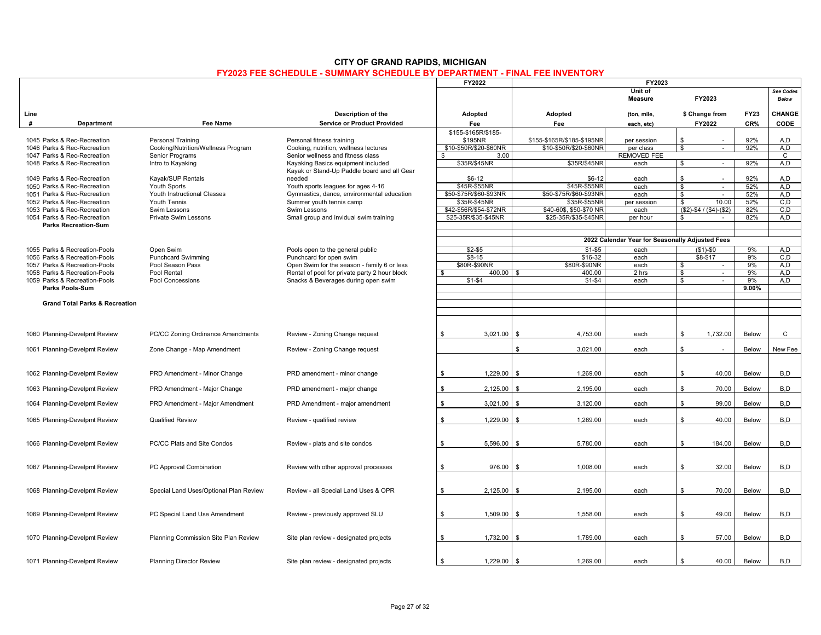|                                           |                                        |                                                             | <b>FY2022</b>                  |                                | <b>FY2023</b>                                   |                                          |              |                           |
|-------------------------------------------|----------------------------------------|-------------------------------------------------------------|--------------------------------|--------------------------------|-------------------------------------------------|------------------------------------------|--------------|---------------------------|
|                                           |                                        |                                                             |                                |                                | Unit of<br><b>Measure</b>                       | FY2023                                   |              | See Codes<br><b>Below</b> |
| Line                                      |                                        | Description of the                                          | Adopted                        | Adopted                        | (ton, mile,                                     | \$ Change from                           | <b>FY23</b>  | <b>CHANGE</b>             |
| #<br>Department                           | Fee Name                               | <b>Service or Product Provided</b>                          | Fee                            | Fee                            | each, etc)                                      | FY2022                                   | CR%          | CODE                      |
| 1045 Parks & Rec-Recreation               | Personal Training                      | Personal fitness training                                   | \$155-\$165R/\$185-<br>\$195NR | \$155-\$165R/\$185-\$195NR     |                                                 | \$                                       | 92%          |                           |
| 1046 Parks & Rec-Recreation               | Cooking/Nutrition/Wellness Program     | Cooking, nutrition, wellness lectures                       | \$10-\$50R/\$20-\$60NR         | \$10-\$50R/\$20-\$60NR         | per session                                     | $\overline{\mathbf{s}}$                  | 92%          | A.D<br>A.D                |
| 1047 Parks & Rec-Recreation               | Senior Programs                        | Senior wellness and fitness class                           | 3.00                           |                                | per class<br><b>REMOVED FEE</b>                 | $\sim$                                   |              | $\mathsf{C}$              |
| 1048 Parks & Rec-Recreation               |                                        | Kayaking Basics equipment included                          | \$35R/\$45NR                   |                                |                                                 | $\sim$                                   | 92%          | A, D                      |
|                                           | Intro to Kayaking                      | Kayak or Stand-Up Paddle board and all Gear                 |                                | \$35R/\$45NR                   | each                                            | \$                                       |              |                           |
| 1049 Parks & Rec-Recreation               | Kayak/SUP Rentals                      | needed                                                      | $$6-12$                        | $$6-12$                        | each                                            | \$                                       | 92%          | A,D                       |
| 1050 Parks & Rec-Recreation               | Youth Sports                           | Youth sports leagues for ages 4-16                          | \$45R-\$55NR                   | \$45R-\$55NR                   | each                                            | \$<br>$\overline{\phantom{a}}$           | 52%          | A,D                       |
| 1051 Parks & Rec-Recreation               | Youth Instructional Classes            | Gymnastics, dance, environmental education                  | \$50-\$75R/\$60-\$93NR         | \$50-\$75R/\$60-\$93NR         | each                                            | \$<br>$\sim$                             | 52%          | A,D                       |
| 1052 Parks & Rec-Recreation               | Youth Tennis                           | Summer youth tennis camp                                    | \$35R-\$45NR                   | \$35R-\$55NF                   | per session                                     | \$<br>10.00                              | 52%          | C.D                       |
| 1053 Parks & Rec-Recreation               | Swim Lessons                           | Swim Lessons                                                | \$42-\$56R/\$54-\$72NR         | \$40-60\$, \$50-\$70 NR        | each                                            | $(S2)-\$4/(*4)-(\$2)$                    | 82%          | C, D                      |
| 1054 Parks & Rec-Recreation               | <b>Private Swim Lessons</b>            | Small group and invidual swim training                      | \$25-35R/\$35-\$45NR           | \$25-35R/\$35-\$45NR           | per hour                                        | \$<br>$\sim$                             | 82%          | A.D                       |
| <b>Parks Recreation-Sum</b>               |                                        |                                                             |                                |                                |                                                 |                                          |              |                           |
|                                           |                                        |                                                             |                                |                                |                                                 |                                          |              |                           |
|                                           |                                        |                                                             |                                |                                | 2022 Calendar Year for Seasonally Adjusted Fees |                                          |              |                           |
| 1055 Parks & Recreation-Pools             |                                        |                                                             | $$2-$5$                        | $$1 - $5$                      | each                                            |                                          | 9%           | A.D                       |
| 1056 Parks & Recreation-Pools             | Open Swim<br><b>Punchcard Swimming</b> | Pools open to the general public<br>Punchcard for open swim | $$8-15$                        | $$16-32$                       | each                                            | $($1)-$0$<br>$$8-$17$                    | 9%           | C, D                      |
| 1057 Parks & Recreation-Pools             | Pool Season Pass                       | Open Swim for the season - family 6 or less                 | \$80R-\$90NR                   | \$80R-\$90NR                   | each                                            | \$                                       | 9%           | A,D                       |
| 1058 Parks & Recreation-Pools             | Pool Rental                            | Rental of pool for private party 2 hour block               | 400.00                         | 400.00<br>\$                   | 2 hrs                                           | $\overline{\phantom{a}}$<br>\$<br>$\sim$ | 9%           | A,D                       |
| 1059 Parks & Recreation-Pools             | Pool Concessions                       | Snacks & Beverages during open swim                         | $$1 - $4$                      | $$1 - $4$                      | each                                            | \$                                       | 9%           | A,D                       |
| Parks Pools-Sum                           |                                        |                                                             |                                |                                |                                                 |                                          | 9.00%        |                           |
|                                           |                                        |                                                             |                                |                                |                                                 |                                          |              |                           |
| <b>Grand Total Parks &amp; Recreation</b> |                                        |                                                             |                                |                                |                                                 |                                          |              |                           |
|                                           |                                        |                                                             |                                |                                |                                                 |                                          |              |                           |
|                                           |                                        |                                                             |                                |                                |                                                 |                                          |              |                           |
|                                           |                                        |                                                             |                                |                                |                                                 |                                          |              |                           |
| 1060 Planning-Develpmt Review             | PC/CC Zoning Ordinance Amendments      | Review - Zoning Change request                              | 3,021.00<br>- \$               | 4,753.00<br>- \$               | each                                            | 1,732.00<br>-S                           | Below        | $\mathsf{C}$              |
|                                           |                                        |                                                             |                                |                                |                                                 |                                          |              |                           |
| 1061 Planning-Develpmt Review             | Zone Change - Map Amendment            | Review - Zoning Change request                              |                                | \$<br>3,021.00                 | each                                            | \$                                       | Below        | New Fee                   |
|                                           |                                        |                                                             |                                |                                |                                                 |                                          |              |                           |
|                                           |                                        |                                                             |                                |                                |                                                 |                                          |              |                           |
| 1062 Planning-Develpmt Review             | PRD Amendment - Minor Change           | PRD amendment - minor change                                | 1,229.00<br>\$                 | 1,269.00<br>- \$               | each                                            | 40.00<br>\$                              | Below        | B,D                       |
|                                           |                                        |                                                             |                                |                                |                                                 |                                          |              |                           |
| 1063 Planning-Develpmt Review             | PRD Amendment - Major Change           | PRD amendment - major change                                | 2,125.00<br>\$                 | $\hat{\mathbf{r}}$<br>2,195.00 | each                                            | $\mathfrak s$<br>70.00                   | Below        | B,D                       |
|                                           |                                        |                                                             |                                |                                |                                                 |                                          |              |                           |
| 1064 Planning-Develpmt Review             | PRD Amendment - Major Amendment        | PRD Amendment - major amendment                             | 3,021.00<br>\$                 | 3,120.00<br>. ድ                | each                                            | \$<br>99.00                              | <b>Below</b> | B,D                       |
|                                           |                                        |                                                             |                                |                                |                                                 |                                          |              |                           |
| 1065 Planning-Develpmt Review             | <b>Qualified Review</b>                | Review - qualified review                                   | \$<br>1,229.00                 | $\mathbf{s}$<br>1,269.00       | each                                            | \$<br>40.00                              | Below        | B,D                       |
|                                           |                                        |                                                             |                                |                                |                                                 |                                          |              |                           |
|                                           |                                        |                                                             |                                |                                |                                                 |                                          |              |                           |
| 1066 Planning-Develpmt Review             | PC/CC Plats and Site Condos            | Review - plats and site condos                              | 5,596.00<br>-S                 | 5,780.00                       | each                                            | \$<br>184.00                             | Below        | B,D                       |
|                                           |                                        |                                                             |                                |                                |                                                 |                                          |              |                           |
|                                           |                                        |                                                             |                                |                                |                                                 |                                          |              |                           |
| 1067 Planning-Develpmt Review             | PC Approval Combination                | Review with other approval processes                        | 976.00<br>\$                   | 1,008.00<br>$\mathbf{\hat{z}}$ | each                                            | \$<br>32.00                              | Below        | B,D                       |
|                                           |                                        |                                                             |                                |                                |                                                 |                                          |              |                           |
|                                           |                                        |                                                             |                                |                                |                                                 |                                          |              |                           |
| 1068 Planning-Develpmt Review             | Special Land Uses/Optional Plan Review | Review - all Special Land Uses & OPR                        | 2,125.00<br>\$                 | 2,195.00<br>- \$               | each                                            | 70.00<br>\$                              | Below        | B,D                       |
|                                           |                                        |                                                             |                                |                                |                                                 |                                          |              |                           |
|                                           |                                        |                                                             |                                |                                |                                                 |                                          |              |                           |
| 1069 Planning-Develpmt Review             | PC Special Land Use Amendment          | Review - previously approved SLU                            | 1,509.00<br>S.                 | 1,558.00<br>. ድ                | each                                            | S.<br>49.00                              | Below        | B.D                       |
|                                           |                                        |                                                             |                                |                                |                                                 |                                          |              |                           |
|                                           |                                        |                                                             |                                |                                |                                                 |                                          |              |                           |
| 1070 Planning-Develpmt Review             | Planning Commission Site Plan Review   | Site plan review - designated projects                      | 1,732.00<br>S.                 | 1,789.00<br>- \$               | each                                            | 57.00<br>S.                              | Below        | B,D                       |
|                                           |                                        |                                                             |                                |                                |                                                 |                                          |              |                           |
|                                           |                                        |                                                             |                                |                                |                                                 |                                          |              |                           |
| 1071 Planning-Develpmt Review             | <b>Planning Director Review</b>        | Site plan review - designated projects                      | 1,229.00<br>\$                 | 1,269.00                       | each                                            | \$<br>40.00                              | Below        | B,D                       |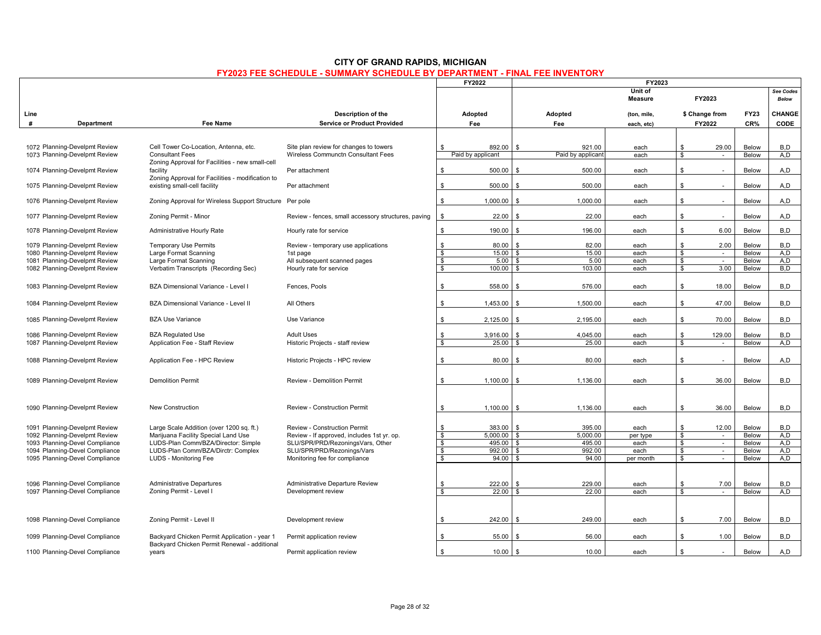|      |                                |                                                                                  |                                                     |                | FY2022            | FY2023                       |                           |                |                |              |                           |
|------|--------------------------------|----------------------------------------------------------------------------------|-----------------------------------------------------|----------------|-------------------|------------------------------|---------------------------|----------------|----------------|--------------|---------------------------|
|      |                                |                                                                                  |                                                     |                |                   |                              | Unit of<br><b>Measure</b> |                | FY2023         |              | See Codes<br><b>Below</b> |
| Line |                                |                                                                                  | Description of the                                  |                | Adopted           | Adopted                      | (ton, mile,               |                | \$ Change from | <b>FY23</b>  | CHANGE                    |
| #    | Department                     | <b>Fee Name</b>                                                                  | <b>Service or Product Provided</b>                  |                | Fee               | Fee                          | each, etc)                |                | FY2022         | CR%          | <b>CODE</b>               |
|      |                                |                                                                                  |                                                     |                |                   |                              |                           |                |                |              |                           |
|      | 1072 Planning-Develpmt Review  | Cell Tower Co-Location, Antenna, etc.                                            | Site plan review for changes to towers              | \$             | 892.00            | 921.00<br>$\mathbf{\hat{s}}$ | each                      | \$             | 29.00          | Below        | B,D                       |
|      | 1073 Planning-Develpmt Review  | <b>Consultant Fees</b>                                                           | Wireless Communctn Consultant Fees                  |                | Paid by applicant | Paid by applicant            | each                      | \$             | $\sim$         | Below        | A, D                      |
|      |                                | Zoning Approval for Facilities - new small-cell                                  |                                                     |                |                   |                              |                           |                |                |              |                           |
|      | 1074 Planning-Develpmt Review  | facility                                                                         | Per attachment                                      | \$             | 500.00            | 500.00<br>\$                 | each                      | $\mathbf{s}$   |                | Below        | A,D                       |
|      | 1075 Planning-Develpmt Review  | Zoning Approval for Facilities - modification to<br>existing small-cell facility | Per attachment                                      | \$             | 500.00            | 500.00<br>. ድ                | each                      | \$             |                | Below        | A,D                       |
|      |                                |                                                                                  |                                                     |                |                   |                              |                           |                |                |              |                           |
|      | 1076 Planning-Develpmt Review  | Zoning Approval for Wireless Support Structure                                   | Per pole                                            | \$             | 1,000.00          | \$<br>1,000.00               | each                      | \$             | $\sim$         | Below        | A,D                       |
|      | 1077 Planning-Develpmt Review  | Zoning Permit - Minor                                                            | Review - fences, small accessory structures, paving | $\mathbb S$    | 22.00             | 22.00<br>$\mathbf{\hat{s}}$  | each                      | $$\mathbb{S}$$ |                | Below        | A,D                       |
|      |                                |                                                                                  |                                                     |                |                   |                              |                           |                |                |              |                           |
|      | 1078 Planning-Develpmt Review  | Administrative Hourly Rate                                                       | Hourly rate for service                             | \$             | 190.00            | 196.00<br>£.                 | each                      | s.             | 6.00           | Below        | B.D                       |
|      | 1079 Planning-Develpmt Review  | <b>Temporary Use Permits</b>                                                     | Review - temporary use applications                 | \$             | 80.00             | 82.00<br>£.                  | each                      | <b>S</b>       | 2.00           | Below        | B,D                       |
|      | 1080 Planning-Develpmt Review  | Large Format Scanning                                                            | 1st page                                            | \$             | 15.00             | 15.00<br>- \$                | each                      | \$             | $\sim$         | Below        | A, D                      |
|      | 1081 Planning-Develpmt Review  | Large Format Scanning                                                            | All subsequent scanned pages                        | \$             | 5.00              | 5.00<br>\$                   | each                      | \$             | $\sim$         | Below        | A.D                       |
|      | 1082 Planning-Develpmt Review  | Verbatim Transcripts (Recording Sec)                                             | Hourly rate for service                             | \$             | 100.00            | 103.00<br>$\mathbf{R}$       | each                      | \$             | 3.00           | Below        | B,D                       |
|      | 1083 Planning-Develpmt Review  | BZA Dimensional Variance - Level I                                               | Fences, Pools                                       | \$             | 558.00            | 576.00                       | each                      | <b>S</b>       | 18.00          | Below        | B,D                       |
|      | 1084 Planning-Develpmt Review  | BZA Dimensional Variance - Level II                                              | All Others                                          | \$             | 1,453.00          | 1,500.00<br>\$               | each                      | \$             | 47.00          | Below        | B,D                       |
|      | 1085 Planning-Develpmt Review  | <b>BZA Use Variance</b>                                                          | Use Variance                                        | \$             | 2,125.00          | 2,195.00<br>. ድ              | each                      | s.             | 70.00          | Below        | B,D                       |
|      | 1086 Planning-Develpmt Review  | <b>BZA Regulated Use</b>                                                         | <b>Adult Uses</b>                                   | \$             | 3,916.00          | 4,045.00<br>. ድ              | each                      | <b>S</b>       | 129.00         | Below        | B,D                       |
|      | 1087 Planning-Develpmt Review  | Application Fee - Staff Review                                                   | Historic Projects - staff review                    | \$             | $25.00$ \$        | 25.00                        | each                      | \$             | $\sim$         | Below        | A,D                       |
|      |                                |                                                                                  |                                                     |                |                   |                              |                           |                |                |              |                           |
|      | 1088 Planning-Develpmt Review  | Application Fee - HPC Review                                                     | Historic Projects - HPC review                      | \$             | 80.00             | 80.00<br>\$                  | each                      | \$             | $\sim$         | Below        | A,D                       |
|      |                                |                                                                                  |                                                     |                |                   |                              |                           |                |                |              |                           |
|      | 1089 Planning-Develpmt Review  | <b>Demolition Permit</b>                                                         | Review - Demolition Permit                          | \$             | 1.100.00          | 1,136.00<br>. ድ              | each                      | s.             | 36.00          | Below        | B,D                       |
|      |                                |                                                                                  |                                                     |                |                   |                              |                           |                |                |              |                           |
|      | 1090 Planning-Develpmt Review  | New Construction                                                                 | <b>Review - Construction Permit</b>                 | \$             | 1.100.00          | 1.136.00<br>. ድ              | each                      | s.             | 36.00          | Below        | B,D                       |
|      |                                |                                                                                  |                                                     |                |                   |                              |                           |                |                |              |                           |
|      | 1091 Planning-Develpmt Review  | Large Scale Addition (over 1200 sq. ft.)                                         | Review - Construction Permit                        | -S             | 383.00            | 395.00<br>- \$               | each                      | s.             | 12.00          | Below        | B.D                       |
|      | 1092 Planning-Develpmt Review  | Marijuana Facility Special Land Use                                              | Review - If approved, includes 1st yr. op.          | \$             | $5,000.00$ \$     | 5,000.00                     | per type                  | \$             | $\sim$         | Below        | A,D                       |
|      | 1093 Planning-Devel Compliance | LUDS-Plan Comm/BZA/Director: Simple                                              | SLU/SPR/PRD/RezoningsVars, Other                    | \$             | 495.00 \$         | 495.00                       | each                      | \$             | $\sim$         | Below        | A,D                       |
|      | 1094 Planning-Devel Compliance | LUDS-Plan Comm/BZA/Dirctr: Complex                                               | SLU/SPR/PRD/Rezonings/Vars                          | \$             | 992.00 \$         | 992.00                       | each                      | \$             | $\sim$         | Below        | A,D                       |
|      | 1095 Planning-Devel Compliance | LUDS - Monitoring Fee                                                            | Monitoring fee for compliance                       | \$             | $94.00$ \$        | 94.00                        | per month                 | \$             | ×.             | Below        | A.D                       |
|      |                                |                                                                                  |                                                     |                |                   |                              |                           |                |                |              |                           |
|      |                                |                                                                                  |                                                     |                |                   |                              |                           |                |                |              |                           |
|      | 1096 Planning-Devel Compliance | <b>Administrative Departures</b>                                                 | Administrative Departure Review                     | \$             | 222.00            | 229.00<br>£.                 | each                      | \$             | 7.00           | Below        | B,D                       |
|      | 1097 Planning-Devel Compliance | Zoning Permit - Level I                                                          | Development review                                  | \$             | $22.00$ \$        | 22.00                        | each                      | \$             | $\omega$       | Below        | A, D                      |
|      |                                |                                                                                  |                                                     |                |                   |                              |                           |                |                |              |                           |
|      |                                |                                                                                  |                                                     |                |                   |                              |                           |                |                |              |                           |
|      | 1098 Planning-Devel Compliance | Zoning Permit - Level II                                                         | Development review                                  | \$             | 242.00            | 249.00<br>$\mathbf{R}$       | each                      | s.             | 7.00           | Below        | B,D                       |
|      | 1099 Planning-Devel Compliance | Backyard Chicken Permit Application - year 1                                     | Permit application review                           | \$             | 55.00             | 56.00<br>\$                  | each                      | <b>S</b>       | 1.00           | <b>Below</b> | B,D                       |
|      |                                | Backyard Chicken Permit Renewal - additional                                     |                                                     |                |                   |                              |                           |                |                |              |                           |
|      | 1100 Planning-Devel Compliance | years                                                                            | Permit application review                           | $\mathfrak{L}$ | 10.00             | 10.00<br>$\mathbf{R}$        | each                      | $\mathbf{s}$   |                | Below        | A,D                       |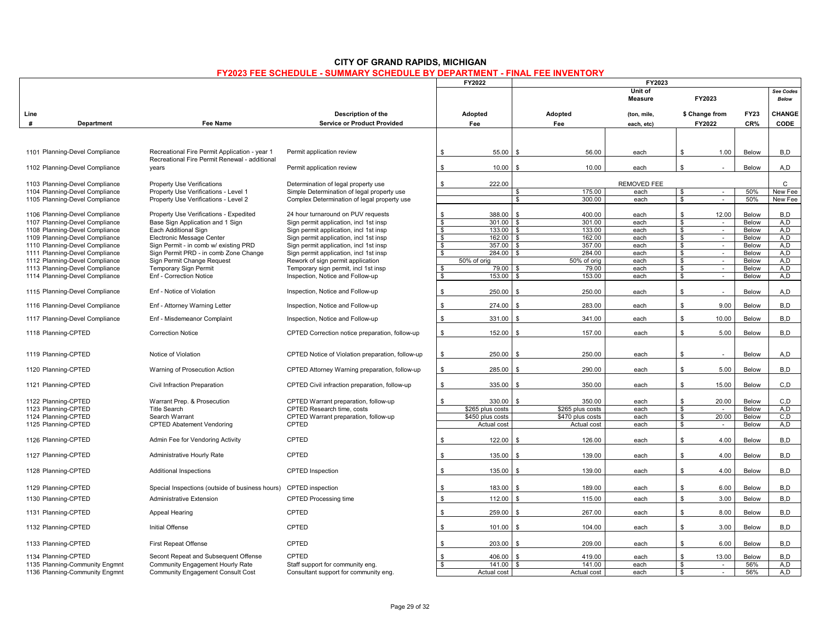|                                |                                                                                                |                                                  |              | FY2022           |                              | FY2023                    |                         |                          |              |                    |
|--------------------------------|------------------------------------------------------------------------------------------------|--------------------------------------------------|--------------|------------------|------------------------------|---------------------------|-------------------------|--------------------------|--------------|--------------------|
|                                |                                                                                                |                                                  |              |                  |                              | Unit of<br><b>Measure</b> |                         | FY2023                   |              | See Codes<br>Below |
| Line                           |                                                                                                | Description of the                               |              | Adopted          | Adopted                      | (ton, mile,               |                         | \$ Change from           | <b>FY23</b>  | CHANGE             |
| #<br>Department                | <b>Fee Name</b>                                                                                | <b>Service or Product Provided</b>               |              | Fee              | Fee                          | each, etc)                |                         | FY2022                   | CR%          | CODE               |
|                                |                                                                                                |                                                  |              |                  |                              |                           |                         |                          |              |                    |
| 1101 Planning-Devel Compliance | Recreational Fire Permit Application - year 1<br>Recreational Fire Permit Renewal - additional | Permit application review                        | \$           | 55.00            | 56.00<br>-S                  | each                      | \$                      | 1.00                     | Below        | B,D                |
| 1102 Planning-Devel Compliance | years                                                                                          | Permit application review                        | \$           | 10.00            | 10.00<br>£.                  | each                      | $\mathbf{\$}$           |                          | Below        | A, D               |
| 1103 Planning-Devel Compliance | <b>Property Use Verifications</b>                                                              | Determination of legal property use              | -S           | 222.00           |                              | REMOVED FEE               |                         |                          |              | C                  |
| 1104 Planning-Devel Compliance | Property Use Verifications - Level 1                                                           | Simple Determination of legal property use       |              |                  | 175.00<br>$\mathbf{s}$       | each                      | \$                      | $\sim$                   | 50%          | New Fee            |
| 1105 Planning-Devel Compliance | Property Use Verifications - Level 2                                                           | Complex Determination of legal property use      |              |                  | 300.00<br>$\mathbf{s}$       | each                      | $\overline{\mathbb{S}}$ | $\blacksquare$           | 50%          | <b>New Fee</b>     |
| 1106 Planning-Devel Compliance | Property Use Verifications - Expedited                                                         | 24 hour turnaround on PUV requests               | -S           | 388.00           | 400.00<br>-S                 | each                      | \$                      | 12.00                    | Below        | B.D                |
| 1107 Planning-Devel Compliance | Base Sign Application and 1 Sign                                                               | Sign permit application, incl 1st insp           | \$           | 301.00           | $\mathbf{\hat{S}}$<br>301.00 | each                      | \$                      |                          | Below        | A,D                |
| 1108 Planning-Devel Compliance | Each Additional Sign                                                                           | Sign permit application, incl 1st insp           | - \$         | 133.00           | \$<br>133.00                 | each                      | \$                      | $\sim$                   | Below        | A.D                |
| 1109 Planning-Devel Compliance | Electronic Message Center                                                                      | Sign permit application, incl 1st insp           | - \$         | 162.00           | 162.00<br>- \$               | each                      | \$                      | $\sim$                   | Below        | A,D                |
| 1110 Planning-Devel Compliance | Sign Permit - in comb w/ existing PRD                                                          | Sign permit application, incl 1st insp           | \$           | 357.00           | \$<br>357.00                 | each                      | \$                      | $\sim$                   | Below        | A,D                |
| 1111 Planning-Devel Compliance | Sign Permit PRD - in comb Zone Change                                                          | Sign permit application, incl 1st insp           | $\sqrt{s}$   | $284.00$ \ \$    | 284.00                       | each                      | \$                      | $\mathcal{L}$            | Below        | A.D                |
| 1112 Planning-Devel Compliance | Sign Permit Change Request                                                                     | Rework of sign permit application                |              | 50% of orig      | 50% of orig                  | each                      | \$                      | $\sim$                   | Below        | A,D                |
| 1113 Planning-Devel Compliance | <b>Temporary Sign Permit</b>                                                                   | Temporary sign permit, incl 1st insp             |              | 79.00            | 79.00<br>$\mathbf{s}$        | each                      | \$                      | $\sim$                   | Below        | A,D                |
| 1114 Planning-Devel Compliance | Enf - Correction Notice                                                                        | Inspection, Notice and Follow-up                 | - \$         | 153.00           | 153.00<br>\$                 | each                      | \$                      | $\sim$                   | Below        | A,D                |
| 1115 Planning-Devel Compliance | Enf - Notice of Violation                                                                      | Inspection, Notice and Follow-up                 | \$           | 250.00           | 250.00<br>\$                 | each                      | \$                      |                          | <b>Below</b> | A,D                |
| 1116 Planning-Devel Compliance | Enf - Attorney Warning Letter                                                                  | Inspection, Notice and Follow-up                 | \$           | 274.00           | 283.00<br>£.                 | each                      | \$                      | 9.00                     | Below        | B,D                |
| 1117 Planning-Devel Compliance | Enf - Misdemeanor Complaint                                                                    | Inspection, Notice and Follow-up                 | \$           | 331.00           | 341.00<br>$\mathbf{\hat{S}}$ | each                      | \$.                     | 10.00                    | <b>Below</b> | B,D                |
| 1118 Planning-CPTED            | <b>Correction Notice</b>                                                                       | CPTED Correction notice preparation, follow-up   | \$           | 152.00           | 157.00<br>$\mathbf{\hat{z}}$ | each                      | \$.                     | 5.00                     | Below        | B,D                |
| 1119 Planning-CPTED            | Notice of Violation                                                                            | CPTED Notice of Violation preparation, follow-up | \$           | 250.00           | 250.00<br>-S                 | each                      | \$                      | $\overline{\phantom{a}}$ | Below        | A, D               |
| 1120 Planning-CPTED            | Warning of Prosecution Action                                                                  | CPTED Attorney Warning preparation, follow-up    | \$           | 285.00           | 290.00                       | each                      | \$                      | 5.00                     | Below        | B,D                |
| 1121 Planning-CPTED            | Civil Infraction Preparation                                                                   | CPTED Civil infraction preparation, follow-up    | \$           | 335.00           | 350.00<br>ፍ                  | each                      | \$.                     | 15.00                    | <b>Below</b> | C, D               |
| 1122 Planning-CPTED            | Warrant Prep. & Prosecution                                                                    | CPTED Warrant preparation, follow-up             | \$           | 330.00           | $\mathbf{s}$<br>350.00       | each                      | \$                      | 20.00                    | Below        | C, D               |
| 1123 Planning-CPTED            | <b>Title Search</b>                                                                            | CPTED Research time, costs                       |              | \$265 plus costs | \$265 plus costs             | each                      | \$                      |                          | Below        | A.D                |
| 1124 Planning-CPTED            | Search Warrant                                                                                 | CPTED Warrant preparation, follow-up             |              | \$450 plus costs | \$470 plus costs             | each                      | \$                      | 20.00                    | Below        | C.D                |
| 1125 Planning-CPTED            | <b>CPTED Abatement Vendoring</b>                                                               | CPTED                                            |              | Actual cost      | Actual cost                  | each                      | \$                      | $\sim$                   | <b>Below</b> | A,D                |
| 1126 Planning-CPTED            | Admin Fee for Vendoring Activity                                                               | CPTED                                            | -S           | 122.00           | $\mathbf{\hat{S}}$<br>126.00 | each                      | \$                      | 4.00                     | Below        | B,D                |
| 1127 Planning-CPTED            | Administrative Hourly Rate                                                                     | CPTED                                            | \$           | 135.00           | 139.00<br>\$                 | each                      | \$                      | 4.00                     | Below        | B,D                |
| 1128 Planning-CPTED            | <b>Additional Inspections</b>                                                                  | <b>CPTED</b> Inspection                          | S.           | 135.00           | 139.00<br>. ድ                | each                      | \$                      | 4.00                     | Below        | B,D                |
| 1129 Planning-CPTED            | Special Inspections (outside of business hours)                                                | <b>CPTED</b> inspection                          | \$           | 183.00           | 189.00<br>$\mathbf{\hat{z}}$ | each                      | \$                      | 6.00                     | Below        | B,D                |
| 1130 Planning-CPTED            | <b>Administrative Extension</b>                                                                | <b>CPTED Processing time</b>                     | $\mathbb{S}$ | 112.00           | 115.00<br>$\mathbf{\hat{S}}$ | each                      | ${\mathbb S}$           | 3.00                     | Below        | B,D                |
|                                |                                                                                                |                                                  |              |                  |                              |                           |                         |                          |              |                    |
| 1131 Planning-CPTED            | Appeal Hearing                                                                                 | CPTED                                            | -S           | 259.00           | 267.00<br>\$                 | each                      | ${\mathbb S}$           | 8.00                     | Below        | B,D                |
| 1132 Planning-CPTED            | <b>Initial Offense</b>                                                                         | CPTED                                            | \$           | 101.00           | $\mathbf{s}$<br>104.00       | each                      | \$                      | 3.00                     | Below        | B,D                |
| 1133 Planning-CPTED            | First Repeat Offense                                                                           | CPTED                                            | S            | 203.00           | 209.00<br>. ድ                | each                      | \$                      | 6.00                     | <b>Below</b> | B,D                |
| 1134 Planning-CPTED            | Secont Repeat and Subsequent Offense                                                           | CPTED                                            |              | 406.00           | 419.00                       | each                      | \$                      | 13.00                    | Below        | B,D                |
| 1135 Planning-Community Engmnt | Community Engagement Hourly Rate                                                               | Staff support for community eng.                 | \$           | 141.00           | 141.00<br>\$                 | each                      | \$                      | $\sim$                   | 56%          | A,D                |
| 1136 Planning-Community Engmnt | <b>Community Engagement Consult Cost</b>                                                       | Consultant support for community eng.            |              | Actual cost      | Actual cost                  | each                      | $\mathbf{s}$            | $\overline{\phantom{a}}$ | 56%          | A.D                |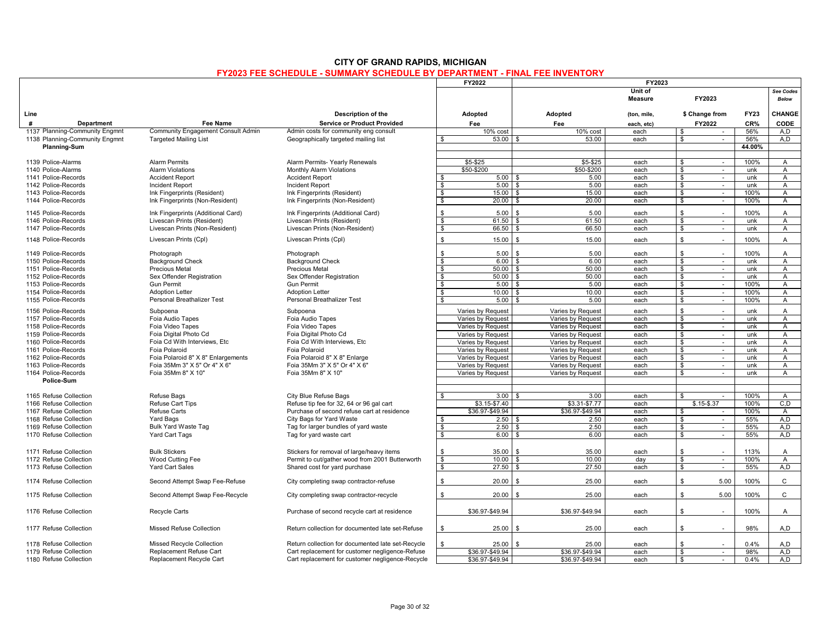|                                            |                                                       |                                                       | FY2022                                 |                        | FY2023                                 |                           |                                   |             |                                |  |
|--------------------------------------------|-------------------------------------------------------|-------------------------------------------------------|----------------------------------------|------------------------|----------------------------------------|---------------------------|-----------------------------------|-------------|--------------------------------|--|
|                                            |                                                       |                                                       |                                        |                        |                                        | Unit of<br><b>Measure</b> | FY2023                            |             | See Codes<br><b>Below</b>      |  |
| Line                                       |                                                       | Description of the                                    | Adopted                                |                        | Adopted                                | (ton, mile,               | \$ Change from                    | <b>FY23</b> | <b>CHANGE</b>                  |  |
| #<br><b>Department</b>                     | <b>Fee Name</b>                                       | <b>Service or Product Provided</b>                    | Fee                                    |                        | Fee                                    | each. etc)                | FY2022                            | CR%         | CODE                           |  |
| 1137 Planning-Community Engmnt             | <b>Community Engagement Consult Admin</b>             | Admin costs for community eng consult                 |                                        | $\overline{10\%}$ cost | 10% cost                               | each                      | -S<br>$\sim$                      | 56%         | A.D                            |  |
| 1138 Planning-Community Engmnt             | <b>Targeted Mailing List</b>                          | Geographically targeted mailing list                  | S.                                     | 53.00                  | 53.00                                  | each                      | $\mathbf{s}$<br>$\sim$            | 56%         | A.D                            |  |
| <b>Planning-Sum</b>                        |                                                       |                                                       |                                        |                        |                                        |                           |                                   | 44.00%      |                                |  |
|                                            |                                                       |                                                       |                                        |                        |                                        |                           |                                   |             |                                |  |
| 1139 Police-Alarms                         | <b>Alarm Permits</b>                                  | Alarm Permits- Yearly Renewals                        | $$5 - $25$                             |                        | $$5 - $25$                             | each                      | $\mathbf{s}$<br>$\sim$            | 100%        | $\overline{A}$                 |  |
| 1140 Police-Alarms                         | <b>Alarm Violations</b>                               | Monthly Alarm Violations                              | \$50-\$200                             |                        | \$50-\$200                             | each                      | $\mathbf{s}$<br>$\sim$            | unk         | Α                              |  |
| 1141 Police-Records                        | <b>Accident Report</b>                                | <b>Accident Report</b>                                | - \$                                   | 5.00                   | 5.00<br>. ድ                            | each                      | $\mathbf{s}$<br>$\sim$            | unk         | $\overline{A}$                 |  |
| 1142 Police-Records                        | <b>Incident Report</b>                                | Incident Report                                       | <b>S</b>                               | 5.00                   | 5.00<br>\$                             | each                      | \$<br>$\sim$                      | unk         | A                              |  |
| 1143 Police-Records                        | Ink Fingerprints (Resident)                           | Ink Fingerprints (Resident)                           | - \$                                   | 15.00                  | 15.00<br>- \$                          | each                      | \$<br>$\sim$                      | 100%        | Α                              |  |
| 1144 Police-Records                        | Ink Fingerprints (Non-Resident)                       | Ink Fingerprints (Non-Resident)                       | -S                                     | 20.00                  | 20.00<br>. ድ                           | each                      | \$.<br>$\sim$                     | 100%        | $\mathsf{A}$                   |  |
| 1145 Police-Records                        | Ink Fingerprints (Additional Card)                    | Ink Fingerprints (Additional Card)                    | \$                                     | 5.00                   | 5.00<br>$\mathbf{\hat{z}}$             | each                      | $\mathbf{\hat{S}}$                | 100%        | A                              |  |
| 1146 Police-Records                        | Livescan Prints (Resident)                            | Livescan Prints (Resident)                            | \$                                     | 61.50                  | 61.50<br>$\mathbf{\hat{z}}$            | each                      | $\mathbf{\hat{S}}$<br>$\sim$      | unk         | A                              |  |
| 1147 Police-Records                        | Livescan Prints (Non-Resident)                        | Livescan Prints (Non-Resident)                        | \$                                     | 66.50                  | 66.50<br>- \$                          | each                      | \$<br>$\sim$                      | unk         | A                              |  |
| 1148 Police-Records                        |                                                       |                                                       | \$                                     | 15.00                  | 15.00<br>$\mathbf{\hat{z}}$            | each                      | \$<br>$\sim$                      | 100%        |                                |  |
|                                            | Livescan Prints (Cpl)                                 | Livescan Prints (Cpl)                                 |                                        |                        |                                        |                           |                                   |             | Α                              |  |
| 1149 Police-Records                        | Photograph                                            | Photograph                                            | \$                                     | 5.00                   | 5.00<br>$\mathbf{\hat{z}}$             | each                      | $\mathbf{s}$<br>$\sim$            | 100%        | $\overline{A}$                 |  |
| 1150 Police-Records                        | <b>Background Check</b>                               | <b>Background Check</b>                               | <b>S</b>                               | 6.00                   | \$<br>6.00                             | each                      | \$<br>$\sim$                      | unk         | A                              |  |
| 1151 Police-Records                        | Precious Metal                                        | <b>Precious Metal</b>                                 | \$                                     | $50.00$ \$             | 50.00                                  | each                      | $\mathbf{s}$<br>$\sim$            | unk         | $\overline{A}$                 |  |
| 1152 Police-Records                        | Sex Offender Registration                             | Sex Offender Registration                             | $\overline{\mathbf{s}}$                | $50.00$ \$             | 50.00                                  | each                      | $\overline{\mathbf{s}}$<br>$\sim$ | unk         | $\overline{A}$                 |  |
| 1153 Police-Records                        | <b>Gun Permit</b>                                     | <b>Gun Permit</b>                                     | $\overline{\mathbf{s}}$                | 5.00                   | 5.00<br>\$                             | each                      | \$<br>$\sim$                      | 100%        | $\overline{A}$                 |  |
| 1154 Police-Records                        | <b>Adoption Letter</b>                                | <b>Adoption Letter</b>                                | \$                                     | 10.00                  | 10.00                                  | each                      | $\mathbf{\hat{S}}$<br>$\sim$      | 100%        | A                              |  |
| 1155 Police-Records                        | <b>Personal Breathalizer Test</b>                     | <b>Personal Breathalizer Test</b>                     | - \$                                   | 5.00                   | 5.00<br>- \$                           | each                      | \$<br>$\sim$                      | 100%        | A                              |  |
|                                            |                                                       |                                                       |                                        |                        |                                        |                           | $\mathbf{\hat{S}}$                |             |                                |  |
| 1156 Police-Records                        | Subpoena                                              | Subpoena                                              | Varies by Request                      |                        | Varies by Request                      | each                      | $\sim$<br>s,                      | unk         | A                              |  |
| 1157 Police-Records                        | Foia Audio Tapes                                      | Foia Audio Tapes                                      | Varies by Request<br>Varies by Request |                        | Varies by Request<br>Varies by Request | each<br>each              | $\sim$                            | unk<br>unk  | $\overline{A}$                 |  |
| 1158 Police-Records                        | Foia Video Tapes                                      | Foia Video Tapes                                      |                                        |                        |                                        |                           | \$<br>$\sim$<br>\$<br>$\sim$      |             | Α                              |  |
| 1159 Police-Records<br>1160 Police-Records | Foia Digital Photo Cd<br>Foia Cd With Interviews, Etc | Foia Digital Photo Cd<br>Foia Cd With Interviews, Etc | Varies by Request                      |                        | Varies by Request                      | each<br>each              | \$<br>$\sim$                      | unk<br>unk  | $\overline{A}$<br>$\mathsf{A}$ |  |
| 1161 Police-Records                        | Foia Polaroid                                         | Foia Polaroid                                         | Varies by Request<br>Varies by Request |                        | Varies by Request<br>Varies by Request | each                      | \$<br>$\sim$                      | unk         | $\overline{A}$                 |  |
| 1162 Police-Records                        | Foia Polaroid 8" X 8" Enlargements                    | Foia Polaroid 8" X 8" Enlarge                         | Varies by Request                      |                        | Varies by Request                      | each                      | $\mathbf{\hat{S}}$<br>$\sim$      | unk         | $\overline{A}$                 |  |
| 1163 Police-Records                        | Foia 35Mm 3" X 5" Or 4" X 6"                          | Foia 35Mm 3" X 5" Or 4" X 6"                          | Varies by Request                      |                        | Varies by Request                      | each                      | -S<br>$\sim$                      | unk         | A                              |  |
| 1164 Police-Records                        | Foia 35Mm 8" X 10"                                    | Foia 35Mm 8" X 10"                                    | Varies by Request                      |                        | Varies by Request                      | each                      | \$.<br>$\sim$                     | unk         | $\mathsf{A}$                   |  |
| Police-Sum                                 |                                                       |                                                       |                                        |                        |                                        |                           |                                   |             |                                |  |
|                                            |                                                       |                                                       |                                        |                        |                                        |                           |                                   |             |                                |  |
| 1165 Refuse Collection                     | Refuse Bags                                           | City Blue Refuse Bags                                 | $\mathbf{s}$                           | 3.00                   | 3.00<br>$\mathbf{\hat{z}}$             | each                      | $\mathbf{s}$<br>$\sim$            | 100%        | $\overline{A}$                 |  |
| 1166 Refuse Collection                     | <b>Refuse Cart Tips</b>                               | Refuse tip fee for 32, 64 or 96 gal cart              |                                        | \$3.15-\$7.40          | \$3.31-\$7.77                          | each                      | $$.15 - $.37$                     | 100%        | C.D                            |  |
| 1167 Refuse Collection                     | Refuse Carts                                          | Purchase of second refuse cart at residence           | \$36.97-\$49.94                        |                        | \$36.97-\$49.94                        | each                      | \$<br>$\overline{\phantom{a}}$    | 100%        | A                              |  |
| 1168 Refuse Collection                     | Yard Bags                                             | City Bags for Yard Waste                              | \$                                     | 2.50                   | 2.50<br>- \$                           | each                      | \$<br>$\sim$                      | 55%         | A,D                            |  |
| 1169 Refuse Collection                     | <b>Bulk Yard Waste Tag</b>                            | Tag for larger bundles of yard waste                  | $\sqrt{3}$                             | 2.50                   | 2.50<br>\$                             | each                      | \$<br>$\sim$                      | 55%         | A.D                            |  |
| 1170 Refuse Collection                     | <b>Yard Cart Tags</b>                                 | Tag for yard waste cart                               | -S                                     | 6.00                   | 6.00<br>. ጽ                            | each                      | \$.<br>$\sim$                     | 55%         | A.D                            |  |
|                                            |                                                       |                                                       |                                        |                        |                                        |                           |                                   |             |                                |  |
| 1171 Refuse Collection                     | <b>Bulk Stickers</b>                                  | Stickers for removal of large/heavy items             | -S                                     | 35.00                  | 35.00<br>$\mathbf{\hat{z}}$            | each                      | $\mathbf{\hat{z}}$<br>$\sim$      | 113%        | A                              |  |
| 1172 Refuse Collection                     | Wood Cutting Fee                                      | Permit to cut/gather wood from 2001 Butterworth       | $\mathbf{s}$                           | 10.00                  | \$<br>10.00                            | day                       | \$<br>$\sim$                      | 100%        | $\overline{A}$                 |  |
| 1173 Refuse Collection                     | <b>Yard Cart Sales</b>                                | Shared cost for yard purchase                         | \$                                     | 27.50                  | 27.50<br>. ጽ                           | each                      | \$<br>$\sim$                      | 55%         | A.D                            |  |
|                                            |                                                       |                                                       |                                        |                        |                                        |                           |                                   |             |                                |  |
| 1174 Refuse Collection                     | Second Attempt Swap Fee-Refuse                        | City completing swap contractor-refuse                | $\mathbf{s}$                           | 20.00                  | 25.00                                  | each                      | $\mathbf{\hat{S}}$<br>5.00        | 100%        | $\mathbf{C}$                   |  |
|                                            |                                                       |                                                       |                                        |                        |                                        |                           |                                   |             |                                |  |
| 1175 Refuse Collection                     | Second Attempt Swap Fee-Recycle                       | City completing swap contractor-recycle               | £.                                     | 20.00                  | 25.00<br>\$                            | each                      | 5.00<br>£.                        | 100%        | $\mathbf{C}$                   |  |
|                                            |                                                       |                                                       |                                        |                        |                                        |                           |                                   |             |                                |  |
| 1176 Refuse Collection                     | <b>Recycle Carts</b>                                  | Purchase of second recycle cart at residence          | \$36.97-\$49.94                        |                        | \$36.97-\$49.94                        | each                      | $\mathbf{s}$<br>$\sim$            | 100%        | A                              |  |
|                                            |                                                       |                                                       |                                        |                        |                                        |                           |                                   |             |                                |  |
| 1177 Refuse Collection                     | Missed Refuse Collection                              | Return collection for documented late set-Refuse      | s.                                     | 25.00                  | 25.00<br>. ድ                           | each                      | $\mathbf{s}$                      | 98%         | A.D                            |  |
|                                            |                                                       |                                                       |                                        |                        |                                        |                           |                                   |             |                                |  |
| 1178 Refuse Collection                     | Missed Recycle Collection                             | Return collection for documented late set-Recycle     | \$                                     | 25.00                  | 25.00                                  | each                      | £.                                | 0.4%        | A.D                            |  |
| 1179 Refuse Collection                     | Replacement Refuse Cart                               | Cart replacement for customer negligence-Refuse       | \$36.97-\$49.94                        |                        | \$36.97-\$49.94                        | each                      | \$<br>$\sim$                      | 98%         | A.D                            |  |
| 1180 Refuse Collection                     | Replacement Recycle Cart                              | Cart replacement for customer negligence-Recycle      | \$36.97-\$49.94                        |                        | \$36.97-\$49.94                        | each                      | $\mathbf{s}$                      | 0.4%        | A.D                            |  |
|                                            |                                                       |                                                       |                                        |                        |                                        |                           |                                   |             |                                |  |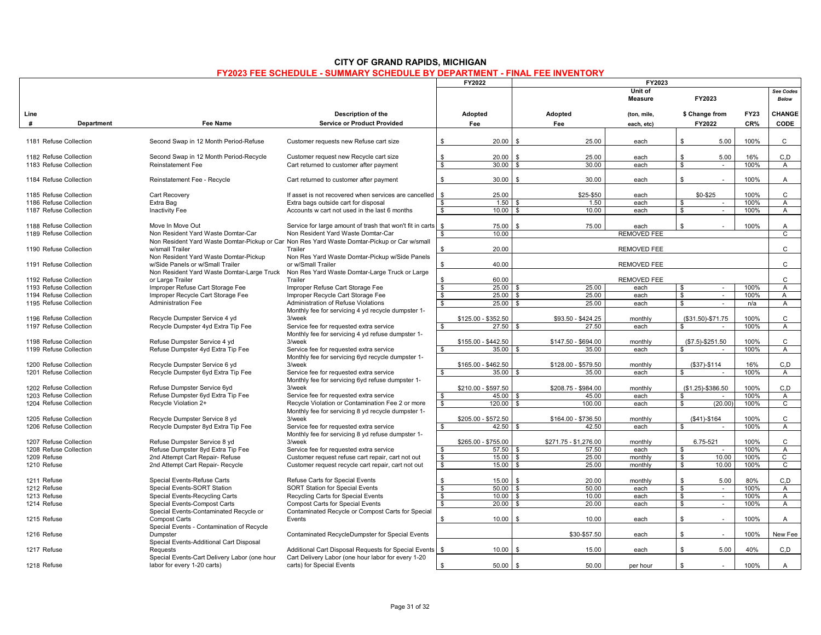|                        |            |                                              |                                                                                              |                               | FY2022              |                    |                       | FY2023             |                         |                          |             |                |
|------------------------|------------|----------------------------------------------|----------------------------------------------------------------------------------------------|-------------------------------|---------------------|--------------------|-----------------------|--------------------|-------------------------|--------------------------|-------------|----------------|
|                        |            |                                              |                                                                                              |                               |                     |                    |                       | Unit of            |                         |                          |             | See Codes      |
|                        |            |                                              |                                                                                              |                               |                     |                    |                       | <b>Measure</b>     |                         | FY2023                   |             | Below          |
| Line                   |            |                                              | Description of the                                                                           |                               | Adopted             |                    | Adopted               | (ton, mile,        |                         | \$ Change from           | <b>FY23</b> | CHANGE         |
| #                      | Department | <b>Fee Name</b>                              | <b>Service or Product Provided</b>                                                           |                               | Fee                 |                    | Fee                   | each, etc)         |                         | FY2022                   | CR%         | CODE           |
|                        |            |                                              |                                                                                              |                               |                     |                    |                       |                    |                         |                          |             |                |
| 1181 Refuse Collection |            | Second Swap in 12 Month Period-Refuse        | Customer requests new Refuse cart size                                                       | \$                            | 20.00               | \$                 | 25.00                 | each               | $\mathbf{s}$            | 5.00                     | 100%        | $\mathbf{C}$   |
|                        |            |                                              |                                                                                              |                               |                     |                    |                       |                    |                         |                          |             |                |
| 1182 Refuse Collection |            | Second Swap in 12 Month Period-Recycle       | Customer request new Recycle cart size                                                       | S.                            | 20.00               |                    | 25.00                 | each               | \$                      | 5.00                     | 16%         | C.D            |
| 1183 Refuse Collection |            | <b>Reinstatement Fee</b>                     | Cart returned to customer after payment                                                      | $\bullet$                     | 30.00               | Я                  | 30.00                 | each               | $\overline{\mathbf{s}}$ | $\sim$                   | 100%        | $\mathsf{A}$   |
|                        |            |                                              |                                                                                              |                               |                     |                    |                       |                    |                         |                          |             |                |
| 1184 Refuse Collection |            | Reinstatement Fee - Recycle                  | Cart returned to customer after payment                                                      | \$                            | 30.00               | \$                 | 30.00                 | each               | \$                      | ×.                       | 100%        | Α              |
|                        |            |                                              |                                                                                              |                               |                     |                    |                       |                    |                         |                          |             |                |
| 1185 Refuse Collection |            | Cart Recovery                                | If asset is not recovered when services are cancelled                                        | <b>S</b>                      | 25.00               |                    | \$25-\$50             | each               |                         | \$0-\$25                 | 100%        | $\mathsf{C}$   |
| 1186 Refuse Collection |            | Extra Bag                                    | Extra bags outside cart for disposal                                                         | \$                            | 1.50                |                    | 1.50                  | each               | $\mathbf{s}$            | $\sim$                   | 100%        | A              |
| 1187 Refuse Collection |            | Inactivity Fee                               | Accounts w cart not used in the last 6 months                                                | $\bullet$                     | 10.00               |                    | 10.00                 | each               | $\overline{\mathbf{s}}$ |                          | 100%        | $\overline{A}$ |
|                        |            |                                              |                                                                                              |                               |                     |                    |                       |                    |                         |                          |             |                |
| 1188 Refuse Collection |            | Move In Move Out                             | Service for large amount of trash that won't fit in carts                                    | $\mathbb{S}$                  | 75.00               | \$                 | 75.00                 | each               | \$                      |                          | 100%        | A              |
| 1189 Refuse Collection |            | Non Resident Yard Waste Domtar-Car           | Non Resident Yard Waste Domtar-Car                                                           | \$                            | 10.00               |                    |                       | <b>REMOVED FEE</b> |                         |                          |             | $\overline{c}$ |
|                        |            |                                              | Non Resident Yard Waste Domtar-Pickup or Car Non Res Yard Waste Domtar-Pickup or Car w/small |                               |                     |                    |                       |                    |                         |                          |             |                |
| 1190 Refuse Collection |            | w/small Trailer                              | Trailer                                                                                      | $\mathbb{S}$                  | 20.00               |                    |                       | <b>REMOVED FEE</b> |                         |                          |             | C              |
|                        |            | Non Resident Yard Waste Domtar-Pickup        | Non Res Yard Waste Domtar-Pickup w/Side Panels                                               |                               |                     |                    |                       |                    |                         |                          |             |                |
| 1191 Refuse Collection |            | w/Side Panels or w/Small Trailer             | or w/Small Trailer                                                                           | \$                            | 40.00               |                    |                       | REMOVED FEE        |                         |                          |             | C              |
|                        |            | Non Resident Yard Waste Domtar-Large Truck   | Non Res Yard Waste Domtar-Large Truck or Large                                               |                               |                     |                    |                       |                    |                         |                          |             |                |
| 1192 Refuse Collection |            | or Large Trailer                             | Trailer                                                                                      | \$                            | 60.00               |                    |                       | <b>REMOVED FEE</b> |                         |                          |             | $\mathsf{C}$   |
| 1193 Refuse Collection |            | Improper Refuse Cart Storage Fee             | Improper Refuse Cart Storage Fee                                                             | \$                            | 25.00               |                    | 25.00                 | each               | \$                      | $\sim$                   | 100%        | A              |
|                        |            |                                              |                                                                                              | $\mathbb{S}$                  | 25.00               | $\mathfrak{L}$     | 25.00                 |                    | \$                      | $\sim$                   | 100%        | $\mathsf{A}$   |
| 1194 Refuse Collection |            | Improper Recycle Cart Storage Fee            | Improper Recycle Cart Storage Fee                                                            |                               |                     |                    |                       | each               |                         |                          |             |                |
| 1195 Refuse Collection |            | <b>Administration Fee</b>                    | Administration of Refuse Violations                                                          | $\bullet$                     | 25.00               | £.                 | 25.00                 | each               | $\overline{\mathbf{s}}$ | $\overline{\phantom{a}}$ | n/a         | A              |
|                        |            |                                              | Monthly fee for servicing 4 yd recycle dumpster 1-                                           |                               |                     |                    |                       |                    |                         |                          |             |                |
| 1196 Refuse Collection |            | Recycle Dumpster Service 4 yd                | 3/week                                                                                       |                               | \$125.00 - \$352.50 |                    | \$93.50 - \$424.25    | monthly            |                         | $($31.50)-$71.75$        | 100%        | $\mathsf{C}$   |
| 1197 Refuse Collection |            | Recycle Dumpster 4yd Extra Tip Fee           | Service fee for requested extra service                                                      | S.                            | $27.50$ \$          |                    | 27.50                 | each               | <b>\$</b>               |                          | 100%        | A              |
|                        |            |                                              | Monthly fee for servicing 4 yd refuse dumpster 1-                                            |                               |                     |                    |                       |                    |                         |                          |             |                |
| 1198 Refuse Collection |            | Refuse Dumpster Service 4 yd                 | 3/week                                                                                       |                               | \$155.00 - \$442.50 |                    | \$147.50 - \$694.00   | monthly            |                         | $($7.5)-$251.50$         | 100%        | C              |
| 1199 Refuse Collection |            | Refuse Dumpster 4yd Extra Tip Fee            | Service fee for requested extra service                                                      | $\mathbf{s}$                  | 35.00               |                    | 35.00                 | each               | \$                      |                          | 100%        | A              |
|                        |            |                                              | Monthly fee for servicing 6yd recycle dumpster 1-                                            |                               |                     |                    |                       |                    |                         |                          |             |                |
| 1200 Refuse Collection |            | Recycle Dumpster Service 6 yd                | 3/week                                                                                       |                               | \$165.00 - \$462.50 |                    | \$128.00 - \$579.50   | monthly            |                         | $($37)-$114$             | 16%         | C, D           |
| 1201 Refuse Collection |            | Recycle Dumpster 6yd Extra Tip Fee           | Service fee for requested extra service                                                      |                               | 35.00               |                    | 35.00                 | each               |                         |                          | 100%        | A              |
|                        |            |                                              | Monthly fee for servicing 6yd refuse dumpster 1-                                             |                               |                     |                    |                       |                    |                         |                          |             |                |
| 1202 Refuse Collection |            | Refuse Dumpster Service 6yd                  | 3/week                                                                                       |                               | \$210.00 - \$597.50 |                    | \$208.75 - \$984.00   | monthly            |                         | $($1.25) - $386.50$      | 100%        | C, D           |
| 1203 Refuse Collection |            | Refuse Dumpster 6yd Extra Tip Fee            | Service fee for requested extra service                                                      | \$                            | 45.00               |                    | 45.00                 | each               | \$                      |                          | 100%        | A              |
| 1204 Refuse Collection |            | Recycle Violation 2+                         | Recycle Violation or Contamination Fee 2 or more                                             | <b>S</b>                      | 120.00              | \$                 | 100.00                | each               | - \$                    | (20.00)                  | 100%        | $\overline{c}$ |
|                        |            |                                              | Monthly fee for servicing 8 yd recycle dumpster 1-                                           |                               |                     |                    |                       |                    |                         |                          |             |                |
| 1205 Refuse Collection |            | Recycle Dumpster Service 8 yd                | 3/week                                                                                       |                               | \$205.00 - \$572.50 |                    | \$164.00 - \$736.50   | monthly            |                         | $($41)-$164$             | 100%        | C              |
| 1206 Refuse Collection |            | Recycle Dumpster 8yd Extra Tip Fee           | Service fee for requested extra service                                                      | \$                            | 42.50               |                    | 42.50                 | each               |                         |                          | 100%        | A              |
|                        |            |                                              | Monthly fee for servicing 8 yd refuse dumpster 1-                                            |                               |                     |                    |                       |                    |                         |                          |             |                |
| 1207 Refuse Collection |            | Refuse Dumpster Service 8 yd                 | 3/week                                                                                       |                               | \$265.00 - \$755.00 |                    | \$271.75 - \$1,276.00 | monthly            |                         | 6.75-521                 | 100%        | C              |
| 1208 Refuse Collection |            | Refuse Dumpster 8yd Extra Tip Fee            | Service fee for requested extra service                                                      | \$                            | 57.50               |                    | 57.50                 | each               | \$                      |                          | 100%        | $\mathsf{A}$   |
| 1209 Refuse            |            | 2nd Attempt Cart Repair- Refuse              | Customer request refuse cart repair, cart not out                                            | s,                            | 15.00               | S                  | 25.00                 | monthly            | \$                      | 10.00                    | 100%        | $\overline{c}$ |
| 1210 Refuse            |            | 2nd Attempt Cart Repair- Recycle             | Customer request recycle cart repair, cart not out                                           | $\bullet$                     | 15.00               | \$                 | 25.00                 | monthly            | \$                      | 10.00                    | 100%        | C              |
|                        |            |                                              |                                                                                              |                               |                     |                    |                       |                    |                         |                          |             |                |
| 1211 Refuse            |            | Special Events-Refuse Carts                  | Refuse Carts for Special Events                                                              | $\mathbf{s}$                  | 15.00               | \$                 | 20.00                 | monthly            | $\mathbf{s}$            | 5.00                     | 80%         | C,D            |
| 1212 Refuse            |            |                                              |                                                                                              | s,                            | 50.00               |                    | 50.00                 | each               | $\overline{\mathbf{s}}$ |                          | 100%        |                |
|                        |            | Special Events-SORT Station                  | <b>SORT Station for Special Events</b>                                                       |                               | 10.00               | £,                 |                       |                    |                         | $\sim$                   | 100%        | A              |
| 1213 Refuse            |            | Special Events-Recycling Carts               | Recycling Carts for Special Events                                                           | \$<br>$\overline{\mathbf{s}}$ |                     |                    | 10.00                 | each               | - \$                    | $\sim$                   |             | $\overline{A}$ |
| 1214 Refuse            |            | Special Events-Compost Carts                 | <b>Compost Carts for Special Events</b>                                                      |                               | 20.00               | $\mathbf{\hat{z}}$ | 20.00                 | each               | $\bullet$               | $\sim$                   | 100%        | A              |
|                        |            | Special Events-Contaminated Recycle or       | Contaminated Recycle or Compost Carts for Special                                            |                               |                     |                    |                       |                    |                         |                          |             |                |
| 1215 Refuse            |            | <b>Compost Carts</b>                         | Events                                                                                       | \$                            | 10.00               | \$                 | 10.00                 | each               | \$                      | ÷.                       | 100%        | Α              |
|                        |            | Special Events - Contamination of Recycle    |                                                                                              |                               |                     |                    |                       |                    |                         |                          |             |                |
| 1216 Refuse            |            | Dumpster                                     | Contaminated RecycleDumpster for Special Events                                              |                               |                     |                    | \$30-\$57.50          | each               | \$                      | ×.                       | 100%        | New Fee        |
|                        |            | Special Events-Additional Cart Disposal      |                                                                                              |                               |                     |                    |                       |                    |                         |                          |             |                |
| 1217 Refuse            |            | Requests                                     | Additional Cart Disposal Requests for Special Events                                         | $\mathbb{S}$                  | 10.00               | \$                 | 15.00                 | each               | $\mathbf{s}$            | 5.00                     | 40%         | C, D           |
|                        |            | Special Events-Cart Delivery Labor (one hour | Cart Delivery Labor (one hour labor for every 1-20                                           |                               |                     |                    |                       |                    |                         |                          |             |                |
| 1218 Refuse            |            | labor for every 1-20 carts)                  | carts) for Special Events                                                                    | $\mathbf{s}$                  | 50.00               | $\mathcal{S}$      | 50.00                 | per hour           | \$                      | $\sim$                   | 100%        | A              |